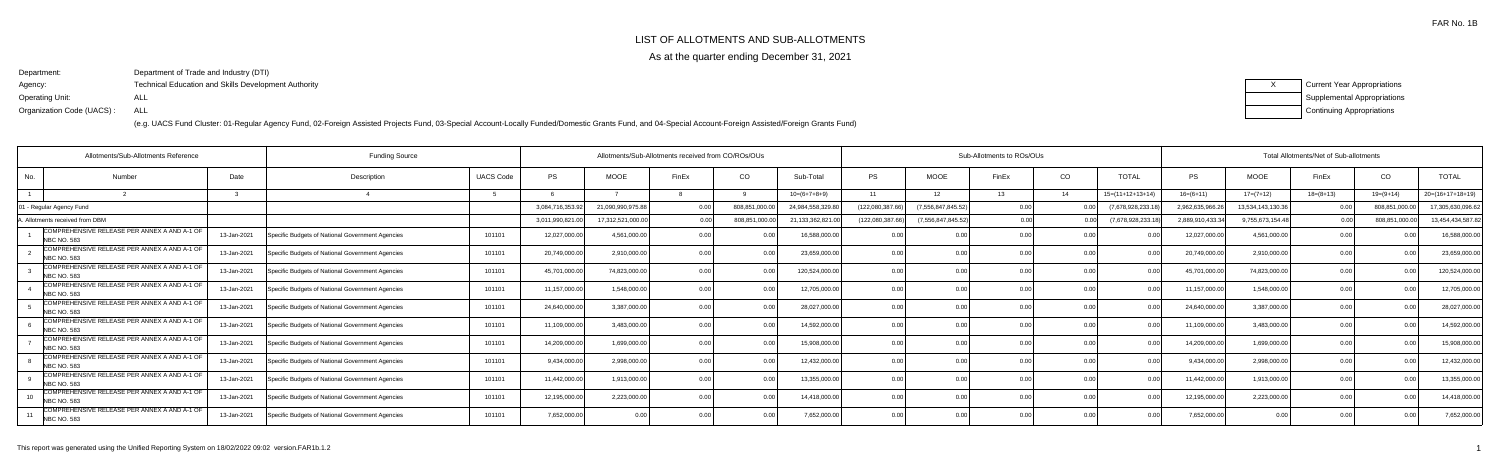# LIST OF ALLOTMENTS AND SUB-ALLOTMENTS

As at the quarter ending December 31, 2021

Department:Agency:Operating Unit:Organization Code (UACS) :Department of Trade and Industry (DTI)Technical Education and Skills Development AuthorityALLALL



|     | Allotments/Sub-Allotments Reference                                |             | <b>Funding Source</b>                            |                  |                  | Allotments/Sub-Allotments received from CO/ROs/OUs |       |                |                   | Sub-Allotments to ROs/OUs |                       |       |           |                    | Total Allotments/Net of Sub-allotments |                   |                |               |                    |  |
|-----|--------------------------------------------------------------------|-------------|--------------------------------------------------|------------------|------------------|----------------------------------------------------|-------|----------------|-------------------|---------------------------|-----------------------|-------|-----------|--------------------|----------------------------------------|-------------------|----------------|---------------|--------------------|--|
| No. | Number                                                             | Date        | Description                                      | <b>UACS Code</b> | <b>PS</b>        | <b>MOOE</b>                                        | FinEx | CO             | Sub-Total         | <b>PS</b>                 | <b>MOOE</b>           | FinEx | CO        | <b>TOTAL</b>       | PS                                     | <b>MOOE</b>       | FinEx          | CO            | <b>TOTAL</b>       |  |
|     |                                                                    |             |                                                  |                  |                  |                                                    |       |                | $10=(6+7+8+9)$    | 11                        | 12 <sub>1</sub>       | 13    | 14        | $15=(11+12+13+14)$ | $16=(6+11)$                            | $17=(7+12)$       | $18=(8+13)$    | $19=(9+14)$   | $20=(16+17+18+19)$ |  |
|     | - Regular Agency Fund                                              |             |                                                  |                  | 3,084,716,353.92 | 21,090,990,975.88                                  |       | 808,851,000.   | 24,984,558,329.80 | (122,080,387.66)          | (7, 556, 847, 845.52) |       |           | (7,678,928,233.1   | 2,962,635,966.2                        | 13,534,143,130.36 |                | 808,851,000.  | 17,305,630,096.62  |  |
|     | Allotments received from DBM                                       |             |                                                  |                  | 3,011,990,821.00 | 17,312,521,000.00                                  |       | 808,851,000    | 21,133,362,821.00 | (122,080,387.66           | (7.556.847.845.52     |       | 0.00      | (7,678,928,233.18  | 2,889,910,433.                         | 9,755,673,154.48  |                | 808,851,000.0 | 13,454,434,587.82  |  |
|     | COMPREHENSIVE RELEASE PER ANNEX A AND A-1 OF<br>NBC NO. 583        | 13-Jan-2021 | Specific Budgets of National Government Agencies | 101101           | 12,027,000.00    | 4,561,000.00                                       |       |                | 16,588,000.00     |                           |                       |       | 0.00      |                    | 12,027,000.0                           | 4,561,000.00      |                |               | 16,588,000.00      |  |
|     | COMPREHENSIVE RELEASE PER ANNEX A AND A-1 OF<br><b>NBC NO. 583</b> | 13-Jan-2021 | Specific Budgets of National Government Agencies | 101101           | 20,749,000.00    | 2,910,000.00                                       |       |                | 23,659,000.00     | 0 <sub>0</sub>            | 0.00                  |       | 0.00      |                    | 20,749,000.0                           | 2,910,000.00      |                |               | 23,659,000.00      |  |
|     | COMPREHENSIVE RELEASE PER ANNEX A AND A-1 OF<br>NBC NO. 583        | 13-Jan-2021 | Specific Budgets of National Government Agencies | 101101           | 45,701,000.00    | 74.823.000.00                                      |       | 0.00           | 120,524,000.00    | 0.00                      | 0.00                  |       | 0.00      |                    | 45,701,000.0                           | 74,823,000.00     | 0.00           | 0.00          | 120,524,000.00     |  |
|     | COMPREHENSIVE RELEASE PER ANNEX A AND A-1 OF<br><b>NBC NO. 583</b> | 13-Jan-2021 | Specific Budgets of National Government Agencies | 101101           | 11,157,000.00    | 1,548,000.00                                       |       |                | 12,705,000.00     |                           | 0.00                  |       | 0.00      |                    | 11,157,000.0                           | 1,548,000.00      |                |               | 12,705,000.00      |  |
|     | COMPREHENSIVE RELEASE PER ANNEX A AND A-1 OF<br><b>NBC NO. 583</b> | 13-Jan-2021 | Specific Budgets of National Government Agencies | 101101           | 24,640,000.00    | 3,387,000.00                                       |       |                | 28,027,000.00     | 0 <sub>0</sub>            | 0 <sub>0</sub>        |       | <u>ሰሰ</u> |                    | 24,640,000.0                           | 3,387,000.00      | 0 <sub>0</sub> |               | 28,027,000.00      |  |
|     | COMPREHENSIVE RELEASE PER ANNEX A AND A-1 OF<br><b>NBC NO. 583</b> | 13-Jan-2021 | Specific Budgets of National Government Agencies | 101101           | 11,109,000.00    | 3,483,000.00                                       |       |                | 14,592,000.00     | 0.00                      | 0.00                  |       | 0.00      |                    | 11,109,000.0                           | 3,483,000.00      | 0.00           | ი იი          | 14,592,000.00      |  |
|     | COMPREHENSIVE RELEASE PER ANNEX A AND A-1 OF<br>NBC NO. 583        | 13-Jan-2021 | Specific Budgets of National Government Agencies | 101101           | 14,209,000.00    | 1.699.000.00                                       |       | 0 <sub>0</sub> | 15,908,000.00     | 0.00                      | 0.00                  |       | 0.00      | 0.00               | 14,209,000.0                           | 1,699,000.00      | 0.0            | 0.00          | 15,908,000.00      |  |
|     | COMPREHENSIVE RELEASE PER ANNEX A AND A-1 OF<br>NBC NO. 583        | 13-Jan-2021 | Specific Budgets of National Government Agencies | 101101           | 9,434,000.00     | 2,998,000.00                                       |       |                | 12,432,000.00     | 0.00                      | 0.00                  |       | 0.00      |                    | 9,434,000.0                            | 2,998,000.00      | 0.0            |               | 12,432,000.00      |  |
|     | COMPREHENSIVE RELEASE PER ANNEX A AND A-1 OF<br><b>NBC NO. 583</b> | 13-Jan-2021 | Specific Budgets of National Government Agencies | 101101           | 11,442,000.00    | 1,913,000.00                                       |       |                | 13,355,000.00     | 0.00                      |                       |       |           |                    | 11,442,000.0                           | 1,913,000.00      |                |               | 13,355,000.00      |  |
|     | COMPREHENSIVE RELEASE PER ANNEX A AND A-1 OF<br><b>NBC NO. 583</b> | 13-Jan-2021 | Specific Budgets of National Government Agencies | 101101           | 12,195,000.00    | 2,223,000.00                                       |       | 0.00           | 14,418,000.00     | 0.00                      | 0.00                  |       | -0.00     | 0.00               | 12,195,000.0                           | 2,223,000.00      | 0.00           | 0.00          | 14,418,000.00      |  |
|     | COMPREHENSIVE RELEASE PER ANNEX A AND A-1 OF<br><b>NBC NO. 583</b> | 13-Jan-2021 | Specific Budgets of National Government Agencies | 101101           | 7,652,000.00     |                                                    |       |                | 7,652,000.00      |                           | 0.00                  |       | 0.0       |                    | 7,652,000.00                           | 0.00              | 0.00           |               | 7,652,000.00       |  |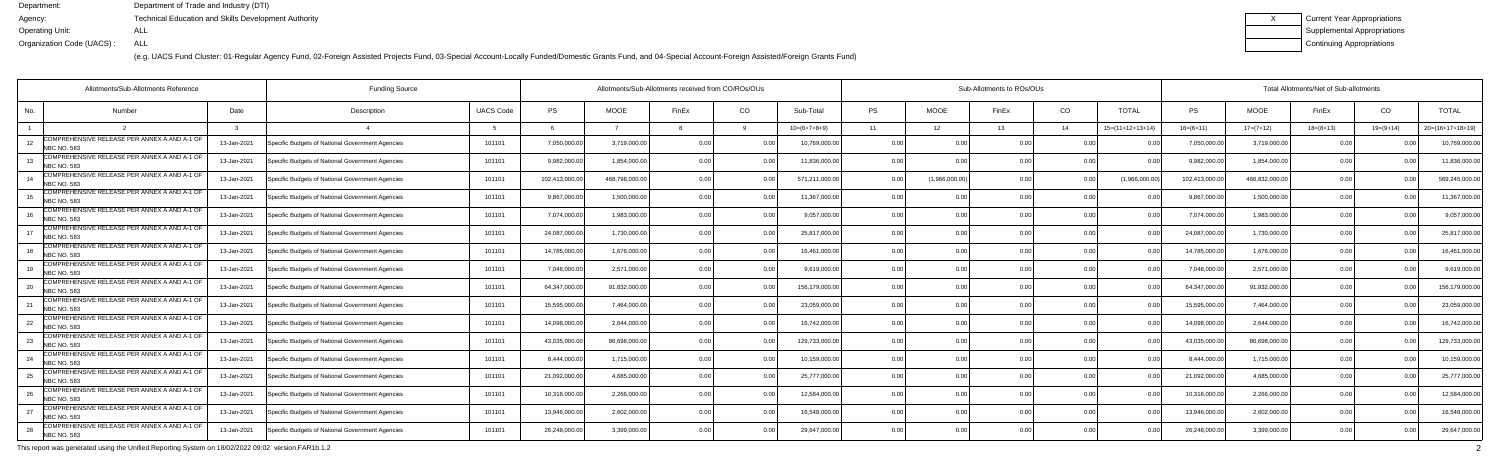(e.g. UACS Fund Cluster: 01-Regular Agency Fund, 02-Foreign Assisted Projects Fund, 03-Special Account-Locally Funded/Domestic Grants Fund, and 04-Special Account-Foreign Assisted/Foreign Grants Fund)

| Current Year Appropriations |
|-----------------------------|
| Supplemental Appropriations |
| Continuing Appropriations   |

|     | <b>Funding Source</b><br>Allotments/Sub-Allotments Reference       |             |                                                  | Allotments/Sub-Allotments received from CO/ROs/OUs |                |               |                |      |                | Sub-Allotments to ROs/OUs |                 |       |      |                    |              | Total Allotments/Net of Sub-allotments |             |             |                    |  |  |  |
|-----|--------------------------------------------------------------------|-------------|--------------------------------------------------|----------------------------------------------------|----------------|---------------|----------------|------|----------------|---------------------------|-----------------|-------|------|--------------------|--------------|----------------------------------------|-------------|-------------|--------------------|--|--|--|
| No. | Number                                                             | Date        | Description                                      | <b>UACS Code</b>                                   | PS             | <b>MOOE</b>   | FinEx          | CO   | Sub-Total      | <b>PS</b>                 | <b>MOOE</b>     | FinEx | CO   | <b>TOTAL</b>       | PS           | <b>MOOE</b>                            | FinEx       | CO          | <b>TOTAL</b>       |  |  |  |
|     |                                                                    |             |                                                  |                                                    |                |               |                |      | $10=(6+7+8+9)$ | 11                        | 12 <sup>2</sup> | 13    | 14   | $15=(11+12+13+14)$ | $16=(6+11)$  | $17=(7+12)$                            | $18=(8+13)$ | $19=(9+14)$ | $20=(16+17+18+19)$ |  |  |  |
| 12  | COMPREHENSIVE RELEASE PER ANNEX A AND A-1 OF<br>NBC NO. 583        | 13-Jan-2021 | Specific Budgets of National Government Agencies | 101101                                             | 7,050,000.00   | 3,719,000.0   | 0.00           |      | 10,769,000.00  | 0.00                      | 0.0(            |       | 0.0  |                    | 7,050,000.   | 3,719,000.00                           | 0.0         |             | 10,769,000.00      |  |  |  |
| -13 | COMPREHENSIVE RELEASE PER ANNEX A AND A-1 OF<br>NBC NO. 583        | 13-Jan-2021 | Specific Budgets of National Government Agencies | 101101                                             | 9,982,000.00   | 1.854.000.0   | 0.00           | 0.00 | 11,836,000.00  | 0.00                      | 0.00            |       | 0.00 | 0.00               | 9,982,000.0  | 1,854,000.00                           | 0.00        | 0.00        | 11,836,000.00      |  |  |  |
| 14  | COMPREHENSIVE RELEASE PER ANNEX A AND A-1 OF<br>NBC NO. 583        | 13-Jan-2021 | Specific Budgets of National Government Agencies | 101101                                             | 102,413,000.00 | 468,798,000.0 | 0.00           | 0.00 | 571,211,000.00 | 0.00                      | (1,966,000.00)  | 0 OC  | 0.00 | (1,966,000.00)     | 102,413,000. | 466,832,000.00                         | 0.00        |             | 569,245,000.00     |  |  |  |
|     | COMPREHENSIVE RELEASE PER ANNEX A AND A-1 OF<br><b>NBC NO. 583</b> | 13-Jan-2021 | Specific Budgets of National Government Agencies | 101101                                             | 9,867,000.00   | 1,500,000.0   | 0 00           |      | 11,367,000.00  | 0.00                      | 0.0(            |       | 0.00 |                    | 9,867,000.   | 1,500,000.0                            | 0.0         |             | 11,367,000.00      |  |  |  |
|     | COMPREHENSIVE RELEASE PER ANNEX A AND A-1 OF<br><b>NBC NO. 583</b> | 13-Jan-2021 | Specific Budgets of National Government Agencies | 101101                                             | 7,074,000.00   | 1,983,000.0   | ი იი           | 0.00 | 9,057,000.00   | 0.00                      | 0.00            |       | 0.00 | 0.00               | 7,074,000.0  | 1,983,000.00                           | 0.00        | 0.00        | 9,057,000.00       |  |  |  |
| 17  | COMPREHENSIVE RELEASE PER ANNEX A AND A-1 OF<br><b>NBC NO. 583</b> | 13-Jan-2021 | Specific Budgets of National Government Agencies | 101101                                             | 24,087,000.00  | 1,730,000.0   | 0.00           | 0.00 | 25,817,000.00  | 0.00                      | 0.00            |       | 0.00 | 0.00               | 24,087,000.0 | 1,730,000.00                           | 0.00        | 0.00        | 25,817,000.00      |  |  |  |
|     | COMPREHENSIVE RELEASE PER ANNEX A AND A-1 OF<br><b>NBC NO. 583</b> | 13-Jan-2021 | Specific Budgets of National Government Agencies | 101101                                             | 14,785,000.00  | 1,676,000.0   | 0 00           |      | 16,461,000.00  | 0.00                      | 0.00            |       | 0.00 |                    | 14,785,000.0 | 1,676,000.00                           | 0.00        |             | 16,461,000.00      |  |  |  |
| 1 Q | COMPREHENSIVE RELEASE PER ANNEX A AND A-1 OF<br><b>NBC NO. 583</b> | 13-Jan-2021 | Specific Budgets of National Government Agencies | 101101                                             | 7,048,000.00   | 2,571,000.0   | 0.00           |      | 9,619,000.00   | 0.00                      | 0.00            |       | 0.00 | 0.00               | 7,048,000.0  | 2,571,000.00                           | 0.00        | 0 O         | 9,619,000.00       |  |  |  |
|     | COMPREHENSIVE RELEASE PER ANNEX A AND A-1 OF<br><b>NBC NO. 583</b> | 13-Jan-2021 | Specific Budgets of National Government Agencies | 101101                                             | 64,347,000.00  | 91,832,000.0  | 0.00           | 0.00 | 156,179,000.00 | 0.00                      | 0.00            |       | 0.00 | 0.00               | 64,347,000.0 | 91,832,000.00                          | 0.00        | 0.00        | 156,179,000.00     |  |  |  |
|     | COMPREHENSIVE RELEASE PER ANNEX A AND A-1 OF<br><b>NBC NO. 583</b> | 13-Jan-2021 | Specific Budgets of National Government Agencies | 101101                                             | 15,595,000.00  | 7,464,000.0   | 0 <sub>0</sub> | 0.00 | 23,059,000.00  | 0.00                      | 0.00            |       | 0.00 |                    | 15,595,000.  | 7,464,000.00                           | 0.00        |             | 23,059,000.00      |  |  |  |
| 22  | COMPREHENSIVE RELEASE PER ANNEX A AND A-1 OF<br><b>NBC NO. 583</b> | 13-Jan-2021 | Specific Budgets of National Government Agencies | 101101                                             | 14,098,000.00  | 2,644,000.0   | n nr           |      | 16,742,000.00  | 0.00                      | 0.00            |       | 0.00 |                    | 14,098,000.  | 2,644,000.00                           | 0.00        | 0.00        | 16,742,000.00      |  |  |  |
| 23  | COMPREHENSIVE RELEASE PER ANNEX A AND A-1 OF<br><b>NBC NO. 583</b> | 13-Jan-2021 | Specific Budgets of National Government Agencies | 101101                                             | 43,035,000.00  | 86,698,000.0  | 0 00           |      | 129,733,000.00 | 0.00                      | 0.00            |       | 0.00 |                    | 43,035,000.  | 86,698,000.00                          | 0.00        | 0.00        | 129,733,000.00     |  |  |  |
| 24  | COMPREHENSIVE RELEASE PER ANNEX A AND A-1 OF<br><b>NBC NO. 583</b> | 13-Jan-2021 | Specific Budgets of National Government Agencies | 101101                                             | 8,444,000.00   | 1,715,000.0   | 0 <sub>0</sub> | 0.00 | 10,159,000.00  | 0.00                      | 0.00            |       | 0.00 | 0.00               | 8,444,000.0  | 1,715,000.00                           | 0.00        | 0.00        | 10,159,000.00      |  |  |  |
|     | COMPREHENSIVE RELEASE PER ANNEX A AND A-1 OF<br><b>NBC NO. 583</b> | 13-Jan-2021 | Specific Budgets of National Government Agencies | 101101                                             | 21,092,000.00  | 4,685,000.0   | n nr           |      | 25,777,000.00  | 0.00                      | 0.00            |       | 0.00 |                    | 21,092,000.0 | 4,685,000.00                           | 0.0         |             | 25,777,000.00      |  |  |  |
|     | COMPREHENSIVE RELEASE PER ANNEX A AND A-1 OF<br>NBC NO. 583        | 13-Jan-2021 | Specific Budgets of National Government Agencies | 101101                                             | 10,318,000.00  | 2,266,000.0   | 0 <sub>0</sub> |      | 12,584,000.00  | 0.00                      | 0.00            |       | 0.00 |                    | 10,318,000.0 | 2,266,000.00                           | 0.00        |             | 12,584,000.00      |  |  |  |
| 27  | COMPREHENSIVE RELEASE PER ANNEX A AND A-1 OF<br><b>NBC NO. 583</b> | 13-Jan-2021 | Specific Budgets of National Government Agencies | 101101                                             | 13,946,000.00  | 2,602,000.0   | 0.00           | 0.00 | 16,548,000.00  | 0.00                      | 0.00            |       | 0.00 | 0.00               | 13,946,000.0 | 2,602,000.00                           | 0.00        | 0.00        | 16,548,000.00      |  |  |  |
| 28  | COMPREHENSIVE RELEASE PER ANNEX A AND A-1 OF<br>NBC NO. 583        | 13-Jan-2021 | Specific Budgets of National Government Agencies | 101101                                             | 26,248,000.00  | 3,399,000.0   |                | 0.00 | 29,647,000.00  | 0 <sub>0</sub>            | 0.00            |       | . വ  |                    | 26,248,000.0 | 3,399,000.00                           | 0.00        |             | 29,647,000.00      |  |  |  |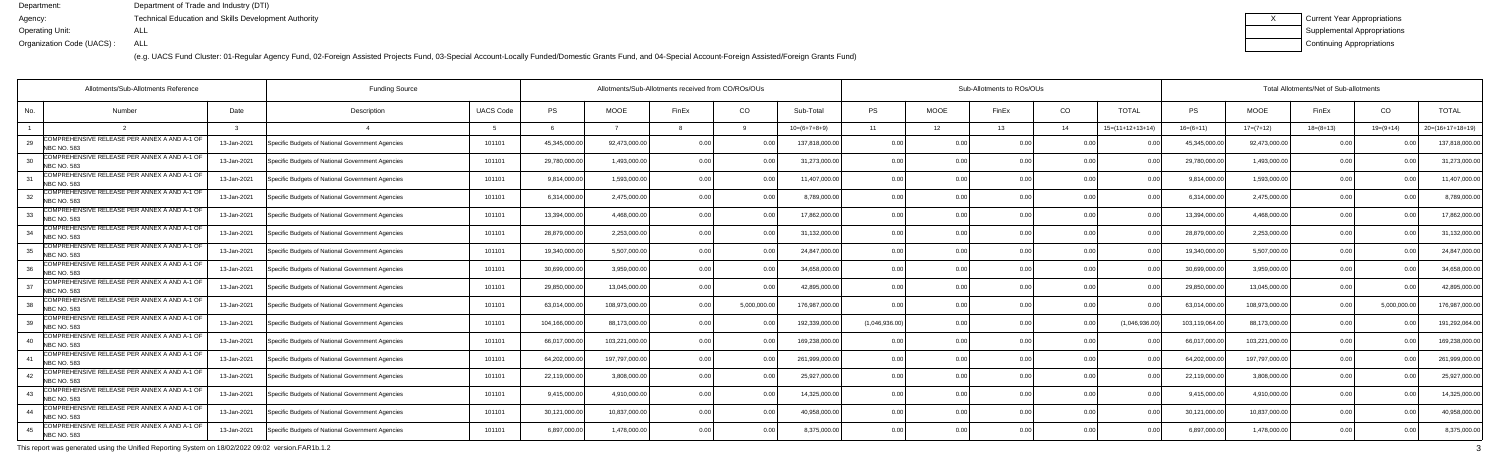(e.g. UACS Fund Cluster: 01-Regular Agency Fund, 02-Foreign Assisted Projects Fund, 03-Special Account-Locally Funded/Domestic Grants Fund, and 04-Special Account-Foreign Assisted/Foreign Grants Fund)

| Current Year Appropriations |
|-----------------------------|
| Supplemental Appropriations |
| Continuing Appropriations   |

|                    | Allotments/Sub-Allotments Reference          |             | <b>Funding Source</b>                            |                  | Allotments/Sub-Allotments received from CO/ROs/OUs |                |                |                |                |                |             | Sub-Allotments to ROs/OUs |                |                            | Total Allotments/Net of Sub-allotments |                |             |                |                    |  |  |
|--------------------|----------------------------------------------|-------------|--------------------------------------------------|------------------|----------------------------------------------------|----------------|----------------|----------------|----------------|----------------|-------------|---------------------------|----------------|----------------------------|----------------------------------------|----------------|-------------|----------------|--------------------|--|--|
| No.                | Number                                       | Date        | Description                                      | <b>UACS Code</b> | <b>PS</b>                                          | <b>MOOE</b>    | FinEx          | CO             | Sub-Total      | <b>PS</b>      | <b>MOOE</b> | FinEx                     | CO             | <b>TOTAL</b>               | PS                                     | <b>MOOE</b>    | FinEx       | CO             | <b>TOTAL</b>       |  |  |
|                    |                                              |             |                                                  |                  |                                                    |                |                |                | $10=(6+7+8+9)$ | 11             | 12          | 13                        | 14             | $15=(11+12+13+14)$         | $16= (6+11)$                           | $17=(7+12)$    | $18=(8+13)$ | $19=(9+14)$    | $20=(16+17+18+19)$ |  |  |
| NBC NO. 583        | COMPREHENSIVE RELEASE PER ANNEX A AND A-1 OF | 13-Jan-2021 | Specific Budgets of National Government Agencies | 101101           | 45,345,000.00                                      | 92,473,000.0   | 0.00           |                | 137,818,000.00 | 0.00           | ი ი         | 0.OC                      | 0.00           |                            | 45,345,000.0                           | 92,473,000.0   | 0 Q         |                | 137,818,000.0      |  |  |
| <b>NBC NO. 583</b> | COMPREHENSIVE RELEASE PER ANNEX A AND A-1 OF | 13-Jan-2021 | Specific Budgets of National Government Agencies | 101101           | 29,780,000.00                                      | 1.493.000.0    | 0 <sub>0</sub> | 0 <sub>0</sub> | 31,273,000.00  | 0.00           | 0.00        |                           | 0.00           |                            | 29,780,000.0                           | 1,493,000.0    | 0.00        |                | 31,273,000.0       |  |  |
| <b>NBC NO. 583</b> | COMPREHENSIVE RELEASE PER ANNEX A AND A-1 OF | 13-Jan-2021 | Specific Budgets of National Government Agencies | 101101           | 9,814,000.00                                       | 1,593,000.0    | 0 <sub>0</sub> | 0 <sub>0</sub> | 11,407,000.00  | 0.00           | 0.00        |                           | 0.00           | 0 <sub>0</sub>             | 9,814,000.0                            | 1,593,000.00   | 0.00        |                | 11,407,000.0       |  |  |
| <b>NBC NO. 583</b> | COMPREHENSIVE RELEASE PER ANNEX A AND A-1 OF | 13-Jan-2021 | Specific Budgets of National Government Agencies | 101101           | 6,314,000.00                                       | 2,475,000.0    | 0 <sub>0</sub> | 0.00           | 8,789,000.0    | 0.00           | 0.00        |                           | 0.00           |                            | 6,314,000.0                            | 2,475,000.0    | 0.00        |                | 8,789,000.0        |  |  |
| <b>NBC NO. 583</b> | COMPREHENSIVE RELEASE PER ANNEX A AND A-1 OF | 13-Jan-2021 | Specific Budgets of National Government Agencies | 101101           | 13,394,000.00                                      | 4.468.000.0    | 0 <sub>0</sub> | 0 0            | 17,862,000.00  | 0.00           | 0.00        |                           | 0.00           |                            | 13,394,000.0                           | 4,468,000.00   | 0.00        |                | 17,862,000.0       |  |  |
| <b>NBC NO. 583</b> | COMPREHENSIVE RELEASE PER ANNEX A AND A-1 OF | 13-Jan-2021 | Specific Budgets of National Government Agencies | 101101           | 28,879,000.00                                      | 2,253,000.0    | 0.00           | 0.00           | 31,132,000.00  | 0.00           | 0.00        | 0.OC                      | 0.00           | 0 <sub>0</sub>             | 28,879,000.0                           | 2,253,000.00   | 0.00        | 0 <sub>0</sub> | 31,132,000.0       |  |  |
| <b>NBC NO. 583</b> | COMPREHENSIVE RELEASE PER ANNEX A AND A-1 OF | 13-Jan-2021 | Specific Budgets of National Government Agencies | 101101           | 19,340,000.00                                      | 5,507,000.0    | 0 <sub>0</sub> |                | 24,847,000.00  | 0.00           | 0.00        |                           | 0.00           |                            | 19,340,000.0                           | 5,507,000.0    | 0.00        |                | 24,847,000.0       |  |  |
| <b>NBC NO. 583</b> | COMPREHENSIVE RELEASE PER ANNEX A AND A-1 OF | 13-Jan-2021 | Specific Budgets of National Government Agencies | 101101           | 30,699,000.00                                      | 3,959,000.0    | 0 <sub>0</sub> |                | 34,658,000.00  | 0.00           | 0.00        |                           | 0.00           |                            | 30,699,000.0                           | 3,959,000.00   | 0.00        | 0 <sub>0</sub> | 34,658,000.0       |  |  |
| <b>NBC NO. 583</b> | COMPREHENSIVE RELEASE PER ANNEX A AND A-1 OF | 13-Jan-2021 | Specific Budgets of National Government Agencies | 101101           | 29,850,000.00                                      | 13.045.000.0   | 0 <sub>0</sub> | 0 <sub>0</sub> | 42,895,000.0   | 0.00           | 0.00        |                           | 0.00           |                            | 29,850,000.0                           | 13,045,000.0   | 0.00        | 0 <sub>0</sub> | 42,895,000.0       |  |  |
| <b>NBC NO. 583</b> | COMPREHENSIVE RELEASE PER ANNEX A AND A-1 OF | 13-Jan-2021 | Specific Budgets of National Government Agencies | 101101           | 63,014,000.00                                      | 108,973,000.0  | 0 <sub>0</sub> | 5,000,000.     | 176,987,000.00 | 0.00           | 0.00        |                           | 0.00           |                            | 63,014,000.0                           | 108,973,000.00 | 0.0         | 5,000,000.00   | 176,987,000.0      |  |  |
| <b>NBC NO. 583</b> | COMPREHENSIVE RELEASE PER ANNEX A AND A-1 OF | 13-Jan-2021 | Specific Budgets of National Government Agencies | 101101           | 104,166,000.00                                     | 88,173,000.0   | 0 <sub>0</sub> |                | 192,339,000.0  | (1,046,936.00) | 0.00        |                           | 0.00           | (1,046,936.00)             | 103,119,064.0                          | 88,173,000.00  | 0.0         |                | 191,292,064.0      |  |  |
| <b>NBC NO. 583</b> | COMPREHENSIVE RELEASE PER ANNEX A AND A-1 OF | 13-Jan-2021 | Specific Budgets of National Government Agencies | 101101           | 66,017,000.00                                      | 103,221,000.00 | 0 <sub>0</sub> |                | 169,238,000.0  | 0.00           | 0.00        |                           | 0.00           |                            | 66,017,000.0                           | 103,221,000.00 | 0.00        |                | 169,238,000.0      |  |  |
| <b>NBC NO. 583</b> | COMPREHENSIVE RELEASE PER ANNEX A AND A-1 OF | 13-Jan-2021 | Specific Budgets of National Government Agencies | 101101           | 64,202,000.00                                      | 197,797,000.0  | 0 <sub>0</sub> | 0.00           | 261,999,000.00 | 0.00           | 0.00        | 0.OC                      | 0.00           | 0 <sub>0</sub>             | 64,202,000.0                           | 197,797,000.00 | 0.00        |                | 261,999,000.0      |  |  |
| <b>NBC NO. 583</b> | COMPREHENSIVE RELEASE PER ANNEX A AND A-1 OF | 13-Jan-2021 | Specific Budgets of National Government Agencies | 101101           | 22,119,000.00                                      | 3.808.000.0    | 0 <sub>0</sub> |                | 25,927,000.0   | 0.0            | 0.00        |                           | 0.00           |                            | 22,119,000.0                           | 3,808,000.0    | 0.00        |                | 25,927,000.0       |  |  |
| <b>NBC NO. 583</b> | COMPREHENSIVE RELEASE PER ANNEX A AND A-1 OF | 13-Jan-2021 | Specific Budgets of National Government Agencies | 101101           | 9,415,000.00                                       | 4,910,000.0    | 0 <sub>0</sub> | 0 <sub>0</sub> | 14,325,000.00  | 0.00           | 0.00        |                           | 0.00           | 0 <sup>0<sup>c</sup></sup> | 9,415,000.0                            | 4,910,000.00   | 0.00        | 0 <sub>0</sub> | 14,325,000.0       |  |  |
| <b>NBC NO. 583</b> | COMPREHENSIVE RELEASE PER ANNEX A AND A-1 OF | 13-Jan-2021 | Specific Budgets of National Government Agencies | 101101           | 30,121,000.00                                      | 10,837,000.0   | 0.00           | 0.00           | 40,958,000.00  | 0.00           | 0.00        | 0.OC                      | 0.00           | 0 <sub>0</sub>             | 30,121,000.0                           | 10,837,000.00  | 0.00        | 0.00           | 40,958,000.0       |  |  |
| <b>NBC NO. 583</b> | COMPREHENSIVE RELEASE PER ANNEX A AND A-1 OF | 13-Jan-2021 | Specific Budgets of National Government Agencies | 101101           | 6,897,000.00                                       | 1,478,000.0    |                | 0 <sub>0</sub> | 8,375,000.00   | 0 <sub>0</sub> | 0.00        |                           | 0 <sub>0</sub> |                            | 6,897,000.0                            | 1,478,000.00   | 0.00        |                | 8,375,000.0        |  |  |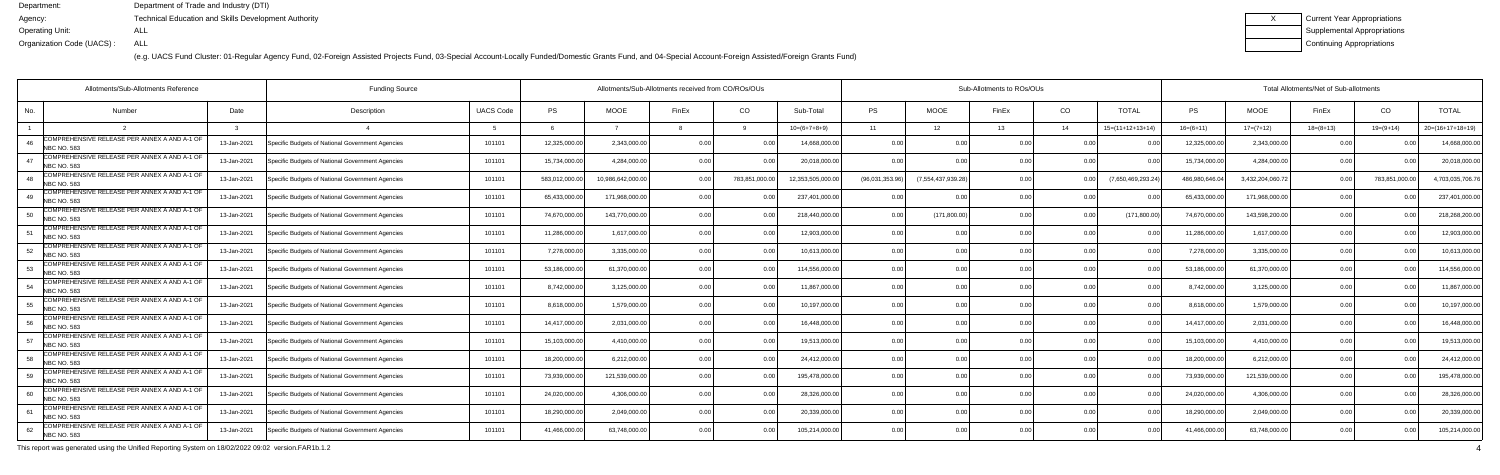(e.g. UACS Fund Cluster: 01-Regular Agency Fund, 02-Foreign Assisted Projects Fund, 03-Special Account-Locally Funded/Domestic Grants Fund, and 04-Special Account-Foreign Assisted/Foreign Grants Fund)

| x | Current Year Appropriations        |
|---|------------------------------------|
|   | <b>Supplemental Appropriations</b> |
|   | Continuing Appropriations          |

|     | <b>Funding Source</b><br>Allotments/Sub-Allotments Reference       |             |                                                  |                  |               | Allotments/Sub-Allotments received from CO/ROs/OUs |                |               |                  | Sub-Allotments to ROs/OUs |                   |       |                |                    |              | Total Allotments/Net of Sub-allotments |             |                |                    |  |  |
|-----|--------------------------------------------------------------------|-------------|--------------------------------------------------|------------------|---------------|----------------------------------------------------|----------------|---------------|------------------|---------------------------|-------------------|-------|----------------|--------------------|--------------|----------------------------------------|-------------|----------------|--------------------|--|--|
| No. | Number                                                             | Date        | Description                                      | <b>UACS Code</b> | <b>PS</b>     | <b>MOOE</b>                                        | FinEx          | CO            | Sub-Total        | <b>PS</b>                 | <b>MOOE</b>       | FinEx | CO             | <b>TOTAL</b>       | <b>PS</b>    | <b>MOOE</b>                            | FinEx       | CO             | <b>TOTAL</b>       |  |  |
|     |                                                                    |             |                                                  |                  |               |                                                    |                |               | $10=(6+7+8+9)$   | 11                        | 12 <sup>2</sup>   | 13    | 14             | $15=(11+12+13+14)$ | $16=(6+11)$  | $17=(7+12)$                            | $18=(8+13)$ | $19=(9+14)$    | $20=(16+17+18+19)$ |  |  |
|     | COMPREHENSIVE RELEASE PER ANNEX A AND A-1 OF<br><b>NBC NO. 583</b> | 13-Jan-2021 | Specific Budgets of National Government Agencies | 101101           | 12,325,000.00 | 2,343,000.0                                        | 0 <sub>0</sub> |               | 14,668,000.0     | 0.00                      |                   | 0.00  | 0.00           |                    | 12,325,000.  | 2,343,000.0                            | 0.00        | 0 <sub>0</sub> | 14,668,000.00      |  |  |
|     | COMPREHENSIVE RELEASE PER ANNEX A AND A-1 OF<br>NBC NO. 583        | 13-Jan-2021 | Specific Budgets of National Government Agencies | 101101           | 15,734,000.00 | 4,284,000.0                                        | 0.00           | 0.OC          | 20,018,000.00    | 0.00                      | 0.0(              |       | 0.00           |                    | 15,734,000.0 | 4,284,000.00                           | 0.00        | 0.00           | 20,018,000.00      |  |  |
|     | COMPREHENSIVE RELEASE PER ANNEX A AND A-1 OF<br>NBC NO. 583        | 13-Jan-2021 | Specific Budgets of National Government Agencies | 101101           | 583,012,000.0 | 10,986,642,000.0                                   |                | 783,851,000.0 | 12,353,505,000.0 | (96,031,353.96)           | (7,554,437,939.28 | 0.00  | 0 <sub>0</sub> | (7,650,469,293.24  | 486,980,646. | 3,432,204,060.7                        |             | 783,851,000.0  | 4,703,035,706.76   |  |  |
| 49  | COMPREHENSIVE RELEASE PER ANNEX A AND A-1 OF<br><b>NBC NO. 583</b> | 13-Jan-2021 | Specific Budgets of National Government Agencies | 101101           | 65,433,000.   | 171,968,000.0                                      | 0 00           |               | 237,401,000.00   |                           | 0.0               |       | 0.00           |                    | 65,433,000.  | 171,968,000.00                         | 0.00        |                | 237,401,000.00     |  |  |
| 50  | COMPREHENSIVE RELEASE PER ANNEX A AND A-1 OF<br><b>NBC NO. 583</b> | 13-Jan-2021 | Specific Budgets of National Government Agencies | 101101           | 74,670,000.00 | 143,770,000.0                                      | ი იი           | n nr          | 218,440,000.00   | 0.00                      | (171,800.00)      |       | 0.00           | (171, 800.00)      | 74,670,000.0 | 143,598,200.00                         | 0.00        | 0.00           | 218,268,200.00     |  |  |
| 51  | COMPREHENSIVE RELEASE PER ANNEX A AND A-1 OF<br><b>NBC NO. 583</b> | 13-Jan-2021 | Specific Budgets of National Government Agencies | 101101           | 11,286,000.00 | 1,617,000.0                                        | 0.00           | 0.00          | 12,903,000.00    | 0.00                      | 0.0(              | 0.00  | 0.00           |                    | 11,286,000.0 | 1,617,000.00                           | 0.00        | 0.00           | 12,903,000.00      |  |  |
| 52  | COMPREHENSIVE RELEASE PER ANNEX A AND A-1 OF<br>NBC NO. 583        | 13-Jan-2021 | Specific Budgets of National Government Agencies | 101101           | 7,278,000.00  | 3,335,000.0                                        | 0 00           |               | 10,613,000.00    | 0.00                      | 0.00              |       | 0.00           |                    | 7,278,000.0  | 3,335,000.00                           | 0.00        |                | 10,613,000.00      |  |  |
| 53  | COMPREHENSIVE RELEASE PER ANNEX A AND A-1 OF<br><b>NBC NO. 583</b> | 13-Jan-2021 | Specific Budgets of National Government Agencies | 101101           | 53,186,000.00 | 61,370,000.0                                       | 0.00           |               | 114,556,000.00   | 0.00                      | 0.00              |       | 0.00           |                    | 53,186,000.0 | 61,370,000.00                          | 0.00        | 0.OC           | 114,556,000.00     |  |  |
| 54  | COMPREHENSIVE RELEASE PER ANNEX A AND A-1 OF<br>NBC NO. 583        | 13-Jan-2021 | Specific Budgets of National Government Agencies | 101101           | 8,742,000.00  | 3,125,000.0                                        | 0.00           | 0.00          | 11,867,000.00    | 0.00                      | 0.00              |       | 0.00           | 0.00               | 8,742,000.0  | 3,125,000.00                           | 0.00        | 0.00           | 11,867,000.00      |  |  |
| 55  | COMPREHENSIVE RELEASE PER ANNEX A AND A-1 OF<br><b>NBC NO. 583</b> | 13-Jan-2021 | Specific Budgets of National Government Agencies | 101101           | 8,618,000.00  | 1,579,000.0                                        | 0.00           | 0.00          | 10,197,000.00    | 0.00                      | 0.0(              |       | 0.00           |                    | 8,618,000.   | 1,579,000.00                           | 0.00        |                | 10,197,000.00      |  |  |
| 56  | COMPREHENSIVE RELEASE PER ANNEX A AND A-1 OF<br><b>NBC NO. 583</b> | 13-Jan-2021 | Specific Budgets of National Government Agencies | 101101           | 14,417,000.00 | 2,031,000.0                                        | 0 <sub>0</sub> |               | 16,448,000.0     | 0 <sub>0</sub>            | 0.0(              |       | 0.00           |                    | 14,417,000.0 | 2,031,000.00                           | 0.00        | 0.OC           | 16,448,000.00      |  |  |
| 57  | COMPREHENSIVE RELEASE PER ANNEX A AND A-1 OF<br>NBC NO. 583        | 13-Jan-2021 | Specific Budgets of National Government Agencies | 101101           | 15,103,000.00 | 4,410,000.0                                        | 0.00           | 0.00          | 19,513,000.00    | 0.00                      | 0.00              |       | 0.00           |                    | 15,103,000.0 | 4,410,000.00                           | 0.00        | 0.00           | 19,513,000.00      |  |  |
| 58  | COMPREHENSIVE RELEASE PER ANNEX A AND A-1 OF<br><b>NBC NO. 583</b> | 13-Jan-2021 | Specific Budgets of National Government Agencies | 101101           | 18,200,000.00 | 6,212,000.0                                        | 0.00           | 0.00          | 24,412,000.00    | 0.00                      | 0.00              | 0.00  | 0.00           |                    | 18,200,000.0 | 6,212,000.00                           | 0.00        | 0.00           | 24,412,000.00      |  |  |
|     | COMPREHENSIVE RELEASE PER ANNEX A AND A-1 OF<br><b>NBC NO. 583</b> | 13-Jan-2021 | Specific Budgets of National Government Agencies | 101101           | 73,939,000.00 | 121,539,000.0                                      | n nn           |               | 195,478,000.00   | 0 <sub>0</sub>            | 0.00              |       | 0.00           |                    | 73,939,000.  | 121,539,000.00                         | 0.00        |                | 195,478,000.00     |  |  |
| 60  | COMPREHENSIVE RELEASE PER ANNEX A AND A-1 OF<br><b>NBC NO. 583</b> | 13-Jan-2021 | Specific Budgets of National Government Agencies | 101101           | 24,020,000.00 | 4,306,000.0                                        | 0.00           | 0 OC          | 28,326,000.00    | 0.00                      | 0.00              |       | 0.00           |                    | 24,020,000.0 | 4,306,000.00                           | 0.00        | 0.OC           | 28,326,000.00      |  |  |
| 61  | COMPREHENSIVE RELEASE PER ANNEX A AND A-1 OF<br><b>NBC NO. 583</b> | 13-Jan-2021 | Specific Budgets of National Government Agencies | 101101           | 18,290,000.00 | 2,049,000.0                                        | 0.00           | 0.00          | 20,339,000.00    | 0.00                      | 0.00              | 0.00  | 0.00           | 0.00               | 18,290,000.0 | 2,049,000.00                           | 0.00        | 0.00           | 20,339,000.00      |  |  |
| 62  | COMPREHENSIVE RELEASE PER ANNEX A AND A-1 OF<br><b>NBC NO. 583</b> | 13-Jan-2021 | Specific Budgets of National Government Agencies | 101101           | 41,466,000.00 | 63,748,000.0                                       |                | 0.OC          | 105,214,000.00   |                           | 0.0(              |       |                |                    | 41,466,000.  | 63,748,000.00                          | 0.00        |                | 105,214,000.00     |  |  |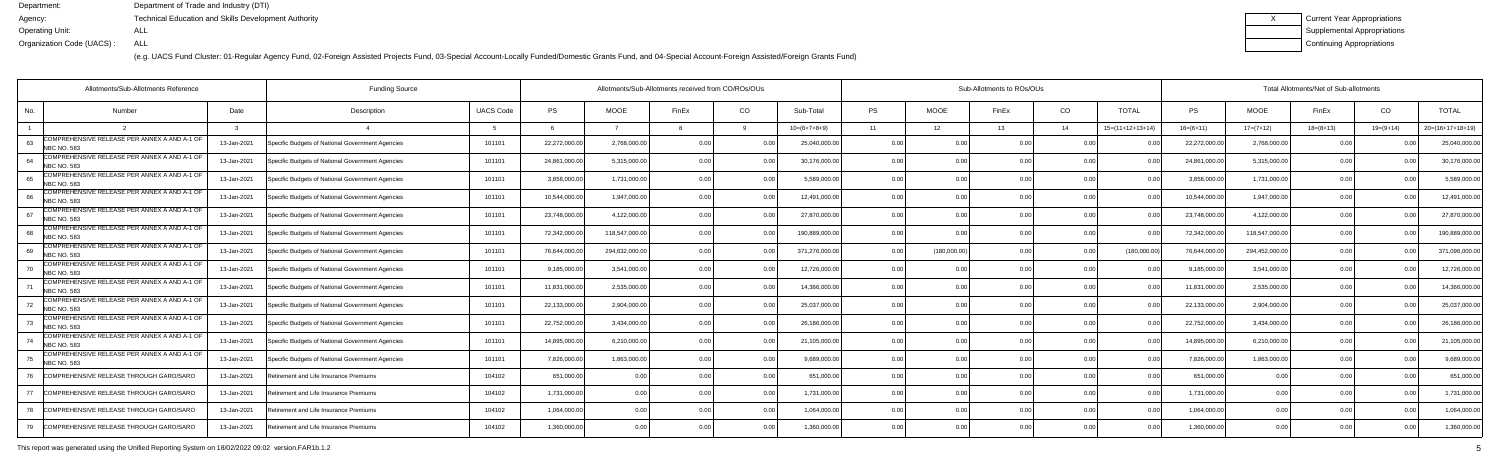(e.g. UACS Fund Cluster: 01-Regular Agency Fund, 02-Foreign Assisted Projects Fund, 03-Special Account-Locally Funded/Domestic Grants Fund, and 04-Special Account-Foreign Assisted/Foreign Grants Fund)

| Current Year Appropriations |
|-----------------------------|
| Supplemental Appropriations |
| Continuing Appropriations   |

|                          | Allotments/Sub-Allotments Reference<br><b>Funding Source</b> |             |                                                  |                  | Allotments/Sub-Allotments received from CO/ROs/OUs |                |       |                |                |           | Sub-Allotments to ROs/OUs |                |                 |                    |               | Total Allotments/Net of Sub-allotments |             |             |                    |  |  |
|--------------------------|--------------------------------------------------------------|-------------|--------------------------------------------------|------------------|----------------------------------------------------|----------------|-------|----------------|----------------|-----------|---------------------------|----------------|-----------------|--------------------|---------------|----------------------------------------|-------------|-------------|--------------------|--|--|
| No.                      | Number                                                       | Date        | Description                                      | <b>UACS Code</b> | <b>PS</b>                                          | <b>MOOE</b>    | FinEx | CO             | Sub-Total      | <b>PS</b> | <b>MOOE</b>               | FinEx          | CO <sub>.</sub> | <b>TOTAL</b>       | <b>PS</b>     | MOOE                                   | FinEx       | CO.         | <b>TOTAL</b>       |  |  |
|                          |                                                              |             |                                                  |                  |                                                    |                |       |                | $10=(6+7+8+9)$ | 11        | 12                        | 13             | 14              | $15=(11+12+13+14)$ | $16=(6+11)$   | $17=(7+12)$                            | $18=(8+13)$ | $19=(9+14)$ | $20=(16+17+18+19)$ |  |  |
| <b>NBC NO. 583</b>       | COMPREHENSIVE RELEASE PER ANNEX A AND A-1 OF                 | 13-Jan-2021 | Specific Budgets of National Government Agencies | 101101           | 22,272,000.00                                      | 2,768,000.0    |       |                | 25,040,000.00  | 0.0(      |                           |                | 0.0             |                    | 22,272,000.0  | 2,768,000.00                           | 00          |             | 25,040,000.00      |  |  |
| <b>NBC NO. 583</b>       | COMPREHENSIVE RELEASE PER ANNEX A AND A-1 OF                 | 13-Jan-2021 | Specific Budgets of National Government Agencies | 101101           | 24,861,000.00                                      | 5,315,000.0    | 0 Q   |                | 30,176,000.00  | 0.00      | 0.00                      |                | 0.0(            |                    | 24,861,000.0  | 5,315,000.00                           | 0.00        |             | 30,176,000.0       |  |  |
| NBC NO. 583              | COMPREHENSIVE RELEASE PER ANNEX A AND A-1 OF                 | 13-Jan-2021 | Specific Budgets of National Government Agencies | 101101           | 3,858,000.00                                       | 1,731,000.00   | 0.00  | 0.00           | 5,589,000.00   | 0.00      | 0.00                      |                | 0.00            | 0.0                | 3,858,000.0   | 1,731,000.00                           | 0.00        |             | 5,589,000.0        |  |  |
| <b>NBC NO. 583</b>       | COMPREHENSIVE RELEASE PER ANNEX A AND A-1 OF                 | 13-Jan-2021 | Specific Budgets of National Government Agencies | 101101           | 10,544,000.00                                      | 1,947,000.00   | 0 Q   | 0.0            | 12,491,000.00  | 0.00      | 0.00                      | 0.00           | 0.0(            |                    | 10,544,000.0  | 1,947,000.00                           | 0.00        |             | 12,491,000.0       |  |  |
| <b>NBC NO. 583</b>       | COMPREHENSIVE RELEASE PER ANNEX A AND A-1 OF                 | 13-Jan-2021 | Specific Budgets of National Government Agencies | 101101           | 23,748,000.00                                      | 4,122,000.00   |       |                | 27,870,000.00  | 0.00      | 0.00                      |                | 0.0(            |                    | 23,748,000.   | 4,122,000.00                           | 0.00        |             | 27,870,000.0       |  |  |
| 68<br>NBC NO. 583        | COMPREHENSIVE RELEASE PER ANNEX A AND A-1 OF                 | 13-Jan-2021 | Specific Budgets of National Government Agencies | 101101           | 72,342,000.00                                      | 118,547,000.0  | 0 Q   |                | 190,889,000.00 | 0.00      | 0.00                      |                | 0.0(            |                    | 72,342,000.0  | 118,547,000.00                         | 0.0         |             | 190,889,000.0      |  |  |
| 69<br><b>NBC NO. 583</b> | COMPREHENSIVE RELEASE PER ANNEX A AND A-1 OF                 | 13-Jan-2021 | Specific Budgets of National Government Agencies | 101101           | 76,644,000.00                                      | 294,632,000.00 | 0.OC  | 0.00           | 371,276,000.00 | 0.00      | (180,000.00)              |                | 0.00            | (180,000.00)       | 76,644,000.0  | 294,452,000.00                         | 0.00        |             | 371,096,000.0      |  |  |
| <b>NBC NO. 583</b>       | COMPREHENSIVE RELEASE PER ANNEX A AND A-1 OF                 | 13-Jan-2021 | Specific Budgets of National Government Agencies | 101101           | 9,185,000.00                                       | 3,541,000.00   | 0 Q   |                | 12,726,000.00  | 0.00      | 0.00                      | 0 <sub>0</sub> | 0.0(            |                    | 9,185,000.0   | 3,541,000.00                           | 0.00        |             | 12,726,000.00      |  |  |
| <b>NBC NO. 583</b>       | COMPREHENSIVE RELEASE PER ANNEX A AND A-1 OF                 | 13-Jan-2021 | Specific Budgets of National Government Agencies | 101101           | 11,831,000.00                                      | 2,535,000.0    | 0 Q   |                | 14,366,000.00  | 0.00      | 0.00                      |                | 0.0(            |                    | 11,831,000.0  | 2,535,000.00                           | 0.00        |             | 14,366,000.0       |  |  |
| <b>NBC NO. 583</b>       | COMPREHENSIVE RELEASE PER ANNEX A AND A-1 OF                 | 13-Jan-2021 | Specific Budgets of National Government Agencies | 101101           | 22,133,000.00                                      | 2,904,000.0    | 0 Q   |                | 25,037,000.00  | 0.00      | 0.00                      |                | 0.0(            |                    | 22,133,000.0  | 2,904,000.00                           | 0.00        |             | 25,037,000.0       |  |  |
| <b>NBC NO. 583</b>       | COMPREHENSIVE RELEASE PER ANNEX A AND A-1 OF                 | 13-Jan-2021 | Specific Budgets of National Government Agencies | 101101           | 22,752,000.00                                      | 3,434,000.0    | 0 Q   | 0.00           | 26,186,000.00  | 0.00      | 0.00                      |                | 0.0(            |                    | 22,752,000.00 | 3,434,000.00                           | 0.00        |             | 26,186,000.0       |  |  |
| <b>NBC NO. 583</b>       | COMPREHENSIVE RELEASE PER ANNEX A AND A-1 OF                 | 13-Jan-2021 | Specific Budgets of National Government Agencies | 101101           | 14,895,000.00                                      | 6,210,000.00   | 0.OC  | 0.0            | 21,105,000.00  | 0.00      | 0.00                      | 0.00           | 0.0(            |                    | 14,895,000.0  | 6,210,000.00                           | 0.00        |             | 21,105,000.0       |  |  |
| <b>NBC NO. 583</b>       | COMPREHENSIVE RELEASE PER ANNEX A AND A-1 OF                 | 13-Jan-2021 | Specific Budgets of National Government Agencies | 101101           | 7,826,000.00                                       | 1,863,000.0    |       |                | 9,689,000.00   | 0.00      | 0.00                      |                | 0.0(            |                    | 7,826,000.    | 1,863,000.00                           | 0.0         |             | 9,689,000.0        |  |  |
|                          | COMPREHENSIVE RELEASE THROUGH GARO/SARO                      | 13-Jan-2021 | Retirement and Life Insurance Premiums           | 104102           | 651,000.00                                         | 0.0            | 0 በ   | 0.00           | 651,000.00     | 0.00      | 0.00                      | ስ ስ            | 0.0(            | 0.0                | 651,000.00    | 0.00                                   | 0.00        |             | 651,000.00         |  |  |
| 77                       | COMPREHENSIVE RELEASE THROUGH GARO/SARO                      | 13-Jan-2021 | Retirement and Life Insurance Premiums           | 104102           | 1,731,000.00                                       | 0.00           | 0 Q   | 0 <sub>0</sub> | 1,731,000.00   | 0.00      | 0.00                      | 0.00           | 0.0(            |                    | 1,731,000.00  | 0.00                                   | 0.00        |             | 1,731,000.00       |  |  |
| 78                       | COMPREHENSIVE RELEASE THROUGH GARO/SARO                      | 13-Jan-2021 | Retirement and Life Insurance Premiums           | 104102           | 1,064,000.00                                       | 0.00           |       | . በ በ          | 1,064,000.00   | 0.00      | 0.00                      |                | 0.0(            |                    | 1,064,000.00  | 0.00                                   | 0.00        |             | 1,064,000.0        |  |  |
| 79                       | COMPREHENSIVE RELEASE THROUGH GARO/SARO                      | 13-Jan-2021 | Retirement and Life Insurance Premiums           | 104102           | 1,360,000.00                                       | 0 <sub>0</sub> |       | 0.00           | 1,360,000.00   | 0.00      | 0.00                      |                | 0 <sub>0</sub>  |                    | 1,360,000.00  | 0.00                                   | 0.00        | n n         | 1,360,000.00       |  |  |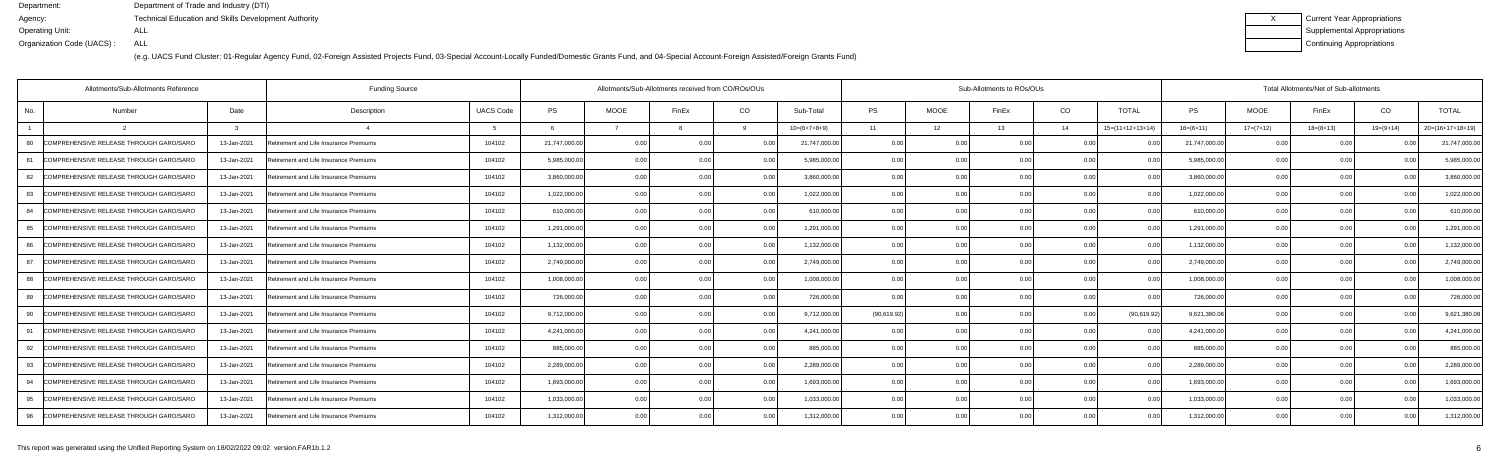| Current Year Appropriations |
|-----------------------------|
| Supplemental Appropriations |
| Continuing Appropriations   |

|     | Allotments/Sub-Allotments Reference     |              | <b>Funding Source</b>                  |                  |               | Allotments/Sub-Allotments received from CO/ROs/OUs |                |                |                |             |             | Sub-Allotments to ROs/OUs |                |                    | Total Allotments/Net of Sub-allotments |             |             |                |                    |  |
|-----|-----------------------------------------|--------------|----------------------------------------|------------------|---------------|----------------------------------------------------|----------------|----------------|----------------|-------------|-------------|---------------------------|----------------|--------------------|----------------------------------------|-------------|-------------|----------------|--------------------|--|
| No. | Number                                  | Date         | Description                            | <b>UACS Code</b> | <b>PS</b>     | <b>MOOE</b>                                        | FinEx          | CO             | Sub-Total      | <b>PS</b>   | <b>MOOE</b> | FinEx                     | CO             | <b>TOTAL</b>       | <b>PS</b>                              | <b>MOOE</b> | FinEx       | CO             | <b>TOTAL</b>       |  |
|     |                                         | $\mathbf{r}$ |                                        | -5               |               |                                                    |                |                | $10=(6+7+8+9)$ | 11          | 12          | 13                        | 14             | $15=(11+12+13+14)$ | $16=(6+11)$                            | $17=(7+12)$ | $18=(8+13)$ | $19=(9+14)$    | $20=(16+17+18+19)$ |  |
| -80 | COMPREHENSIVE RELEASE THROUGH GARO/SARO | 13-Jan-2021  | Retirement and Life Insurance Premiums | 104102           | 21,747,000.00 | 0.00                                               | O O            | <u>ሰሰ</u>      | 21,747,000.00  | 0.00        | 0.00        | 0 OC                      | 0 <sub>0</sub> |                    | 21,747,000.0                           | 0.00        | 0.00        |                | 21,747,000.0       |  |
| 81  | COMPREHENSIVE RELEASE THROUGH GARO/SARO | 13-Jan-2021  | Retirement and Life Insurance Premiums | 104102           | 5,985,000.00  | 0.00                                               | 0.00           | 0.00           | 5,985,000.00   | 0.00        | 0.00        |                           | 0.00           | 0 <sub>0</sub>     | 5,985,000.0                            | 0.00        | 0.00        | 0.00           | 5,985,000.0        |  |
| 82  | COMPREHENSIVE RELEASE THROUGH GARO/SARO | 13-Jan-2021  | Retirement and Life Insurance Premiums | 104102           | 3.860.000.00  | 0.00                                               | 0 <sub>0</sub> | 0.00           | 3.860.000.00   | 0.00        | 0.00        |                           | 0.00           | 0.00               | 3.860.000.0                            | 0.00        | 0.00        | 0.00           | 3,860,000.0        |  |
| 83  | COMPREHENSIVE RELEASE THROUGH GARO/SARO | 13-Jan-2021  | Retirement and Life Insurance Premiums | 104102           | 1,022,000.00  | 0.00                                               | 0.00           | 0.00           | 1,022,000.00   | 0.00        | 0.00        | 0.00                      | 0.00           | 0.00               | 1,022,000.00                           | 0.00        | 0.00        | 0.00           | 1,022,000.0        |  |
| 84  | COMPREHENSIVE RELEASE THROUGH GARO/SARC | 13-Jan-2021  | Retirement and Life Insurance Premiums | 104102           | 610,000.00    | 0.00                                               | 0 0            | 0.00           | 610,000.00     | 0.00        | 0.00        |                           | 0.00           | 0 <sub>0</sub>     | 610,000.0                              | 0.00        | 0.00        |                | 610,000.0          |  |
| 85  | COMPREHENSIVE RELEASE THROUGH GARO/SARO | 13-Jan-2021  | Retirement and Life Insurance Premiums | 104102           | 1,291,000.00  | 0.00                                               | 0 <sub>0</sub> | 0.00           | 1,291,000.00   | 0.00        | 0.00        | n nr                      | 0.00           | 0.00               | 1,291,000.0                            | 0.00        | 0.00        | 0.00           | 1,291,000.0        |  |
| 86  | COMPREHENSIVE RELEASE THROUGH GARO/SARO | 13-Jan-2021  | Retirement and Life Insurance Premiums | 104102           | 1,132,000.00  | 0.00                                               | 0.00           | 0.00           | 1,132,000.00   | 0.00        | 0.00        | 0.00                      | 0.00           | 0.00               | 1,132,000.00                           | 0.00        | 0.00        | 0.00           | 1,132,000.0        |  |
| 87  | COMPREHENSIVE RELEASE THROUGH GARO/SARO | 13-Jan-2021  | Retirement and Life Insurance Premiums | 104102           | 2,749,000.00  | 0.00                                               |                | 0.0            | 2,749,000.00   | 0.00        | 0.00        |                           | 0.00           |                    | 2,749,000.0                            | 0.00        | 0.00        |                | 2,749,000.0        |  |
| 88  | COMPREHENSIVE RELEASE THROUGH GARO/SARO | 13-Jan-2021  | Retirement and Life Insurance Premiums | 104102           | 1,008,000.00  | 0.00                                               | 0 <sub>0</sub> | 0.00           | 1,008,000.00   | 0.00        | 0.00        |                           | 0.00           | 0.00               | 1.008.000.0                            | 0.00        | 0.00        | 0.00           | 1,008,000.0        |  |
| 89  | COMPREHENSIVE RELEASE THROUGH GARO/SARO | 13-Jan-2021  | Retirement and Life Insurance Premiums | 104102           | 726,000.00    | 0.00                                               | O O            | 0.00           | 726,000.00     | 0.00        | 0.00        | 0.00                      | 0.00           | 0.00               | 726,000.0                              | 0.00        | 0.00        | 0.00           | 726,000.0          |  |
| 90  | COMPREHENSIVE RELEASE THROUGH GARO/SARO | 13-Jan-2021  | Retirement and Life Insurance Premiums | 104102           | 9,712,000.00  | 0.00                                               |                | 0.0            | 9,712,000.00   | (90,619.92) | 0.00        |                           | 0 <sub>0</sub> | (90, 619.92)       | 9,621,380.0                            | 0.00        | 0.00        |                | 9,621,380.0        |  |
| 91  | COMPREHENSIVE RELEASE THROUGH GARO/SARO | 13-Jan-2021  | Retirement and Life Insurance Premiums | 104102           | 4,241,000.00  | 0 <sub>0</sub>                                     | 0 0            | 0 <sub>0</sub> | 4,241,000.00   | 0.00        | 0.00        |                           | 0 <sub>0</sub> |                    | 4,241,000.0                            | 0.00        | 0.00        | 0 <sub>0</sub> | 4,241,000.0        |  |
| 92  | COMPREHENSIVE RELEASE THROUGH GARO/SARO | 13-Jan-2021  | Retirement and Life Insurance Premiums | 104102           | 885,000.00    | 0.00                                               | 0 Q            | 0.00           | 885,000.00     | 0.00        | 0.00        | n nr                      | 0.00           | 0.00               | 885,000.0                              | 0.00        | 0.00        | 0.00           | 885,000.0          |  |
| 93  | COMPREHENSIVE RELEASE THROUGH GARO/SARO | 13-Jan-2021  | Retirement and Life Insurance Premiums | 104102           | 2,289,000.00  | 0.00                                               |                | 0 <sub>0</sub> | 2,289,000.00   | 0.00        | 0.00        |                           | 0.00           |                    | 2,289,000.0                            | 0.00        | 0.00        |                | 2,289,000.0        |  |
| 94  | COMPREHENSIVE RELEASE THROUGH GARO/SARO | 13-Jan-2021  | Retirement and Life Insurance Premiums | 104102           | 1.693.000.00  | 0.00                                               | 0 U            | 0 <sub>0</sub> | 1.693.000.00   | 0.00        | 0.00        |                           | 0 <sub>0</sub> | 0.00               | 1.693.000.0                            | 0.00        | 0.00        | 0.00           | 1,693,000.0        |  |
| 95  | COMPREHENSIVE RELEASE THROUGH GARO/SARO | 13-Jan-2021  | Retirement and Life Insurance Premiums | 104102           | 1,033,000.00  | 0.00                                               | 0.OC           | 0.00           | 1,033,000.00   | 0.00        | 0.00        | 0.00                      | 0.00           | 0.00               | 1,033,000.0                            | 0.00        | 0.00        | 0.00           | 1,033,000.0        |  |
| 96  | COMPREHENSIVE RELEASE THROUGH GARO/SARO | 13-Jan-2021  | Retirement and Life Insurance Premiums | 104102           | 1,312,000.00  | 0.00                                               |                | 0.00           | 1,312,000.00   | 0.00        | 0.00        | 0 OC                      | 0.00           | 0.00               | 1,312,000.0                            | 0.00        | 0.00        |                | 1,312,000.0        |  |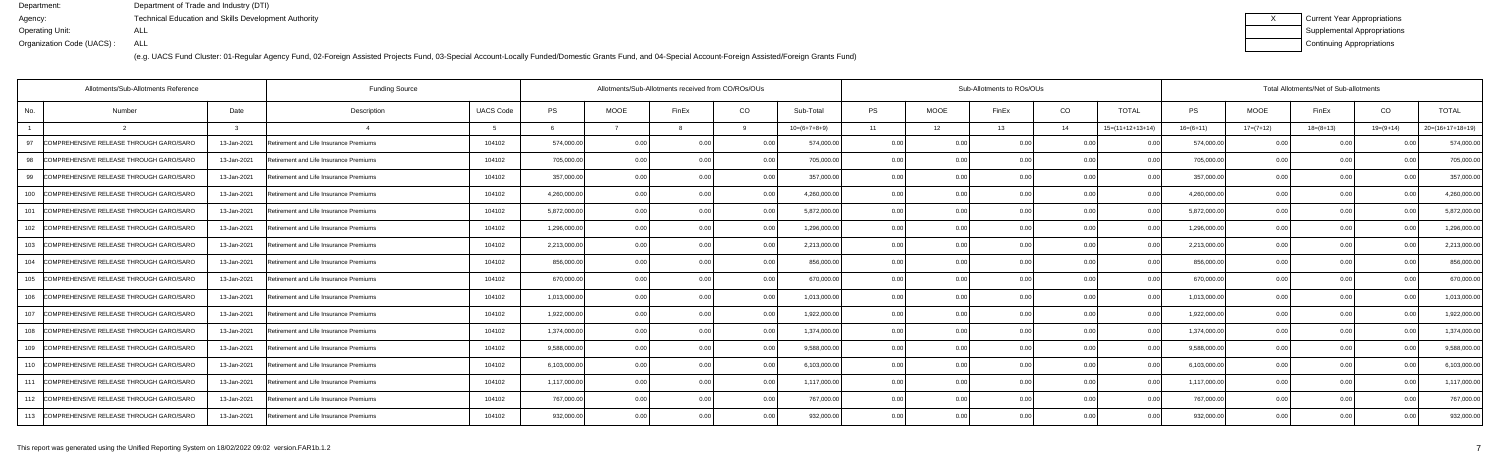(e.g. UACS Fund Cluster: 01-Regular Agency Fund, 02-Foreign Assisted Projects Fund, 03-Special Account-Locally Funded/Domestic Grants Fund, and 04-Special Account-Foreign Assisted/Foreign Grants Fund)

| <b>Current Year Appropriations</b> |
|------------------------------------|
| <b>Supplemental Appropriations</b> |
| Continuing Appropriations          |

|     | Allotments/Sub-Allotments Reference         | <b>Funding Source</b> |                                        |                  | Allotments/Sub-Allotments received from CO/ROs/OUs |                |                |                |                |           | Sub-Allotments to ROs/OUs |       |                | Total Allotments/Net of Sub-allotments |              |             |             |                |                    |  |
|-----|---------------------------------------------|-----------------------|----------------------------------------|------------------|----------------------------------------------------|----------------|----------------|----------------|----------------|-----------|---------------------------|-------|----------------|----------------------------------------|--------------|-------------|-------------|----------------|--------------------|--|
| No. | Number                                      | Date                  | Description                            | <b>UACS Code</b> | <b>PS</b>                                          | <b>MOOE</b>    | FinEx          | CO             | Sub-Total      | <b>PS</b> | <b>MOOE</b>               | FinEx | CO             | <b>TOTAL</b>                           | <b>PS</b>    | <b>MOOE</b> | FinEx       | CO             | <b>TOTAL</b>       |  |
|     |                                             | ູ                     |                                        | -5               |                                                    |                |                |                | $10=(6+7+8+9)$ | 11        | 12                        | 13    | 14             | $15=(11+12+13+14)$                     | $16=(6+11)$  | $17=(7+12)$ | $18=(8+13)$ | $19=(9+14)$    | $20=(16+17+18+19)$ |  |
| 97  | COMPREHENSIVE RELEASE THROUGH GARO/SARO     | 13-Jan-2021           | Retirement and Life Insurance Premiums | 104102           | 574,000.00                                         | 0.00           | O O            | 0.00           | 574,000.00     | 0.00      | 0.00                      | 0 OC  | 0 <sub>0</sub> |                                        | 574,000.0    | 0.00        | 0.00        |                | 574,000.0          |  |
| 98  | COMPREHENSIVE RELEASE THROUGH GARO/SARO     | 13-Jan-2021           | Retirement and Life Insurance Premiums | 104102           | 705,000.00                                         | 0.00           | 0.00           | 0.00           | 705,000.00     | 0.00      | 0.00                      |       | 0.00           | 0 <sub>0</sub>                         | 705,000.0    | 0.00        | 0.00        | 0.00           | 705,000.0          |  |
| 99  | COMPREHENSIVE RELEASE THROUGH GARO/SARO     | 13-Jan-2021           | Retirement and Life Insurance Premiums | 104102           | 357,000.00                                         | 0.00           | 0 <sub>0</sub> | 0.00           | 357,000.00     | 0.00      | 0.00                      |       | 0.00           | 0.00                                   | 357,000.00   | 0.00        | 0.00        | 0.00           | 357,000.0          |  |
| 100 | COMPREHENSIVE RELEASE THROUGH GARO/SARO     | 13-Jan-2021           | Retirement and Life Insurance Premiums | 104102           | 4,260,000.00                                       | 0.00           | 0.00           | 0.00           | 4,260,000.00   | 0.00      | 0.00                      | 0.00  | 0.00           | 0.00                                   | 4,260,000.00 | 0.00        | 0.00        | 0.00           | 4,260,000.0        |  |
| 101 | COMPREHENSIVE RELEASE THROUGH GARO/SARC     | 13-Jan-2021           | Retirement and Life Insurance Premiums | 104102           | 5,872,000.00                                       | 0.00           | 0 0            | 0.0            | 5,872,000.00   | 0.00      | 0.00                      |       | 0.00           |                                        | 5,872,000.0  | 0.00        | 0.00        |                | 5,872,000.0        |  |
| 102 | COMPREHENSIVE RELEASE THROUGH GARO/SARO     | 13-Jan-2021           | Retirement and Life Insurance Premiums | 104102           | 1,296,000.00                                       | 0.00           | 0.0(           | 0.00           | 1,296,000.00   | 0.00      | 0.00                      |       | 0.00           | 0.00                                   | 1,296,000.0  | 0.00        | 0.00        | 0.00           | 1,296,000.0        |  |
|     | 103 COMPREHENSIVE RELEASE THROUGH GARO/SARO | 13-Jan-2021           | Retirement and Life Insurance Premiums | 104102           | 2,213,000.00                                       | 0.00           | 0.00           | 0.00           | 2,213,000.00   | 0.00      | 0.00                      | 0.00  | 0.00           | 0.00                                   | 2,213,000.0  | 0.00        | 0.00        | 0.00           | 2,213,000.0        |  |
| 104 | COMPREHENSIVE RELEASE THROUGH GARO/SARO     | 13-Jan-2021           | Retirement and Life Insurance Premiums | 104102           | 856,000.00                                         | 0.00           |                | 0.00           | 856,000.00     | 0.00      | 0.00                      |       | 0.00           |                                        | 856,000.0    | 0.00        | 0.00        |                | 856,000.0          |  |
|     | 105 COMPREHENSIVE RELEASE THROUGH GARO/SARO | 13-Jan-2021           | Retirement and Life Insurance Premiums | 104102           | 670,000.00                                         | 0.00           | 0 <sub>0</sub> | 0.00           | 670,000.00     | 0.00      | 0.00                      |       | 0.00           | 0.00                                   | 670,000.0    | 0.00        | 0.00        | 0.00           | 670,000.0          |  |
| 106 | COMPREHENSIVE RELEASE THROUGH GARO/SARO     | 13-Jan-2021           | Retirement and Life Insurance Premiums | 104102           | 1,013,000.00                                       | 0.00           | O O            | 0.00           | 1,013,000.00   | 0.00      | 0.00                      | 0.00  | 0.00           | 0.00                                   | 1,013,000.0  | 0.00        | 0.00        | 0.00           | 1,013,000.0        |  |
| 107 | COMPREHENSIVE RELEASE THROUGH GARO/SARO     | 13-Jan-2021           | Retirement and Life Insurance Premiums | 104102           | 1,922,000.00                                       | 0.00           |                | 0.0            | 1,922,000.00   | 0.00      | 0.00                      |       | 0 <sub>0</sub> |                                        | 1,922,000.0  | 0 Q         | 0.00        |                | 1,922,000.0        |  |
| 108 | COMPREHENSIVE RELEASE THROUGH GARO/SARO     | 13-Jan-2021           | Retirement and Life Insurance Premiums | 104102           | 1,374,000.00                                       | 0 <sub>0</sub> | 0 <sub>0</sub> | 0 O            | 1,374,000.00   | 0.00      | 0.00                      |       | 0 <sub>0</sub> |                                        | 1,374,000.0  | 0.00        | 0.00        | 0 <sub>0</sub> | 1,374,000.0        |  |
| 109 | COMPREHENSIVE RELEASE THROUGH GARO/SARO     | 13-Jan-2021           | Retirement and Life Insurance Premiums | 104102           | 9.588.000.00                                       | 0.00           | O O            | 0.00           | 9,588,000.00   | 0.00      | 0.00                      | n nr  | 0.00           | 0.00                                   | 9,588,000.0  | 0.00        | 0.00        | 0.00           | 9,588,000.0        |  |
| 110 | COMPREHENSIVE RELEASE THROUGH GARO/SARO     | 13-Jan-2021           | Retirement and Life Insurance Premiums | 104102           | 6,103,000.00                                       | 0.00           |                | 0 <sub>0</sub> | 6,103,000.00   | 0.00      | 0.00                      |       | 0.00           |                                        | 6,103,000.0  | 0.00        | 0.00        |                | 6,103,000.0        |  |
|     | 111 COMPREHENSIVE RELEASE THROUGH GARO/SARO | 13-Jan-2021           | Retirement and Life Insurance Premiums | 104102           | 1,117,000.00                                       | 0.00           | 0 U            | 0 <sub>0</sub> | 1,117,000.00   | 0.00      | 0.00                      |       | 0 <sub>0</sub> | 0.00                                   | 1,117,000.0  | 0.00        | 0.00        | 0.00           | 1,117,000.0        |  |
|     | 112 COMPREHENSIVE RELEASE THROUGH GARO/SARO | 13-Jan-2021           | Retirement and Life Insurance Premiums | 104102           | 767,000.00                                         | 0.00           | 0.OC           | 0.00           | 767,000.00     | 0.00      | 0.00                      | 0.00  | 0.00           | 0.00                                   | 767,000.00   | 0.00        | 0.00        | 0.00           | 767,000.0          |  |
|     | 113 COMPREHENSIVE RELEASE THROUGH GARO/SARO | 13-Jan-2021           | Retirement and Life Insurance Premiums | 104102           | 932,000.00                                         | 0.00           |                | 0.00           | 932,000.00     | 0.00      | 0.00                      | 0 OC  | 0.00           | 0.00                                   | 932,000.00   | 0.00        | 0.00        | 0.00           | 932,000.00         |  |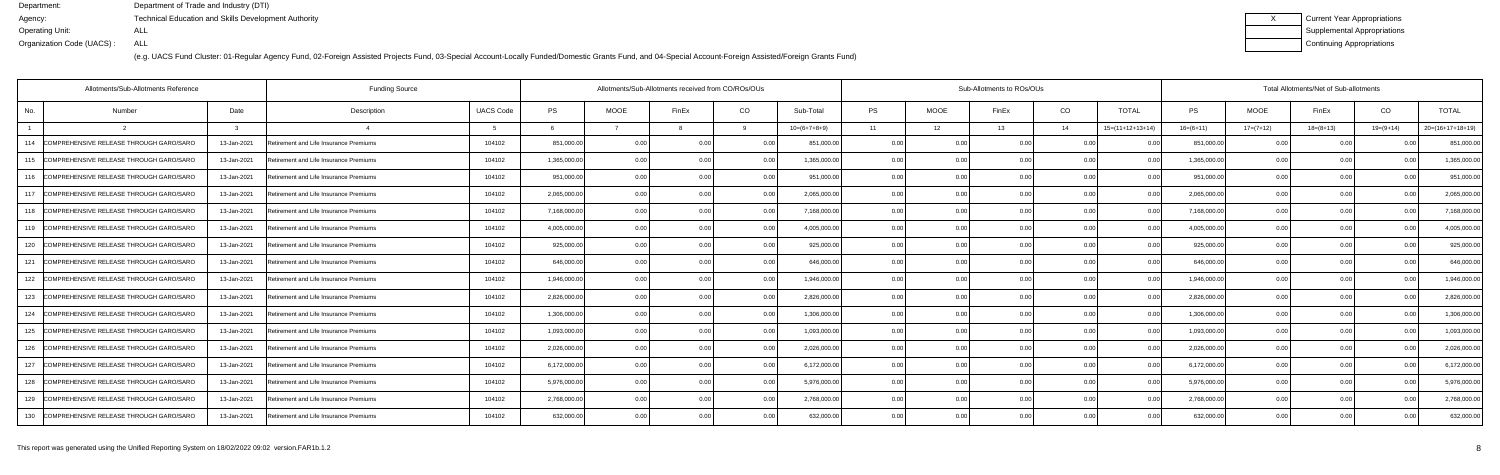| Current Year Appropriations |
|-----------------------------|
| Supplemental Appropriations |
| Continuing Appropriations   |

|     | Allotments/Sub-Allotments Reference         |             | <b>Funding Source</b>                  |                  | Allotments/Sub-Allotments received from CO/ROs/OUs |             |                | Sub-Allotments to ROs/OUs |                |           |             |       |                | Total Allotments/Net of Sub-allotments |              |             |             |                |                    |
|-----|---------------------------------------------|-------------|----------------------------------------|------------------|----------------------------------------------------|-------------|----------------|---------------------------|----------------|-----------|-------------|-------|----------------|----------------------------------------|--------------|-------------|-------------|----------------|--------------------|
| No. | Number                                      | Date        | Description                            | <b>UACS Code</b> | <b>PS</b>                                          | <b>MOOE</b> | FinEx          | CO                        | Sub-Total      | <b>PS</b> | <b>MOOE</b> | FinEx | CO             | <b>TOTAL</b>                           | PS           | <b>MOOE</b> | FinEx       | CO             | <b>TOTAL</b>       |
|     |                                             |             |                                        |                  |                                                    |             |                |                           | $10=(6+7+8+9)$ | 11        | 12          | 13    | 14             | $15=(11+12+13+14)$                     | $16=(6+11)$  | $17=(7+12)$ | $18=(8+13)$ | $19=(9+14)$    | $20=(16+17+18+19)$ |
|     | 114 COMPREHENSIVE RELEASE THROUGH GARO/SARO | 13-Jan-2021 | Retirement and Life Insurance Premiums | 104102           | 851,000.00                                         | 0.00        | 0.00           | 0.00                      | 851,000.00     | 0.00      | 0.00        | 0.00  | 0.0(           |                                        | 851,000.00   | 0.00        | 0.00        |                | 851,000.00         |
| 115 | COMPREHENSIVE RELEASE THROUGH GARO/SARO     | 13-Jan-2021 | Retirement and Life Insurance Premiums | 104102           | 1,365,000.00                                       | 0.00        | 0.0            | 0.00                      | 1,365,000.00   | 0.00      | 0.00        |       | 0.00           |                                        | 1,365,000.00 | 0.00        | 0.00        |                | 1,365,000.00       |
| 116 | COMPREHENSIVE RELEASE THROUGH GARO/SARO     | 13-Jan-2021 | Retirement and Life Insurance Premiums | 104102           | 951,000.00                                         | 0.00        | 0 <sub>0</sub> | 0.00                      | 951,000.00     | 0.00      | 0.00        | ስ ስበ  | 0.00           | 00                                     | 951,000.00   | 0.00        | 0.00        |                | 951,000.0          |
| 117 | COMPREHENSIVE RELEASE THROUGH GARO/SARO     | 13-Jan-2021 | Retirement and Life Insurance Premiums | 104102           | 2,065,000.00                                       | 0.00        | 0 <sub>0</sub> | 0.00                      | 2,065,000.00   | 0.00      | 0.00        | 0.00  | 0.00           | 0.00                                   | 2,065,000.00 | 0.00        | 0.00        | 0 <sub>0</sub> | 2,065,000.0        |
| 118 | COMPREHENSIVE RELEASE THROUGH GARO/SARO     | 13-Jan-2021 | Retirement and Life Insurance Premiums | 104102           | 7,168,000.00                                       | 0.00        |                | 0.00                      | 7,168,000.00   | 0.00      | 0.00        |       | 0.0(           |                                        | 7,168,000.00 | 0.00        | 0.00        |                | 7,168,000.0        |
| 119 | COMPREHENSIVE RELEASE THROUGH GARO/SARO     | 13-Jan-2021 | Retirement and Life Insurance Premiums | 104102           | 4,005,000.00                                       | 0.00        |                | 0 Q                       | 4,005,000.00   | 0.00      | 0.00        |       | 0.0(           |                                        | 4,005,000.00 | 0.00        | 0.00        |                | 4,005,000.0        |
|     | 120 COMPREHENSIVE RELEASE THROUGH GARO/SARO | 13-Jan-2021 | Retirement and Life Insurance Premiums | 104102           | 925,000.00                                         | 0.00        |                | 0.00                      | 925,000.00     | 0.00      | 0.00        |       | 0.00           | 0.00                                   | 925,000.00   | 0.00        | 0.00        |                | 925,000.00         |
| 121 | COMPREHENSIVE RELEASE THROUGH GARO/SARO     | 13-Jan-2021 | Retirement and Life Insurance Premiums | 104102           | 646,000.00                                         | 0.00        |                | 0.00                      | 646,000.00     | 0.00      | 0.00        |       | 0.0(           |                                        | 646,000.0    | 0.00        | 0.00        |                | 646,000.0          |
| 122 | COMPREHENSIVE RELEASE THROUGH GARO/SARO     | 13-Jan-2021 | Retirement and Life Insurance Premiums | 104102           | 1,946,000.00                                       | 0.00        | n ni           | 0.00                      | 1,946,000.00   | 0.00      | 0.00        |       | 0.0(           | $\Omega$                               | 1,946,000.00 | 0.00        | 0.00        |                | 1,946,000.0        |
| 123 | COMPREHENSIVE RELEASE THROUGH GARO/SARO     | 13-Jan-2021 | Retirement and Life Insurance Premiums | 104102           | 2,826,000.00                                       | 0.00        |                | 0.00                      | 2,826,000.00   | 0.00      | 0.00        |       | 0.00           | 0.00                                   | 2,826,000.00 | 0.00        | 0.00        |                | 2,826,000.0        |
| 124 | COMPREHENSIVE RELEASE THROUGH GARO/SARO     | 13-Jan-2021 | Retirement and Life Insurance Premiums | 104102           | 1,306,000.00                                       | 0.00        |                | 0.00                      | 1,306,000.00   | 0.00      | 0.00        |       | 0.0(           |                                        | 1,306,000.00 | 0.00        | 0.00        |                | 1,306,000.0        |
| 125 | COMPREHENSIVE RELEASE THROUGH GARO/SARO     | 13-Jan-2021 | Retirement and Life Insurance Premiums | 104102           | 1,093,000.00                                       | 0.00        |                | 0.00                      | 1,093,000.00   | 0.00      | 0.00        |       | 0.0(           | 00                                     | 1,093,000.00 | 0.00        | 0.00        |                | 1,093,000.0        |
| 126 | COMPREHENSIVE RELEASE THROUGH GARO/SARO     | 13-Jan-2021 | Retirement and Life Insurance Premiums | 104102           | 2,026,000.00                                       | 0.00        |                | 0.00                      | 2,026,000.00   | 0.00      | 0.00        |       | 0.00           | 00                                     | 2,026,000.00 | 0.00        | 0.00        |                | 2,026,000.00       |
| 127 | COMPREHENSIVE RELEASE THROUGH GARO/SARO     | 13-Jan-2021 | Retirement and Life Insurance Premiums | 104102           | 6,172,000.00                                       | 0.00        |                | 0 <sub>0</sub>            | 6,172,000.00   | 0.00      | 0.00        |       | 0.00           |                                        | 6,172,000.00 | 0.00        | 0.00        |                | 6,172,000.0        |
| 128 | COMPREHENSIVE RELEASE THROUGH GARO/SARO     | 13-Jan-2021 | Retirement and Life Insurance Premiums | 104102           | 5,976,000.00                                       | 0.00        |                | 0.00                      | 5,976,000.00   | 0.00      | 0.00        |       | 0 <sub>0</sub> | $\Omega$                               | 5,976,000.00 | 0.00        | 0.00        |                | 5,976,000.0        |
|     | 129 COMPREHENSIVE RELEASE THROUGH GARO/SARO | 13-Jan-2021 | Retirement and Life Insurance Premiums | 104102           | 2,768,000.00                                       | 0.00        |                | 0.00                      | 2,768,000.00   | 0.00      | 0.00        |       | 0.00           | 0.00                                   | 2,768,000.00 | 0.00        | 0.00        |                | 2,768,000.0        |
|     | 130 COMPREHENSIVE RELEASE THROUGH GARO/SARO | 13-Jan-2021 | Retirement and Life Insurance Premiums | 104102           | 632,000.00                                         | 0.00        |                | 0.00                      | 632,000.00     | 0.00      | 0.00        | 0.00  | 0.00           | 0 U                                    | 632,000.00   | 0.00        | 0.00        |                | 632,000.00         |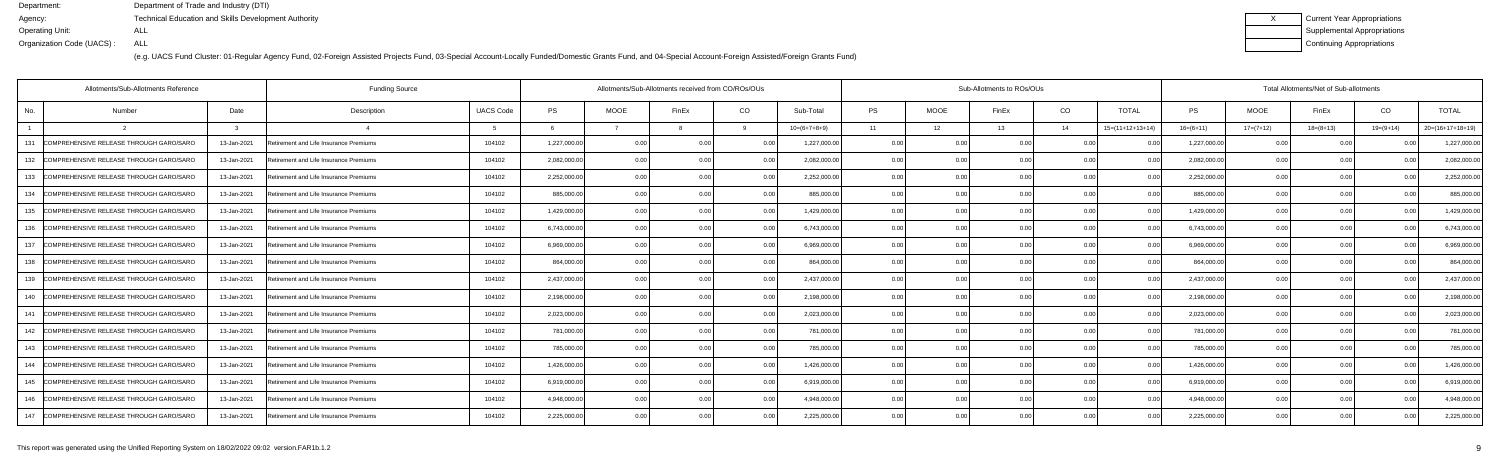(e.g. UACS Fund Cluster: 01-Regular Agency Fund, 02-Foreign Assisted Projects Fund, 03-Special Account-Locally Funded/Domestic Grants Fund, and 04-Special Account-Foreign Assisted/Foreign Grants Fund)

| Current Year Appropriations |
|-----------------------------|
| Supplemental Appropriations |
| Continuing Appropriations   |

|     | Allotments/Sub-Allotments Reference         |             | <b>Funding Source</b>                  |                  | Allotments/Sub-Allotments received from CO/ROs/OUs |             |                |      |                | Sub-Allotments to ROs/OUs |             |       |                |                    |              | Total Allotments/Net of Sub-allotments |             |             |                    |  |  |
|-----|---------------------------------------------|-------------|----------------------------------------|------------------|----------------------------------------------------|-------------|----------------|------|----------------|---------------------------|-------------|-------|----------------|--------------------|--------------|----------------------------------------|-------------|-------------|--------------------|--|--|
| No. | Number                                      | Date        | Description                            | <b>UACS Code</b> | <b>PS</b>                                          | <b>MOOE</b> | FinEx          | CO   | Sub-Total      | <b>PS</b>                 | <b>MOOE</b> | FinEx | CO             | <b>TOTAL</b>       | PS           | <b>MOOE</b>                            | FinEx       | CO          | <b>TOTAL</b>       |  |  |
|     |                                             |             |                                        |                  |                                                    |             |                |      | $10=(6+7+8+9)$ | 11                        | 12          | 13    | 14             | $15=(11+12+13+14)$ | $16=(6+11)$  | $17=(7+12)$                            | $18=(8+13)$ | $19=(9+14)$ | $20=(16+17+18+19)$ |  |  |
| 131 | COMPREHENSIVE RELEASE THROUGH GARO/SARO     | 13-Jan-2021 | Retirement and Life Insurance Premiums | 104102           | 1,227,000.00                                       | 0.00        | 0.00           | 0.00 | 1,227,000.00   | 0.00                      | 0.00        | 0.00  | 0.0(           |                    | 1,227,000.00 | 0.00                                   | 0.00        |             | 1,227,000.00       |  |  |
| 132 | COMPREHENSIVE RELEASE THROUGH GARO/SARO     | 13-Jan-2021 | Retirement and Life Insurance Premiums | 104102           | 2,082,000.00                                       | 0.00        | 0.0            | 0.00 | 2,082,000.00   | 0.00                      | 0.00        |       | 0.00           |                    | 2,082,000.00 | 0.00                                   | 0.00        |             | 2,082,000.00       |  |  |
| 133 | COMPREHENSIVE RELEASE THROUGH GARO/SARO     | 13-Jan-2021 | Retirement and Life Insurance Premiums | 104102           | 2,252,000.00                                       | 0.00        | 0 <sub>0</sub> | 0.00 | 2,252,000.00   | 0.00                      | 0.00        | ስ ስበ  | 0.00           | 00                 | 2,252,000.00 | 0.00                                   | 0.00        |             | 2,252,000.0        |  |  |
| 134 | COMPREHENSIVE RELEASE THROUGH GARO/SARO     | 13-Jan-2021 | Retirement and Life Insurance Premiums | 104102           | 885,000.00                                         | 0.00        | 0 <sub>0</sub> | 0.00 | 885,000.00     | 0.00                      | 0.00        | 0.00  | 0.00           | 0.00               | 885,000.00   | 0.00                                   | 0.00        |             | 885,000.00         |  |  |
| 135 | COMPREHENSIVE RELEASE THROUGH GARO/SARO     | 13-Jan-2021 | Retirement and Life Insurance Premiums | 104102           | 1,429,000.00                                       | 0.00        |                | 0.00 | 1,429,000.00   | 0.00                      | 0.00        |       | 0.0(           |                    | 1,429,000.00 | 0.00                                   | 0.00        |             | 1,429,000.00       |  |  |
| 136 | COMPREHENSIVE RELEASE THROUGH GARO/SARO     | 13-Jan-2021 | Retirement and Life Insurance Premiums | 104102           | 6,743,000.00                                       | 0.00        |                | 0 Q  | 6,743,000.00   | 0.00                      | 0.00        |       | 0.0(           |                    | 6,743,000.00 | 0.00                                   | 0.00        |             | 6,743,000.0        |  |  |
| 137 | COMPREHENSIVE RELEASE THROUGH GARO/SARO     | 13-Jan-2021 | Retirement and Life Insurance Premiums | 104102           | 6,969,000.00                                       | 0.00        |                | 0.00 | 6,969,000.00   | 0.00                      | 0.00        |       | 0.00           | 0.00               | 6,969,000.00 | 0.00                                   | 0.00        |             | 6,969,000.0        |  |  |
| 138 | COMPREHENSIVE RELEASE THROUGH GARO/SARO     | 13-Jan-2021 | Retirement and Life Insurance Premiums | 104102           | 864,000.00                                         | 0.00        |                | 0.00 | 864,000.00     | 0.00                      | 0.00        |       | 0.0(           |                    | 864,000.00   | 0.00                                   | 0.00        |             | 864,000.0          |  |  |
| 139 | COMPREHENSIVE RELEASE THROUGH GARO/SARO     | 13-Jan-2021 | Retirement and Life Insurance Premiums | 104102           | 2,437,000.00                                       | 0.00        | n ni           | 0.OO | 2,437,000.00   | 0.00                      | 0.00        |       | 0.0(           | $\Omega$           | 2,437,000.00 | 0.00                                   | 0.00        |             | 2,437,000.0        |  |  |
| 140 | COMPREHENSIVE RELEASE THROUGH GARO/SARO     | 13-Jan-2021 | Retirement and Life Insurance Premiums | 104102           | 2,198,000.00                                       | 0.00        |                | 0.00 | 2,198,000.00   | 0.00                      | 0.00        |       | 0.00           | 0.00               | 2,198,000.00 | 0.00                                   | 0.00        |             | 2,198,000.0        |  |  |
| 141 | COMPREHENSIVE RELEASE THROUGH GARO/SARO     | 13-Jan-2021 | Retirement and Life Insurance Premiums | 104102           | 2,023,000.00                                       | 0.00        |                | 0.00 | 2,023,000.00   | 0.00                      | 0.00        |       | 0.0(           |                    | 2,023,000.00 | 0.00                                   | 0.00        |             | 2,023,000.0        |  |  |
| 142 | COMPREHENSIVE RELEASE THROUGH GARO/SARO     | 13-Jan-2021 | Retirement and Life Insurance Premiums | 104102           | 781,000.00                                         | 0.00        |                | 0.00 | 781,000.00     | 0.00                      | 0.00        |       | 0.0(           | - N N              | 781,000.00   | 0.00                                   | 0.00        |             | 781,000.0          |  |  |
| 143 | COMPREHENSIVE RELEASE THROUGH GARO/SARO     | 13-Jan-2021 | Retirement and Life Insurance Premiums | 104102           | 785,000.00                                         | 0.00        |                | 0.00 | 785,000.00     | 0.00                      | 0.00        |       | 0.00           | 0.00               | 785,000.00   | 0.00                                   | 0.00        |             | 785,000.00         |  |  |
| 144 | COMPREHENSIVE RELEASE THROUGH GARO/SARO     | 13-Jan-2021 | Retirement and Life Insurance Premiums | 104102           | 1,426,000.00                                       | 0.00        |                | 0.00 | 1,426,000.00   | 0.00                      | 0.00        |       | 0.00           |                    | 1,426,000.00 | 0.00                                   | 0.00        |             | 1,426,000.0        |  |  |
| 145 | COMPREHENSIVE RELEASE THROUGH GARO/SARO     | 13-Jan-2021 | Retirement and Life Insurance Premiums | 104102           | 6,919,000.00                                       | 0.00        |                | 0.00 | 6,919,000.00   | 0.00                      | 0.00        |       | 0 <sub>0</sub> |                    | 6,919,000.00 | 0.00                                   | 0.00        |             | 6,919,000.0        |  |  |
| 146 | COMPREHENSIVE RELEASE THROUGH GARO/SARO     | 13-Jan-2021 | Retirement and Life Insurance Premiums | 104102           | 4,948,000.00                                       | 0.00        |                | 0.00 | 4,948,000.00   | 0.00                      | 0.00        |       | 0.00           | 0.00               | 4,948,000.00 | 0.00                                   | 0.00        |             | 4,948,000.0        |  |  |
|     | 147 COMPREHENSIVE RELEASE THROUGH GARO/SARO | 13-Jan-2021 | Retirement and Life Insurance Premiums | 104102           | 2,225,000.00                                       | 0.00        |                | 0.00 | 2,225,000.00   | 0.00                      | 0.00        | 0.00  | 0.00           | 0 U                | 2,225,000.00 | 0.00                                   | 0.00        |             | 2,225,000.0        |  |  |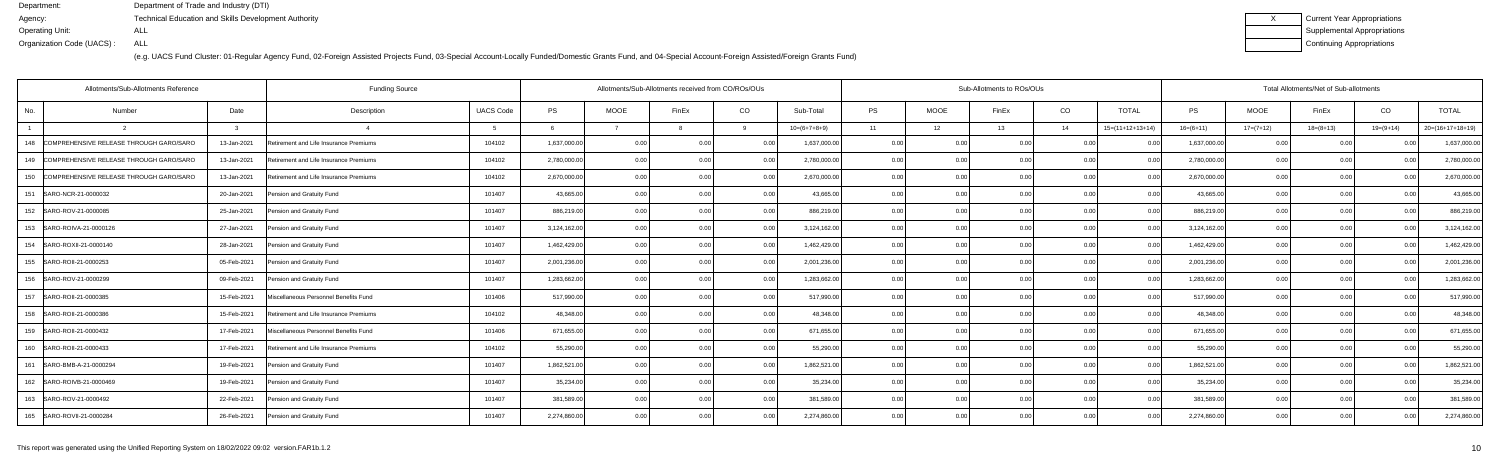| Current Year Appropriations |
|-----------------------------|
| Supplemental Appropriations |
| Continuing Appropriations   |

|                | Allotments/Sub-Allotments Reference         |             | <b>Funding Source</b>                  |                  | Allotments/Sub-Allotments received from CO/ROs/OUs |             |                |      |                | Sub-Allotments to ROs/OUs |             |       |      |                    |              | Total Allotments/Net of Sub-allotments |             |             |                    |  |  |  |
|----------------|---------------------------------------------|-------------|----------------------------------------|------------------|----------------------------------------------------|-------------|----------------|------|----------------|---------------------------|-------------|-------|------|--------------------|--------------|----------------------------------------|-------------|-------------|--------------------|--|--|--|
| No.            | Number                                      | Date        | Description                            | <b>UACS Code</b> | <b>PS</b>                                          | <b>MOOE</b> | FinEx          | CO   | Sub-Total      | <b>PS</b>                 | <b>MOOE</b> | FinEx | CO   | <b>TOTAL</b>       | <b>PS</b>    | <b>MOOE</b>                            | FinEx       | CO          | <b>TOTAL</b>       |  |  |  |
| $\overline{1}$ |                                             |             |                                        |                  |                                                    |             |                |      | $10=(6+7+8+9)$ | 11                        | 12          | 13    | 14   | $15=(11+12+13+14)$ | $16=(6+11)$  | $17=(7+12)$                            | $18=(8+13)$ | $19=(9+14)$ | $20=(16+17+18+19)$ |  |  |  |
|                | 148 COMPREHENSIVE RELEASE THROUGH GARO/SARO | 13-Jan-2021 | Retirement and Life Insurance Premiums | 104102           | 1,637,000.00                                       | 0.00        | 0.00           | 0.00 | 1,637,000.00   | 0.00                      | 0.00        | 0.00  | 0.00 | 00                 | 1,637,000.00 | 0.00                                   | 0.00        |             | 1,637,000.00       |  |  |  |
| 149            | COMPREHENSIVE RELEASE THROUGH GARO/SARO     | 13-Jan-2021 | Retirement and Life Insurance Premiums | 104102           | 2,780,000.00                                       | 0.00        | 0.0(           | 0.00 | 2,780,000.00   | 0.00                      | 0.00        |       | 0.00 |                    | 2,780,000.00 | 0.00                                   | 0.00        |             | 2,780,000.00       |  |  |  |
|                | 150 COMPREHENSIVE RELEASE THROUGH GARO/SARO | 13-Jan-2021 | Retirement and Life Insurance Premiums | 104102           | 2,670,000.00                                       | 0.00        | 0.00           | 0.00 | 2,670,000.00   | 0.00                      | 0.00        | 0.00  | 0.00 | 0.00               | 2,670,000.00 | 0.00                                   | 0.00        |             | 2,670,000.00       |  |  |  |
|                | 151   SARO-NCR-21-0000032                   | 20-Jan-2021 | Pension and Gratuity Fund              | 101407           | 43,665.00                                          | 0.00        | 0 <sub>0</sub> | 0.00 | 43,665.00      | 0.00                      | 0.00        | 0.00  | 0.00 | 0.00               | 43,665.00    | 0.00                                   | 0.00        | n nr        | 43,665.00          |  |  |  |
|                | 152 SARO-ROV-21-0000085                     | 25-Jan-2021 | Pension and Gratuity Fund              | 101407           | 886,219.00                                         | 0.00        |                | 0.00 | 886,219.00     | 0.00                      | 0.00        |       | 0.00 |                    | 886,219.00   | 0.00                                   | 0.00        |             | 886,219.00         |  |  |  |
|                | 153 SARO-ROIVA-21-0000126                   | 27-Jan-2021 | Pension and Gratuity Fund              | 101407           | 3,124,162.00                                       | 0.00        | 0 <sub>0</sub> | 0.00 | 3,124,162.00   | 0.00                      | 0.00        | 0.00  | 0.00 | 00                 | 3,124,162.00 | 0.00                                   | 0.00        |             | 3,124,162.0        |  |  |  |
|                | 154   SARO-ROXII-21-0000140                 | 28-Jan-2021 | Pension and Gratuity Fund              | 101407           | 1,462,429.00                                       | 0.00        | n nr           | 0.00 | 1,462,429.00   | 0.00                      | 0.00        |       | 0.00 | 0.00               | 1,462,429.00 | 0.00                                   | 0.00        |             | 1,462,429.00       |  |  |  |
|                | 155   SARO-ROII-21-0000253                  | 05-Feb-2021 | Pension and Gratuity Fund              | 101407           | 2,001,236.00                                       | 0.00        |                | 0.00 | 2,001,236.00   | 0.00                      | 0.00        |       | 0.00 |                    | 2,001,236.00 | 0.00                                   | 0.00        |             | 2,001,236.00       |  |  |  |
|                | 156 SARO-ROV-21-0000299                     | 09-Feb-2021 | Pension and Gratuity Fund              | 101407           | 1,283,662.00                                       | 0.00        | 0 <sub>0</sub> | 0.00 | 1,283,662.00   | 0.00                      | 0.00        | 0.00  | 0.00 | $\Omega$           | 1,283,662.00 | 0.00                                   | 0.00        |             | 1,283,662.0        |  |  |  |
|                | 157 SARO-ROII-21-0000385                    | 15-Feb-2021 | Miscellaneous Personnel Benefits Fund  | 101406           | 517,990.00                                         | 0.00        | 0 <sub>0</sub> | 0.00 | 517,990.00     | 0.00                      | 0.00        | በ በበ  | 0.00 | 0.00               | 517,990.00   | 0.00                                   | 0.00        |             | 517,990.00         |  |  |  |
|                | 158 SARO-ROII-21-0000386                    | 15-Feb-2021 | Retirement and Life Insurance Premiums | 104102           | 48,348.00                                          | 0.00        |                | 0.00 | 48,348.00      | 0.00                      | 0.00        |       | 0.00 |                    | 48.348.00    | 0.00                                   | 0.00        |             | 48,348.0           |  |  |  |
| 159            | SARO-ROII-21-0000432                        | 17-Feb-2021 | Miscellaneous Personnel Benefits Fund  | 101406           | 671,655.00                                         | 0.00        | 0 <sub>0</sub> | 0.00 | 671,655.00     | 0.00                      | 0.00        | ስ ስ   | 0.00 | $\Omega$           | 671,655.00   | 0.00                                   | 0.00        |             | 671,655.0          |  |  |  |
|                | 160 SARO-ROII-21-0000433                    | 17-Feb-2021 | Retirement and Life Insurance Premiums | 104102           | 55,290.00                                          | 0.00        | 0 <sub>0</sub> | 0.00 | 55,290.00      | 0.00                      | 0.00        |       | 0.00 | 0.00               | 55,290.00    | 0.00                                   | 0.00        |             | 55,290.00          |  |  |  |
|                | 161 SARO-BMB-A-21-0000294                   | 19-Feb-2021 | Pension and Gratuity Fund              | 101407           | 1,862,521.00                                       | 0.00        |                | 0.00 | 1,862,521.00   | 0.00                      | 0.00        | 0.00  | 0.00 |                    | 1,862,521.00 | 0.00                                   | 0.00        |             | 1,862,521.0        |  |  |  |
|                | 162 SARO-ROIVB-21-0000469                   | 19-Feb-2021 | Pension and Gratuity Fund              | 101407           | 35,234.00                                          | 0.00        | 0 <sub>0</sub> | 0.00 | 35,234.00      | 0.00                      | 0.00        | 0.00  | 0.00 | $\Omega$           | 35,234.00    | 0.00                                   | 0.00        |             | 35,234.00          |  |  |  |
|                | 163 SARO-ROV-21-0000492                     | 22-Feb-2021 | Pension and Gratuity Fund              | 101407           | 381,589.00                                         | 0.00        |                | 0.00 | 381,589.00     | 0.00                      | 0.00        |       | 0.00 | 0.00               | 381,589.00   | 0.00                                   | 0.00        |             | 381,589.00         |  |  |  |
|                | 165 SARO-ROVII-21-0000284                   | 26-Feb-2021 | Pension and Gratuity Fund              | 101407           | 2,274,860.00                                       | 0.00        | n nr           | 0.00 | 2,274,860.00   | 0.00                      | 0.00        | 0.00  | 0.00 | 0.00               | 2,274,860.00 | 0.00                                   | 0.00        |             | 2,274,860.00       |  |  |  |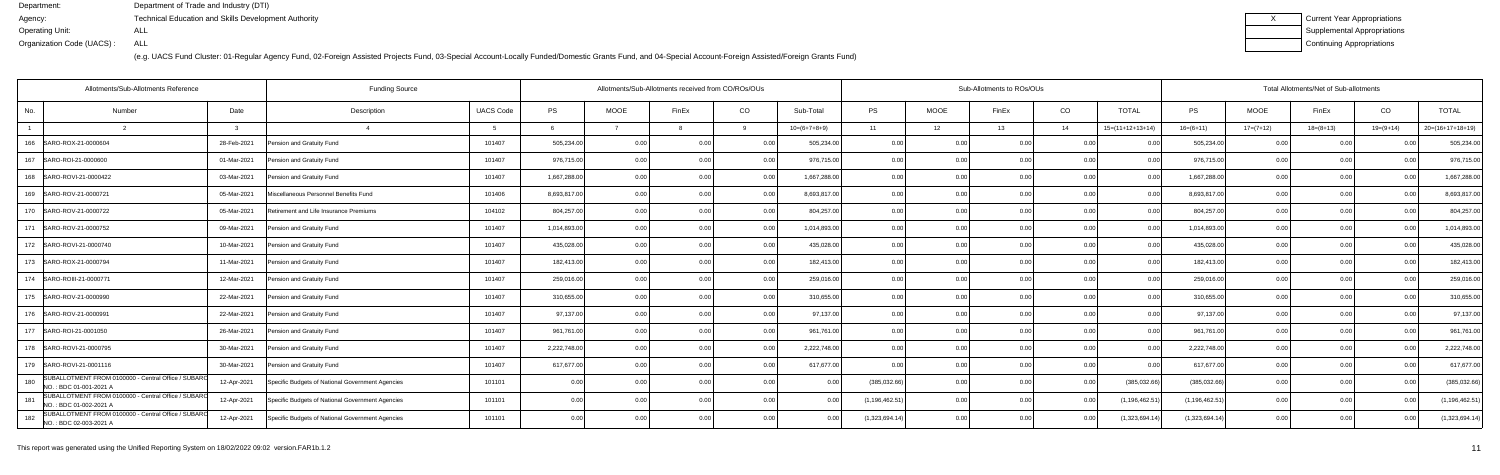(e.g. UACS Fund Cluster: 01-Regular Agency Fund, 02-Foreign Assisted Projects Fund, 03-Special Account-Locally Funded/Domestic Grants Fund, and 04-Special Account-Foreign Assisted/Foreign Grants Fund)

| Current Year Appropriations |
|-----------------------------|
| Supplemental Appropriations |
| Continuing Appropriations   |

|     | Allotments/Sub-Allotments Reference                                           |              | <b>Funding Source</b>                            |                  | Allotments/Sub-Allotments received from CO/ROs/OUs |             |                |          |                | Sub-Allotments to ROs/OUs |                |                |      |                    |                  | Total Allotments/Net of Sub-allotments |                 |                |                    |  |  |
|-----|-------------------------------------------------------------------------------|--------------|--------------------------------------------------|------------------|----------------------------------------------------|-------------|----------------|----------|----------------|---------------------------|----------------|----------------|------|--------------------|------------------|----------------------------------------|-----------------|----------------|--------------------|--|--|
| No. | Number                                                                        | Date         | Description                                      | <b>UACS Code</b> | <b>PS</b>                                          | <b>MOOE</b> | FinEx          | CO       | Sub-Total      | <b>PS</b>                 | <b>MOOE</b>    | FinEx          | CO   | TOTAL              | <b>PS</b>        | <b>MOOE</b>                            | FinEx           | CO             | <b>TOTAL</b>       |  |  |
|     | $\mathcal{D}$                                                                 | $\mathbf{r}$ |                                                  | $5^{\circ}$      |                                                    |             |                | $\alpha$ | $10=(6+7+8+9)$ | 11                        | 12             | 13             | 14   | $15=(11+12+13+14)$ | $16=(6+11)$      | $17=(7+12)$                            | $18 = (8 + 13)$ | $19=(9+14)$    | $20=(16+17+18+19)$ |  |  |
| 166 | SARO-ROX-21-0000604                                                           | 28-Feb-2021  | Pension and Gratuity Fund                        | 101407           | 505,234.00                                         | 0.00        | 0 <sub>0</sub> | 0 Q      | 505,234.00     | 0.00                      | 0 <sub>0</sub> | 0.00           | 0.0( |                    | 505,234.00       | 0.00                                   | . O O           |                | 505,234.00         |  |  |
| 167 | SARO-ROI-21-0000600                                                           | 01-Mar-2021  | Pension and Gratuity Fund                        | 101407           | 976,715.00                                         | 0.00        | 0 <sub>0</sub> | 0.00     | 976,715.00     | 0.00                      | 0.00           |                | 0.00 | 0 <sub>0</sub>     | 976,715.00       | 0.00                                   | 0.00            | 0 <sub>0</sub> | 976,715.0          |  |  |
|     | 168 SARO-ROVI-21-0000422                                                      | 03-Mar-2021  | Pension and Gratuity Fund                        | 101407           | 1,667,288.00                                       | 0.00        | 0 <sub>0</sub> | 0.00     | 1,667,288.00   | 0.00                      | 0.00           | 0.00           | 0.00 | 0.00               | 1,667,288.00     | 0.00                                   | 0.00            | 0 <sub>0</sub> | 1,667,288.00       |  |  |
|     | 169 SARO-ROV-21-0000721                                                       | 05-Mar-2021  | Miscellaneous Personnel Benefits Fund            | 101406           | 8,693,817.00                                       | 0.00        |                | 0.00     | 8,693,817.00   | 0.00                      | 0.00           |                | 0.00 |                    | 8,693,817.00     | 0.00                                   | 0.00            |                | 8,693,817.0        |  |  |
|     | 170   SARO-ROV-21-0000722                                                     | 05-Mar-2021  | Retirement and Life Insurance Premiums           | 104102           | 804,257.00                                         | 0.00        | 0 <sub>0</sub> | 0.00     | 804,257.00     | 0.00                      | 0.00           | 0.00           | 0.00 | 0.00               | 804,257.00       | 0.00                                   | 0.00            | 0 <sub>0</sub> | 804,257.0          |  |  |
|     | 171   SARO-ROV-21-0000752                                                     | 09-Mar-2021  | Pension and Gratuity Fund                        | 101407           | 1,014,893.00                                       | 0.00        | 0 <sub>0</sub> | 0.00     | 1,014,893.00   | 0.00                      | 0.00           | 0.00           | 0.00 | 0.00               | 1,014,893.00     | 0.00                                   | 0.00            | 0.00           | 1,014,893.00       |  |  |
|     | 172   SARO-ROVI-21-0000740                                                    | 10-Mar-2021  | Pension and Gratuity Fund                        | 101407           | 435,028.00                                         | 0.00        |                | 0.00     | 435,028.00     | 0.00                      | 0.00           |                | 0.00 |                    | 435,028.00       | 0.00                                   | 0.00            |                | 435,028.00         |  |  |
|     | 173   SARO-ROX-21-0000794                                                     | 11-Mar-2021  | Pension and Gratuity Fund                        | 101407           | 182,413.00                                         | 0.00        | 0 <sub>0</sub> | 0.00     | 182,413.00     | 0.00                      | 0.00           | 0.00           | 0.00 | 0.00               | 182,413.00       | 0.00                                   | 0.00            | 0 <sub>0</sub> | 182,413.00         |  |  |
|     | 174   SARO-ROIII-21-0000771                                                   | 12-Mar-2021  | Pension and Gratuity Fund                        | 101407           | 259,016.00                                         | 0.00        | 0.00           | 0.00     | 259,016.00     | 0.00                      | 0.00           | 0.00           | 0.00 | 0.00               | 259,016.00       | 0.00                                   | 0.00            | 0.00           | 259,016.00         |  |  |
|     | 175   SARO-ROV-21-0000990                                                     | 22-Mar-2021  | Pension and Gratuity Fund                        | 101407           | 310,655.00                                         | 0.00        | 0 <sub>0</sub> | 0.00     | 310,655.00     | 0.00                      | 0.00           | 0 <sub>0</sub> | 0.00 | 0 <sub>0</sub>     | 310,655.00       | 0.00                                   | 0.00            |                | 310,655.0          |  |  |
|     | 176   SARO-ROV-21-0000991                                                     | 22-Mar-2021  | Pension and Gratuity Fund                        | 101407           | 97,137.00                                          | 0.00        | 0.00           | 0.00     | 97,137.00      | 0.00                      | 0.00           | 0.00           | 0.00 | 0.00               | 97,137.00        | 0.00                                   | 0.00            | 0 <sub>0</sub> | 97,137.00          |  |  |
|     | 177   SARO-ROI-21-0001050                                                     | 26-Mar-2021  | Pension and Gratuity Fund                        | 101407           | 961,761.00                                         | 0.00        | 0.00           | 0.00     | 961,761.00     | 0.00                      | 0.00           | 0.00           | 0.00 | 0.00               | 961,761.00       | 0.00                                   | 0.00            | 0.00           | 961,761.00         |  |  |
|     | 178   SARO-ROVI-21-0000795                                                    | 30-Mar-2021  | Pension and Gratuity Fund                        | 101407           | 2,222,748.00                                       | 0.00        | 0 <sub>0</sub> | 0.00     | 2,222,748.00   | 0.00                      | 0.00           | $\cap$ $\cap$  | 0.00 |                    | 2,222,748.00     | 0.00                                   | 0.00            |                | 2,222,748.00       |  |  |
|     | 179   SARO-ROVI-21-0001116                                                    | 30-Mar-2021  | Pension and Gratuity Fund                        | 101407           | 617,677.00                                         | 0.00        | 0 <sub>0</sub> | 0.00     | 617,677.00     | 0.00                      | 0.00           | 0.00           | 0.00 | 0.00               | 617,677.00       | 0.00                                   | 0.00            |                | 617,677.0          |  |  |
| 180 | SUBALLOTMENT FROM 0100000 - Central Office / SUBARO<br>NO.: BDC 01-001-2021 A | 12-Apr-2021  | Specific Budgets of National Government Agencies | 101101           | 0.00                                               | 0.00        | 0 <sub>0</sub> | 0.00     | 0.00           | (385,032.66)              | 0.00           | 0.00           | 0.00 | (385,032.66        | (385, 032.66)    | 0.00                                   | 0.00            | 0 <sub>0</sub> | (385,032.66        |  |  |
| 181 | SUBALLOTMENT FROM 0100000 - Central Office / SUBARO<br>NO.: BDC 01-002-2021 A | 12-Apr-2021  | Specific Budgets of National Government Agencies | 101101           | 0.00                                               | 0.00        |                | 0.00     | 0.00           | (1, 196, 462.51)          | 0.00           | 0.00           | 0.00 | (1, 196, 462.5)    | (1, 196, 462.51) | 0.00                                   | 0.00            |                | (1, 196, 462.5)    |  |  |
| 182 | SUBALLOTMENT FROM 0100000 - Central Office / SUBARO<br>NO.: BDC 02-003-2021 A | 12-Apr-2021  | Specific Budgets of National Government Agencies | 101101           | 0.00                                               | 0.00        |                | 0.00     | 0.00           | (1,323,694.14)            | 0.00           |                | 0.00 | (1,323,694.1)      | (1,323,694.14)   | 0.00                                   | 0.00            |                | (1,323,694.1)      |  |  |
|     |                                                                               |              |                                                  |                  |                                                    |             |                |          |                |                           |                |                |      |                    |                  |                                        |                 |                |                    |  |  |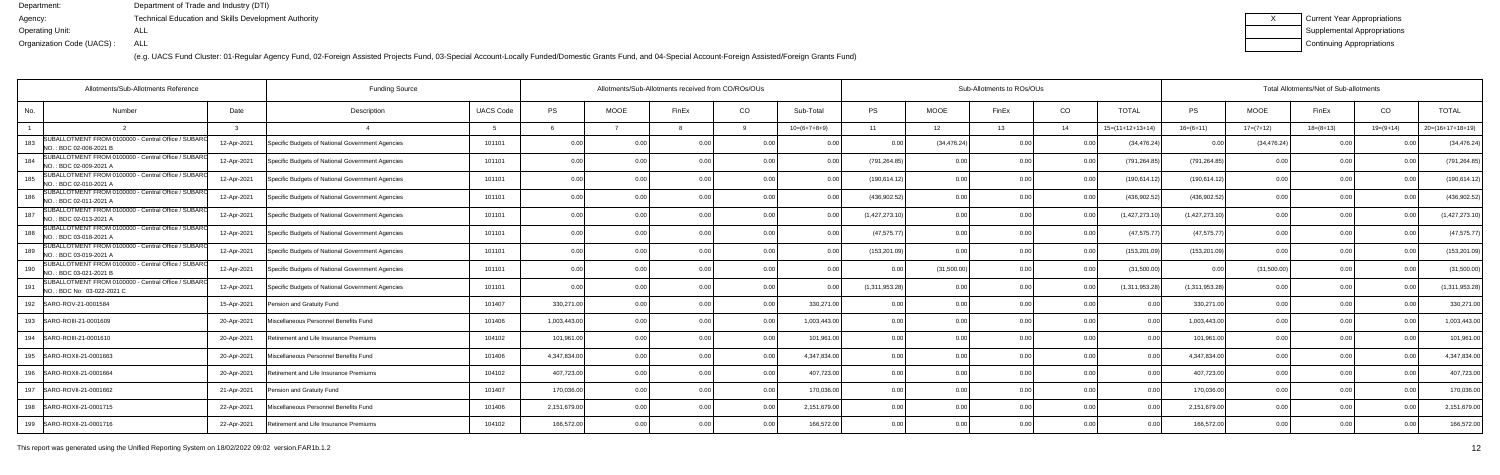(e.g. UACS Fund Cluster: 01-Regular Agency Fund, 02-Foreign Assisted Projects Fund, 03-Special Account-Locally Funded/Domestic Grants Fund, and 04-Special Account-Foreign Assisted/Foreign Grants Fund)

| Current Year Appropriations |
|-----------------------------|
| Supplemental Appropriations |
| Continuing Appropriations   |

|     | Allotments/Sub-Allotments Reference                                               | <b>Funding Source</b> |                                                  |                  |              |                | Allotments/Sub-Allotments received from CO/ROs/OUs |                |                |                |              | Sub-Allotments to ROs/OUs |                 |                    | Total Allotments/Net of Sub-allotments |              |             |                |                    |  |  |
|-----|-----------------------------------------------------------------------------------|-----------------------|--------------------------------------------------|------------------|--------------|----------------|----------------------------------------------------|----------------|----------------|----------------|--------------|---------------------------|-----------------|--------------------|----------------------------------------|--------------|-------------|----------------|--------------------|--|--|
| No. | Number                                                                            | Date                  | Description                                      | <b>UACS Code</b> | <b>PS</b>    | <b>MOOE</b>    | FinEx                                              | CO             | Sub-Total      | <b>PS</b>      | MOOE         | FinEx                     | CO <sub>.</sub> | <b>TOTAL</b>       | <b>PS</b>                              | <b>MOOE</b>  | FinEx       | CO             | <b>TOTAL</b>       |  |  |
|     |                                                                                   |                       |                                                  |                  |              |                |                                                    |                | $10=(6+7+8+9)$ | 11             | 12           | 13                        | 14              | $15=(11+12+13+14)$ | $16=(6+11)$                            | $17=(7+12)$  | $18=(8+13)$ | $19=(9+14)$    | $20=(16+17+18+19)$ |  |  |
| 183 | SUBALLOTMENT FROM 0100000 - Central Office / SUBARO<br>NO.: BDC 02-008-2021 B     | 12-Apr-2021           | Specific Budgets of National Government Agencies | 101101           | 0.00         |                |                                                    | 0.0            |                | 0.0            | (34, 476.24) | 0.00                      | 0.00            | (34, 476.24)       | 0.0(                                   | (34, 476.24) | 0.00        |                | (34, 476.24)       |  |  |
| 184 | SUBALLOTMENT FROM 0100000 - Central Office / SUBARO<br>NO.: BDC 02-009-2021 A     | 12-Apr-2021           | Specific Budgets of National Government Agencies | 101101           | 0.00         | 0 Q            |                                                    | 0 <sub>0</sub> | 0 OC           | (791,264.85    | 0.00         |                           | 0.00            | (791,264.85        | (791,264.85                            | 0.00         | 0.00        |                | (791,264.85        |  |  |
| 185 | SUBALLOTMENT FROM 0100000 - Central Office / SUBARC<br>NO.: BDC 02-010-2021 A     | 12-Apr-2021           | Specific Budgets of National Government Agencies | 101101           | 0.00         | 0.00           |                                                    | 0.00           | 0.00           | (190, 614.12)  | 0.00         | n nr                      | 0.00            | (190, 614.12)      | (190, 614.12)                          | 0.00         | 0.00        |                | (190, 614.12)      |  |  |
| 186 | SUBALLOTMENT FROM 0100000 - Central Office / SUBARO<br>NO.: BDC 02-011-2021 A     | 12-Apr-2021           | Specific Budgets of National Government Agencies | 101101           | 0.00         | 0.00           | n n                                                | 0.00           | 0.00           | (436,902.52    | 0.00         | 0.00                      | 0.00            | (436, 902.52)      | (436, 902.52)                          | 0.00         | 0.00        | 0.00           | (436,902.52        |  |  |
| 187 | SUBALLOTMENT FROM 0100000 - Central Office / SUBARO<br>NO.: BDC 02-013-2021 A     | 12-Apr-2021           | Specific Budgets of National Government Agencies | 101101           | 0.00         | 0.00           |                                                    | 0.0            | 0.00           | (1,427,273.10) | 0.00         |                           | 0.00            | (1, 427, 273.10)   | (1,427,273.10)                         | 0.00         | 0.00        |                | (1,427,273.10)     |  |  |
| 188 | SUBALLOTMENT FROM 0100000 - Central Office / SUBARO<br>NO.: BDC 03-018-2021 A     | 12-Apr-2021           | Specific Budgets of National Government Agencies | 101101           | 0.00         | 0.0            |                                                    | 0.0            | 0.00           | (47, 575.77)   | 0.00         |                           | 0.00            | (47, 575.77)       | (47, 575.77)                           | 0.0          | 0.00        |                | (47,575.77         |  |  |
| 189 | SUBALLOTMENT FROM 0100000 - Central Office / SUBARO<br>NO.: BDC 03-019-2021 A     | 12-Apr-2021           | Specific Budgets of National Government Agencies | 101101           | 0.00         | 0 Q            |                                                    | 0 <sub>0</sub> | n nr           | (153, 201.09)  | 0.00         |                           | 0.00            | (153, 201.09)      | (153, 201.09)                          | 0.00         | 0.00        | n no           | (153, 201.09)      |  |  |
| 190 | SUBALLOTMENT FROM 0100000 - Central Office / SUBARO<br>NO.: BDC 03-021-2021 B     | 12-Apr-2021           | Specific Budgets of National Government Agencies | 101101           | 0.00         | 0.00           |                                                    | 0.00           | 0.00           | 0.00           | (31,500.00)  | 0 OC                      | 0 <sub>0</sub>  | (31,500.00)        | 0.0(                                   | (31,500.00)  | 0.00        | 0.00           | (31,500.00)        |  |  |
| 191 | SUBALLOTMENT FROM 0100000 - Central Office / SUBARC<br>NO.: BDC No: 03-022-2021 C | 12-Apr-2021           | Specific Budgets of National Government Agencies | 101101           | 0.00         | 0.00           | 0 Q                                                | 0.00           | 0.00           | (1,311,953.28) | 0.00         | 0.00                      | 0.00            | (1,311,953.28)     | (1,311,953.28)                         | 0.00         | 0.00        | 0.00           | (1,311,953.28)     |  |  |
| 192 | SARO-ROV-21-0001584                                                               | 15-Apr-2021           | Pension and Gratuity Fund                        | 101407           | 330,271.00   | 0.00           |                                                    | 0.00           | 330,271.00     | 0.00           | 0.00         |                           | 0 <sub>0</sub>  |                    | 330,271.0                              | 0.00         | 0.00        |                | 330,271.0          |  |  |
|     | 193 SARO-ROIII-21-0001609                                                         | 20-Apr-2021           | Miscellaneous Personnel Benefits Fund            | 101406           | 1,003,443.00 | 0.00           | 0 0                                                | 0.00           | 1,003,443.00   | 0.00           | 0.00         | 0.00                      | 0.00            | 0.00               | 1,003,443.00                           | 0.00         | 0.00        | 0.00           | 1,003,443.0        |  |  |
| 194 | SARO-ROIII-21-0001610                                                             | 20-Apr-2021           | Retirement and Life Insurance Premiums           | 104102           | 101,961.00   | 0.00           |                                                    | 0.00           | 101,961.00     | 0.00           | 0.00         | 0.00                      | 0.00            | 0.00               | 101,961.00                             | 0.00         | 0.00        |                | 101,961.0          |  |  |
|     | 195   SARO-ROXII-21-0001663                                                       | 20-Apr-2021           | Miscellaneous Personnel Benefits Fund            | 101406           | 4,347,834.00 | 0.00           | 0 0                                                | 0.00           | 4,347,834.00   | 0.00           | 0.00         | n nr                      | 0.00            | 0.00               | 4,347,834.00                           | 0.00         | 0.00        | 0 <sub>0</sub> | 4,347,834.0        |  |  |
|     | 196   SARO-ROXII-21-0001664                                                       | 20-Apr-2021           | Retirement and Life Insurance Premiums           | 104102           | 407,723.00   | 0.00           | 0 <sub>0</sub>                                     | 0.00           | 407,723.00     | 0.00           | 0.00         | 0.00                      | 0.00            | 0.00               | 407,723.00                             | 0.00         | 0.00        | 0.00           | 407,723.00         |  |  |
| 197 | SARO-ROVII-21-0001662                                                             | 21-Apr-2021           | Pension and Gratuity Fund                        | 101407           | 170,036.00   | 0.00           |                                                    | 0.00           | 170,036.00     | 0.00           | 0.00         |                           | 0.00            | 0 <sub>0</sub>     | 170,036.00                             | 0.00         | 0.00        | n nr           | 170,036.0          |  |  |
|     | 198   SARO-ROXII-21-0001715                                                       | 22-Apr-2021           | Miscellaneous Personnel Benefits Fund            | 101406           | 2,151,679.00 | 0.00           |                                                    | 0.00           | 2,151,679.00   | 0.00           | 0.00         |                           | 0.00            |                    | 2,151,679.00                           | 0.00         | 0.00        |                | 2,151,679.0        |  |  |
| 199 | SARO-ROXII-21-0001716                                                             | 22-Apr-2021           | Retirement and Life Insurance Premiums           | 104102           | 166,572.00   | 0 <sub>0</sub> |                                                    | 0.0            | 166,572.00     | 0 <sub>0</sub> | 0.00         |                           | 0 <sub>0</sub>  |                    | 166,572.0                              |              | 0.00        |                | 166,572.0          |  |  |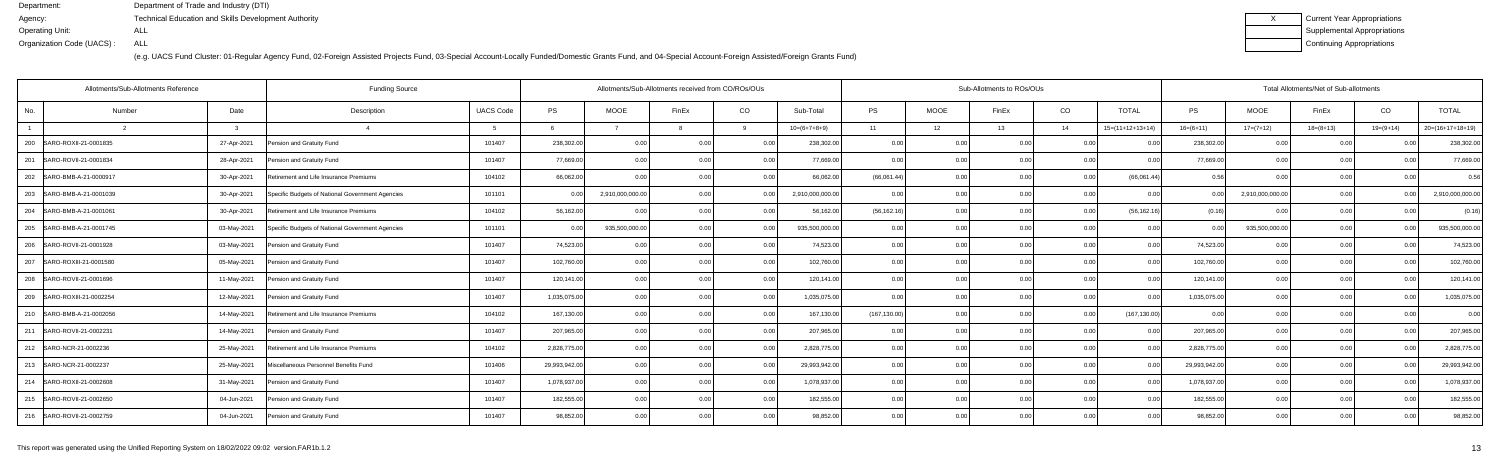| Current Year Appropriations |
|-----------------------------|
| Supplemental Appropriations |
| Continuing Appropriations   |

|                | Allotments/Sub-Allotments Reference<br><b>Funding Source</b> |             |                                                  |                  |               |                  | Allotments/Sub-Allotments received from CO/ROs/OUs |                |                  | Sub-Allotments to ROs/OUs |             |                   |                |                    |               | Total Allotments/Net of Sub-allotments |             |             |                    |  |  |
|----------------|--------------------------------------------------------------|-------------|--------------------------------------------------|------------------|---------------|------------------|----------------------------------------------------|----------------|------------------|---------------------------|-------------|-------------------|----------------|--------------------|---------------|----------------------------------------|-------------|-------------|--------------------|--|--|
| No.            | Number                                                       | Date        | Description                                      | <b>UACS Code</b> | <b>PS</b>     | <b>MOOE</b>      | FinEx                                              | CO             | Sub-Total        | PS                        | <b>MOOE</b> | FinEx             | CO             | <b>TOTAL</b>       | <b>PS</b>     | <b>MOOE</b>                            | FinEx       | CO          | <b>TOTAL</b>       |  |  |
| $\overline{1}$ |                                                              |             | $\overline{a}$                                   |                  |               |                  |                                                    |                | $10=(6+7+8+9)$   | 11                        | 12          | 13                | 14             | $15=(11+12+13+14)$ | $16=(6+11)$   | $17=(7+12)$                            | $18=(8+13)$ | $19=(9+14)$ | $20=(16+17+18+19)$ |  |  |
|                | 200 SARO-ROXII-21-0001835                                    | 27-Apr-2021 | Pension and Gratuity Fund                        | 101407           | 238,302.00    | 0.00             | 0.00                                               | 0.00           | 238,302.00       | 0.00                      | 0.00        | 0.00              | 0.00           | 0.00               | 238,302.00    | 0.00                                   | 0.00        | 0.00        | 238,302.00         |  |  |
| 201            | SARO-ROVII-21-0001834                                        | 28-Apr-2021 | Pension and Gratuity Fund                        | 101407           | 77,669.00     | 0.00             |                                                    | 0.00           | 77,669.00        | 0.00                      | 0.00        |                   | 0.00           |                    | 77,669.0      | 0.00                                   | 0.00        |             | 77,669.0           |  |  |
| 202            | SARO-BMB-A-21-0000917                                        | 30-Apr-2021 | Retirement and Life Insurance Premiums           | 104102           | 66,062.00     | 0 <sub>0</sub>   | 0 0                                                | 0.00           | 66,062.00        | (66,061.44)               | 0.00        | n nr              | 0.00           | (66,061.44)        | 0.56          |                                        | 0.00        | 0.00        | 0.56               |  |  |
| 203            | SARO-BMB-A-21-0001039                                        | 30-Apr-2021 | Specific Budgets of National Government Agencies | 101101           | 0.00          | 2,910,000,000.00 | 0.00                                               | 0.00           | 2,910,000,000.00 | 0.00                      | 0.00        | 0.00 <sub>1</sub> | 0.00           | 0.00               | 0.00          | 2,910,000,000.00                       | 0.00        | 0.00        | 2,910,000,000.0    |  |  |
| 204            | SARO-BMB-A-21-0001061                                        | 30-Apr-2021 | Retirement and Life Insurance Premiums           | 104102           | 56,162.00     | 0 <sub>0</sub>   |                                                    | 0.0            | 56,162.00        | (56, 162.16)              | 0.00        |                   | 0 <sub>0</sub> | (56, 162.16)       | (0.16)        |                                        | 0.00        |             | (0.16)             |  |  |
| 205            | SARO-BMB-A-21-0001745                                        | 03-May-2021 | Specific Budgets of National Government Agencies | 101101           | 0.00          | 935,500,000.00   | 0 <sub>0</sub>                                     | 0 <sub>0</sub> | 935,500,000.00   | 0.00                      | 0.00        | 0 QC              | 0.00           | 0.00               | 0.0(          | 935,500,000.00                         | 0.00        | 0.00        | 935,500,000.0      |  |  |
|                | 206 SARO-ROVII-21-0001928                                    | 03-May-2021 | Pension and Gratuity Fund                        | 101407           | 74,523.00     | 0.00             | 0.00                                               | 0.00           | 74,523.00        | 0.00                      | 0.00        | 0.00              | 0.00           | 0.00               | 74,523.00     | 0.00                                   | 0.00        | 0.00        | 74,523.00          |  |  |
| 207            | SARO-ROXIII-21-0001580                                       | 05-May-2021 | Pension and Gratuity Fund                        | 101407           | 102,760.00    | 0.00             |                                                    | 0.00           | 102,760.00       | 0.00                      | 0.00        |                   | 0.00           |                    | 102,760.00    | 0.00                                   | 0.00        |             | 102,760.0          |  |  |
| 208            | SARO-ROVII-21-0001696                                        | 11-May-2021 | Pension and Gratuity Fund                        | 101407           | 120,141.00    | 0.00             | 0 <sub>0</sub>                                     | 0.00           | 120,141.00       | 0.00                      | 0.00        | 0.00              | 0.00           | 0.00               | 120,141.00    | 0.00                                   | 0.00        | 0.00        | 120,141.00         |  |  |
|                | 209 SARO-ROXIII-21-0002254                                   | 12-May-2021 | Pension and Gratuity Fund                        | 101407           | 1,035,075.00  | 0.00             | 0.00                                               | 0.00           | 1,035,075.00     | 0.00                      | 0.00        | 0.00              | 0.00           | 0.00               | 1,035,075.00  | 0.00                                   | 0.00        | 0.00        | 1,035,075.0        |  |  |
| 210            | SARO-BMB-A-21-0002056                                        | 14-May-2021 | Retirement and Life Insurance Premiums           | 104102           | 167,130.00    | 0.00             |                                                    | 0.00           | 167,130.00       | (167, 130.00)             | 0.00        | 0.00              | 0.00           | (167, 130.00)      | 0.00          | 0.00                                   | 0.00        | 0.00        | 0.00               |  |  |
| 211            | SARO-ROVII-21-0002231                                        | 14-May-2021 | Pension and Gratuity Fund                        | 101407           | 207,965.00    | 0.00             | 0.00                                               | 0.00           | 207,965.00       | 0.00                      | 0.00        | 0.00              | 0.00           | 0.00               | 207,965.00    | 0.00                                   | 0.00        | 0.00        | 207,965.00         |  |  |
|                | 212   SARO-NCR-21-0002236                                    | 25-May-2021 | Retirement and Life Insurance Premiums           | 104102           | 2,828,775.00  | 0.00             | 0.00                                               | 0.00           | 2,828,775.00     | 0.00                      | 0.00        | 0.00              | 0.00           | 0.00               | 2,828,775.00  | 0.00                                   | 0.00        | 0.00        | 2,828,775.00       |  |  |
|                | 213 SARO-NCR-21-0002237                                      | 25-May-2021 | Miscellaneous Personnel Benefits Fund            | 101406           | 29,993,942.00 | 0.00             |                                                    | 0.0            | 29,993,942.00    | 0.00                      | 0.00        | 0.00              | 0.00           |                    | 29,993,942.00 | 0.00                                   | 0.00        |             | 29,993,942.0       |  |  |
|                | 214 SARO-ROXII-21-0002608                                    | 31-May-2021 | Pension and Gratuity Fund                        | 101407           | 1,078,937.00  | 0.00             | 0 <sub>0</sub>                                     | 0.00           | 1,078,937.00     | 0.00                      | 0.00        | 0.00              | 0.00           | 0.00               | 1,078,937.00  | 0.001                                  | 0.00        | 0.00        | 1,078,937.0        |  |  |
|                | 215  SARO-ROVII-21-0002650                                   | 04-Jun-2021 | Pension and Gratuity Fund                        | 101407           | 182,555.00    | 0.00             | 0.00                                               | 0.00           | 182,555.00       | 0.00                      | 0.00        | 0.00              | 0.00           | 0.00               | 182,555.00    | 0.00                                   | 0.00        | 0.00        | 182,555.0          |  |  |
|                | 216 SARO-ROVII-21-0002759                                    | 04-Jun-2021 | Pension and Gratuity Fund                        | 101407           | 98,852.00     | 0.00             |                                                    | 0.00           | 98,852.00        | 0.00                      | 0.00        | 0.00              | 0.00           | 0.00               | 98,852.0      | 0.00                                   | 0.00        | 0.00        | 98,852.0           |  |  |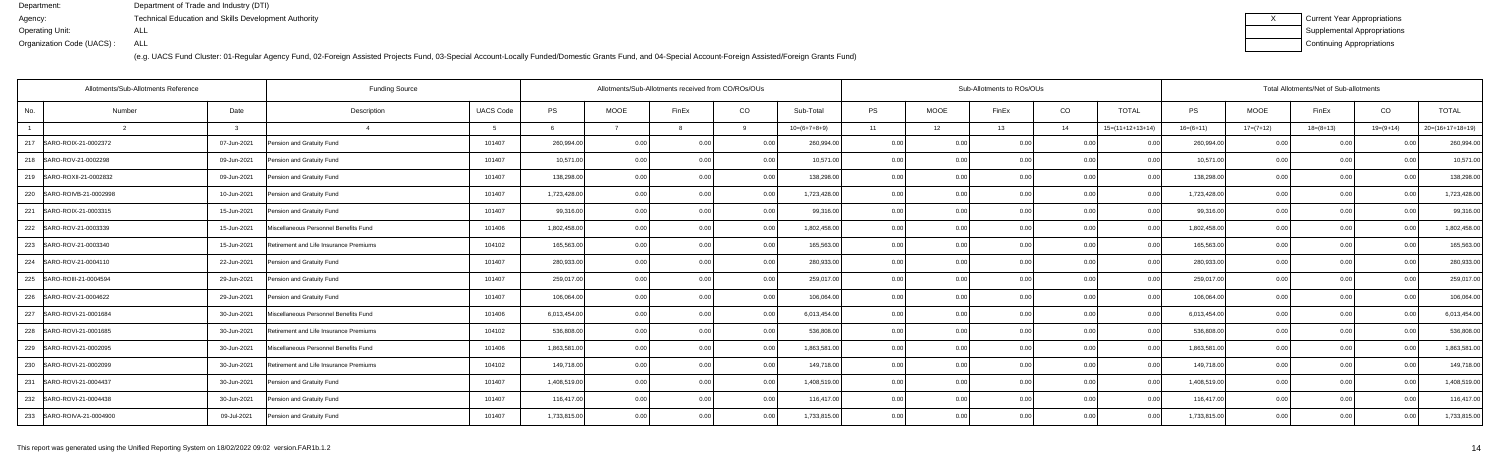| Current Year Appropriations |
|-----------------------------|
| Supplemental Appropriations |
| Continuing Appropriations   |

|                | Allotments/Sub-Allotments Reference |             | <b>Funding Source</b>                  | Allotments/Sub-Allotments received from CO/ROs/OUs |              |             |                |      |                | Sub-Allotments to ROs/OUs |             |                | Total Allotments/Net of Sub-allotments |                    |              |             |             |                |                    |
|----------------|-------------------------------------|-------------|----------------------------------------|----------------------------------------------------|--------------|-------------|----------------|------|----------------|---------------------------|-------------|----------------|----------------------------------------|--------------------|--------------|-------------|-------------|----------------|--------------------|
| No.            | Number                              | Date        | Description                            | <b>UACS Code</b>                                   | <b>PS</b>    | <b>MOOE</b> | FinEx          | CO   | Sub-Total      | <b>PS</b>                 | <b>MOOE</b> | FinEx          | CO                                     | <b>TOTAL</b>       | <b>PS</b>    | <b>MOOE</b> | FinEx       | CO             | <b>TOTAL</b>       |
| $\overline{1}$ |                                     |             | $\overline{A}$                         |                                                    |              |             |                |      | $10=(6+7+8+9)$ | 11                        | 12          | 13             | 14                                     | $15=(11+12+13+14)$ | $16=(6+11)$  | $17=(7+12)$ | $18=(8+13)$ | $19=(9+14)$    | $20=(16+17+18+19)$ |
| 217            | SARO-ROIX-21-0002372                | 07-Jun-2021 | Pension and Gratuity Fund              | 101407                                             | 260,994.00   | 0.00        | 0.00           | 0.00 | 260,994.00     | 0.00                      | 0.00        | 0.00           | 0.00                                   | 0.00               | 260,994.00   | 0.00        | 0.00        | 0.00           | 260,994.0          |
| 218            | SARO-ROV-21-0002298                 | 09-Jun-2021 | Pension and Gratuity Fund              | 101407                                             | 10,571.00    | 0.00        | 0 Q            | 0.00 | 10,571.00      | 0.00                      | 0.00        |                | 0.00                                   |                    | 10,571.0     | 0.00        | 0.00        | 0 <sub>0</sub> | 10,571.0           |
|                | 219   SARO-ROXII-21-0002832         | 09-Jun-2021 | Pension and Gratuity Fund              | 101407                                             | 138,298.00   | 0.00        | 0 <sub>0</sub> | 0.00 | 138,298.00     | 0.00                      | 0.00        |                | 0.00                                   | 0.00               | 138,298.0    | 0.00        | 0.00        | 0.00           | 138,298.0          |
| 220            | SARO-ROIVB-21-0002998               | 10-Jun-2021 | Pension and Gratuity Fund              | 101407                                             | 1,723,428.00 | 0.00        | 0.00           | 0.00 | 1,723,428.00   | 0.00                      | 0.00        | 0.00           | 0.00                                   | 0.00               | 1,723,428.00 | 0.00        | 0.00        | 0.00           | 1,723,428.0        |
| 221            | SARO-ROIX-21-0003315                | 15-Jun-2021 | Pension and Gratuity Fund              | 101407                                             | 99,316.00    | 0.00        |                | 0.00 | 99,316.00      | 0.00                      | 0.00        |                | 0 <sub>0</sub>                         |                    | 99,316.0     | 0.00        | 0.00        |                | 99,316.0           |
| 222            | SARO-ROV-21-0003339                 | 15-Jun-2021 | Miscellaneous Personnel Benefits Fund  | 101406                                             | 1,802,458.00 | 0.00        | 0 <sub>0</sub> | 0.00 | 1,802,458.00   | 0.00                      | 0.00        |                | 0 <sub>0</sub>                         | 0.00               | 1,802,458.0  | 0.00        | 0.00        | 0.00           | 1,802,458.0        |
|                | 223 SARO-ROV-21-0003340             | 15-Jun-2021 | Retirement and Life Insurance Premiums | 104102                                             | 165,563.00   | 0.00        | 0.OC           | 0.00 | 165,563.00     | 0.00                      | 0.00        | 0.00           | 0.00                                   | 0.00               | 165,563.00   | 0.00        | 0.00        | 0.00           | 165,563.00         |
| 224            | SARO-ROV-21-0004110                 | 22-Jun-2021 | Pension and Gratuity Fund              | 101407                                             | 280,933.00   | 0.00        |                | 0.00 | 280,933.00     | 0.00                      | 0.00        |                | 0 <sub>0</sub>                         |                    | 280,933.00   | 0.00        | 0.00        |                | 280,933.0          |
| 225            | SARO-ROIII-21-0004594               | 29-Jun-2021 | Pension and Gratuity Fund              | 101407                                             | 259,017.00   | 0.00        | 0 <sub>0</sub> | 0.00 | 259,017.00     | 0.00                      | 0.00        |                | 0.00                                   | 0.00               | 259,017.00   | 0.00        | 0.00        | 0.00           | 259,017.0          |
| 226            | SARO-ROV-21-0004622                 | 29-Jun-2021 | Pension and Gratuity Fund              | 101407                                             | 106,064.00   | 0.00        | 0.OC           | 0.00 | 106,064.00     | 0.00                      | 0.00        | 0.00           | 0.00                                   | 0.00               | 106,064.00   | 0.00        | 0.00        | 0.00           | 106,064.0          |
| 227            | SARO-ROVI-21-0001684                | 30-Jun-2021 | Miscellaneous Personnel Benefits Fund  | 101406                                             | 6,013,454.00 | 0.00        |                | 0.00 | 6,013,454.00   | 0.00                      | 0.00        |                | 0.00                                   |                    | 6,013,454.0  | 0.00        | 0.00        |                | 6,013,454.0        |
| 228            | SARO-ROVI-21-0001685                | 30-Jun-2021 | Retirement and Life Insurance Premiums | 104102                                             | 536,808.00   | 0.00        | 0.00           | 0.00 | 536,808.00     | 0.00                      | 0.00        | 0 OC           | 0.00                                   | 0.00               | 536,808.0    | 0.00        | 0.00        | 0.00           | 536,808.0          |
|                | 229 SARO-ROVI-21-0002095            | 30-Jun-2021 | Miscellaneous Personnel Benefits Fund  | 101406                                             | 1,863,581.00 | 0.00        | 0.00           | 0.00 | 1,863,581.00   | 0.00                      | 0.00        | 0.00           | 0.00                                   | 0.00               | 1,863,581.0  | 0.00        | 0.00        | 0.00           | 1,863,581.0        |
|                | 230 SARO-ROVI-21-0002099            | 30-Jun-2021 | Retirement and Life Insurance Premiums | 104102                                             | 149,718.00   | 0.00        | 0.0(           | 0.00 | 149,718.00     | 0.00                      | 0.00        | 0 <sub>0</sub> | 0.00                                   | 0 <sub>0</sub>     | 149,718.0    | 0.00        | 0.00        | 0 <sub>0</sub> | 149,718.00         |
| 231            | SARO-ROVI-21-0004437                | 30-Jun-2021 | Pension and Gratuity Fund              | 101407                                             | 1,408,519.00 | 0.00        | 0.00           | 0.00 | 1,408,519.00   | 0.00                      | 0.00        | 0 <sub>0</sub> | 0.00                                   | 0.00               | 1,408,519.00 | 0.00        | 0.00        | 0.00           | 1,408,519.0        |
|                | 232 SARO-ROVI-21-0004438            | 30-Jun-2021 | Pension and Gratuity Fund              | 101407                                             | 116,417.00   | 0.00        | 0.00           | 0.00 | 116,417.00     | 0.00                      | 0.00        | 0.00           | 0.00                                   | 0.00               | 116,417.00   | 0.00        | 0.00        | 0.00           | 116,417.0          |
|                | 233 SARO-ROIVA-21-0004900           | 09-Jul-2021 | Pension and Gratuity Fund              | 101407                                             | 1,733,815.00 | 0.00        | 0.OC           | 0.00 | 1,733,815.00   | 0.00                      | 0.00        | 0.00           | 0.00                                   | 0.00               | 1,733,815.00 | 0.00        | 0.00        | 0.00           | 1,733,815.00       |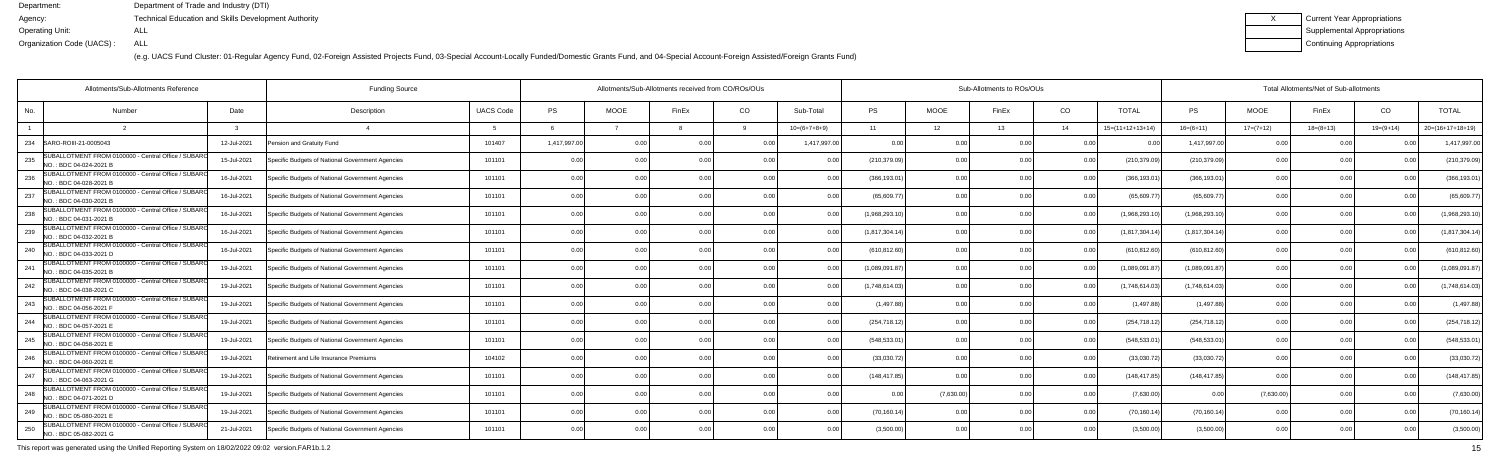(e.g. UACS Fund Cluster: 01-Regular Agency Fund, 02-Foreign Assisted Projects Fund, 03-Special Account-Locally Funded/Domestic Grants Fund, and 04-Special Account-Foreign Assisted/Foreign Grants Fund)

| <b>Current Year Appropriations</b> |
|------------------------------------|
| <b>Supplemental Appropriations</b> |
| Continuing Appropriations          |

| Allotments/Sub-Allotments Reference                                                   |             | <b>Funding Source</b>                            |                  | Allotments/Sub-Allotments received from CO/ROs/OUs |                |               |                |                |                | Sub-Allotments to ROs/OUs |       |                |                    |                |             | Total Allotments/Net of Sub-allotments |             |                    |  |  |  |  |
|---------------------------------------------------------------------------------------|-------------|--------------------------------------------------|------------------|----------------------------------------------------|----------------|---------------|----------------|----------------|----------------|---------------------------|-------|----------------|--------------------|----------------|-------------|----------------------------------------|-------------|--------------------|--|--|--|--|
| No.<br>Number                                                                         | Date        | Description                                      | <b>UACS Code</b> | <b>PS</b>                                          | <b>MOOE</b>    | FinEx         | CO             | Sub-Total      | <b>PS</b>      | <b>MOOE</b>               | FinEx | CO             | <b>TOTAL</b>       | PS             | MOOE        | FinEx                                  | CO          | <b>TOTAL</b>       |  |  |  |  |
|                                                                                       |             |                                                  |                  |                                                    |                |               |                | $10=(6+7+8+9)$ | 11             | 12                        | 13    | 14             | $15=(11+12+13+14)$ | $16=(6+11)$    | $17=(7+12)$ | $18=(8+13)$                            | $19=(9+14)$ | $20=(16+17+18+19)$ |  |  |  |  |
| SARO-ROIII-21-0005043<br>234                                                          | 12-Jul-2021 | Pension and Gratuity Fund                        | 101407           | 1,417,997.00                                       | 0 O            |               |                | 1,417,997.00   | 0.00           |                           |       |                |                    | 1,417,997.00   | 0.00        |                                        |             | 1,417,997.0        |  |  |  |  |
| SUBALLOTMENT FROM 0100000 - Central Office / SUBARO<br>235<br>NO.: BDC 04-024-2021 B  | 15-Jul-2021 | Specific Budgets of National Government Agencies | 101101           | 0.00                                               | 0.00           | 0.OC          | 0.00           | 0.00           | (210, 379.09)  | 0.00                      | በ በበ  | 0.00           | (210,379.09        | (210, 379.09)  | 0.00        | 0.00                                   | 0.00        | (210,379.09        |  |  |  |  |
| SUBALLOTMENT FROM 0100000 - Central Office / SUBARO<br>236<br>NO.: BDC 04-028-2021 B  | 16-Jul-2021 | Specific Budgets of National Government Agencies | 101101           | 0.00                                               | 0.0            |               | 0.0            | 0.00           | (366, 193.01)  | 0.00                      | 0.00  | 0.00           | (366, 193.0)       | (366,193.01    | 0.00        | 0.00                                   |             | (366,193.01        |  |  |  |  |
| SUBALLOTMENT FROM 0100000 - Central Office / SUBARO<br>237<br>INO.: BDC 04-030-2021 B | 16-Jul-2021 | Specific Budgets of National Government Agencies | 101101           | 0.00                                               | 0 <sub>0</sub> |               | 0 <sub>0</sub> | በ በበ           | (65, 609.77)   | 0 <sub>0</sub>            |       | 0 <sub>0</sub> | (65.609.7          | (65, 609.77)   | 0.00        | 0 <sub>0</sub>                         |             | (65, 609.7)        |  |  |  |  |
| SUBALLOTMENT FROM 0100000 - Central Office / SUBARO<br>238<br>NO.: BDC 04-031-2021 B  | 16-Jul-2021 | Specific Budgets of National Government Agencies | 101101           | 0.00                                               | 0.00           |               | 0.0            | 0.00           | (1,968,293.10) | 0.00                      |       | 0.00           | (1,968,293.1)      | (1,968,293.10) | 0.00        | 0.00                                   |             | (1,968,293.1)      |  |  |  |  |
| SUBALLOTMENT FROM 0100000 - Central Office / SUBARO<br>239<br>NO.: BDC 04-032-2021 B  | 16-Jul-2021 | Specific Budgets of National Government Agencies | 101101           | 0.00                                               | 0 <sub>0</sub> | 0 በ           | 0.00           | 0.00           | (1,817,304.14) | 0.00                      |       | 0.00           | (1,817,304.1)      | (1,817,304.14) | 0.00        | 0.00                                   |             | (1,817,304.14)     |  |  |  |  |
| SUBALLOTMENT FROM 0100000 - Central Office / SUBARO<br>NO.: BDC 04-033-2021 D         | 16-Jul-2021 | Specific Budgets of National Government Agencies | 101101           | 0.00                                               |                |               | 0.0            |                | (610, 812.60)  | 0.00                      |       | 0.0(           | (610, 812.6)       | (610, 812.60)  | 0.00        | 0.0                                    |             | (610, 812.60)      |  |  |  |  |
| SUBALLOTMENT FROM 0100000 - Central Office / SUBARO<br>241<br>NO.: BDC 04-035-2021 B  | 19-Jul-2021 | Specific Budgets of National Government Agencies | 101101           | 0.00                                               | 0 <sub>0</sub> |               | 0 <sub>0</sub> | 0.00           | (1,089,091.87) | 0.00                      |       | 0.00           | (1,089,091.8)      | (1,089,091.87) | 0.00        | 0.0                                    |             | (1,089,091.87)     |  |  |  |  |
| SUBALLOTMENT FROM 0100000 - Central Office / SUBARO<br>242<br>NO.: BDC 04-038-2021 C  | 19-Jul-2021 | Specific Budgets of National Government Agencies | 101101           | 0.00                                               | 0.00           |               | 0.00           | 0.00           | (1,748,614.03) | 0.00                      |       | 0.00           | (1,748,614.0)      | (1,748,614.03) | 0.00        | 0.00                                   |             | (1,748,614.03)     |  |  |  |  |
| SUBALLOTMENT FROM 0100000 - Central Office / SUBARO<br>NO.: BDC 04-056-2021 F         | 19-Jul-2021 | Specific Budgets of National Government Agencies | 101101           | 0.00                                               | 0.0            |               |                | 0.00           | (1,497.88)     | 0.00                      |       | 0.0(           | (1, 497.8)         | (1, 497.88)    | 0.00        | 0.00                                   |             | (1, 497.88)        |  |  |  |  |
| SUBALLOTMENT FROM 0100000 - Central Office / SUBARO<br>244<br>INO.: BDC 04-057-2021 E | 19-Jul-2021 | Specific Budgets of National Government Agencies | 101101           | 0.00                                               | 0.0            | $\cap$ $\cap$ | 0.0            | 0.00           | (254, 718.12)  | 0.00                      |       | 0.00           | (254, 718.1)       | (254, 718.12)  | 0.00        | 0.00                                   | n n         | (254, 718.12)      |  |  |  |  |
| SUBALLOTMENT FROM 0100000 - Central Office / SUBARO<br>245<br>NO.: BDC 04-058-2021 E  | 19-Jul-2021 | Specific Budgets of National Government Agencies | 101101           | 0.00                                               | 0.0            |               | 0 <sub>0</sub> | ი იი           | (548,533.01    | 0.00                      |       | 0.0(           | (548, 533.0)       | (548,533.01    | 0.00        | 0.00                                   |             | (548, 533.01)      |  |  |  |  |
| SUBALLOTMENT FROM 0100000 - Central Office / SUBARO<br>NO.: BDC 04-060-2021 E         | 19-Jul-2021 | Retirement and Life Insurance Premiums           | 104102           | 0.00                                               | 0 <sub>0</sub> |               | 0 <sub>0</sub> | n nn           | (33,030.72)    | 0.00                      |       | 0 <sub>0</sub> | (33,030.72)        | (33,030.72)    | 0.00        | 0.00                                   |             | (33,030.72)        |  |  |  |  |
| SUBALLOTMENT FROM 0100000 - Central Office / SUBARO<br>247<br>NO.: BDC 04-063-2021 G  | 19-Jul-2021 | Specific Budgets of National Government Agencies | 101101           | 0.00                                               | 0 <sub>0</sub> |               | 0.0            | 0 0            | (148, 417.85)  | 0.00                      |       | 0.00           | (148, 417.8)       | (148, 417.85)  | 0.00        | 0.00                                   |             | (148, 417.85)      |  |  |  |  |
| SUBALLOTMENT FROM 0100000 - Central Office / SUBARO<br>248<br>NO.: BDC 04-071-2021 D  | 19-Jul-2021 | Specific Budgets of National Government Agencies | 101101           | 0.00                                               | 0 <sub>0</sub> |               | 0 <sub>0</sub> | በ በበ           | $\Omega$       | (7,630.00)                |       | 0.0(           | (7,630.00)         |                | (7,630.00)  | 0.00                                   |             | (7,630.00)         |  |  |  |  |
| SUBALLOTMENT FROM 0100000 - Central Office / SUBARO<br>249<br>NO.: BDC 05-080-2021 E  | 19-Jul-2021 | Specific Budgets of National Government Agencies | 101101           | 0.00                                               | 0.00           |               | 0.00           | በ በበ           | (70, 160.14)   | 0.00                      |       | 0.00           | (70, 160.14)       | (70, 160.14)   | 0.00        | 0.00                                   |             | (70, 160.14)       |  |  |  |  |
| SUBALLOTMENT FROM 0100000 - Central Office / SUBARO<br>250<br>NO.: BDC 05-082-2021 G  | 21-Jul-2021 | Specific Budgets of National Government Agencies | 101101           | 0.00                                               | 0 <sub>0</sub> |               | 0 <sub>0</sub> | ი იი           | (3,500.00)     | 0.00                      |       | 0 <sub>0</sub> | (3,500.00)         | (3,500.00)     | 0.00        | 0.00                                   |             | (3,500.00)         |  |  |  |  |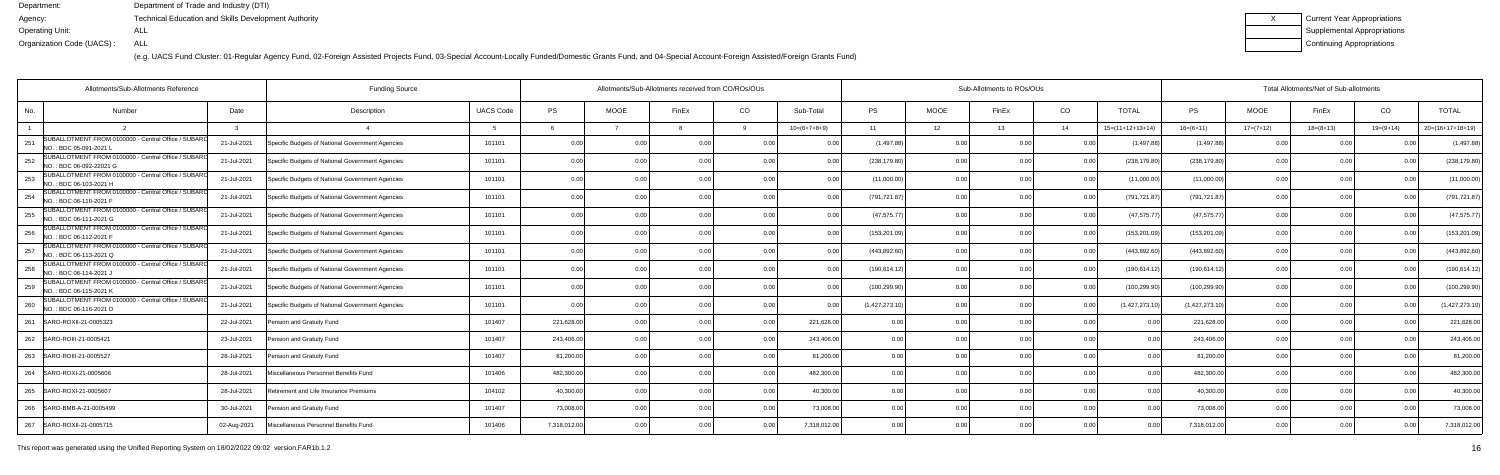(e.g. UACS Fund Cluster: 01-Regular Agency Fund, 02-Foreign Assisted Projects Fund, 03-Special Account-Locally Funded/Domestic Grants Fund, and 04-Special Account-Foreign Assisted/Foreign Grants Fund)

| Current Year Appropriations |
|-----------------------------|
| Supplemental Appropriations |
| Continuing Appropriations   |

| Allotments/Sub-Allotments Reference                                                   |             | <b>Funding Source</b>                            |                  |              | Allotments/Sub-Allotments received from CO/ROs/OUs |                |                |                |                | Sub-Allotments to ROs/OUs |                |                |                    |                |             | Total Allotments/Net of Sub-allotments |                |                    |  |  |  |
|---------------------------------------------------------------------------------------|-------------|--------------------------------------------------|------------------|--------------|----------------------------------------------------|----------------|----------------|----------------|----------------|---------------------------|----------------|----------------|--------------------|----------------|-------------|----------------------------------------|----------------|--------------------|--|--|--|
| No.<br>Number                                                                         | Date        | Description                                      | <b>UACS Code</b> | <b>PS</b>    | <b>MOOE</b>                                        | FinEx          | CO             | Sub-Total      | <b>PS</b>      | <b>MOOE</b>               | FinEx          | CO             | TOTAL              | PS             | <b>MOOE</b> | FinEx                                  | CO.            | <b>TOTAL</b>       |  |  |  |
|                                                                                       |             | $\overline{a}$                                   |                  |              |                                                    |                |                | $10=(6+7+8+9)$ | 11             | 12                        | 13             | 14             | $15=(11+12+13+14)$ | $16=(6+11)$    | $17=(7+12)$ | $18=(8+13)$                            | $19=(9+14)$    | $20=(16+17+18+19)$ |  |  |  |
| SUBALLOTMENT FROM 0100000 - Central Office / SUBARO<br>251<br>NO. : BDC 05-091-2021 L | 21-Jul-2021 | Specific Budgets of National Government Agencies | 101101           | 0.00         | 0.0 <sub>1</sub>                                   |                |                | 0.00           | (1, 497.88)    | 0.00                      |                | 0.00           | (1, 497.8)         | (1,497.88)     | 0.00        | 0.00                                   |                | (1,497.88)         |  |  |  |
| SUBALLOTMENT FROM 0100000 - Central Office / SUBARC<br>252<br>NO.: BDC 06-092-22021 G | 21-Jul-2021 | Specific Budgets of National Government Agencies | 101101           | 0.00         | 0.00                                               | 0 <sub>0</sub> | 0.00           | 0.00           | (238, 179.80)  | 0.00                      |                | 0.00           | (238,179.80        | (238, 179.80)  | 0.00        | 0.00                                   | 0 <sub>0</sub> | (238, 179.80)      |  |  |  |
| SUBALLOTMENT FROM 0100000 - Central Office / SUBARC<br>253<br>NO.: BDC 06-103-2021 H  | 21-Jul-2021 | Specific Budgets of National Government Agencies | 101101           | 0.00         | 0.00                                               |                | 0 <sub>0</sub> | ი იი           | (11,000.00)    | 0.00                      |                | 0.00           | (11,000.00)        | (11,000.00)    | 0.00        | 0.00                                   |                | (11,000.00)        |  |  |  |
| SUBALLOTMENT FROM 0100000 - Central Office / SUBARO<br>254<br>NO.: BDC 06-110-2021 F  | 21-Jul-2021 | Specific Budgets of National Government Agencies | 101101           | 0.00         | 0.00                                               | 0.OC           | 0.00           | 0.00           | (791, 721.87)  | 0.00                      | 0.00           | 0.00           | (791,721.87        | (791, 721.87)  | 0.00        | 0.00                                   | 0.00           | (791,721.87        |  |  |  |
| SUBALLOTMENT FROM 0100000 - Central Office / SUBARO<br>255<br>NO. : BDC 06-111-2021 G | 21-Jul-2021 | Specific Budgets of National Government Agencies | 101101           | 0.00         | 0.0                                                |                | 0.0            | 0.00           | (47, 575.77)   | 0.00                      | 0.00           | 0.00           | (47, 575.77)       | (47, 575.77)   | 0.00        | 0.00                                   |                | (47, 575.77)       |  |  |  |
| SUBALLOTMENT FROM 0100000 - Central Office / SUBARC<br>256<br>NO.: BDC 06-112-2021 F  | 21-Jul-2021 | Specific Budgets of National Government Agencies | 101101           | 0.00         | 0 <sub>0</sub>                                     |                | 0 <sub>0</sub> | 0.00           | (153, 201.09)  | 0.00                      |                | 0 <sub>0</sub> | (153, 201.09       | (153, 201.09)  | 0.00        | 0.00                                   |                | (153, 201.09)      |  |  |  |
| SUBALLOTMENT FROM 0100000 - Central Office / SUBARO<br>257<br>NO.: BDC 06-113-2021 Q  | 21-Jul-2021 | Specific Budgets of National Government Agencies | 101101           | 0.00         | 0 <sub>0</sub>                                     |                |                | 0.00           | (443, 892.60)  | 0.00                      | ስ ስር           | 0.00           | (443, 892.6)       | (443,892.60    | 0.00        | 0.00                                   |                | (443, 892.60)      |  |  |  |
| SUBALLOTMENT FROM 0100000 - Central Office / SUBARO<br>258<br>NO.: BDC 06-114-2021 J  | 21-Jul-2021 | Specific Budgets of National Government Agencies | 101101           | 0.00         | 0.00                                               | 0 <sub>0</sub> | 0.00           | 0.00           | (190, 614.12)  | 0.00                      | በ በበ           | 0.00           | (190, 614.12)      | (190, 614.12)  | 0.00        | 0.00                                   |                | (190,614.12        |  |  |  |
| SUBALLOTMENT FROM 0100000 - Central Office / SUBARO<br>259<br>NO.: BDC 06-115-2021 K  | 21-Jul-2021 | Specific Budgets of National Government Agencies | 101101           | 0.00         | 0.00                                               |                | 0.0            | 0.00           | (100, 299.90)  | 0.00                      | 0.00           | 0.00           | (100, 299.90)      | (100, 299.90)  | 0.00        | 0.00                                   |                | (100, 299.90)      |  |  |  |
| SUBALLOTMENT FROM 0100000 - Central Office / SUBARO<br>260<br>NO.: BDC 06-116-2021 D  | 21-Jul-2021 | Specific Budgets of National Government Agencies | 101101           | 0.00         | 0.00                                               |                | 0.0            | 0.00           | (1,427,273.10) | 0.00                      |                | 0.00           | (1,427,273.1)      | (1,427,273.10) | 0.00        | 0.00                                   |                | (1,427,273.1)      |  |  |  |
| SARO-ROXII-21-0005323<br>261                                                          | 22-Jul-2021 | Pension and Gratuity Fund                        | 101407           | 221,628.00   | 0.00                                               |                | 0.00           | 221,628.00     | 0.00           | 0.00                      |                | 0.00           |                    | 221,628.00     | 0.00        | 0.00                                   |                | 221,628.00         |  |  |  |
| 262 SARO-ROIII-21-0005421                                                             | 23-Jul-2021 | Pension and Gratuity Fund                        | 101407           | 243,406.00   | 0.00                                               | 0 <sub>0</sub> | 0.00           | 243,406.00     | 0.00           | 0.00                      | 0 <sub>0</sub> | 0.00           | 0 <sub>0</sub>     | 243,406.00     | 0.00        | 0.00                                   |                | 243,406.00         |  |  |  |
| 263<br>SARO-ROIII-21-0005527                                                          | 28-Jul-2021 | Pension and Gratuity Fund                        | 101407           | 81,200.00    | 0.00                                               |                | 0.00           | 81,200.00      | 0.00           | 0.00                      |                | 0.0(           | 00                 | 81,200.00      | 0.00        | 0.00                                   |                | 81,200.00          |  |  |  |
| 264 SARO-ROXI-21-0005606                                                              | 28-Jul-2021 | Miscellaneous Personnel Benefits Fund            | 101406           | 482,300.00   | 0.00                                               |                | 0.00           | 482,300.00     | 0.00           | 0.00                      |                | 0.00           | 0.00               | 482,300.00     | 0.00        | 0.00                                   |                | 482,300.00         |  |  |  |
| 265<br>SARO-ROXI-21-0005607                                                           | 28-Jul-2021 | Retirement and Life Insurance Premiums           | 104102           | 40,300.00    | 0.00                                               |                | 0.00           | 40,300.00      | 0.00           | 0.00                      |                | 0.00           |                    | 40,300.00      | 0.00        | 0.00                                   |                | 40,300.00          |  |  |  |
| SARO-BMB-A-21-0005499<br>266                                                          | 30-Jul-2021 | Pension and Gratuity Fund                        | 101407           | 73,008.00    | 0.00                                               |                | 0.00           | 73,008.00      | 0.00           | 0.00                      |                | 0.00           | 00                 | 73,008.00      | 0.00        | 0.00                                   |                | 73,008.00          |  |  |  |
| 267   SARO-ROXII-21-0005715                                                           | 02-Aug-2021 | Miscellaneous Personnel Benefits Fund            | 101406           | 7,318,012.00 | 0.00                                               |                | 0.00           | 7,318,012.00   | 0.00           | 0.00                      | 0.00           | 0.00           | 00                 | 7,318,012.00   | 0.00        | 0.00                                   |                | 7,318,012.00       |  |  |  |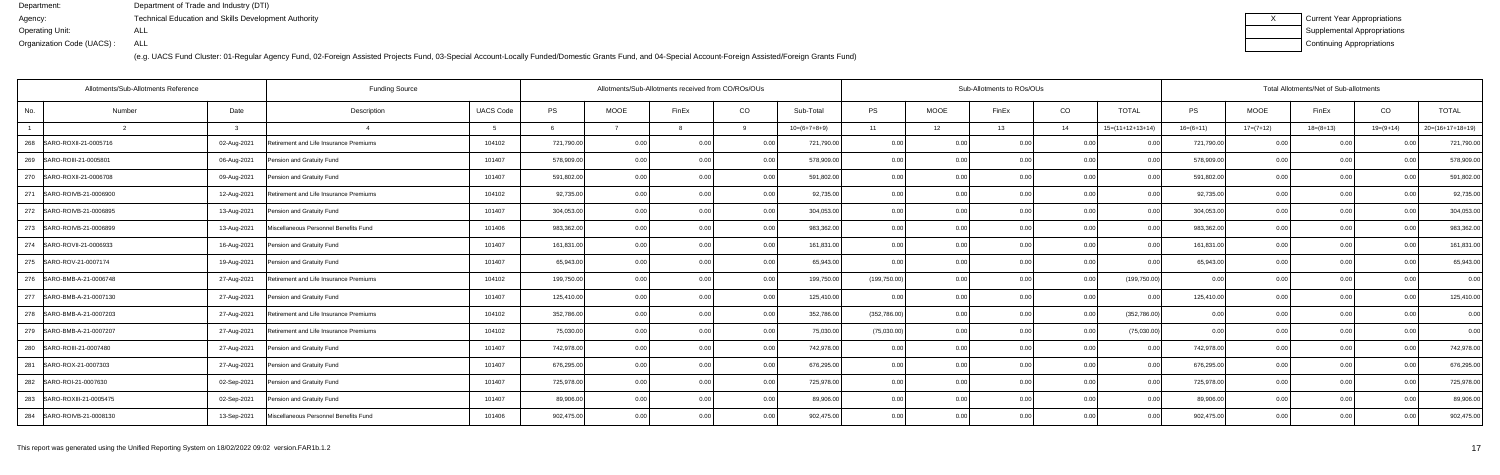| Current Year Appropriations |
|-----------------------------|
| Supplemental Appropriations |
| Continuing Appropriations   |

|                | Allotments/Sub-Allotments Reference |             | <b>Funding Source</b>                  |                  | Allotments/Sub-Allotments received from CO/ROs/OUs |             |                |       |                | Sub-Allotments to ROs/OUs |             |       |      |                    |             | Total Allotments/Net of Sub-allotments |             |                |                    |  |  |  |
|----------------|-------------------------------------|-------------|----------------------------------------|------------------|----------------------------------------------------|-------------|----------------|-------|----------------|---------------------------|-------------|-------|------|--------------------|-------------|----------------------------------------|-------------|----------------|--------------------|--|--|--|
| No.            | Number                              | Date        | Description                            | <b>UACS Code</b> | <b>PS</b>                                          | <b>MOOE</b> | FinEx          | CO    | Sub-Total      | <b>PS</b>                 | <b>MOOE</b> | FinEx | CO   | <b>TOTAL</b>       | <b>PS</b>   | <b>MOOE</b>                            | FinEx       | CO             | <b>TOTAL</b>       |  |  |  |
| $\overline{1}$ |                                     |             |                                        |                  |                                                    |             |                |       | $10=(6+7+8+9)$ | 11                        | 12          | 13    | 14   | $15=(11+12+13+14)$ | $16=(6+11)$ | $17=(7+12)$                            | $18=(8+13)$ | $19=(9+14)$    | $20=(16+17+18+19)$ |  |  |  |
|                | 268   SARO-ROXII-21-0005716         | 02-Aug-2021 | Retirement and Life Insurance Premiums | 104102           | 721,790.00                                         | 0.00        | 0.00           | 0.00  | 721,790.00     | 0.00                      | 0.00        | 0.00  | 0.00 | 00                 | 721,790.00  | 0.00                                   | 0.00        |                | 721,790.00         |  |  |  |
| 269            | SARO-ROIII-21-0005801               | 06-Aug-2021 | Pension and Gratuity Fund              | 101407           | 578,909.00                                         | 0.00        | 0.0(           | 0.00  | 578,909.00     | 0.00                      | 0.00        |       | 0.00 |                    | 578,909.00  | 0.00                                   | 0.00        |                | 578,909.00         |  |  |  |
| 270            | SARO-ROXII-21-0006708               | 09-Aug-2021 | Pension and Gratuity Fund              | 101407           | 591,802.00                                         | 0.00        | 0 <sub>0</sub> | 0.00  | 591,802.00     | 0.00                      | 0.00        | n nn  | 0.00 | 0.00               | 591,802.00  | 0.00                                   | 0.00        |                | 591,802.00         |  |  |  |
| 271            | SARO-ROIVB-21-0006900               | 12-Aug-2021 | Retirement and Life Insurance Premiums | 104102           | 92,735.00                                          | 0.00        | 0 <sub>0</sub> | 0.00  | 92,735.00      | 0.00                      | 0.00        | 0.00  | 0.00 | 0.00               | 92,735.00   | 0.00                                   | 0.00        |                | 92,735.00          |  |  |  |
| 272            | SARO-ROIVB-21-0006895               | 13-Aug-2021 | Pension and Gratuity Fund              | 101407           | 304,053.00                                         | 0.00        |                | 0.00  | 304,053.00     | 0.00                      | 0.00        |       | 0.00 |                    | 304,053.00  | 0.00                                   | 0.00        |                | 304,053.00         |  |  |  |
| 273            | SARO-ROIVB-21-0006899               | 13-Aug-2021 | Miscellaneous Personnel Benefits Fund  | 101406           | 983,362.00                                         | 0.00        | 0 <sub>0</sub> | 0.00  | 983,362.00     | 0.00                      | 0.00        | 0.00  | 0.00 |                    | 983,362.00  | 0.00                                   | 0.00        |                | 983,362.0          |  |  |  |
|                | 274   SARO-ROVII-21-0006933         | 16-Aug-2021 | Pension and Gratuity Fund              | 101407           | 161,831.00                                         | 0.00        | n nr           | 0.00  | 161,831.00     | 0.00                      | 0.00        | ስ ስበ  | 0.00 | 0.00               | 161,831.00  | 0.00                                   | 0.00        |                | 161,831.00         |  |  |  |
|                | 275 SARO-ROV-21-0007174             | 19-Aug-2021 | Pension and Gratuity Fund              | 101407           | 65,943.00                                          | 0.00        |                | 0.00  | 65,943.00      | 0.00                      | 0.00        |       | 0.00 |                    | 65,943.00   | 0.00                                   | 0.00        |                | 65,943.00          |  |  |  |
| 276            | SARO-BMB-A-21-0006748               | 27-Aug-2021 | Retirement and Life Insurance Premiums | 104102           | 199,750.00                                         | 0.00        | $\cap$ $\cap$  | 0.00  | 199,750.00     | (199, 750.00)             | 0.00        | ስ ስበ  | 0.00 | (199, 750.00)      | -0.00       | 0.00                                   | 0.00        |                | 0.00               |  |  |  |
| 277            | SARO-BMB-A-21-0007130               | 27-Aug-2021 | Pension and Gratuity Fund              | 101407           | 125,410.00                                         | 0.00        |                | 0.00  | 125,410.00     | 0.00                      | 0.00        | 0.00  | 0.00 | 0 <sub>0</sub>     | 125,410.00  | 0.00                                   | 0.00        |                | 125,410.00         |  |  |  |
| 278            | SARO-BMB-A-21-0007203               | 27-Aug-2021 | Retirement and Life Insurance Premiums | 104102           | 352,786.00                                         | 0.00        |                | 0.00  | 352,786.00     | (352, 786.00)             | 0.00        | 0.00  | 0.00 | (352,786.00)       | 0.00        | 0.00                                   | 0.00        |                | 0.00               |  |  |  |
| 279            | SARO-BMB-A-21-0007207               | 27-Aug-2021 | Retirement and Life Insurance Premiums | 104102           | 75,030.00                                          | 0.00        | 0 <sub>0</sub> | 0.00. | 75,030.00      | (75,030.00)               | 0.00        | ስ ስበ  | 0.00 | (75,030.00)        | 0.00        | 0.00                                   | 0.00        | 0 <sup>0</sup> | 0.00               |  |  |  |
|                | 280 SARO-ROIII-21-0007480           | 27-Aug-2021 | Pension and Gratuity Fund              | 101407           | 742,978.00                                         | 0.00        | 0 QC           | 0.00  | 742,978.00     | 0.00                      | 0.00        | በ በበ  | 0.00 | 0.00               | 742,978.00  | 0.00                                   | 0.00        | 0 <sub>0</sub> | 742,978.00         |  |  |  |
|                | 281 SARO-ROX-21-0007303             | 27-Aug-2021 | Pension and Gratuity Fund              | 101407           | 676,295.00                                         | 0.00        |                | 0.00  | 676,295.00     | 0.00                      | 0.00        | 0.00  | 0.00 |                    | 676,295.00  | 0.00                                   | 0.00        |                | 676,295.00         |  |  |  |
|                | 282 SARO-ROI-21-0007630             | 02-Sep-2021 | Pension and Gratuity Fund              | 101407           | 725,978.00                                         | 0.00        | 0 <sub>0</sub> | 0.00  | 725,978.00     | 0.00                      | 0.00        | ስ ስበ  | 0.00 | $\Omega$           | 725,978.00  | 0.00                                   | 0.00        |                | 725,978.00         |  |  |  |
|                | 283 SARO-ROXIII-21-0005475          | 02-Sep-2021 | Pension and Gratuity Fund              | 101407           | 89,906.00                                          | 0.00        |                | 0.00  | 89,906.00      | 0.00                      | 0.00        |       | 0.00 | 0.00               | 89,906.00   | 0.00                                   | 0.00        |                | 89,906.00          |  |  |  |
|                | 284 SARO-ROIVB-21-0008130           | 13-Sep-2021 | Miscellaneous Personnel Benefits Fund  | 101406           | 902,475.00                                         | 0.00        | n nr           | 0.00  | 902,475.00     | 0.00                      | 0.00        | 0.00  | 0.00 | 0.00               | 902,475.00  | 0.00                                   | 0.00        |                | 902,475.00         |  |  |  |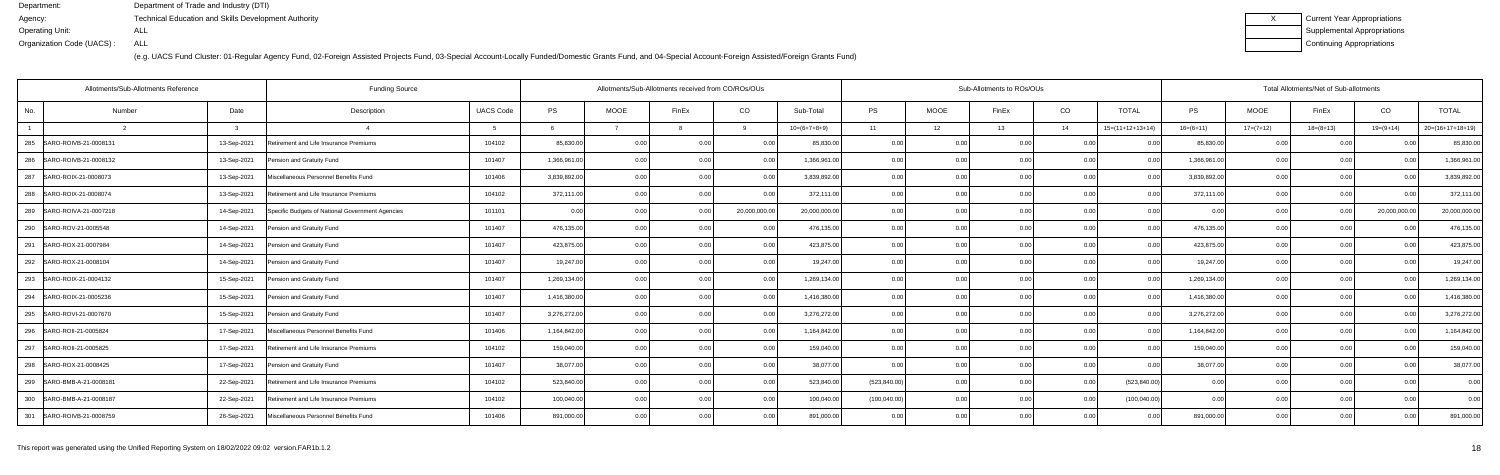| Current Year Appropriations |
|-----------------------------|
| Supplemental Appropriations |
| Continuing Appropriations   |

|                | Allotments/Sub-Allotments Reference<br><b>Funding Source</b> |             |                                                  |                  |              |             | Allotments/Sub-Allotments received from CO/ROs/OUs |              |                | Sub-Allotments to ROs/OUs |             |                |                |                    |              | Total Allotments/Net of Sub-allotments |             |               |                    |  |  |  |
|----------------|--------------------------------------------------------------|-------------|--------------------------------------------------|------------------|--------------|-------------|----------------------------------------------------|--------------|----------------|---------------------------|-------------|----------------|----------------|--------------------|--------------|----------------------------------------|-------------|---------------|--------------------|--|--|--|
| No.            | Number                                                       | Date        | Description                                      | <b>UACS Code</b> | <b>PS</b>    | <b>MOOE</b> | FinEx                                              | CO           | Sub-Total      | PS                        | <b>MOOE</b> | FinEx          | CO             | <b>TOTAL</b>       | <b>PS</b>    | <b>MOOE</b>                            | FinEx       | CO            | <b>TOTAL</b>       |  |  |  |
| $\overline{1}$ |                                                              |             | $\overline{A}$                                   |                  |              |             |                                                    |              | $10=(6+7+8+9)$ | 11                        | 12          | 13             | 14             | $15=(11+12+13+14)$ | $16=(6+11)$  | $17=(7+12)$                            | $18=(8+13)$ | $19=(9+14)$   | $20=(16+17+18+19)$ |  |  |  |
| 285            | SARO-ROIVB-21-0008131                                        | 13-Sep-2021 | Retirement and Life Insurance Premiums           | 104102           | 85,830.00    | 0.00        | 0.00                                               | 0.00         | 85,830.00      | 0.00                      | 0.00        | 0.00           | 0.00           |                    | 85,830.00    | 0.00                                   | 0.00        | 0.00          | 85,830.00          |  |  |  |
| 286            | SARO-ROIVB-21-0008132                                        | 13-Sep-2021 | Pension and Gratuity Fund                        | 101407           | 1,366,961.00 | 0.00        |                                                    | 0.00         | 1,366,961.00   | 0.00                      | 0.00        |                | 0.00           |                    | 1,366,961.0  | 0.00                                   | 0.00        |               | 1,366,961.0        |  |  |  |
| 287            | SARO-ROIX-21-0008073                                         | 13-Sep-2021 | Miscellaneous Personnel Benefits Fund            | 101406           | 3,839,892.00 | 0.00        |                                                    | . 0 OC       | 3,839,892.00   | 0.00                      | 0.00        |                | 0.00           | 0.00               | 3,839,892.0  | 0.00                                   | 0.00        | 0.00          | 3,839,892.0        |  |  |  |
|                | 288 SARO-ROIX-21-0008074                                     | 13-Sep-2021 | Retirement and Life Insurance Premiums           | 104102           | 372,111.00   | 0.00        |                                                    | 0.00         | 372,111.00     | 0.00                      | 0.00        | 0.00           | 0.00           | 0.00               | 372,111.00   | 0.00                                   | 0.00        | 0.00          | 372,111.00         |  |  |  |
| 289            | SARO-ROIVA-21-0007218                                        | 14-Sep-2021 | Specific Budgets of National Government Agencies | 101101           | 0.00         | 0.00        |                                                    | 20,000,000.0 | 20,000,000.00  | 0.00                      | 0.00        |                | 0.00           | 0 <sub>0</sub>     | 0.0(         |                                        | 0.00        | 20,000,000.00 | 20,000,000.0       |  |  |  |
| 290            | SARO-ROV-21-0005548                                          | 14-Sep-2021 | Pension and Gratuity Fund                        | 101407           | 476,135.00   | 0.00        |                                                    | . 0.0        | 476,135.00     | 0.00                      | 0.00        |                | 0 <sub>0</sub> | 0.00               | 476,135.00   | 0.00                                   |             |               | 476,135.00         |  |  |  |
|                | 291 SARO-ROX-21-0007984                                      | 14-Sep-2021 | Pension and Gratuity Fund                        | 101407           | 423,875.00   | 0.00        |                                                    | 0.00         | 423,875.00     | 0.00                      | 0.00        | 0.00           | 0.00           | 0.00               | 423,875.00   | 0.00                                   | 0.00        | 0.00          | 423,875.00         |  |  |  |
| 292            | SARO-ROX-21-0008104                                          | 14-Sep-2021 | Pension and Gratuity Fund                        | 101407           | 19,247.00    | 0.00        |                                                    | 0.00         | 19,247.00      | 0.00                      | 0.00        |                | 0 <sub>0</sub> |                    | 19,247.0     | 0.00                                   | 0.00        |               | 19,247.0           |  |  |  |
| 293            | SARO-ROIX-21-0004132                                         | 15-Sep-2021 | Pension and Gratuity Fund                        | 101407           | 1,269,134.00 | 0.00        |                                                    | 0.00         | 1,269,134.00   | 0.00                      | 0.00        | 0 QC           | 0 <sub>0</sub> | 0.00               | 1,269,134.00 | 0.00                                   | 0.00        | 0.00          | 1,269,134.0        |  |  |  |
|                | 294 SARO-ROIX-21-0005236                                     | 15-Sep-2021 | Pension and Gratuity Fund                        | 101407           | 1,416,380.00 | 0.00        |                                                    | 0.00         | 1,416,380.00   | 0.00                      | 0.00        | 0.00           | 0.00           | 0.00               | 1,416,380.00 | 0.00                                   | 0.00        | 0.00          | 1,416,380.0        |  |  |  |
| 295            | SARO-ROVI-21-0007670                                         | 15-Sep-2021 | Pension and Gratuity Fund                        | 101407           | 3,276,272.00 | 0.00        |                                                    | 0.00         | 3,276,272.00   | 0.00                      | 0.00        | 0 <sub>0</sub> | 0.00           | 0 <sub>0</sub>     | 3,276,272.00 | 0.00                                   | 0.00        |               | 3,276,272.00       |  |  |  |
| 296            | SARO-ROII-21-0005824                                         | 17-Sep-2021 | Miscellaneous Personnel Benefits Fund            | 101406           | 1,164,842.00 | 0.00        | 0 <sub>0</sub>                                     | 0.00         | 1,164,842.00   | 0.00                      | 0.00        | 0 QC           | 0.00           | 0.00               | 1,164,842.00 | 0.00                                   | 0.00        | 0.00          | 1,164,842.0        |  |  |  |
|                | 297   SARO-ROII-21-0005825                                   | 17-Sep-2021 | Retirement and Life Insurance Premiums           | 104102           | 159,040.00   | 0.00        | 0 <sub>0</sub>                                     | 0.00         | 159,040.00     | 0.00                      | 0.00        | 0.00           | 0.00           | 0.00               | 159,040.00   | 0.00                                   | 0.00        | 0.00          | 159,040.00         |  |  |  |
| 298            | SARO-ROX-21-0008425                                          | 17-Sep-2021 | Pension and Gratuity Fund                        | 101407           | 38,077.00    | 0.00        |                                                    | 0.00         | 38,077.00      | 0.00                      | 0.00        | 0.00           | 0.00           | 0 <sub>0</sub>     | 38,077.00    | 0.00                                   | 0.00        |               | 38,077.00          |  |  |  |
| 299            | SARO-BMB-A-21-0008181                                        | 22-Sep-2021 | Retirement and Life Insurance Premiums           | 104102           | 523,840.00   | 0.00        | n n                                                | 0.00         | 523,840.00     | (523, 840.00)             | 0.00        | 0.00           | 0.00           | (523, 840.00)      | 0.00         | 0.00                                   | 0.00        | 0.00          | 0.00               |  |  |  |
|                | 300 SARO-BMB-A-21-0008187                                    | 22-Sep-2021 | Retirement and Life Insurance Premiums           | 104102           | 100,040.00   | 0.00        | n n                                                | 0.00         | 100,040.00     | (100, 040.00)             | 0.00        | 0.00           | 0.00           | (100, 040.00)      | 0.00         | 0.00                                   | 0.00        | 0.00          | 0.00               |  |  |  |
|                | 301 SARO-ROIVB-21-0008759                                    | 26-Sep-2021 | Miscellaneous Personnel Benefits Fund            | 101406           | 891,000.00   | 0.00        |                                                    | 0.00         | 891,000.00     | 0.00                      | 0.00        | 0.00           | 0.00           | 0.00               | 891,000.00   | 0.00                                   | 0.00        | 0.00          | 891,000.00         |  |  |  |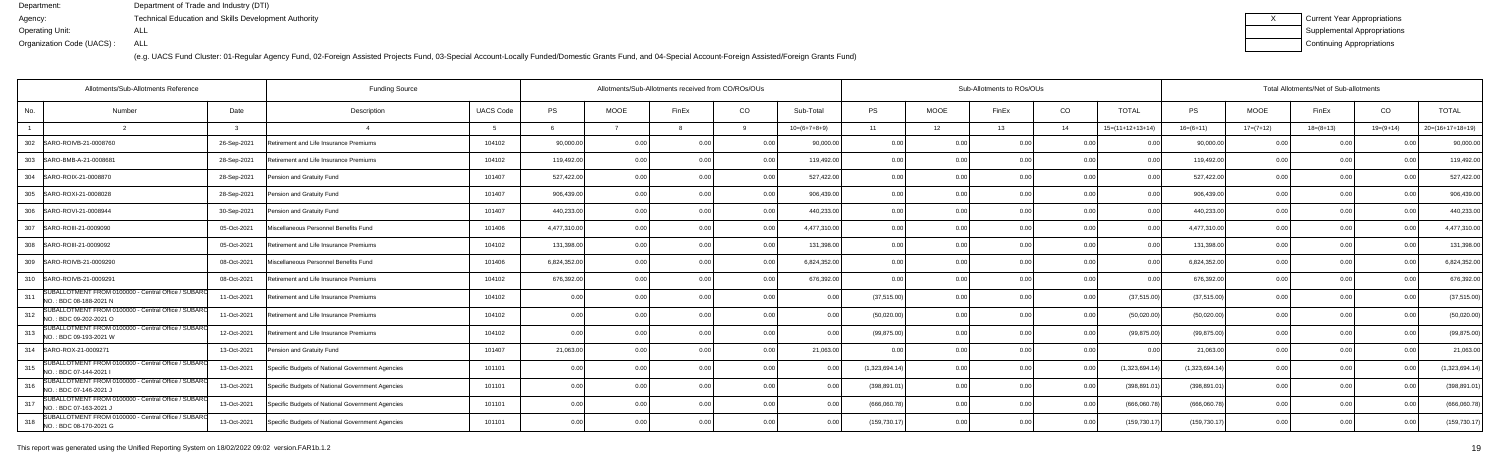(e.g. UACS Fund Cluster: 01-Regular Agency Fund, 02-Foreign Assisted Projects Fund, 03-Special Account-Locally Funded/Domestic Grants Fund, and 04-Special Account-Foreign Assisted/Foreign Grants Fund)

| Current Year Appropriations |
|-----------------------------|
| Supplemental Appropriations |
| Continuing Appropriations   |

| Allotments/Sub-Allotments Reference<br><b>Funding Source</b>                          |              |                                                  |                  |              | Allotments/Sub-Allotments received from CO/ROs/OUs |                |                |                | Sub-Allotments to ROs/OUs |             |                |      |                    |                | Total Allotments/Net of Sub-allotments |             |                |                    |  |  |  |
|---------------------------------------------------------------------------------------|--------------|--------------------------------------------------|------------------|--------------|----------------------------------------------------|----------------|----------------|----------------|---------------------------|-------------|----------------|------|--------------------|----------------|----------------------------------------|-------------|----------------|--------------------|--|--|--|
| No.<br>Number                                                                         | Date         | Description                                      | <b>UACS Code</b> | <b>PS</b>    | <b>MOOE</b>                                        | FinEx          | CO             | Sub-Total      | <b>PS</b>                 | <b>MOOE</b> | FinEx          | CO   | <b>TOTAL</b>       | PS             | <b>MOOE</b>                            | FinEx       | CO             | <b>TOTAL</b>       |  |  |  |
|                                                                                       | $\mathbf{r}$ | $\overline{a}$                                   | -5               | -6           |                                                    |                |                | $10=(6+7+8+9)$ | 11                        | 12          | 13             | 14   | $15=(11+12+13+14)$ | $16=(6+11)$    | $17=(7+12)$                            | $18=(8+13)$ | $19=(9+14)$    | $20=(16+17+18+19)$ |  |  |  |
| 302<br>SARO-ROIVB-21-0008760                                                          | 26-Sep-2021  | Retirement and Life Insurance Premiums           | 104102           | 90,000.00    | 0 <sub>0</sub>                                     |                | . 0.0          | 90,000.00      | 0.00                      |             |                | 0.0( |                    | 90,000.00      | 0.00                                   |             |                | 90,000.00          |  |  |  |
| 303<br>SARO-BMB-A-21-0008681                                                          | 28-Sep-2021  | Retirement and Life Insurance Premiums           | 104102           | 119,492.00   | 0.00                                               | 0 <sub>0</sub> | 0.00           | 119,492.00     | 0.00                      | 0.00        | n nn           | 0.00 | 0.00               | 119.492.00     | 0.00                                   | 0.00        | 0 <sub>0</sub> | 119,492.0          |  |  |  |
| 304 SARO-ROIX-21-0008870                                                              | 28-Sep-2021  | Pension and Gratuity Fund                        | 101407           | 527,422.00   | 0.00                                               | 0 <sub>0</sub> | 0.00           | 527,422.00     | 0.00                      | 0.00        | 0.00           | 0.00 | 0.00               | 527,422.00     | 0.00                                   | 0.00        | 0 <sub>0</sub> | 527,422.00         |  |  |  |
| 305 SARO-ROXI-21-0008028                                                              | 28-Sep-2021  | Pension and Gratuity Fund                        | 101407           | 906,439.00   | 0.00                                               | 0 <sub>0</sub> | 0.00           | 906.439.00     | 0.00                      | 0.00        |                | 0.00 | 0 <sub>0</sub>     | 906.439.00     | 0.00                                   | 0.00        |                | 906,439.0          |  |  |  |
| 306 SARO-ROVI-21-0008944                                                              | 30-Sep-2021  | Pension and Gratuity Fund                        | 101407           | 440,233.00   | 0.00                                               | 0 <sub>0</sub> | 0.00           | 440,233.00     | 0.00                      | 0.00        | 0.00           | 0.00 | 0.00               | 440,233.00     | 0.00                                   | 0.00        |                | 440,233.00         |  |  |  |
| 307   SARO-ROIII-21-0009090                                                           | 05-Oct-2021  | Miscellaneous Personnel Benefits Fund            | 101406           | 4,477,310.00 | 0.00                                               | 0 <sub>0</sub> | 0.00           | 4,477,310.00   | 0.00                      | 0.00        | 0.00           | 0.00 | 0 <sub>0</sub>     | 4,477,310.00   | 0.00                                   | 0.00        |                | 4,477,310.00       |  |  |  |
| 308 SARO-ROIII-21-0009092                                                             | 05-Oct-2021  | Retirement and Life Insurance Premiums           | 104102           | 131,398.00   | 0.00                                               | 0 <sub>0</sub> | 0.00           | 131,398.00     | 0.00                      | 0.00        | 0.00           | 0.00 | 0.00               | 131,398.00     | 0.00                                   | 0.00        | 0 <sub>0</sub> | 131,398.0          |  |  |  |
| 309   SARO-ROIVB-21-0009290                                                           | 08-Oct-2021  | Miscellaneous Personnel Benefits Fund            | 101406           | 6,824,352.00 | 0.00                                               | 0.OC           | 0.00           | 6,824,352.00   | 0.00                      | 0.00        | 0.00           | 0.00 | 0.00               | 6,824,352.00   | 0.00                                   | 0.00        | 0 <sub>0</sub> | 6,824,352.0        |  |  |  |
| 310<br>SARO-ROIVB-21-0009291                                                          | 08-Oct-2021  | Retirement and Life Insurance Premiums           | 104102           | 676,392.00   | 0.0                                                |                | 0.00           | 676,392.00     | 0.00                      | 0.00        |                | 0.00 |                    | 676,392.00     | 0.00                                   | 0.00        |                | 676,392.0          |  |  |  |
| SUBALLOTMENT FROM 0100000 - Central Office / SUBARO<br>311<br>NO.: BDC 08-188-2021 N  | 11-Oct-2021  | Retirement and Life Insurance Premiums           | 104102           | 0.00         | 0 <sub>0</sub>                                     |                | 0.00           | 0.00           | (37, 515.00)              | 0.00        |                | 0.00 | (37,515.00)        | (37, 515.00)   | 0.00                                   | 0.00        |                | (37, 515.00)       |  |  |  |
| SUBALLOTMENT FROM 0100000 - Central Office / SUBARC<br>312<br>NO.: BDC 09-202-2021 O  | 11-Oct-2021  | Retirement and Life Insurance Premiums           | 104102           | 0.00         | 0.00                                               | 0 <sub>0</sub> | 0.00           | 0.00           | (50,020.00)               | 0.00        | በ በበ           | 0.00 | (50,020.00)        | (50,020.00)    | 0.00                                   | 0.00        |                | (50,020.00)        |  |  |  |
| SUBALLOTMENT FROM 0100000 - Central Office / SUBARC<br>313<br>NO.: BDC 09-193-2021 W  | 12-Oct-2021  | Retirement and Life Insurance Premiums           | 104102           | 0.00         | 0 <sub>0</sub>                                     |                | 0.00           | 0.00           | (99, 875.00)              | 0.00        | 0 <sub>0</sub> | 0.00 | (99.875.00)        | (99, 875.00)   | 0.00                                   | 0.00        |                | (99, 875.00)       |  |  |  |
| 314<br>SARO-ROX-21-0009271                                                            | 13-Oct-2021  | Pension and Gratuity Fund                        | 101407           | 21,063.00    | 0 <sub>0</sub>                                     |                | 0.00           | 21,063.00      |                           | 0.00        |                | 0.00 |                    | 21,063.00      | 0.00                                   | 0.00        |                | 21,063.0           |  |  |  |
| SUBALLOTMENT FROM 0100000 - Central Office / SUBARO<br>315<br>NO.: BDC 07-144-2021 I  | 13-Oct-2021  | Specific Budgets of National Government Agencies | 101101           | 0.00         | 0.00                                               |                | 0.0            | 0.00           | (1,323,694.14)            | 0.00        | n nr           | 0.00 | (1,323,694.1)      | (1,323,694.14) | 0.00                                   | 0.00        |                | (1,323,694.1)      |  |  |  |
| SUBALLOTMENT FROM 0100000 - Central Office / SUBARC<br>316<br>NO. : BDC 07-146-2021 J | 13-Oct-2021  | Specific Budgets of National Government Agencies | 101101           | 0.00         | 0.00                                               | 0 <sub>0</sub> | 0.00           | 0.00           | (398,891.01               | 0.00        |                | 0.00 | (398, 891.0        | (398, 891.01)  | 0.00                                   | 0.00        | n nr           | (398, 891.0)       |  |  |  |
| SUBALLOTMENT FROM 0100000 - Central Office / SUBARC<br>317<br>NO.: BDC 07-163-2021 J  | 13-Oct-2021  | Specific Budgets of National Government Agencies | 101101           | 0.00         | 0.00                                               |                | 0.00           | 0.00           | (666,060.78)              | 0.00        |                | 0.00 | (666,060.78        | (666,060.78    | 0.00                                   | 0.00        |                | (666,060.7         |  |  |  |
| SUBALLOTMENT FROM 0100000 - Central Office / SUBARO<br>318<br>NO.: BDC 08-170-2021 G  | 13-Oct-2021  | Specific Budgets of National Government Agencies | 101101           | 0.00         | 0.00                                               |                | 0 <sub>0</sub> | 0.00           | (159,730.17               | 0.00        |                | 0.00 | (159, 730.1)       | (159, 730.1)   | 0.00                                   | 0.00        |                | (159, 730.17)      |  |  |  |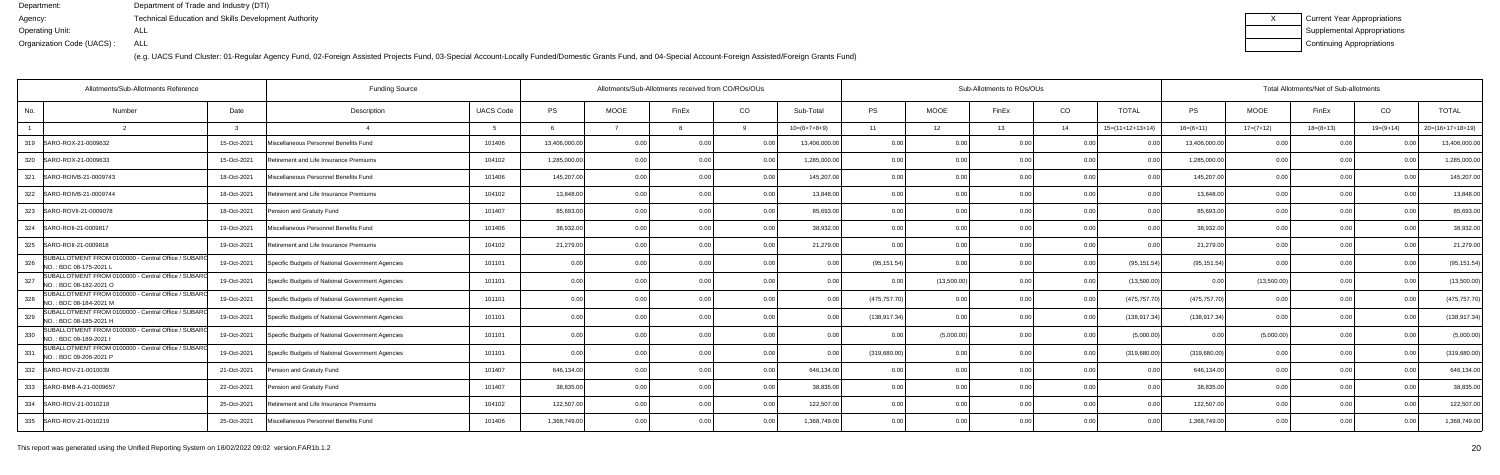| Current Year Appropriations |
|-----------------------------|
| Supplemental Appropriations |
| Continuing Appropriations   |

| Allotments/Sub-Allotments Reference<br><b>Funding Source</b>                         |             |                                                  |                  |               |             | Allotments/Sub-Allotments received from CO/ROs/OUs |                |                | Sub-Allotments to ROs/OUs |                 |       |      |                    |                | Total Allotments/Net of Sub-allotments |                 |                |                    |  |  |  |
|--------------------------------------------------------------------------------------|-------------|--------------------------------------------------|------------------|---------------|-------------|----------------------------------------------------|----------------|----------------|---------------------------|-----------------|-------|------|--------------------|----------------|----------------------------------------|-----------------|----------------|--------------------|--|--|--|
| No.<br>Number                                                                        | Date        | Description                                      | <b>UACS Code</b> | <b>PS</b>     | <b>MOOE</b> | FinEx                                              | CO             | Sub-Total      | PS                        | <b>MOOE</b>     | FinEx | CO   | TOTAL              | PS             | <b>MOOE</b>                            | FinEx           | CO             | <b>TOTAL</b>       |  |  |  |
|                                                                                      |             | $\overline{A}$                                   | -5               |               |             |                                                    |                | $10=(6+7+8+9)$ | 11                        | 12 <sup>7</sup> | 13    | 14   | $15=(11+12+13+14)$ | $16=(6+11)$    | $17=(7+12)$                            | $18 = (8 + 13)$ | $19=(9+14)$    | $20=(16+17+18+19)$ |  |  |  |
| 319   SARO-ROX-21-0009632                                                            | 15-Oct-2021 | Miscellaneous Personnel Benefits Fund            | 101406           | 13,406,000.00 | 0.00        | 0 Q                                                | 0 <sub>0</sub> | 13,406,000.00  | 0.00                      | 0.00            | 0.00  | 0.00 |                    | 13,406,000.00  | 0.00                                   | 0.00            |                | 13,406,000.00      |  |  |  |
| 320 SARO-ROX-21-0009633                                                              | 15-Oct-2021 | Retirement and Life Insurance Premiums           | 104102           | 1,285,000.00  | 0.00        | 0 <sub>0</sub>                                     | 0.0            | 1,285,000.00   | 0.00                      | 0.00            |       | 0.00 |                    | 1,285,000.00   | 0.00                                   | 0.00            |                | 1,285,000.0        |  |  |  |
| SARO-ROIVB-21-0009743<br>321                                                         | 18-Oct-2021 | Miscellaneous Personnel Benefits Fund            | 101406           | 145,207.00    | 0.00        | 0 Q                                                | 0.00           | 145,207.00     | 0.00                      | 0.00            | n nr  | 0.00 | 0.00               | 145,207.00     | 0.00                                   | 0.00            | 0 <sub>0</sub> | 145,207.0          |  |  |  |
| 322<br>SARO-ROIVB-21-0009744                                                         | 18-Oct-2021 | Retirement and Life Insurance Premiums           | 104102           | 13,848.00     | 0.0         |                                                    | 0.00           | 13,848.00      | 0.00                      | 0.00            |       | 0.00 |                    | 13,848.00      | 0.00                                   | 0.00            |                | 13,848.00          |  |  |  |
| SARO-ROVII-21-0009078<br>323                                                         | 18-Oct-2021 | Pension and Gratuity Fund                        | 101407           | 85,693.00     | 0.00        |                                                    | 0.00           | 85,693.00      | 0.00                      | 0.00            |       | 0.00 |                    | 85,693.00      | 0.00                                   | 0.00            |                | 85,693.0           |  |  |  |
| 324   SARO-ROII-21-0009817                                                           | 19-Oct-2021 | Miscellaneous Personnel Benefits Fund            | 101406           | 38,932.00     | 0.00        | 0 <sub>0</sub>                                     | 0.00           | 38,932.00      | 0.00                      | 0.00            | 0.00  | 0.00 | 0.00               | 38,932.00      | 0.00                                   | 0.00            | 0 <sub>0</sub> | 38,932.00          |  |  |  |
| SARO-ROII-21-0009818<br>325                                                          | 19-Oct-2021 | Retirement and Life Insurance Premiums           | 104102           | 21,279.00     | 0.00        |                                                    | 0.00           | 21,279.00      | 0.00                      | 0.00            |       | 0.00 |                    | 21,279.00      | 0.00                                   | 0.00            |                | 21,279.00          |  |  |  |
| SUBALLOTMENT FROM 0100000 - Central Office / SUBARO<br>326<br>NO.: BDC 08-175-2021 L | 19-Oct-2021 | Specific Budgets of National Government Agencies | 101101           | 0.00          | 0.00        |                                                    | 0.00           | 0.00           | (95, 151.54)              | 0.00            | n nr  | 0.00 | (95, 151.54)       | (95, 151.54)   | 0.00                                   | 0.00            |                | (95, 151.54)       |  |  |  |
| SUBALLOTMENT FROM 0100000 - Central Office / SUBARO<br>327<br>NO.: BDC 08-182-2021 O | 19-Oct-2021 | Specific Budgets of National Government Agencies | 101101           | 0.00          | 0.00        | n n                                                | 0.00           | 0.00           | 0.00                      | (13,500.00)     | 0.00  | 0.00 | (13,500.00)        | 0.00           | (13,500.00)                            | 0.00            | 0 <sub>0</sub> | (13,500.00)        |  |  |  |
| SUBALLOTMENT FROM 0100000 - Central Office / SUBARO<br>328<br>NO.: BDC 08-184-2021 M | 19-Oct-2021 | Specific Budgets of National Government Agencies | 101101           | 0.00          | 0.00        |                                                    | 0.00           | 0.00           | (475, 757.70)             | 0.00            | 0.00  | 0.00 | (475, 757.70)      | (475, 757, 70) | 0.00                                   | 0.00            | 0 <sub>0</sub> | (475, 757.70)      |  |  |  |
| SUBALLOTMENT FROM 0100000 - Central Office / SUBARO<br>329<br>NO.: BDC 08-185-2021 H | 19-Oct-2021 | Specific Budgets of National Government Agencies | 101101           | 0.00          | 0.0         |                                                    | 0.0            | 0.00           | (138, 917.34)             | 0.00            |       | 0.00 | (138, 917.34)      | (138,917.34    | 0.00                                   | 0.00            |                | (138,917.34        |  |  |  |
| SUBALLOTMENT FROM 0100000 - Central Office / SUBARO<br>330<br>NO.: BDC 09-189-2021 I | 19-Oct-2021 | Specific Budgets of National Government Agencies | 101101           | 0.00          | 0.00        | n n                                                | 0.0            | 0.00           |                           | (5,000.00)      |       | 0.00 | (5,000.00)         | 0.0            | (5,000.00)                             | 0.00            |                | (5,000.00)         |  |  |  |
| SUBALLOTMENT FROM 0100000 - Central Office / SUBARO<br>331<br>NO.: BDC 09-206-2021 P | 19-Oct-2021 | Specific Budgets of National Government Agencies | 101101           | 0.00          | 0.00        |                                                    | 0.0            | 0.00           | (319, 680.00)             | 0.00            |       | 0.00 | (319,680.00)       | (319,680.00    | 0.00                                   | 0.00            |                | (319,680.00        |  |  |  |
| 332 SARO-ROV-21-0010039                                                              | 21-Oct-2021 | Pension and Gratuity Fund                        | 101407           | 646,134.00    | 0.00        |                                                    | 0.00           | 646,134.00     | 0.00                      | 0.00            |       | 0.00 |                    | 646,134.00     | 0.00                                   | 0.00            |                | 646,134.00         |  |  |  |
| 333<br>SARO-BMB-A-21-0009657                                                         | 22-Oct-2021 | Pension and Gratuity Fund                        | 101407           | 38,835.00     | 0.00        |                                                    | 0.00           | 38,835.00      | 0.00                      | 0.00            |       | 0.00 |                    | 38,835.00      | 0.00                                   | 0.00            |                | 38,835.0           |  |  |  |
| 334 SARO-ROV-21-0010218                                                              | 25-Oct-2021 | Retirement and Life Insurance Premiums           | 104102           | 122,507.00    | 0.00        |                                                    | 0.00           | 122,507.00     | 0.00                      | 0.00            |       | 0.00 | 0 O                | 122,507.00     | 0.00                                   | 0.00            |                | 122,507.0          |  |  |  |
| 335 SARO-ROV-21-0010219                                                              | 25-Oct-2021 | Miscellaneous Personnel Benefits Fund            | 101406           | 1,368,749.00  | 0.00        |                                                    | 0.0            | 1,368,749.00   | 0.00                      | 0.00            |       | 0.00 |                    | 1,368,749.00   | 0.00                                   | 0.00            |                | 1,368,749.00       |  |  |  |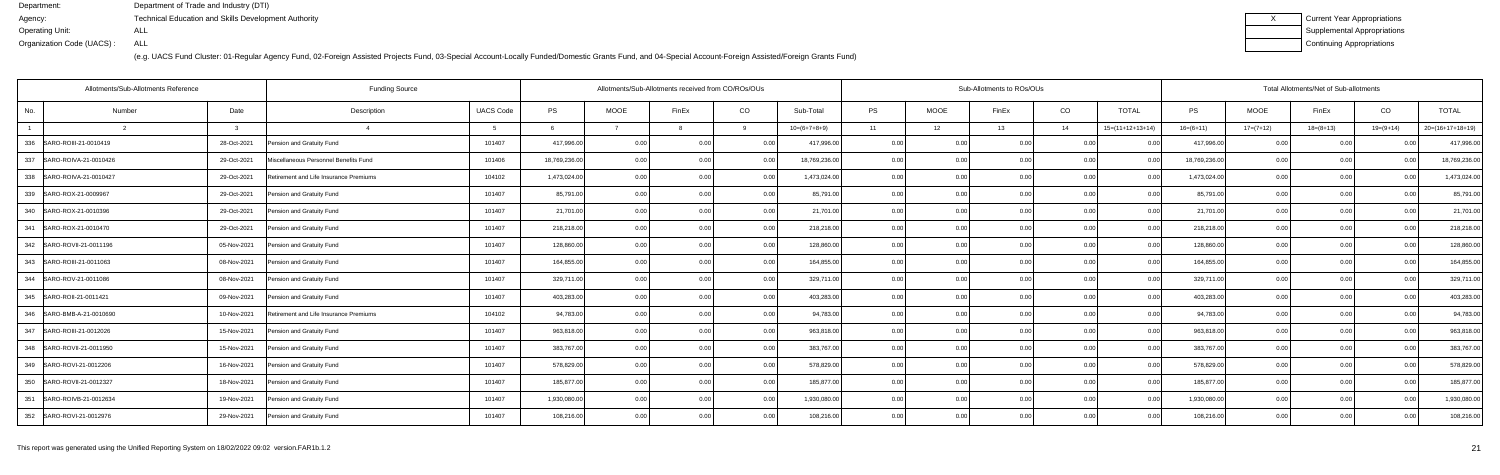| Current Year Appropriations |
|-----------------------------|
| Supplemental Appropriations |
| Continuing Appropriations   |

|                | Allotments/Sub-Allotments Reference |             | <b>Funding Source</b>                  |                  | Allotments/Sub-Allotments received from CO/ROs/OUs |             | Sub-Allotments to ROs/OUs |                 |                |           |                |       | Total Allotments/Net of Sub-allotments |                    |               |             |             |                |                    |
|----------------|-------------------------------------|-------------|----------------------------------------|------------------|----------------------------------------------------|-------------|---------------------------|-----------------|----------------|-----------|----------------|-------|----------------------------------------|--------------------|---------------|-------------|-------------|----------------|--------------------|
| No.            | Number                              | Date        | Description                            | <b>UACS Code</b> | <b>PS</b>                                          | <b>MOOE</b> | FinEx                     | CO<br>Sub-Total |                | <b>PS</b> | <b>MOOE</b>    | FinEx | CO                                     | <b>TOTAL</b>       | <b>PS</b>     | <b>MOOE</b> | FinEx       | CO             | <b>TOTAL</b>       |
| $\overline{1}$ |                                     |             |                                        |                  |                                                    |             |                           |                 | $10=(6+7+8+9)$ | 11        | 12             | 13    | 14                                     | $15=(11+12+13+14)$ | $16=(6+11)$   | $17=(7+12)$ | $18=(8+13)$ | $19=(9+14)$    | $20=(16+17+18+19)$ |
|                | 336 SARO-ROIII-21-0010419           | 28-Oct-2021 | Pension and Gratuity Fund              | 101407           | 417,996.00                                         | 0.00        | 0.00                      | 0.00            | 417,996.00     | 0.00      | 0.00           | 0.00  | 0.00                                   | - N N              | 417,996.00    | 0.00        | 0.00        |                | 417,996.00         |
| 337            | SARO-ROIVA-21-0010426               | 29-Oct-2021 | Miscellaneous Personnel Benefits Fund  | 101406           | 18,769,236.00                                      | 0.00        | 0.00                      | 0.00            | 18,769,236.00  | 0.00      | 0.00           |       | 0.00                                   |                    | 18,769,236.00 | 0.00        | 0.00        |                | 18,769,236.00      |
| 338            | SARO-ROIVA-21-0010427               | 29-Oct-2021 | Retirement and Life Insurance Premiums | 104102           | 1,473,024.00                                       | 0.00        | 0.00                      | . O OO          | 1,473,024.00   | 0.00      | 0 <sub>0</sub> | 0.00  | 0.00                                   | 00                 | 1,473,024.00  | 0.00        | 0.00        |                | 1,473,024.00       |
|                | 339 SARO-ROX-21-0009967             | 29-Oct-2021 | Pension and Gratuity Fund              | 101407           | 85,791.00                                          | 0.00        | 0 <sub>0</sub>            | 0.00            | 85,791.00      | 0.00      | 0.00           | 0.00  | 0.00                                   | 0.00               | 85,791.00     | 0.00        | 0.00        | 0 <sub>0</sub> | 85,791.00          |
| 340            | SARO-ROX-21-0010396                 | 29-Oct-2021 | Pension and Gratuity Fund              | 101407           | 21,701.00                                          | 0.00        |                           | 0.00            | 21,701.00      | 0.00      | 0.00           |       | 0.00                                   |                    | 21,701.00     | 0.00        | 0.00        |                | 21,701.00          |
| 341            | SARO-ROX-21-0010470                 | 29-Oct-2021 | Pension and Gratuity Fund              | 101407           | 218,218.00                                         | 0.00        | 0 <sub>0</sub>            | 0.00            | 218,218.00     | 0.00      | 0 <sub>0</sub> | 0.00  | 0.00                                   | $\Omega$           | 218,218.00    | 0.00        | 0.00        | $\cap$         | 218,218.00         |
|                | 342 SARO-ROVII-21-0011196           | 05-Nov-2021 | Pension and Gratuity Fund              | 101407           | 128,860.00                                         | 0.00        | 0 <sub>0</sub>            | 0.00            | 128,860.00     | 0.00      | 0.00           | 0.00  | 0.00                                   | 0.00               | 128,860.00    | 0.00        | 0.00        |                | 128,860.00         |
| 343            | SARO-ROIII-21-0011063               | 08-Nov-2021 | Pension and Gratuity Fund              | 101407           | 164,855.00                                         | 0.00        | 0 <sub>0</sub>            | 0.00            | 164,855.00     | 0.00      | 0.00           |       | 0.00                                   |                    | 164,855.00    | 0.00        | 0.00        |                | 164,855.0          |
| 344            | SARO-ROV-21-0011086                 | 08-Nov-2021 | Pension and Gratuity Fund              | 101407           | 329,711.00                                         | 0.00        | 0 <sub>0</sub>            | 0.00            | 329,711.00     | 0.00      | 0.00           | 0.00  | 0.00                                   | 0.00               | 329,711.00    | 0.00        | 0.00        |                | 329,711.00         |
|                | 345 SARO-ROII-21-0011421            | 09-Nov-2021 | Pension and Gratuity Fund              | 101407           | 403,283.00                                         | 0.00        | 0.00                      | 0.00            | 403,283.00     | 0.00      | 0.00           | 0.00  | 0.00                                   | 0.00               | 403,283.00    | 0.00        | 0.00        | 0 <sub>0</sub> | 403,283.00         |
| 346            | SARO-BMB-A-21-0010690               | 10-Nov-2021 | Retirement and Life Insurance Premiums | 104102           | 94,783.00                                          | 0.00        | 0 <sub>0</sub>            | 0.00            | 94,783.00      | 0.00      | 0.00           | 0.00  | 0.00                                   |                    | 94,783.00     | 0.00        | 0.00        |                | 94,783.00          |
|                | 347 SARO-ROIII-21-0012026           | 15-Nov-2021 | Pension and Gratuity Fund              | 101407           | 963,818.00                                         | 0.00        | 0.00                      | 0.00            | 963,818.00     | 0.00      | 0.00           | 0.00  | 0.00                                   | 0.00               | 963,818.00    | 0.00        | 0.00        | 0 <sub>0</sub> | 963,818.00         |
|                | 348   SARO-ROVII-21-0011950         | 15-Nov-2021 | Pension and Gratuity Fund              | 101407           | 383,767.00                                         | 0.00        | 0.00                      | 0.00            | 383,767.00     | 0.00      | 0.00           | 0.00  | 0.00                                   | 0.00               | 383,767.00    | 0.00        | 0.00        | 0.00           | 383,767.00         |
| 349            | SARO-ROVI-21-0012206                | 16-Nov-2021 | Pension and Gratuity Fund              | 101407           | 578,829.00                                         | 0.00        | 0.0(                      | 0.00            | 578,829.00     | 0.00      | 0.00           | 0.00  | 0.00                                   |                    | 578,829.00    | 0.00        | 0.00        |                | 578,829.00         |
|                | 350 SARO-ROVII-21-0012327           | 18-Nov-2021 | Pension and Gratuity Fund              | 101407           | 185,877.00                                         | 0.00        | 0.00                      | 0.00            | 185,877.00     | 0.00      | 0.00           | 0.00  | 0.00                                   | 0.00               | 185,877.00    | 0.00        | 0.00        |                | 185,877.00         |
|                | 351 SARO-ROIVB-21-0012634           | 19-Nov-2021 | Pension and Gratuity Fund              | 101407           | 1,930,080.00                                       | 0.00        | 0.00                      | 0.00            | 1,930,080.00   | 0.00      | 0.00           | 0.00  | 0.00                                   | 0.00               | 1,930,080.00  | 0.00        | 0.00        | 0.00           | 1,930,080.00       |
|                | 352 SARO-ROVI-21-0012976            | 29-Nov-2021 | Pension and Gratuity Fund              | 101407           | 108,216.00                                         | 0.00        | 0 <sub>0</sub>            | 0.00            | 108,216.00     | 0.00      | 0.00           | 0.00  | 0.00                                   | 0.00               | 108,216.00    | 0.00        | 0.00        | 0 <sub>0</sub> | 108,216.00         |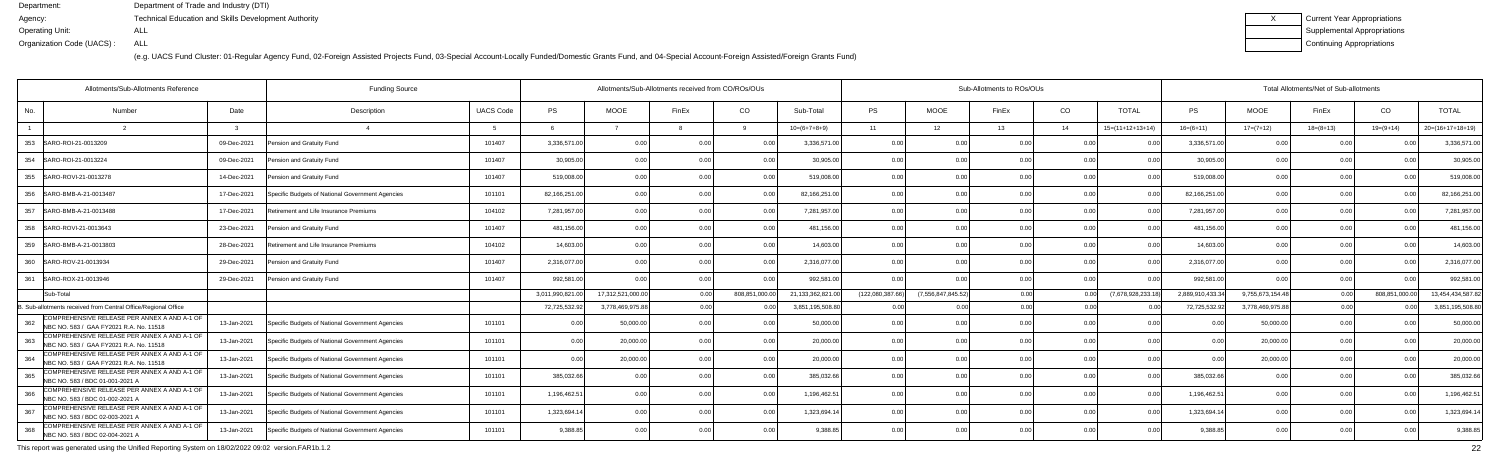(e.g. UACS Fund Cluster: 01-Regular Agency Fund, 02-Foreign Assisted Projects Fund, 03-Special Account-Locally Funded/Domestic Grants Fund, and 04-Special Account-Foreign Assisted/Foreign Grants Fund)

| Current Year Appropriations |
|-----------------------------|
| Supplemental Appropriations |
| Continuing Appropriations   |

| Allotments/Sub-Allotments Reference                                                            |             | <b>Funding Source</b>                            |                  | Allotments/Sub-Allotments received from CO/ROs/OUs |                   |                |                |                   | Sub-Allotments to ROs/OUs |                       |       |      |                            |                 | Total Allotments/Net of Sub-allotments |             |                |                    |  |  |  |
|------------------------------------------------------------------------------------------------|-------------|--------------------------------------------------|------------------|----------------------------------------------------|-------------------|----------------|----------------|-------------------|---------------------------|-----------------------|-------|------|----------------------------|-----------------|----------------------------------------|-------------|----------------|--------------------|--|--|--|
| No.<br>Number                                                                                  | Date        | Description                                      | <b>UACS Code</b> | <b>PS</b>                                          | <b>MOOE</b>       | FinEx          | CO             | Sub-Total         | <b>PS</b>                 | <b>MOOE</b>           | FinEx | CO   | <b>TOTAL</b>               | <b>PS</b>       | <b>MOOE</b>                            | FinEx       | CO             | <b>TOTAL</b>       |  |  |  |
|                                                                                                |             |                                                  |                  | -6                                                 |                   |                |                | $10=(6+7+8+9)$    | 11                        | 12                    | 13    | 14   | $15=(11+12+13+14)$         | $16=(6+11)$     | $17=(7+12)$                            | $18=(8+13)$ | $19=(9+14)$    | $20=(16+17+18+19)$ |  |  |  |
| 353 SARO-ROI-21-0013209                                                                        | 09-Dec-2021 | Pension and Gratuity Fund                        | 101407           | 3,336,571.00                                       | 0.00              | 0.00           |                | 3,336,571.00      | 0.00                      | ი ი                   |       | 0.00 |                            | 3,336,571.00    | 00                                     | 0 Q         |                | 3,336,571.0        |  |  |  |
| 354 SARO-ROI-21-0013224                                                                        | 09-Dec-2021 | Pension and Gratuity Fund                        | 101407           | 30,905.00                                          | 0.00              | 0.00           | 0.00           | 30,905.00         | 0.00                      | 0.00                  | 0.00  | 0.00 | 0.00                       | 30,905.00       | 0.00                                   | 0.00        | 0.00           | 30,905.0           |  |  |  |
| 355   SARO-ROVI-21-0013278                                                                     | 14-Dec-2021 | Pension and Gratuity Fund                        | 101407           | 519,008.00                                         | 0.00              | $\cap$         | 0.00           | 519,008.0         | 0.00                      | 0.00                  |       | 0.00 | 0 <sup>0<sup>c</sup></sup> | 519,008.00      | 0.00                                   | 0.00        | n nr           | 519,008.0          |  |  |  |
| 356   SARO-BMB-A-21-0013487                                                                    | 17-Dec-2021 | Specific Budgets of National Government Agencies | 101101           | 82,166,251.00                                      | 0.00              | n n            | 0.00           | 82,166,251.00     | 0.00                      | 0.00                  | 0.00  | 0.00 | 0.00                       | 82,166,251.00   | 0.00                                   | 0.00        | 0.00           | 82,166,251.0       |  |  |  |
| 357<br>SARO-BMB-A-21-0013488                                                                   | 17-Dec-2021 | Retirement and Life Insurance Premiums           | 104102           | 7,281,957.00                                       | 0.00              |                | 0 <sub>0</sub> | 7,281,957.00      | 0.00                      | 0.00                  |       | 0.00 |                            | 7,281,957.00    | 0.00                                   | 0.00        |                | 7,281,957.0        |  |  |  |
| 358<br>SARO-ROVI-21-0013643                                                                    | 23-Dec-2021 | Pension and Gratuity Fund                        | 101407           | 481,156.00                                         | 0.00              |                | 0.00           | 481,156.00        | 0.00                      | 0.00                  |       | 0.00 | 0.00                       | 481,156.00      | 0.00                                   | 0.00        | 0.00           | 481,156.0          |  |  |  |
| 359<br>SARO-BMB-A-21-0013803                                                                   | 28-Dec-2021 | Retirement and Life Insurance Premiums           | 104102           | 14,603.00                                          | 0.00              |                | 0.00           | 14,603.0          | 0.00                      | 0.00                  |       | 0.00 |                            | 14,603.0        | 0.0                                    | 0.0         |                | 14,603.0           |  |  |  |
| SARO-ROV-21-0013934<br>360                                                                     | 29-Dec-2021 | Pension and Gratuity Fund                        | 101407           | 2,316,077.00                                       | 0.00              |                | 0.00           | 2,316,077.00      | 0.00                      | 0.00                  | 0.OC  | 0.00 | 0 <sub>0</sub>             | 2,316,077.00    | 0.00                                   | 0.00        |                | 2,316,077.0        |  |  |  |
| 361<br>SARO-ROX-21-0013946                                                                     | 29-Dec-2021 | Pension and Gratuity Fund                        | 101407           | 992,581.00                                         | 0.00              |                | 0 <sub>0</sub> | 992,581.00        | 0.00                      | 0.OO                  |       | 0.00 |                            | 992,581.0       |                                        | 0.00        |                | 992,581.0          |  |  |  |
| Sub-Total                                                                                      |             |                                                  |                  | 3,011,990,821.00                                   | 17,312,521,000.00 |                | 808,851,000.0  | 21,133,362,821.00 | (122,080,387.66           | (7, 556, 847, 845.52) | 0.00  | 0.00 | (7,678,928,233.18          | 2,889,910,433.3 | 9,755,673,154.48                       | 0.00        | 808,851,000.00 | 13,454,434,587.    |  |  |  |
| . Sub-allotments received from Central Office/Regional Office                                  |             |                                                  |                  | 72,725,532.92                                      | 3,778,469,975.8   | 0.00           |                | 3,851,195,508.80  | 0.00                      | 0.00                  | 0.00  | 0.00 |                            | 72,725,532.92   | 3,778,469,975.88                       | 0.00        |                | 3,851,195,508.8    |  |  |  |
| COMPREHENSIVE RELEASE PER ANNEX A AND A-1 OF<br>362<br>NBC NO. 583 / GAA FY2021 R.A. No. 11518 | 13-Jan-2021 | Specific Budgets of National Government Agencies | 101101           | 0.00                                               | 50,000.0          | 0.00           | 0.00           | 50,000.0          | 0.00                      | 0.00                  |       | 0.00 | 0 <sup>0<sup>c</sup></sup> | 0 <sub>0</sub>  | 50,000.0                               | 0.00        |                | 50,000.0           |  |  |  |
| COMPREHENSIVE RELEASE PER ANNEX A AND A-1 OF<br>363<br>NBC NO. 583 / GAA FY2021 R.A. No. 11518 | 13-Jan-2021 | Specific Budgets of National Government Agencies | 101101           | 0.00                                               | 20.000.00         | 0 <sub>0</sub> | 0.00           | 20.000.00         | 0.00                      | 0.00                  | n nr  | 0.00 | 0.00                       | 0.0(            | 20,000.00                              | 0.00        | 0.00           | 20,000.0           |  |  |  |
| COMPREHENSIVE RELEASE PER ANNEX A AND A-1 OF<br>364<br>NBC NO. 583 / GAA FY2021 R.A. No. 11518 | 13-Jan-2021 | Specific Budgets of National Government Agencies | 101101           | 0.00                                               | 20,000.00         | 0.00           | 0.00           | 20,000.00         | 0.00                      | 0.00                  | 0.00  | 0.00 | 0.00                       | 0.00            | 20,000.00                              | 0.00        | 0.00           | 20,000.00          |  |  |  |
| COMPREHENSIVE RELEASE PER ANNEX A AND A-1 OF<br>365<br>NBC NO. 583 / BDC 01-001-2021 A         | 13-Jan-2021 | Specific Budgets of National Government Agencies | 101101           | 385,032.66                                         | 0.00              |                | 0.00           | 385,032.66        | 0.00                      | 0.00                  |       | 0.00 |                            | 385,032.66      | 0.0                                    | 0 Q         |                | 385,032.6          |  |  |  |
| COMPREHENSIVE RELEASE PER ANNEX A AND A-1 OF<br>366<br>NBC NO. 583 / BDC 01-002-2021 A         | 13-Jan-2021 | Specific Budgets of National Government Agencies | 101101           | 1,196,462.51                                       | 0.00              |                | 0 <sub>0</sub> | 1,196,462.5       | 0.00                      | 0.00                  |       | 0.00 | 0.00                       | 1,196,462.51    | 0.00                                   | 0.00        | 0.00           | 1,196,462.5        |  |  |  |
| COMPREHENSIVE RELEASE PER ANNEX A AND A-1 OF<br>367<br>NBC NO. 583 / BDC 02-003-2021 A         | 13-Jan-2021 | Specific Budgets of National Government Agencies | 101101           | 1,323,694.14                                       | 0.00              |                | 0.00           | 1,323,694.14      | 0.00                      | 0.00                  | 0.00  | 0.00 | 0.00                       | 1,323,694.14    | 0.00                                   | 0.00        | 0.00           | 1,323,694.1        |  |  |  |
| COMPREHENSIVE RELEASE PER ANNEX A AND A-1 OF<br>368<br>NBC NO. 583 / BDC 02-004-2021 A         | 13-Jan-2021 | Specific Budgets of National Government Agencies | 101101           | 9,388.85                                           | 0.00              |                | 0.00           | 9,388.85          | 0.00                      | 0.00                  |       | 0.00 | n nr                       | 9,388.8         | 0.00                                   | 0.00        | 0.00           | 9,388.8            |  |  |  |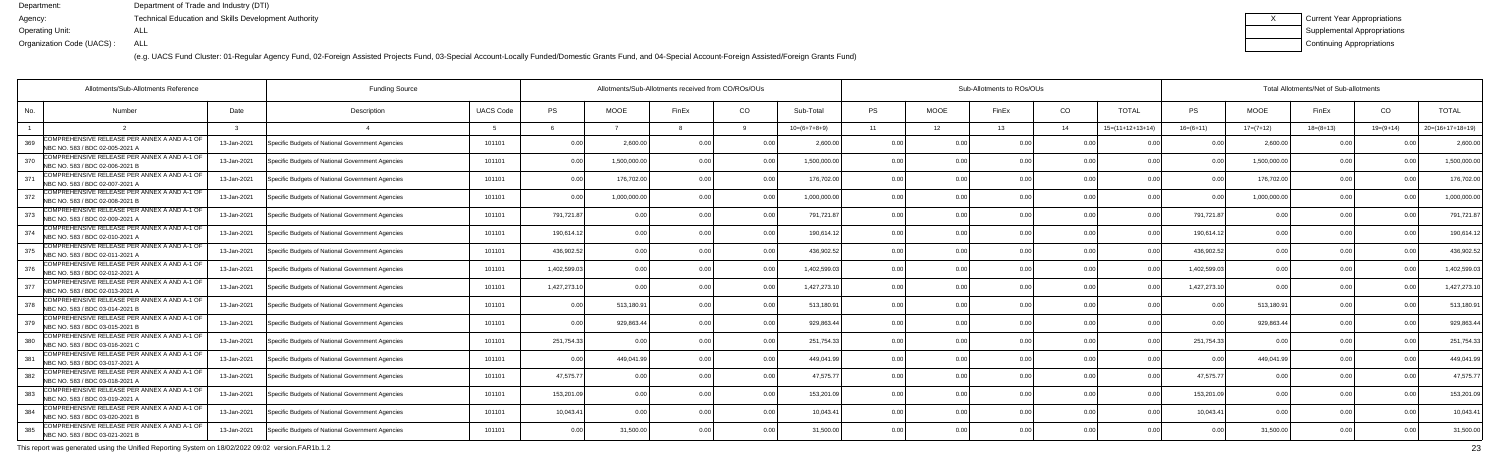(e.g. UACS Fund Cluster: 01-Regular Agency Fund, 02-Foreign Assisted Projects Fund, 03-Special Account-Locally Funded/Domestic Grants Fund, and 04-Special Account-Foreign Assisted/Foreign Grants Fund)

| Current Year Appropriations |
|-----------------------------|
| Supplemental Appropriations |
| Continuing Appropriations   |

|     | Allotments/Sub-Allotments Reference                                             |             | <b>Funding Source</b>                            |                  |              |                | Allotments/Sub-Allotments received from CO/ROs/OUs |                |                | Sub-Allotments to ROs/OUs |                |                |                |                    |                | Total Allotments/Net of Sub-allotments |             |                |                    |  |  |  |
|-----|---------------------------------------------------------------------------------|-------------|--------------------------------------------------|------------------|--------------|----------------|----------------------------------------------------|----------------|----------------|---------------------------|----------------|----------------|----------------|--------------------|----------------|----------------------------------------|-------------|----------------|--------------------|--|--|--|
| No. | Number                                                                          | Date        | Description                                      | <b>UACS Code</b> | <b>PS</b>    | <b>MOOE</b>    | FinEx                                              | CO             | Sub-Total      | <b>PS</b>                 | <b>MOOE</b>    | FinEx          | CO             | <b>TOTAL</b>       | PS.            | <b>MOOE</b>                            | FinEx       | CO             | <b>TOTAL</b>       |  |  |  |
|     |                                                                                 |             |                                                  |                  |              |                |                                                    |                | $10=(6+7+8+9)$ | 11                        | 12             | 13             | 14             | $15=(11+12+13+14)$ | $16=(6+11)$    | $17=(7+12)$                            | $18=(8+13)$ | $19=(9+14)$    | $20=(16+17+18+19)$ |  |  |  |
| 369 | COMPREHENSIVE RELEASE PER ANNEX A AND A-1 OF<br>NBC NO. 583 / BDC 02-005-2021 A | 13-Jan-2021 | Specific Budgets of National Government Agencies | 101101           | 0.00         | 2,600.0        |                                                    | . N Q          | 2.600.00       | 0.00                      | 0 OC           | n no           | 0 <sub>0</sub> |                    |                | 2,600.00                               | . O O       |                | 2,600.00           |  |  |  |
| 370 | COMPREHENSIVE RELEASE PER ANNEX A AND A-1 OF<br>NBC NO. 583 / BDC 02-006-2021 B | 13-Jan-2021 | Specific Budgets of National Government Agencies | 101101           | 0.00         | 1,500,000.0    |                                                    | 0.00           | 1,500,000.00   | 0.00                      | 0.00           |                | 0.00           | 0.00               | 0.00           | 1,500,000.00                           | 0.00        | 0 <sub>0</sub> | 1,500,000.00       |  |  |  |
| 371 | COMPREHENSIVE RELEASE PER ANNEX A AND A-1 OF<br>NBC NO. 583 / BDC 02-007-2021 A | 13-Jan-2021 | Specific Budgets of National Government Agencies | 101101           | 0.00         | 176,702.00     |                                                    | 0.00           | 176,702.00     | 0.00                      | 0.00           |                | 0.00           | 0.00               | 0 <sub>0</sub> | 176,702.00                             | 0.00        |                | 176,702.00         |  |  |  |
| 372 | COMPREHENSIVE RELEASE PER ANNEX A AND A-1 OF<br>NBC NO. 583 / BDC 02-008-2021 B | 13-Jan-2021 | Specific Budgets of National Government Agencies | 101101           | 0.00         | 1,000,000.0    |                                                    | 0.0            | 1,000,000.00   | 0.00                      | 0.00           |                | 0.00           | 0.0                | 0 Q            | 1,000,000.00                           | 0.00        |                | 1,000,000.0        |  |  |  |
| 373 | COMPREHENSIVE RELEASE PER ANNEX A AND A-1 OF<br>NBC NO. 583 / BDC 02-009-2021 A | 13-Jan-2021 | Specific Budgets of National Government Agencies | 101101           | 791,721.87   | 0.00           |                                                    | 0.00           | 791,721.87     | 0.00                      | 0.00           |                | 0 <sub>0</sub> | 0 <sub>0</sub>     | 791,721.87     | 0.00                                   | 0.00        |                | 791,721.8          |  |  |  |
| 374 | COMPREHENSIVE RELEASE PER ANNEX A AND A-1 OF<br>NBC NO. 583 / BDC 02-010-2021 A | 13-Jan-2021 | Specific Budgets of National Government Agencies | 101101           | 190,614.12   | 0.00           |                                                    | 0.00           | 190,614.1      | 0.00                      | 0.00           |                | 0.00           | 0 <sub>0</sub>     | 190,614.12     | 0.00                                   | 0.00        |                | 190,614.1          |  |  |  |
| 375 | COMPREHENSIVE RELEASE PER ANNEX A AND A-1 OF<br>NBC NO. 583 / BDC 02-011-2021 A | 13-Jan-2021 | Specific Budgets of National Government Agencies | 101101           | 436,902.52   | 0.0            |                                                    | 0.0            | 436,902.52     | 0.00                      | 0.00           |                | 0.00           |                    | 436,902.52     | 0.00                                   | 0.00        |                | 436,902.5          |  |  |  |
| 376 | COMPREHENSIVE RELEASE PER ANNEX A AND A-1 OF<br>NBC NO. 583 / BDC 02-012-2021 A | 13-Jan-2021 | Specific Budgets of National Government Agencies | 101101           | 1,402,599.03 | 0.00           |                                                    | 0 <sub>0</sub> | 1,402,599.0    | 0.00                      | 0.00           |                | 0 <sub>0</sub> | 0 <sub>0</sub>     | 1,402,599.03   | 0.00                                   | 0.00        |                | 1,402,599.0        |  |  |  |
| 377 | COMPREHENSIVE RELEASE PER ANNEX A AND A-1 OF<br>NBC NO. 583 / BDC 02-013-2021 A | 13-Jan-2021 | Specific Budgets of National Government Agencies | 101101           | 1,427,273.10 | 0.00           |                                                    | 0.00           | 1,427,273.1    | 0.00                      | 0.00           |                | 0.00           | 0 <sub>0</sub>     | 1,427,273.10   | 0.00                                   | 0.00        |                | 1,427,273.1        |  |  |  |
| 378 | COMPREHENSIVE RELEASE PER ANNEX A AND A-1 OF<br>NBC NO. 583 / BDC 03-014-2021 B | 13-Jan-2021 | Specific Budgets of National Government Agencies | 101101           | 0.00         | 513,180.91     |                                                    | 0.00           | 513,180.9      | 0.00                      | 0.00           |                | 0.00           | 0.00               | 0 Q            | 513,180.91                             | 0.00        |                | 513,180.9          |  |  |  |
| 379 | COMPREHENSIVE RELEASE PER ANNEX A AND A-1 OF<br>NBC NO. 583 / BDC 03-015-2021 B | 13-Jan-2021 | Specific Budgets of National Government Agencies | 101101           | 0.00         | 929,863.44     |                                                    | 0 O            | 929,863.4      | 0.00                      | 0.00           |                | 0 <sub>0</sub> | 0 <sub>0</sub>     |                | 929,863.44                             | 0.00        |                | 929,863.4          |  |  |  |
| 380 | COMPREHENSIVE RELEASE PER ANNEX A AND A-1 OF<br>NBC NO. 583 / BDC 03-016-2021 C | 13-Jan-2021 | Specific Budgets of National Government Agencies | 101101           | 251,754.33   | 0.00           |                                                    | 0.00           | 251,754.33     | 0.00                      | 0.00           |                | 0.00           |                    | 251,754.33     |                                        | 0.00        |                | 251,754.3          |  |  |  |
| 381 | COMPREHENSIVE RELEASE PER ANNEX A AND A-1 OF<br>NBC NO. 583 / BDC 03-017-2021 A | 13-Jan-2021 | Specific Budgets of National Government Agencies | 101101           | 0.00         | 449,041.99     |                                                    | 0.00           | 449.041.99     | 0.00                      | 0.00           | 0 <sub>0</sub> | 0.00           | 0.00               | n n            | 449,041.99                             | 0.00        |                | 449,041.           |  |  |  |
| 382 | COMPREHENSIVE RELEASE PER ANNEX A AND A-1 OF<br>NBC NO. 583 / BDC 03-018-2021 A | 13-Jan-2021 | Specific Budgets of National Government Agencies | 101101           | 47,575.77    | 0 <sub>0</sub> |                                                    | 0.00           | 47.575.7       | 0.00                      | 0.00           |                | 0 <sub>0</sub> |                    | 47.575.7       | 0.00                                   | 0.00        |                | 47,575.7           |  |  |  |
| 383 | COMPREHENSIVE RELEASE PER ANNEX A AND A-1 OF<br>NBC NO. 583 / BDC 03-019-2021 A | 13-Jan-2021 | Specific Budgets of National Government Agencies | 101101           | 153,201.09   | 0.00           |                                                    | 0.00           | 153,201.09     | 0.00                      | 0.00           |                | 0.00           | 0 <sub>0</sub>     | 153,201.09     | 0.00                                   | 0.00        |                | 153,201.0          |  |  |  |
| 384 | COMPREHENSIVE RELEASE PER ANNEX A AND A-1 OF<br>NBC NO. 583 / BDC 03-020-2021 B | 13-Jan-2021 | Specific Budgets of National Government Agencies | 101101           | 10,043.41    | 0.00           |                                                    | 0.00           | 10.043.41      | 0.00                      | 0.00           | 0.00           | 0.00           | 0.00               | 10,043.41      | 0.00                                   | 0.00        | 0 <sub>0</sub> | 10,043.4           |  |  |  |
| 385 | COMPREHENSIVE RELEASE PER ANNEX A AND A-1 OF<br>NBC NO. 583 / BDC 03-021-2021 B | 13-Jan-2021 | Specific Budgets of National Government Agencies | 101101           | 0.00         | 31,500.00      |                                                    | 0.00           | 31.500.00      | n n                       | 0 <sub>0</sub> |                | 0 <sub>0</sub> |                    | 0 <sup>0</sup> | 31,500.00                              | 0.00        |                | 31,500.00          |  |  |  |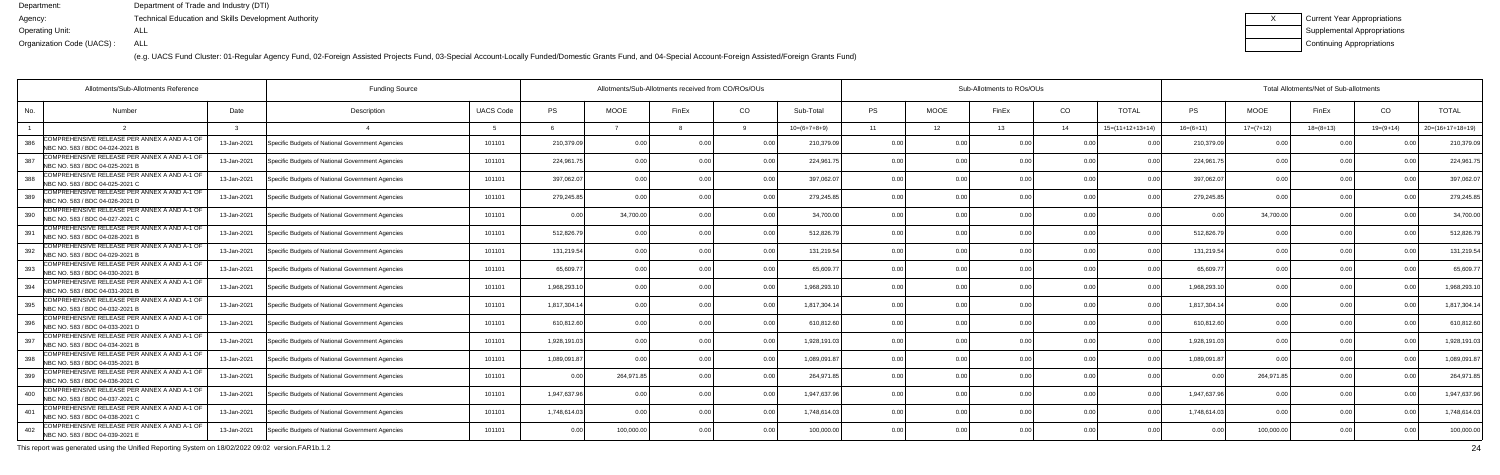(e.g. UACS Fund Cluster: 01-Regular Agency Fund, 02-Foreign Assisted Projects Fund, 03-Special Account-Locally Funded/Domestic Grants Fund, and 04-Special Account-Foreign Assisted/Foreign Grants Fund)

| Current Year Appropriations |
|-----------------------------|
| Supplemental Appropriations |
| Continuing Appropriations   |

| Allotments/Sub-Allotments Reference                                                    |             | <b>Funding Source</b>                            |                  | Allotments/Sub-Allotments received from CO/ROs/OUs |             |                |                |                | Sub-Allotments to ROs/OUs |             |       |                |                    |                | Total Allotments/Net of Sub-allotments |             |                |                    |  |  |
|----------------------------------------------------------------------------------------|-------------|--------------------------------------------------|------------------|----------------------------------------------------|-------------|----------------|----------------|----------------|---------------------------|-------------|-------|----------------|--------------------|----------------|----------------------------------------|-------------|----------------|--------------------|--|--|
| No.<br>Number                                                                          | Date        | Description                                      | <b>UACS Code</b> | PS                                                 | <b>MOOE</b> | FinEx          | CO             | Sub-Total      | <b>PS</b>                 | <b>MOOE</b> | FinEx | CO             | <b>TOTAL</b>       | PS             | <b>MOOE</b>                            | FinEx       | CO             | <b>TOTAL</b>       |  |  |
|                                                                                        |             |                                                  |                  |                                                    |             |                |                | $10=(6+7+8+9)$ | 11                        | 12          | 13    | 14             | $15=(11+12+13+14)$ | $16=(6+11)$    | $17=(7+12)$                            | $18=(8+13)$ | $19=(9+14)$    | $20=(16+17+18+19)$ |  |  |
| COMPREHENSIVE RELEASE PER ANNEX A AND A-1 OF<br>386<br>NBC NO. 583 / BDC 04-024-2021 B | 13-Jan-2021 | Specific Budgets of National Government Agencies | 101101           | 210,379.09                                         | 0.00        | n n            |                | 210,379.09     | 0.00                      | 0 O         | 0.OC  | 0 <sub>0</sub> |                    | 210,379.0      | 0.00                                   |             |                | 210,379.0          |  |  |
| COMPREHENSIVE RELEASE PER ANNEX A AND A-1 OF<br>387<br>NBC NO. 583 / BDC 04-025-2021 B | 13-Jan-2021 | Specific Budgets of National Government Agencies | 101101           | 224,961.75                                         | 0.00        |                | 0.00           | 224,961.7      | 0.00                      | 0.00        |       | 0.00           |                    | 224,961.7      | 0.00                                   | 0.00        | 0.00           | 224,961.           |  |  |
| COMPREHENSIVE RELEASE PER ANNEX A AND A-1 OF<br>388<br>NBC NO. 583 / BDC 04-025-2021 C | 13-Jan-2021 | Specific Budgets of National Government Agencies | 101101           | 397,062.07                                         | 0.00        |                | 0.00           | 397,062.0      | 0.00                      | 0.00        |       | 0.00           | 0 <sub>0</sub>     | 397,062.0      | 0.00                                   | 0.00        | 0 <sub>0</sub> | 397,062.0          |  |  |
| COMPREHENSIVE RELEASE PER ANNEX A AND A-1 OF<br>389<br>NBC NO. 583 / BDC 04-026-2021 D | 13-Jan-2021 | Specific Budgets of National Government Agencies | 101101           | 279,245.85                                         | 0.00        |                | 0.00           | 279,245.8      | 0.00                      | 0.00        |       | 0.00           |                    | 279,245.8      |                                        | 0.00        | $\cap$ $\cap$  | 279,245.8          |  |  |
| COMPREHENSIVE RELEASE PER ANNEX A AND A-1 OF<br>390<br>NBC NO. 583 / BDC 04-027-2021 C | 13-Jan-2021 | Specific Budgets of National Government Agencies | 101101           | 0.00                                               | 34.700.00   |                | 0 <sub>0</sub> | 34.700.00      | 0.00                      | 0.00        |       | 0.00           | 0.00               | 0 <sub>0</sub> | 34,700.00                              | 0.00        |                | 34,700.0           |  |  |
| COMPREHENSIVE RELEASE PER ANNEX A AND A-1 OF<br>391<br>NBC NO. 583 / BDC 04-028-2021 B | 13-Jan-2021 | Specific Budgets of National Government Agencies | 101101           | 512,826.79                                         | 0.00        |                | 0.00           | 512,826.7      | 0.00                      | 0.00        | n nr  | 0 <sub>0</sub> | 0.00               | 512,826.7      | 0.00                                   | 0.00        | 0.00           | 512,826.7          |  |  |
| COMPREHENSIVE RELEASE PER ANNEX A AND A-1 OF<br>392<br>NBC NO. 583 / BDC 04-029-2021 B | 13-Jan-2021 | Specific Budgets of National Government Agencies | 101101           | 131,219.54                                         | 0.00        |                | 0.00           | 131,219.54     | 0.00                      | 0.00        |       | 0.00           |                    | 131,219.54     | 0.00                                   | 0.00        |                | 131,219.5          |  |  |
| COMPREHENSIVE RELEASE PER ANNEX A AND A-1 OF<br>393<br>NBC NO. 583 / BDC 04-030-2021 B | 13-Jan-2021 | Specific Budgets of National Government Agencies | 101101           | 65,609.77                                          | 0.00        |                | 0 <sub>0</sub> | 65,609.7       | 0.00                      | 0.00        |       | 0 <sub>0</sub> |                    | 65,609.7       | 0.00                                   | 0.00        | $\cap$ $\cap$  | 65,609.7           |  |  |
| COMPREHENSIVE RELEASE PER ANNEX A AND A-1 OF<br>394<br>NBC NO. 583 / BDC 04-031-2021 B | 13-Jan-2021 | Specific Budgets of National Government Agencies | 101101           | 1,968,293.10                                       | 0.00        |                | 0.00           | 1,968,293.1    | 0.00                      | 0.00        | 0.OC  | 0 <sub>0</sub> | 0.00               | 1,968,293.1    | 0.00                                   | 0.00        | 0.00           | 1,968,293.         |  |  |
| COMPREHENSIVE RELEASE PER ANNEX A AND A-1 OF<br>395<br>NBC NO. 583 / BDC 04-032-2021 B | 13-Jan-2021 | Specific Budgets of National Government Agencies | 101101           | 1,817,304.14                                       | 0.00        |                | 0.00           | 1,817,304.14   | 0.00                      | 0.00        |       | 0.00           |                    | 1,817,304.1    | 0.00                                   | 0.00        |                | 1,817,304.         |  |  |
| COMPREHENSIVE RELEASE PER ANNEX A AND A-1 OF<br>396<br>NBC NO. 583 / BDC 04-033-2021 D | 13-Jan-2021 | Specific Budgets of National Government Agencies | 101101           | 610,812.60                                         | 0.00        |                | 0 <sub>0</sub> | 610,812.6      | 0.00                      | 0.00        |       | 0 <sub>0</sub> | n no               | 610,812.6      | 0.00                                   | -0.00       |                | 610,812.6          |  |  |
| COMPREHENSIVE RELEASE PER ANNEX A AND A-1 OF<br>397<br>NBC NO. 583 / BDC 04-034-2021 B | 13-Jan-2021 | Specific Budgets of National Government Agencies | 101101           | 1.928.191.03                                       | 0.00        |                | 0.00           | 1.928.191.0    | 0.00                      | 0.00        |       | 0.00           | 0.00               | 1,928,191.0    | 0.00                                   | 0.00        | 0.00           | 1,928,191.0        |  |  |
| COMPREHENSIVE RELEASE PER ANNEX A AND A-1 OF<br>398<br>NBC NO. 583 / BDC 04-035-2021 B | 13-Jan-2021 | Specific Budgets of National Government Agencies | 101101           | 1,089,091.87                                       | 0.00        |                | 0.00           | 1,089,091.87   | 0.00                      | 0.00        | 0.OC  | 0 <sub>0</sub> | 0 <sub>0</sub>     | 1,089,091.8    | 0.00                                   | 0.00        | 0.00           | 1,089,091.8        |  |  |
| COMPREHENSIVE RELEASE PER ANNEX A AND A-1 OF<br>399<br>NBC NO. 583 / BDC 04-036-2021 C | 13-Jan-2021 | Specific Budgets of National Government Agencies | 101101           | 0.00                                               | 264,971.8   |                |                | 264,971.8      | 0.00                      | 0.00        |       | 0 <sub>0</sub> |                    |                | 264,971.8                              | 0.00        |                | 264,971.8          |  |  |
| COMPREHENSIVE RELEASE PER ANNEX A AND A-1 OF<br>400<br>NBC NO. 583 / BDC 04-037-2021 C | 13-Jan-2021 | Specific Budgets of National Government Agencies | 101101           | 1,947,637.96                                       | 0.00        |                | 0 <sub>0</sub> | 1.947.637.96   | 0.00                      | 0.00        |       | 0 <sub>0</sub> | 0.00               | 1.947.637.9    | 0.00                                   | 0.00        | 0.00           | 1,947,637.9        |  |  |
| COMPREHENSIVE RELEASE PER ANNEX A AND A-1 OF<br>401<br>NBC NO. 583 / BDC 04-038-2021 C | 13-Jan-2021 | Specific Budgets of National Government Agencies | 101101           | 1,748,614.03                                       | 0.00        | 0 <sub>0</sub> | 0.00           | 1,748,614.03   | 0.00                      | 0.00        | 0.00  | 0.00           | 0.00               | 1,748,614.03   | 0.00                                   | 0.00        | 0.00           | 1,748,614.0        |  |  |
| COMPREHENSIVE RELEASE PER ANNEX A AND A-1 OF<br>402<br>NBC NO. 583 / BDC 04-039-2021 E | 13-Jan-2021 | Specific Budgets of National Government Agencies | 101101           | 0.00                                               | 100.000.0   |                | 0 <sub>0</sub> | 100,000.00     | 0 <sub>0</sub>            | 0.00        |       | 0 <sub>0</sub> |                    |                | 100,000.00                             | 0.00        |                | 100,000.0          |  |  |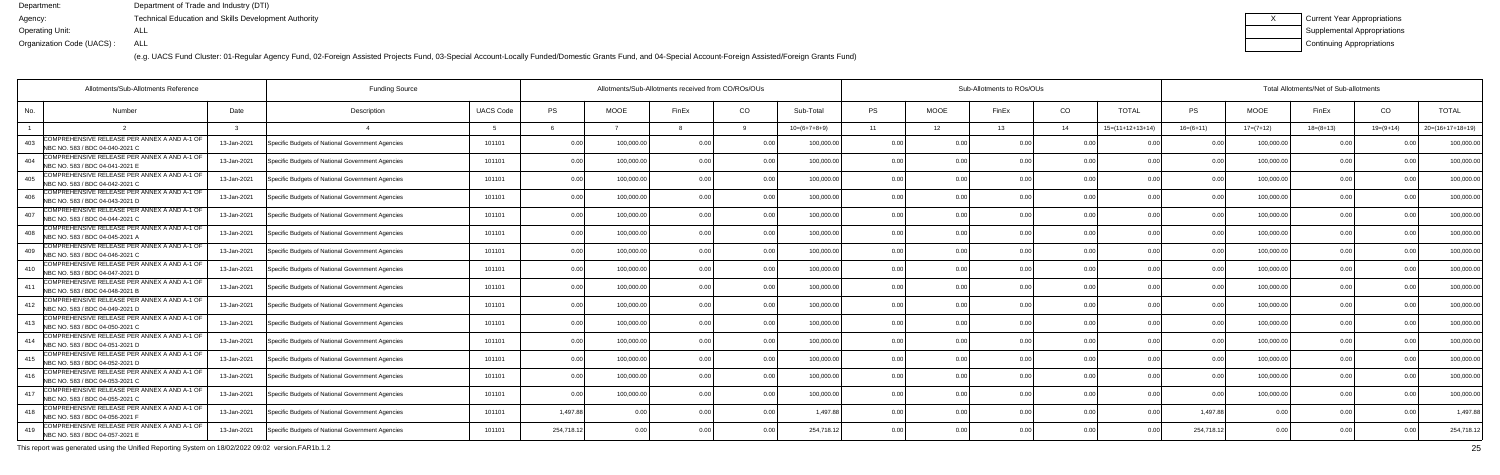(e.g. UACS Fund Cluster: 01-Regular Agency Fund, 02-Foreign Assisted Projects Fund, 03-Special Account-Locally Funded/Domestic Grants Fund, and 04-Special Account-Foreign Assisted/Foreign Grants Fund)

| Current Year Appropriations |
|-----------------------------|
| Supplemental Appropriations |
| Continuing Appropriations   |

|                                                                                        | Allotments/Sub-Allotments Reference<br><b>Funding Source</b> |             |                                                  |                  |            |             | Allotments/Sub-Allotments received from CO/ROs/OUs |                |                | Sub-Allotments to ROs/OUs |             |       |                |                    |                | Total Allotments/Net of Sub-allotments |                |               |                    |  |  |  |
|----------------------------------------------------------------------------------------|--------------------------------------------------------------|-------------|--------------------------------------------------|------------------|------------|-------------|----------------------------------------------------|----------------|----------------|---------------------------|-------------|-------|----------------|--------------------|----------------|----------------------------------------|----------------|---------------|--------------------|--|--|--|
| No.<br>Number                                                                          |                                                              | Date        | Description                                      | <b>UACS Code</b> | <b>PS</b>  | <b>MOOE</b> | FinEx                                              | CO.            | Sub-Total      | <b>PS</b>                 | <b>MOOE</b> | FinEx | CO             | <b>TOTAL</b>       | <b>PS</b>      | <b>MOOE</b>                            | FinEx          | CO            | <b>TOTAL</b>       |  |  |  |
|                                                                                        |                                                              |             |                                                  |                  |            |             |                                                    |                | $10=(6+7+8+9)$ | 11                        | 12          | 13    | 14             | $15=(11+12+13+14)$ | $16= (6+11)$   | $17=(7+12)$                            | $18=(8+13)$    | $19=(9+14)$   | $20=(16+17+18+19)$ |  |  |  |
| COMPREHENSIVE RELEASE PER ANNEX A AND A-1 OF<br>403<br>NBC NO. 583 / BDC 04-040-2021 C |                                                              | 13-Jan-2021 | Specific Budgets of National Government Agencies | 101101           | 0.00       | 100,000.0   | 0 OC                                               |                | 100,000.0      | 0.0                       |             |       | 0 <sub>0</sub> |                    |                | 100,000.0                              | 0 <sub>0</sub> |               | 100,000.0          |  |  |  |
| COMPREHENSIVE RELEASE PER ANNEX A AND A-1 OF<br>404<br>NBC NO. 583 / BDC 04-041-2021 B |                                                              | 13-Jan-2021 | Specific Budgets of National Government Agencies | 101101           | 0.00       | 100,000.00  | 0 <sub>0</sub>                                     | 0.00           | 100,000.00     | 0.00                      | 0.00        |       | 0.00           | 0.00               | 0 <sub>0</sub> | 100,000.00                             | 0.00           |               | 100,000.0          |  |  |  |
| COMPREHENSIVE RELEASE PER ANNEX A AND A-1 OF<br>405<br>NBC NO. 583 / BDC 04-042-2021 C |                                                              | 13-Jan-2021 | Specific Budgets of National Government Agencies | 101101           | 0.00       | 100,000.00  | 0 <sub>0</sub>                                     | 0.00           | 100,000.00     | 0.00                      | 0.00        |       | 0.00           | 0.00               |                | 100,000.00                             | 0.00           | n no          | 100,000.0          |  |  |  |
| COMPREHENSIVE RELEASE PER ANNEX A AND A-1 OF<br>406<br>NBC NO. 583 / BDC 04-043-2021 D |                                                              | 13-Jan-2021 | Specific Budgets of National Government Agencies | 101101           | 0.00       | 100,000.0   | n ni                                               | 0.0            | 100,000.0      | 0.0                       | 0.00        |       | 0.00           | 0 <sub>0</sub>     |                | 100,000.0                              | 0.0            |               | 100,000.0          |  |  |  |
| COMPREHENSIVE RELEASE PER ANNEX A AND A-1 OF<br>407<br>NBC NO. 583 / BDC 04-044-2021 C |                                                              | 13-Jan-2021 | Specific Budgets of National Government Agencies | 101101           | 0.00       | 100,000.0   | 0 <sub>0</sub>                                     | 0.00           | 100,000.00     | 0.00                      | 0.00        |       | 0.00           | 0.00               |                | 100,000.0                              | 0.00           | n no          | 100,000.0          |  |  |  |
| COMPREHENSIVE RELEASE PER ANNEX A AND A-1 OF<br>408<br>NBC NO. 583 / BDC 04-045-2021 A |                                                              | 13-Jan-2021 | Specific Budgets of National Government Agencies | 101101           | 0.00       | 100,000.00  | 0 OC                                               | 0.00           | 100,000.00     | 0.00                      | 0.00        |       | 0.00           | 0.00               |                | 100,000.0                              | 0.00           | $\cap$ $\cap$ | 100,000.0          |  |  |  |
| COMPREHENSIVE RELEASE PER ANNEX A AND A-1 OF<br>409<br>NBC NO. 583 / BDC 04-046-2021 C |                                                              | 13-Jan-2021 | Specific Budgets of National Government Agencies | 101101           | 0.00       | 100,000.00  | 0 <sub>0</sub>                                     | 0.00           | 100,000.00     | 0.00                      | 0.00        |       | 0.00           | 0 <sub>0</sub>     | n no           | 100,000.0                              | 0.00           |               | 100,000.0          |  |  |  |
| COMPREHENSIVE RELEASE PER ANNEX A AND A-1 OF<br>410<br>NBC NO. 583 / BDC 04-047-2021 D |                                                              | 13-Jan-2021 | Specific Budgets of National Government Agencies | 101101           | 0.00       | 100,000.0   | 0.00                                               | 0.00           | 100,000.00     | 0.00                      | 0.00        |       | 0.00           | 0.00               |                | 100,000.0                              | 0.00           | $\cap$ $\cap$ | 100,000.0          |  |  |  |
| COMPREHENSIVE RELEASE PER ANNEX A AND A-1 OF<br>411<br>NBC NO. 583 / BDC 04-048-2021 B |                                                              | 13-Jan-2021 | Specific Budgets of National Government Agencies | 101101           | 0.00       | 100,000.0   |                                                    | 0.00           | 100,000.0      | 0.00                      | 0.00        |       | 0.00           | 0.00               |                | 100,000.0                              | 0.00           |               | 100,000.0          |  |  |  |
| COMPREHENSIVE RELEASE PER ANNEX A AND A-1 OF<br>412<br>NBC NO. 583 / BDC 04-049-2021 D |                                                              | 13-Jan-2021 | Specific Budgets of National Government Agencies | 101101           | 0.00       | 100,000.00  | 0 OC                                               | 0.00           | 100,000.00     | 0.00                      | 0.00        |       | 0.00           | 0.00               | 0 <sub>0</sub> | 100,000.00                             | 0.00           |               | 100,000.0          |  |  |  |
| COMPREHENSIVE RELEASE PER ANNEX A AND A-1 OF<br>413<br>NBC NO. 583 / BDC 04-050-2021 C |                                                              | 13-Jan-2021 | Specific Budgets of National Government Agencies | 101101           | 0.00       | 100,000.0   | n nr                                               | 0.00           | 100,000.0      | 0.00                      | 0.00        |       | 0.00           | 0.00               |                | 100,000.0                              | 0.0            |               | 100,000.0          |  |  |  |
| COMPREHENSIVE RELEASE PER ANNEX A AND A-1 OF<br>414<br>NBC NO. 583 / BDC 04-051-2021 D |                                                              | 13-Jan-2021 | Specific Budgets of National Government Agencies | 101101           | 0.00       | 100.000.00  |                                                    | 0.00           | 100.000.00     | 0.00                      | 0.00        |       | 0.00           | 0.00               |                | 100,000.0                              | 0.00           |               | 100,000.0          |  |  |  |
| COMPREHENSIVE RELEASE PER ANNEX A AND A-1 OF<br>415<br>NBC NO. 583 / BDC 04-052-2021 D |                                                              | 13-Jan-2021 | Specific Budgets of National Government Agencies | 101101           | 0.00       | 100,000.00  |                                                    | 0.00           | 100,000.00     | 0.00                      | 0.00        |       | 0.00           | 0.00               |                | 100,000.0                              | 0.00           | 0.00          | 100,000.0          |  |  |  |
| COMPREHENSIVE RELEASE PER ANNEX A AND A-1 OF<br>416<br>NBC NO. 583 / BDC 04-053-2021 C |                                                              | 13-Jan-2021 | Specific Budgets of National Government Agencies | 101101           | 0.00       | 100,000.0   |                                                    | 0.00           | 100,000.0      | 0.0                       | 0.00        |       | 0.00           |                    |                | 100,000.0                              | n n            |               | 100,000.0          |  |  |  |
| COMPREHENSIVE RELEASE PER ANNEX A AND A-1 OF<br>417<br>NBC NO. 583 / BDC 04-055-2021 C |                                                              | 13-Jan-2021 | Specific Budgets of National Government Agencies | 101101           | 0.00       | 100,000.00  |                                                    | 0 <sub>0</sub> | 100,000.00     | 0.00                      | 0.00        |       | 0.00           | 0.00               |                | 100,000.00                             | 0.00           |               | 100,000.0          |  |  |  |
| COMPREHENSIVE RELEASE PER ANNEX A AND A-1 OF<br>418<br>NBC NO. 583 / BDC 04-056-2021 F |                                                              | 13-Jan-2021 | Specific Budgets of National Government Agencies | 101101           | 1,497.88   | 0.00        | 0 00                                               | 0.00           | 1.497.8        | 0.00                      | 0.00        |       | 0.00           | 0.00               | 1.497.88       | 0.0                                    | 0.00           | 0.00          | 1,497.8            |  |  |  |
| COMPREHENSIVE RELEASE PER ANNEX A AND A-1 OF<br>419<br>NBC NO. 583 / BDC 04-057-2021 E |                                                              | 13-Jan-2021 | Specific Budgets of National Government Agencies | 101101           | 254,718.12 | 0.00        |                                                    | 0.00           | 254,718.12     | 0.00                      | 0.00        |       | 0 <sub>0</sub> | n nr               | 254,718.12     | 0.00                                   | 0.00           |               | 254,718.1          |  |  |  |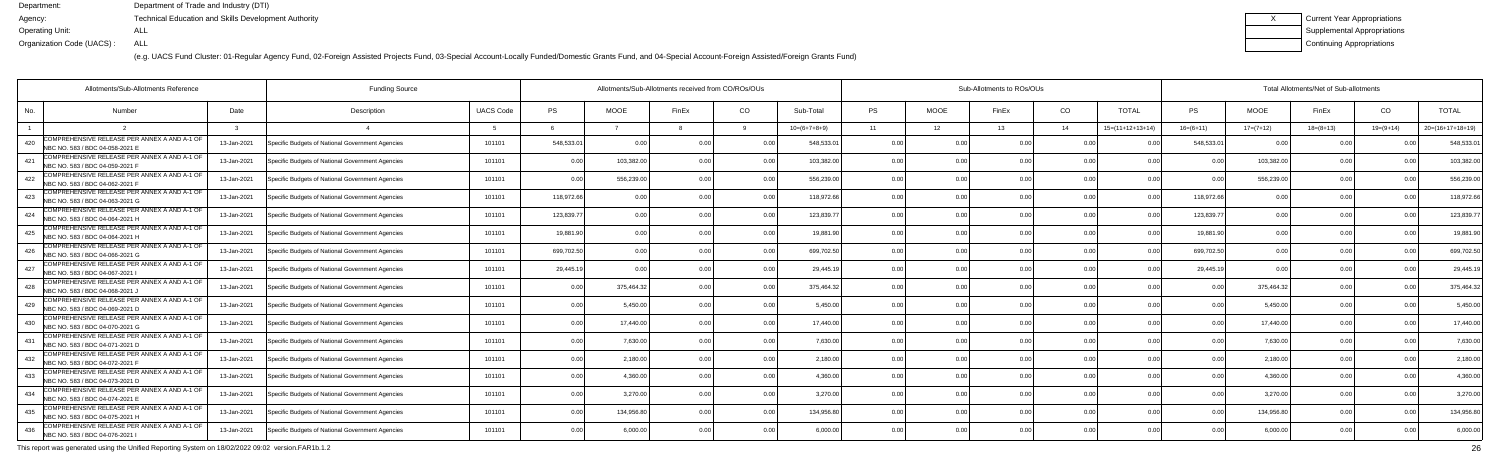(e.g. UACS Fund Cluster: 01-Regular Agency Fund, 02-Foreign Assisted Projects Fund, 03-Special Account-Locally Funded/Domestic Grants Fund, and 04-Special Account-Foreign Assisted/Foreign Grants Fund)

| Current Year Appropriations |
|-----------------------------|
| Supplemental Appropriations |
| Continuing Appropriations   |

| Allotments/Sub-Allotments Reference                                                    |             | <b>Funding Source</b>                            |                  | Allotments/Sub-Allotments received from CO/ROs/OUs |             |                |                |                | Sub-Allotments to ROs/OUs |             |       |                |                            |                | Total Allotments/Net of Sub-allotments |             |               |                    |  |  |  |
|----------------------------------------------------------------------------------------|-------------|--------------------------------------------------|------------------|----------------------------------------------------|-------------|----------------|----------------|----------------|---------------------------|-------------|-------|----------------|----------------------------|----------------|----------------------------------------|-------------|---------------|--------------------|--|--|--|
| No.<br>Number                                                                          | Date        | Description                                      | <b>UACS Code</b> | PS                                                 | <b>MOOE</b> | FinEx          | CO             | Sub-Total      | <b>PS</b>                 | <b>MOOE</b> | FinEx | CO             | <b>TOTAL</b>               | PS             | <b>MOOE</b>                            | FinEx       | CO            | <b>TOTAL</b>       |  |  |  |
|                                                                                        |             |                                                  |                  |                                                    |             |                |                | $10=(6+7+8+9)$ | 11                        | 12          | 13    | 14             | $15=(11+12+13+14)$         | $16=(6+11)$    | $17=(7+12)$                            | $18=(8+13)$ | $19=(9+14)$   | $20=(16+17+18+19)$ |  |  |  |
| COMPREHENSIVE RELEASE PER ANNEX A AND A-1 OF<br>420<br>NBC NO. 583 / BDC 04-058-2021 E | 13-Jan-2021 | Specific Budgets of National Government Agencies | 101101           | 548,533.01                                         | 0.00        | n nr           |                | 548.533.0      | 0.0                       |             |       | 0.00           |                            | 548,533.0      | $\Omega$                               |             |               | 548,533.0          |  |  |  |
| COMPREHENSIVE RELEASE PER ANNEX A AND A-1 OF<br>421<br>NBC NO. 583 / BDC 04-059-2021 F | 13-Jan-2021 | Specific Budgets of National Government Agencies | 101101           | 0.00                                               | 103,382.00  | 0 <sub>0</sub> | 0.00           | 103,382.00     | 0.00                      | 0.00        |       | 0.00           | 0.00                       | 0 <sub>0</sub> | 103,382.00                             | 0.00        |               | 103,382.0          |  |  |  |
| COMPREHENSIVE RELEASE PER ANNEX A AND A-1 OF<br>422<br>NBC NO. 583 / BDC 04-062-2021 F | 13-Jan-2021 | Specific Budgets of National Government Agencies | 101101           | 0.00                                               | 556,239.00  | 0 OC           | 0.00           | 556,239.00     | 0.00                      | 0.00        |       | 0.00           | 0 <sub>0</sub>             | 0 <sub>0</sub> | 556,239.00                             | 0.00        | $\cap$ $\cap$ | 556,239.0          |  |  |  |
| COMPREHENSIVE RELEASE PER ANNEX A AND A-1 OF<br>423<br>NBC NO. 583 / BDC 04-063-2021 G | 13-Jan-2021 | Specific Budgets of National Government Agencies | 101101           | 118,972.66                                         | 0.00        |                | 0.00           | 118,972.66     | 0.00                      | 0.00        |       | 0.00           | 0 <sub>0</sub>             | 118,972.6      |                                        | 0 Q         |               | 118,972.6          |  |  |  |
| COMPREHENSIVE RELEASE PER ANNEX A AND A-1 OF<br>424<br>NBC NO. 583 / BDC 04-064-2021 H | 13-Jan-2021 | Specific Budgets of National Government Agencies | 101101           | 123.839.77                                         | 0.00        |                | 0 <sub>0</sub> | 123.839.7      | 0.00                      | 0.00        |       | 0.00           | 0 <sup>0<sup>c</sup></sup> | 123,839.77     | 0.00                                   | 0.00        |               | 123,839.7          |  |  |  |
| COMPREHENSIVE RELEASE PER ANNEX A AND A-1 OF<br>425<br>NBC NO. 583 / BDC 04-064-2021 H | 13-Jan-2021 | Specific Budgets of National Government Agencies | 101101           | 19,881.90                                          | 0.00        |                | 0.00           | 19,881.90      | 0.00                      | 0.00        |       | 0.00           | 0 <sub>0</sub>             | 19,881.90      | 0.00                                   | 0.00        | 0.00          | 19,881.9           |  |  |  |
| COMPREHENSIVE RELEASE PER ANNEX A AND A-1 OF<br>426<br>NBC NO. 583 / BDC 04-066-2021 G | 13-Jan-2021 | Specific Budgets of National Government Agencies | 101101           | 699,702.50                                         | 0.00        |                | 0.00           | 699,702.50     | 0.0                       | 0.00        |       | 0.00           |                            | 699,702.50     | 0.0                                    | 0 Q         |               | 699,702.5          |  |  |  |
| COMPREHENSIVE RELEASE PER ANNEX A AND A-1 OF<br>427<br>NBC NO. 583 / BDC 04-067-2021   | 13-Jan-2021 | Specific Budgets of National Government Agencies | 101101           | 29,445.19                                          | 0.00        |                | 0 <sub>0</sub> | 29,445.1       | 0.00                      | 0.00        |       | 0.00           | 0 <sub>0</sub>             | 29,445.1       | 0.00                                   | 0.00        | $\cap$ $\cap$ | 29,445.1           |  |  |  |
| COMPREHENSIVE RELEASE PER ANNEX A AND A-1 OF<br>428<br>NBC NO. 583 / BDC 04-068-2021 J | 13-Jan-2021 | Specific Budgets of National Government Agencies | 101101           | 0.00                                               | 375,464.32  | 0 OC           | 0.00           | 375,464.32     | 0.00                      | 0.00        |       | 0.00           | 0.00                       | 0.00           | 375,464.3                              | 0.00        | 0.00          | 375,464.3          |  |  |  |
| COMPREHENSIVE RELEASE PER ANNEX A AND A-1 OF<br>429<br>NBC NO. 583 / BDC 04-069-2021 D | 13-Jan-2021 | Specific Budgets of National Government Agencies | 101101           | 0.00                                               | 5,450.00    |                | 0.00           | 5,450.00       | 0.0                       | 0.00        |       | 0.00           | 0.00                       | 0 <sub>0</sub> | 5,450.00                               | 0.00        |               | 5,450.0            |  |  |  |
| COMPREHENSIVE RELEASE PER ANNEX A AND A-1 OF<br>430<br>NBC NO. 583 / BDC 04-070-2021 G | 13-Jan-2021 | Specific Budgets of National Government Agencies | 101101           | 0.00                                               | 17,440.00   | $\cap$ $\cap$  | 0 <sub>0</sub> | 17.440.00      | 0 <sub>0</sub>            | ი იი        |       | 0.00           | 0 <sub>0</sub>             |                | 17,440.0                               | n n         |               | 17,440.0           |  |  |  |
| COMPREHENSIVE RELEASE PER ANNEX A AND A-1 OF<br>431<br>NBC NO. 583 / BDC 04-071-2021 D | 13-Jan-2021 | Specific Budgets of National Government Agencies | 101101           | 0.00                                               | 7.630.00    |                | 0.00           | 7.630.0        | 0.00                      | 0.00        |       | 0.00           | 0.00                       |                | 7.630.00                               | 0.00        |               | 7,630.00           |  |  |  |
| COMPREHENSIVE RELEASE PER ANNEX A AND A-1 OF<br>432<br>NBC NO. 583 / BDC 04-072-2021 F | 13-Jan-2021 | Specific Budgets of National Government Agencies | 101101           | 0.00                                               | 2,180.00    | 0 <sub>0</sub> | 0.00           | 2,180.00       | 0.00                      | 0.00        |       | 0.00           | 0.00                       |                | 2,180.00                               | 0.00        | 0.00          | 2,180.00           |  |  |  |
| COMPREHENSIVE RELEASE PER ANNEX A AND A-1 OF<br>433<br>NBC NO. 583 / BDC 04-073-2021 D | 13-Jan-2021 | Specific Budgets of National Government Agencies | 101101           | 0.00                                               | 4.360.0     |                | 0 <sub>0</sub> | 4.360.0        | 0.00                      | 0.OO        |       | 0.00           |                            |                | 4,360.0                                | 0.00        |               | 4,360.0            |  |  |  |
| COMPREHENSIVE RELEASE PER ANNEX A AND A-1 OF<br>434<br>NBC NO. 583 / BDC 04-074-2021 E | 13-Jan-2021 | Specific Budgets of National Government Agencies | 101101           | 0.00                                               | 3,270.00    |                | 0.00           | 3.270.00       | 0.00                      | 0.00        |       | 0.00           | 0.00                       |                | 3,270.00                               | 0.00        | 0.00          | 3,270.0            |  |  |  |
| COMPREHENSIVE RELEASE PER ANNEX A AND A-1 OF<br>435<br>NBC NO. 583 / BDC 04-075-2021 H | 13-Jan-2021 | Specific Budgets of National Government Agencies | 101101           | 0.00                                               | 134,956.80  | 0.00           | 0.00           | 134,956.80     | 0.00                      | 0.00        | 0.00  | 0.00           | 0.00                       | 0.00           | 134,956.80                             | 0.00        | 0.00          | 134,956.8          |  |  |  |
| COMPREHENSIVE RELEASE PER ANNEX A AND A-1 OF<br>436<br>NBC NO. 583 / BDC 04-076-2021   | 13-Jan-2021 | Specific Budgets of National Government Agencies | 101101           | 0.00                                               | 6.000.00    |                | 0 <sub>0</sub> | 6.000.00       | 0 <sub>0</sub>            | 0.OO        |       | 0 <sub>0</sub> | 0 <sub>0</sub>             |                | 6,000.0                                | 0.00        |               | 6,000.00           |  |  |  |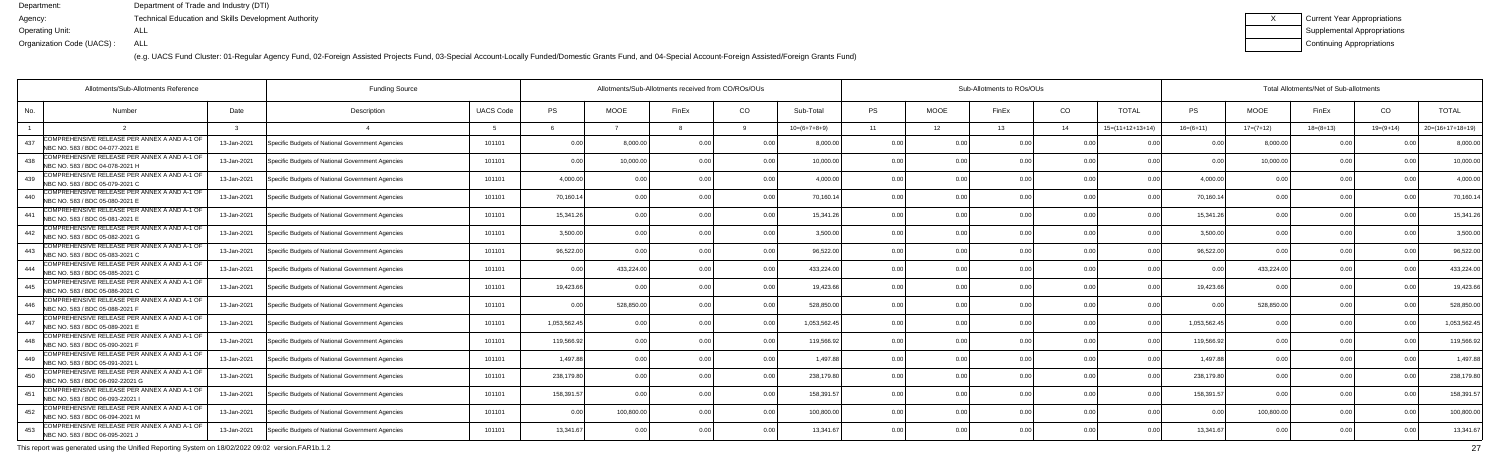(e.g. UACS Fund Cluster: 01-Regular Agency Fund, 02-Foreign Assisted Projects Fund, 03-Special Account-Locally Funded/Domestic Grants Fund, and 04-Special Account-Foreign Assisted/Foreign Grants Fund)

| Current Year Appropriations |
|-----------------------------|
| Supplemental Appropriations |
| Continuing Appropriations   |

| Allotments/Sub-Allotments Reference                                                     |             | <b>Funding Source</b>                            |                  | Allotments/Sub-Allotments received from CO/ROs/OUs |             |                |                |                | Sub-Allotments to ROs/OUs |             |       |                |                    |                | Total Allotments/Net of Sub-allotments |                |                |                    |  |  |  |
|-----------------------------------------------------------------------------------------|-------------|--------------------------------------------------|------------------|----------------------------------------------------|-------------|----------------|----------------|----------------|---------------------------|-------------|-------|----------------|--------------------|----------------|----------------------------------------|----------------|----------------|--------------------|--|--|--|
| No.<br>Number                                                                           | Date        | Description                                      | <b>UACS Code</b> | PS                                                 | <b>MOOE</b> | FinEx          | CO             | Sub-Total      | <b>PS</b>                 | <b>MOOE</b> | FinEx | CO             | <b>TOTAL</b>       | PS             | <b>MOOE</b>                            | FinEx          | CO             | <b>TOTAL</b>       |  |  |  |
|                                                                                         |             |                                                  |                  |                                                    |             |                |                | $10=(6+7+8+9)$ | 11                        | 12          | 13    | 14             | $15=(11+12+13+14)$ | $16=(6+11)$    | $17=(7+12)$                            | $18=(8+13)$    | $19=(9+14)$    | $20=(16+17+18+19)$ |  |  |  |
| COMPREHENSIVE RELEASE PER ANNEX A AND A-1 OF<br>437<br>NBC NO. 583 / BDC 04-077-2021 E  | 13-Jan-2021 | Specific Budgets of National Government Agencies | 101101           | 0.00                                               | 8,000.0     | 0.00           |                | 8.000.00       | 0.0                       |             |       | 0.00           |                    |                | 8,000.0                                | n n            |                | 8,000.0            |  |  |  |
| COMPREHENSIVE RELEASE PER ANNEX A AND A-1 OF<br>438<br>NBC NO. 583 / BDC 04-078-2021 H  | 13-Jan-2021 | Specific Budgets of National Government Agencies | 101101           | 0.00                                               | 10.000.00   | 0 <sub>0</sub> | 0.00           | 10,000.00      | 0.00                      | 0.00        |       | 0.00           | 0.00               | 0 <sub>0</sub> | 10,000.00                              | 0.00           | 0 <sub>0</sub> | 10,000.0           |  |  |  |
| COMPREHENSIVE RELEASE PER ANNEX A AND A-1 OF<br>439<br>NBC NO. 583 / BDC 05-079-2021 C  | 13-Jan-2021 | Specific Budgets of National Government Agencies | 101101           | 4,000.00                                           | 0.00        |                | 0.00           | 4.000.00       | 0.0                       | 0.00        |       | 0.00           | 0 <sub>0</sub>     | 4.000.00       | 0 <sub>0</sub>                         | 0.00           | $\cap$ $\cap$  | 4,000.0            |  |  |  |
| COMPREHENSIVE RELEASE PER ANNEX A AND A-1 OF<br>440<br>NBC NO. 583 / BDC 05-080-2021 E  | 13-Jan-2021 | Specific Budgets of National Government Agencies | 101101           | 70,160.14                                          | 0.00        |                | 0.00           | 70,160.14      | 0.00                      | 0.00        |       | 0.00           | 0 <sub>0</sub>     | 70,160.14      | 0.0                                    | 0 Q            |                | 70,160.1           |  |  |  |
| COMPREHENSIVE RELEASE PER ANNEX A AND A-1 OF<br>441<br>NBC NO. 583 / BDC 05-081-2021 E  | 13-Jan-2021 | Specific Budgets of National Government Agencies | 101101           | 15,341.26                                          | 0.00        |                | 0 <sub>0</sub> | 15.341.26      | 0.00                      | 0.00        |       | 0 <sub>0</sub> | n nr               | 15.341.26      | 0 <sub>0</sub>                         | 0.00           |                | 15,341.2           |  |  |  |
| COMPREHENSIVE RELEASE PER ANNEX A AND A-1 OF<br>442<br>NBC NO. 583 / BDC 05-082-2021 G  | 13-Jan-2021 | Specific Budgets of National Government Agencies | 101101           | 3,500.00                                           | 0.00        |                | 0.00           | 3.500.00       | 0.00                      | 0.00        |       | 0.00           | 0.00               | 3,500.00       | 0.00                                   | 0.00           | 0.00           | 3,500.00           |  |  |  |
| COMPREHENSIVE RELEASE PER ANNEX A AND A-1 OF<br>443<br>NBC NO. 583 / BDC 05-083-2021 C  | 13-Jan-2021 | Specific Budgets of National Government Agencies | 101101           | 96,522.00                                          | . 0 OC      |                | 0.00           | 96,522.00      | 0.0                       | 0.00        |       | 0.00           |                    | 96,522.00      |                                        | 0 Q            |                | 96,522.0           |  |  |  |
| COMPREHENSIVE RELEASE PER ANNEX A AND A-1 OF<br>NBC NO. 583 / BDC 05-085-2021 C         | 13-Jan-2021 | Specific Budgets of National Government Agencies | 101101           | 0.00                                               | 433,224.00  |                | 0 <sub>0</sub> | 433,224.00     | 0.00                      | 0.00        |       | 0.00           | 0.00               | 0 <sub>0</sub> | 433,224.00                             | 0.00           | $\cap$ $\cap$  | 433,224.0          |  |  |  |
| COMPREHENSIVE RELEASE PER ANNEX A AND A-1 OF<br>445<br>NBC NO. 583 / BDC 05-086-2021 C  | 13-Jan-2021 | Specific Budgets of National Government Agencies | 101101           | 19,423.66                                          | 0.00        | 0 OC           | 0.00           | 19.423.66      | 0.00                      | 0.00        |       | 0.00           | 0.00               | 19,423.66      | 0 <sub>0</sub>                         | 0.00           | 0.00           | 19,423.6           |  |  |  |
| COMPREHENSIVE RELEASE PER ANNEX A AND A-1 OF<br>446<br>NBC NO. 583 / BDC 05-088-2021    | 13-Jan-2021 | Specific Budgets of National Government Agencies | 101101           | 0.00                                               | 528,850.00  |                | 0.00           | 528,850.00     | 0.00                      | 0.00        |       | 0.00           | 0.00               | 0 <sub>0</sub> | 528,850.00                             | 0.00           |                | 528,850.0          |  |  |  |
| COMPREHENSIVE RELEASE PER ANNEX A AND A-1 OF<br>NBC NO. 583 / BDC 05-089-2021 E         | 13-Jan-2021 | Specific Budgets of National Government Agencies | 101101           | 1,053,562.45                                       | 0.00        |                | 0 <sub>0</sub> | 1,053,562.4    | 0 <sub>0</sub>            | ი იი        |       | 0.00           | 0 <sub>0</sub>     | 1,053,562.45   |                                        | . വ            |                | 1,053,562.4        |  |  |  |
| COMPREHENSIVE RELEASE PER ANNEX A AND A-1 OF<br>NBC NO. 583 / BDC 05-090-2021 F         | 13-Jan-2021 | Specific Budgets of National Government Agencies | 101101           | 119.566.92                                         | 0.00        |                | 0.00           | 119,566.92     | 0.00                      | 0.00        |       | 0.00           | 0.00               | 119,566.92     | 0 <sub>0</sub>                         | 0.00           |                | 119,566.9          |  |  |  |
| COMPREHENSIVE RELEASE PER ANNEX A AND A-1 OF<br>449<br>NBC NO. 583 / BDC 05-091-2021 I  | 13-Jan-2021 | Specific Budgets of National Government Agencies | 101101           | 1,497.88                                           | 0.00        |                | 0.00           | 1.497.88       | 0.00                      | 0.00        |       | 0.00           | 0.00               | 1.497.88       | 0.00                                   | 0.00           | 0.00           | 1,497.8            |  |  |  |
| COMPREHENSIVE RELEASE PER ANNEX A AND A-1 OF<br>450<br>NBC NO. 583 / BDC 06-092-22021 G | 13-Jan-2021 | Specific Budgets of National Government Agencies | 101101           | 238,179.80                                         | . 0 OC      |                | 0 <sub>0</sub> | 238,179.80     | 0.00                      | 0.OO        |       | 0.00           |                    | 238,179.80     | 0 <sub>0</sub>                         | 0 <sub>0</sub> |                | 238,179.8          |  |  |  |
| COMPREHENSIVE RELEASE PER ANNEX A AND A-1 OF<br>451<br>NBC NO. 583 / BDC 06-093-22021   | 13-Jan-2021 | Specific Budgets of National Government Agencies | 101101           | 158,391.57                                         | 0.00        |                | 0.00           | 158.391.5      | 0.00                      | 0.00        |       | 0.00           | 0 <sub>0</sub>     | 158,391.57     | 0 <sub>0</sub>                         | 0.00           | n no           | 158,391.5          |  |  |  |
| COMPREHENSIVE RELEASE PER ANNEX A AND A-1 OF<br>452<br>NBC NO. 583 / BDC 06-094-2021 M  | 13-Jan-2021 | Specific Budgets of National Government Agencies | 101101           | 0.00                                               | 100,800.00  | 0.00           | 0.00           | 100,800.00     | 0.00                      | 0.00        |       | 0.00           | 0.00               | 0.00           | 100,800.00                             | 0.00           | 0.00           | 100,800.0          |  |  |  |
| COMPREHENSIVE RELEASE PER ANNEX A AND A-1 OF<br>453<br>NBC NO. 583 / BDC 06-095-2021 J  | 13-Jan-2021 | Specific Budgets of National Government Agencies | 101101           | 13.341.67                                          | 0.00        |                | 0 <sub>0</sub> | 13.341.67      | $\cap$                    | 0.OO        |       | 0 <sub>0</sub> |                    | 13.341.6       |                                        | 0.00           |                | 13,341.6           |  |  |  |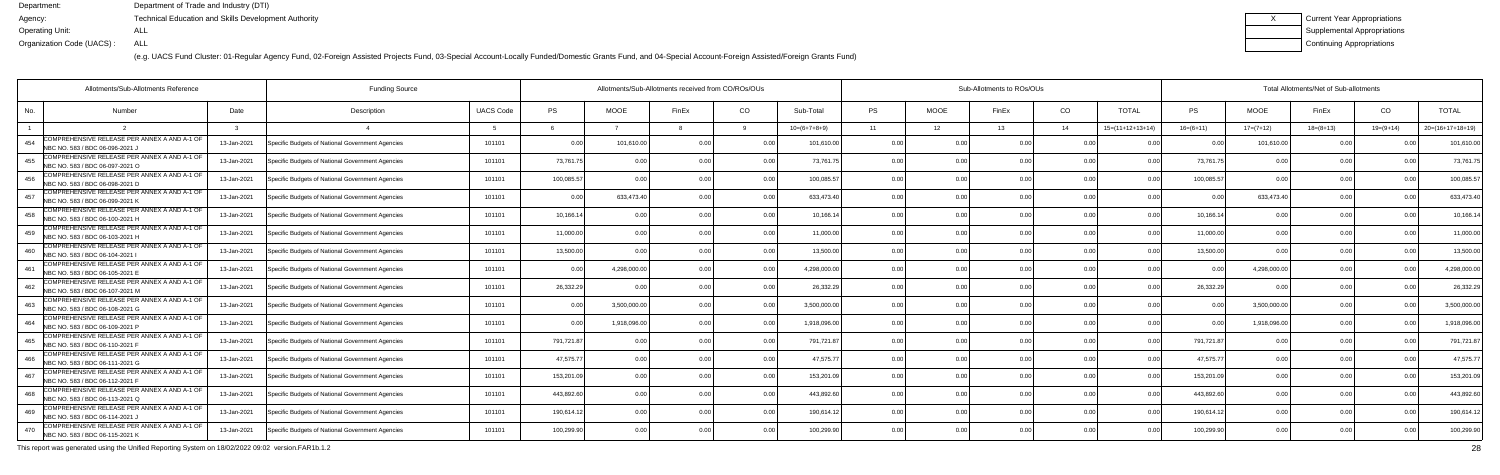(e.g. UACS Fund Cluster: 01-Regular Agency Fund, 02-Foreign Assisted Projects Fund, 03-Special Account-Locally Funded/Domestic Grants Fund, and 04-Special Account-Foreign Assisted/Foreign Grants Fund)

| Current Year Appropriations |
|-----------------------------|
| Supplemental Appropriations |
| Continuing Appropriations   |

| Allotments/Sub-Allotments Reference                                                    |             | <b>Funding Source</b>                            |                  | Allotments/Sub-Allotments received from CO/ROs/OUs |                |                |                |                | Sub-Allotments to ROs/OUs |             |       |                |                    |                | Total Allotments/Net of Sub-allotments |                |                |                    |  |  |  |
|----------------------------------------------------------------------------------------|-------------|--------------------------------------------------|------------------|----------------------------------------------------|----------------|----------------|----------------|----------------|---------------------------|-------------|-------|----------------|--------------------|----------------|----------------------------------------|----------------|----------------|--------------------|--|--|--|
| No.<br><b>Number</b>                                                                   | Date        | Description                                      | <b>UACS Code</b> | PS                                                 | <b>MOOE</b>    | FinEx          | CO             | Sub-Total      | <b>PS</b>                 | <b>MOOE</b> | FinEx | CO             | <b>TOTAL</b>       | PS             | <b>MOOE</b>                            | FinEx          | CO             | <b>TOTAL</b>       |  |  |  |
|                                                                                        |             |                                                  | -5               |                                                    |                |                |                | $10=(6+7+8+9)$ | 11                        | 12          | 13    | 14             | $15=(11+12+13+14)$ | $16=(6+11)$    | $17=(7+12)$                            | $18=(8+13)$    | $19=(9+14)$    | $20=(16+17+18+19)$ |  |  |  |
| COMPREHENSIVE RELEASE PER ANNEX A AND A-1 OF<br>454<br>NBC NO. 583 / BDC 06-096-2021 J | 13-Jan-2021 | Specific Budgets of National Government Agencies | 101101           | 0.00                                               | 101,610.00     | 0.00           |                | 101,610.00     | 0.0                       |             |       | 0.00           |                    |                | 101,610.00                             | $\cap$         |                | 101,610.0          |  |  |  |
| COMPREHENSIVE RELEASE PER ANNEX A AND A-1 OF<br>455<br>NBC NO. 583 / BDC 06-097-2021 O | 13-Jan-2021 | Specific Budgets of National Government Agencies | 101101           | 73,761.75                                          | 0.00           | 0 <sub>0</sub> | 0.00           | 73,761.7       | 0.00                      | 0.00        |       | 0.00           | 0.00               | 73,761.7       | 0 <sub>0</sub>                         | 0.00           |                | 73,761.7           |  |  |  |
| COMPREHENSIVE RELEASE PER ANNEX A AND A-1 OF<br>456<br>NBC NO. 583 / BDC 06-098-2021 D | 13-Jan-2021 | Specific Budgets of National Government Agencies | 101101           | 100,085.57                                         | 0.00           |                | 0.00           | 100,085.5      | 0.00                      | 0.00        |       | 0.00           | 0 <sub>0</sub>     | 100,085.57     | 0.00                                   | 0.00           | 0 <sub>0</sub> | 100,085.5          |  |  |  |
| COMPREHENSIVE RELEASE PER ANNEX A AND A-1 OF<br>457<br>NBC NO. 583 / BDC 06-099-2021 K | 13-Jan-2021 | Specific Budgets of National Government Agencies | 101101           | 0.00                                               | 633,473.40     | 0 <sub>0</sub> | 0.00           | 633,473.4      | 0.00                      | ი იი        |       | 0.00           | 0 <sub>0</sub>     | 0 <sub>0</sub> | 633.473.4                              | 0.00           |                | 633,473.4          |  |  |  |
| COMPREHENSIVE RELEASE PER ANNEX A AND A-1 OF<br>458<br>NBC NO. 583 / BDC 06-100-2021 H | 13-Jan-2021 | Specific Budgets of National Government Agencies | 101101           | 10,166.14                                          | 0.00           |                | 0.00           | 10,166.14      | 0.00                      | 0.00        |       | 0.00           | 0.00               | 10,166.14      | $\Omega$                               | 0.00           | n no           | 10,166.1           |  |  |  |
| COMPREHENSIVE RELEASE PER ANNEX A AND A-1 OF<br>459<br>NBC NO. 583 / BDC 06-103-2021 H | 13-Jan-2021 | Specific Budgets of National Government Agencies | 101101           | 11,000.00                                          | 0.00           | 0.00           | 0.00           | 11,000.00      | 0.00                      | 0.00        |       | 0.00           | 0.00               | 11,000.00      | 0.00                                   | 0.00           | 0.00           | 11,000.0           |  |  |  |
| COMPREHENSIVE RELEASE PER ANNEX A AND A-1 OF<br>460<br>NBC NO. 583 / BDC 06-104-2021   | 13-Jan-2021 | Specific Budgets of National Government Agencies | 101101           | 13,500.00                                          | 0 <sub>0</sub> |                | 0 <sub>0</sub> | 13,500.00      | 0 <sup>0</sup>            | 0.00        |       | 0.00           |                    | 13,500.00      |                                        | 0 <sub>0</sub> |                | 13,500.0           |  |  |  |
| COMPREHENSIVE RELEASE PER ANNEX A AND A-1 OF<br>461<br>NBC NO. 583 / BDC 06-105-2021 B | 13-Jan-2021 | Specific Budgets of National Government Agencies | 101101           | 0.00                                               | 4,298,000.0    |                | 0 <sub>0</sub> | 4.298.000.00   | 0.00                      | 0.00        |       | 0.00           | 0.00               |                | 4,298,000.00                           | 0.00           |                | 4,298,000.0        |  |  |  |
| COMPREHENSIVE RELEASE PER ANNEX A AND A-1 OF<br>462<br>NBC NO. 583 / BDC 06-107-2021 M | 13-Jan-2021 | Specific Budgets of National Government Agencies | 101101           | 26,332.29                                          | 0.00           | 0 <sub>0</sub> | 0.00           | 26,332.29      | 0.00                      | 0.00        |       | 0.00           | 0.00               | 26,332.29      | 0 <sub>0</sub>                         | 0.00           | $\cap$ $\cap$  | 26,332.2           |  |  |  |
| COMPREHENSIVE RELEASE PER ANNEX A AND A-1 OF<br>NBC NO. 583 / BDC 06-108-2021 G        | 13-Jan-2021 | Specific Budgets of National Government Agencies | 101101           | 0.00                                               | 3.500.000.00   |                | 0.00           | 3.500.000.00   | 0 <sub>0</sub>            | 0.00        |       | 0.00           | 0.00               | 0 <sub>0</sub> | 3,500,000.0                            | 0.00           |                | 3,500,000.0        |  |  |  |
| COMPREHENSIVE RELEASE PER ANNEX A AND A-1 OF<br>464<br>NBC NO. 583 / BDC 06-109-2021 P | 13-Jan-2021 | Specific Budgets of National Government Agencies | 101101           | 0.00                                               | 1,918,096.0    | 0 OC           | 0 Q            | 1,918,096.0    | 0.00                      | 0.00        |       | 0.00           | 0 <sub>0</sub>     | 0 <sub>0</sub> | 1,918,096.0                            | 0.00           | $\cap$ $\cap$  | 1,918,096.0        |  |  |  |
| COMPREHENSIVE RELEASE PER ANNEX A AND A-1 OF<br>465<br>NBC NO. 583 / BDC 06-110-2021 F | 13-Jan-2021 | Specific Budgets of National Government Agencies | 101101           | 791,721.87                                         | 0.00           |                | 0.00           | 791,721.87     | 0.00                      | 0.00        |       | 0.00           | 0.00               | 791,721.87     | 00                                     | 0.00           |                | 791,721.8          |  |  |  |
| COMPREHENSIVE RELEASE PER ANNEX A AND A-1 OF<br>466<br>NBC NO. 583 / BDC 06-111-2021 G | 13-Jan-2021 | Specific Budgets of National Government Agencies | 101101           | 47.575.77                                          | 0.00           |                | 0.00           | 47.575.77      | 0.00                      | 0.00        |       | 0.00           | 0 <sub>0</sub>     | 47,575.77      | 0.00                                   | 0 Q            |                | 47,575.7           |  |  |  |
| COMPREHENSIVE RELEASE PER ANNEX A AND A-1 OF<br>167<br>NBC NO. 583 / BDC 06-112-2021 F | 13-Jan-2021 | Specific Budgets of National Government Agencies | 101101           | 153,201.09                                         | 0.00           |                | 0.00           | 153,201.0      | 0.0                       | 0.00        |       | 0.00           |                    | 153,201.0      | 0.0                                    | 0 <sub>0</sub> |                | 153,201.0          |  |  |  |
| COMPREHENSIVE RELEASE PER ANNEX A AND A-1 OF<br>468<br>NBC NO. 583 / BDC 06-113-2021 Q | 13-Jan-2021 | Specific Budgets of National Government Agencies | 101101           | 443.892.60                                         | 0.00           |                | 0 <sub>0</sub> | 443,892.60     | 0.00                      | 0.00        |       | 0.00           | n nr               | 443.892.60     | 0.00                                   | n n            |                | 443,892.6          |  |  |  |
| COMPREHENSIVE RELEASE PER ANNEX A AND A-1 OF<br>469<br>NBC NO. 583 / BDC 06-114-2021 J | 13-Jan-2021 | Specific Budgets of National Government Agencies | 101101           | 190,614.12                                         | 0.00           |                | 0.00           | 190,614.1      | 0.00                      | 0.00        |       | 0.00           | 0 <sub>0</sub>     | 190,614.12     | 0.00                                   | 0.00           | 0.00           | 190,614.1          |  |  |  |
| COMPREHENSIVE RELEASE PER ANNEX A AND A-1 OF<br>470<br>NBC NO. 583 / BDC 06-115-2021 K | 13-Jan-2021 | Specific Budgets of National Government Agencies | 101101           | 100,299.90                                         | 0.00           |                | 0.00           | 100,299.90     | 0 <sub>0</sub>            | ი იი        |       | 0 <sub>0</sub> | n nr               | 100,299.90     | 0.00                                   | 0.00           |                | 100,299.9          |  |  |  |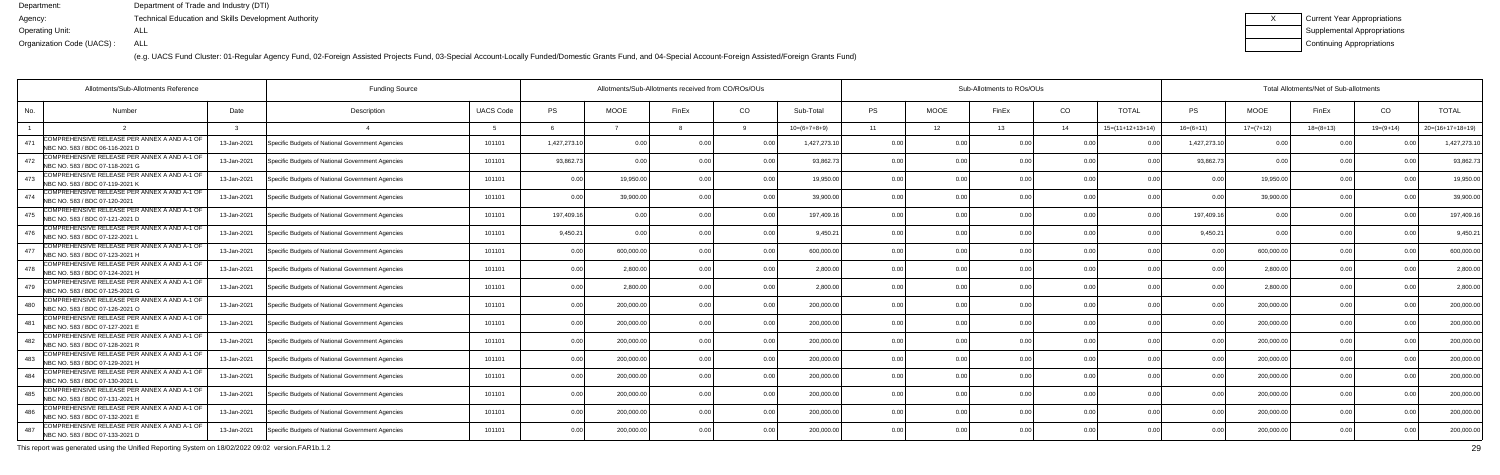(e.g. UACS Fund Cluster: 01-Regular Agency Fund, 02-Foreign Assisted Projects Fund, 03-Special Account-Locally Funded/Domestic Grants Fund, and 04-Special Account-Foreign Assisted/Foreign Grants Fund)

| Current Year Appropriations |
|-----------------------------|
| Supplemental Appropriations |
| Continuing Appropriations   |

| <b>Funding Source</b><br>Allotments/Sub-Allotments Reference |                                                                                  |             |                                                  |                  | Allotments/Sub-Allotments received from CO/ROs/OUs |             |       |                |                |           | Sub-Allotments to ROs/OUs |                |                |                    |                |             | Total Allotments/Net of Sub-allotments |             |                    |  |  |  |  |
|--------------------------------------------------------------|----------------------------------------------------------------------------------|-------------|--------------------------------------------------|------------------|----------------------------------------------------|-------------|-------|----------------|----------------|-----------|---------------------------|----------------|----------------|--------------------|----------------|-------------|----------------------------------------|-------------|--------------------|--|--|--|--|
| No.                                                          | <b>Number</b>                                                                    | Date        | Description                                      | <b>UACS Code</b> | <b>PS</b>                                          | <b>MOOE</b> | FinEx | CO             | Sub-Total      | <b>PS</b> | <b>MOOE</b>               | FinEx          | CO             | <b>TOTAL</b>       | PS.            | <b>MOOE</b> | FinEx                                  | CO          | <b>TOTAL</b>       |  |  |  |  |
|                                                              |                                                                                  |             |                                                  |                  |                                                    |             |       |                | $10=(6+7+8+9)$ | 11        | 12 <sup>7</sup>           | 13             | 14             | $15=(11+12+13+14)$ | $16=(6+11)$    | $17=(7+12)$ | $18=(8+13)$                            | $19=(9+14)$ | $20=(16+17+18+19)$ |  |  |  |  |
| 471                                                          | COMPREHENSIVE RELEASE PER ANNEX A AND A-1 OF<br>NBC NO. 583 / BDC 06-116-2021 D  | 13-Jan-2021 | Specific Budgets of National Government Agencies | 101101           | 1,427,273.10                                       | 0.00        |       |                | 1,427,273.1    | 0.00      | 0 OC                      | n nr           | n no           |                    | 1,427,273.1    | 0.00        |                                        |             | 1,427,273.1        |  |  |  |  |
| 472                                                          | COMPREHENSIVE RELEASE PER ANNEX A AND A-1 OF<br>NBC NO. 583 / BDC 07-118-2021 G  | 13-Jan-2021 | Specific Budgets of National Government Agencies | 101101           | 93,862.73                                          | 0.00        |       | 0.00           | 93,862.7       | 0.00      | 0.00                      |                | 0.00           | 0 <sub>0</sub>     | 93,862.7       | 0.00        | 0.00                                   |             | 93,862.7           |  |  |  |  |
|                                                              | COMPREHENSIVE RELEASE PER ANNEX A AND A-1 OF<br>NBC NO. 583 / BDC 07-119-2021 K  | 13-Jan-2021 | Specific Budgets of National Government Agencies | 101101           | 0.00                                               | 19,950.00   |       | 0.00           | 19,950.00      | 0.00      | 0.00                      |                | 0.00           | 0.00               | 0 <sub>0</sub> | 19,950.00   | 0.00                                   |             | 19,950.00          |  |  |  |  |
| 474                                                          | COMPREHENSIVE RELEASE PER ANNEX A AND A-1 OF<br>NBC NO. 583 / BDC 07-120-2021    | 13-Jan-2021 | Specific Budgets of National Government Agencies | 101101           | 0.00                                               | 39,900.0    |       | 0.00           | 39,900.00      | 0.00      | 0.00                      |                | 0.00           |                    | 0 <sub>0</sub> | 39,900.00   | 0.00                                   |             | 39,900.0           |  |  |  |  |
| 475                                                          | COMPREHENSIVE RELEASE PER ANNEX A AND A-1 OF<br>INBC NO. 583 / BDC 07-121-2021 D | 13-Jan-2021 | Specific Budgets of National Government Agencies | 101101           | 197,409.16                                         | 0.00        |       | 0.00           | 197,409.16     | 0.00      | 0.00                      |                | 0.00           | 0 <sub>0</sub>     | 197,409.16     | 0.00        | 0.00                                   |             | 197,409.1          |  |  |  |  |
| 476                                                          | COMPREHENSIVE RELEASE PER ANNEX A AND A-1 OF<br>NBC NO. 583 / BDC 07-122-2021 L  | 13-Jan-2021 | Specific Budgets of National Government Agencies | 101101           | 9,450.21                                           | 0.00        |       | 0.00           | 9,450.21       | 0.00      | 0.00                      |                | 0.00           |                    | 9,450.21       | 0.00        | 0.00                                   |             | 9,450.2            |  |  |  |  |
|                                                              | COMPREHENSIVE RELEASE PER ANNEX A AND A-1 OF<br>NBC NO. 583 / BDC 07-123-2021 H  | 13-Jan-2021 | Specific Budgets of National Government Agencies | 101101           | 0.00                                               | 600,000.00  |       | 0.00           | 600,000.00     | 0.00      | 0.00                      |                | 0.00           |                    | n n            | 600,000.00  | 0.00                                   |             | 600,000.00         |  |  |  |  |
| 478                                                          | COMPREHENSIVE RELEASE PER ANNEX A AND A-1 OF<br>NBC NO. 583 / BDC 07-124-2021 H  | 13-Jan-2021 | Specific Budgets of National Government Agencies | 101101           | 0.00                                               | 2,800.0     |       | 0.00           | 2.800.00       | 0.00      | 0.00                      |                | 0.00           | 0.00               |                | 2,800.00    | 0.00                                   |             | 2,800.00           |  |  |  |  |
|                                                              | COMPREHENSIVE RELEASE PER ANNEX A AND A-1 OF<br>NBC NO. 583 / BDC 07-125-2021 G  | 13-Jan-2021 | Specific Budgets of National Government Agencies | 101101           | 0.00                                               | 2,800.00    |       | 0.00           | 2,800.00       | 0.00      | 0.00                      |                | 0.00           | 0.00               | 0 <sub>0</sub> | 2,800.00    | 0.00                                   |             | 2,800.00           |  |  |  |  |
| 480                                                          | COMPREHENSIVE RELEASE PER ANNEX A AND A-1 OF<br>NBC NO. 583 / BDC 07-126-2021 O  | 13-Jan-2021 | Specific Budgets of National Government Agencies | 101101           | 0.00                                               | 200,000.00  |       | 0.00           | 200,000.00     | 0.00      | 0.00                      | 0 <sub>0</sub> | 0.00           | 0.00               | 0 <sub>0</sub> | 200,000.00  | 0.00                                   |             | 200,000.00         |  |  |  |  |
| 481                                                          | COMPREHENSIVE RELEASE PER ANNEX A AND A-1 OF<br>NBC NO. 583 / BDC 07-127-2021 E  | 13-Jan-2021 | Specific Budgets of National Government Agencies | 101101           | 0.00                                               | 200,000.0   |       | 0.00           | 200,000.00     | 0.00      | 0.00                      |                | 0 <sub>0</sub> | 0 <sub>0</sub>     | $\cap$         | 200,000.00  | 0.00                                   |             | 200,000.00         |  |  |  |  |
| 482                                                          | COMPREHENSIVE RELEASE PER ANNEX A AND A-1 OF<br>NBC NO. 583 / BDC 07-128-2021 R  | 13-Jan-2021 | Specific Budgets of National Government Agencies | 101101           | 0.00                                               | 200,000.00  |       | 0.00           | 200,000.00     | 0.00      | 0.00                      |                | 0.00           | 0 <sub>0</sub>     |                | 200,000.00  | 0.00                                   |             | 200,000.00         |  |  |  |  |
| 483                                                          | COMPREHENSIVE RELEASE PER ANNEX A AND A-1 OF<br>NBC NO. 583 / BDC 07-129-2021 H  | 13-Jan-2021 | Specific Budgets of National Government Agencies | 101101           | 0.00                                               | 200,000.00  |       | 0.00           | 200.000.00     | 0.00      | 0.00                      | 0 <sub>0</sub> | 0.00           | 0.00               | 0.00           | 200,000.00  | 0.00                                   |             | 200,000.00         |  |  |  |  |
| 484                                                          | COMPREHENSIVE RELEASE PER ANNEX A AND A-1 OF<br>NBC NO. 583 / BDC 07-130-2021 L  | 13-Jan-2021 | Specific Budgets of National Government Agencies | 101101           | 0.00                                               | 200,000.00  |       | 0 <sub>0</sub> | 200,000.00     | 0.00      | 0.00                      |                | 0.00           |                    |                | 200,000.00  | 0.00                                   |             | 200,000.00         |  |  |  |  |
| 485                                                          | COMPREHENSIVE RELEASE PER ANNEX A AND A-1 OF<br>NBC NO. 583 / BDC 07-131-2021 H  | 13-Jan-2021 | Specific Budgets of National Government Agencies | 101101           | 0.00                                               | 200,000.0   |       | 0 <sub>0</sub> | 200,000.00     | 0.00      | 0.00                      |                | 0 <sub>0</sub> |                    |                | 200,000.00  | 0.00                                   |             | 200,000.00         |  |  |  |  |
| 486                                                          | COMPREHENSIVE RELEASE PER ANNEX A AND A-1 OF<br>NBC NO. 583 / BDC 07-132-2021 E  | 13-Jan-2021 | Specific Budgets of National Government Agencies | 101101           | 0.00                                               | 200,000.0   |       | 0.00           | 200,000.00     | 0.00      | 0.00                      |                | 0.00           | 0.0(               | 0.00           | 200,000.00  | 0.00                                   |             | 200,000.00         |  |  |  |  |
| 487                                                          | COMPREHENSIVE RELEASE PER ANNEX A AND A-1 OF<br>NBC NO. 583 / BDC 07-133-2021 D  | 13-Jan-2021 | Specific Budgets of National Government Agencies | 101101           | 0.00                                               | 200,000.00  |       | 0.00           | 200,000.00     | 0.00      | 0.00                      |                | 0 <sub>0</sub> | 0.00               |                | 200,000.00  | 0.00                                   |             | 200,000.00         |  |  |  |  |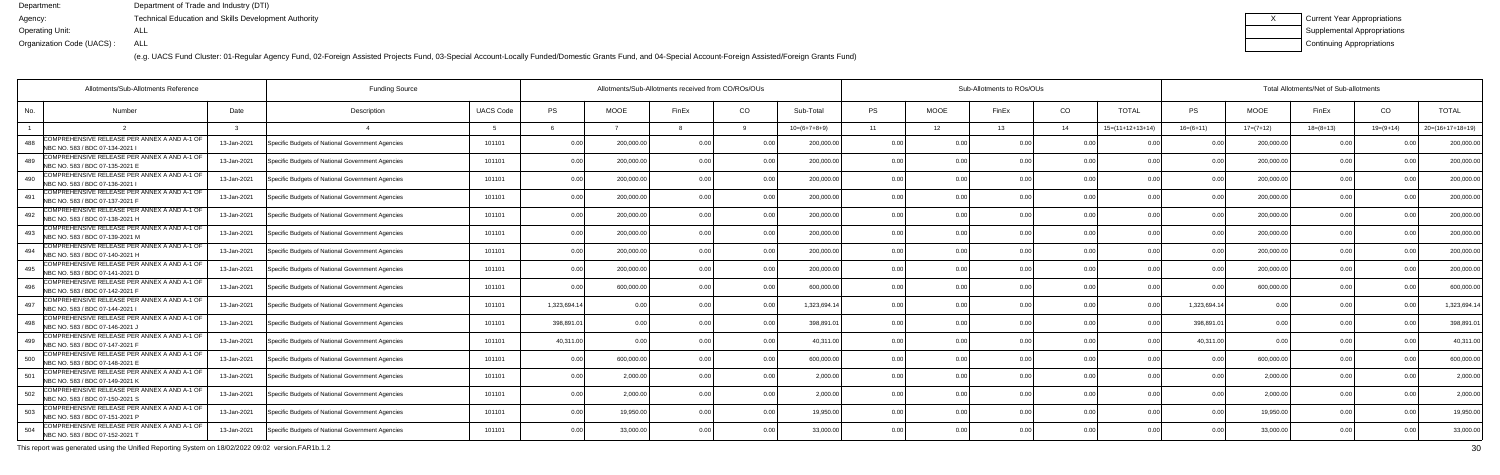(e.g. UACS Fund Cluster: 01-Regular Agency Fund, 02-Foreign Assisted Projects Fund, 03-Special Account-Locally Funded/Domestic Grants Fund, and 04-Special Account-Foreign Assisted/Foreign Grants Fund)

| Current Year Appropriations |
|-----------------------------|
| Supplemental Appropriations |
| Continuing Appropriations   |

| Allotments/Sub-Allotments Reference                                                    |             | <b>Funding Source</b>                            |                  | Allotments/Sub-Allotments received from CO/ROs/OUs |             |                |                |                | Sub-Allotments to ROs/OUs |             |       |                |                            |                | Total Allotments/Net of Sub-allotments |             |               |                    |  |  |  |
|----------------------------------------------------------------------------------------|-------------|--------------------------------------------------|------------------|----------------------------------------------------|-------------|----------------|----------------|----------------|---------------------------|-------------|-------|----------------|----------------------------|----------------|----------------------------------------|-------------|---------------|--------------------|--|--|--|
| No.<br><b>Number</b>                                                                   | Date        | Description                                      | <b>UACS Code</b> | PS                                                 | <b>MOOE</b> | FinEx          | CO             | Sub-Total      | <b>PS</b>                 | <b>MOOE</b> | FinEx | CO             | <b>TOTAL</b>               | PS             | <b>MOOE</b>                            | FinEx       | CO            | <b>TOTAL</b>       |  |  |  |
|                                                                                        |             |                                                  |                  |                                                    |             |                |                | $10=(6+7+8+9)$ | 11                        | 12          | 13    | 14             | $15=(11+12+13+14)$         | $16=(6+11)$    | $17=(7+12)$                            | $18=(8+13)$ | $19=(9+14)$   | $20=(16+17+18+19)$ |  |  |  |
| COMPREHENSIVE RELEASE PER ANNEX A AND A-1 OF<br>488<br>NBC NO. 583 / BDC 07-134-2021 I | 13-Jan-2021 | Specific Budgets of National Government Agencies | 101101           | 0.00                                               | 200,000.00  | 0.00           |                | 200,000.00     | 0.0                       |             |       | 0.00           | n nr                       |                | 200,000.0                              | 0 Q         |               | 200,000.0          |  |  |  |
| COMPREHENSIVE RELEASE PER ANNEX A AND A-1 OF<br>489<br>NBC NO. 583 / BDC 07-135-2021 E | 13-Jan-2021 | Specific Budgets of National Government Agencies | 101101           | 0.00                                               | 200,000.0   | 0.00           | 0.00           | 200,000.00     | 0.00                      | 0.00        |       | 0.00           | 0.00                       | 0 <sub>0</sub> | 200,000.0                              | 0.00        |               | 200,000.0          |  |  |  |
| COMPREHENSIVE RELEASE PER ANNEX A AND A-1 OF<br>490<br>NBC NO. 583 / BDC 07-136-2021   | 13-Jan-2021 | Specific Budgets of National Government Agencies | 101101           | 0.00                                               | 200,000.00  | 0 OC           | 0.00           | 200,000.00     | 0.00                      | 0.00        |       | 0.00           | 0.00                       | 0 <sub>0</sub> | 200,000.00                             | 0.00        | $\cap$ $\cap$ | 200,000.0          |  |  |  |
| COMPREHENSIVE RELEASE PER ANNEX A AND A-1 OF<br>491<br>NBC NO. 583 / BDC 07-137-2021 F | 13-Jan-2021 | Specific Budgets of National Government Agencies | 101101           | 0.00                                               | 200,000.0   | 0 OC           | 0.00           | 200,000.0      | 0.00                      | 0.00        |       | 0.00           | 0 <sub>0</sub>             |                | 200,000.0                              | 0.00        |               | 200,000.0          |  |  |  |
| COMPREHENSIVE RELEASE PER ANNEX A AND A-1 OF<br>492<br>NBC NO. 583 / BDC 07-138-2021 H | 13-Jan-2021 | Specific Budgets of National Government Agencies | 101101           | 0.00                                               | 200,000.00  |                | 0.00           | 200,000.00     | 0.00                      | 0.00        |       | 0.00           | 0.00                       |                | 200,000.00                             | 0.00        |               | 200,000.0          |  |  |  |
| COMPREHENSIVE RELEASE PER ANNEX A AND A-1 OF<br>493<br>NBC NO. 583 / BDC 07-139-2021 M | 13-Jan-2021 | Specific Budgets of National Government Agencies | 101101           | 0.00                                               | 200,000.00  | 0.00           | 0.00           | 200,000.00     | 0.00                      | 0.00        |       | 0.00           | 0.00                       | 0 <sub>0</sub> | 200,000.00                             | 0.00        | 0.00          | 200,000.0          |  |  |  |
| COMPREHENSIVE RELEASE PER ANNEX A AND A-1 OF<br>494<br>NBC NO. 583 / BDC 07-140-2021 H | 13-Jan-2021 | Specific Budgets of National Government Agencies | 101101           | 0.00                                               | 200,000.00  |                | 0.00           | 200,000.00     | 0.0                       | 0.00        |       | 0.00           | n nr                       |                | 200,000.0                              | 0.00        |               | 200,000.0          |  |  |  |
| COMPREHENSIVE RELEASE PER ANNEX A AND A-1 OF<br>495<br>NBC NO. 583 / BDC 07-141-2021 D | 13-Jan-2021 | Specific Budgets of National Government Agencies | 101101           | 0.00                                               | 200,000.0   | 0 <sub>0</sub> | 0 <sub>0</sub> | 200,000.00     | 0.00                      | 0.00        |       | 0.00           | 0.00                       |                | 200,000.0                              | 0.00        | $\cap$ $\cap$ | 200,000.0          |  |  |  |
| COMPREHENSIVE RELEASE PER ANNEX A AND A-1 OF<br>496<br>NBC NO. 583 / BDC 07-142-2021 F | 13-Jan-2021 | Specific Budgets of National Government Agencies | 101101           | 0.00                                               | 600,000.00  | 0 OC           | 0.00           | 600.000.00     | 0.00                      | 0.00        |       | 0.00           | 0.00                       | 0.00           | 600.000.00                             | 0.00        | 0.00          | 600,000.0          |  |  |  |
| COMPREHENSIVE RELEASE PER ANNEX A AND A-1 OF<br>497<br>NBC NO. 583 / BDC 07-144-2021   | 13-Jan-2021 | Specific Budgets of National Government Agencies | 101101           | 1,323,694.14                                       | 0.00        |                | 0.00           | 1,323,694.14   | 0.00                      | 0.00        |       | 0.00           | 0 <sup>0<sup>c</sup></sup> | 1,323,694.14   | 0.00                                   | 0.00        |               | 1,323,694.1        |  |  |  |
| COMPREHENSIVE RELEASE PER ANNEX A AND A-1 OF<br>498<br>NBC NO. 583 / BDC 07-146-2021 J | 13-Jan-2021 | Specific Budgets of National Government Agencies | 101101           | 398,891.01                                         | 0.00        |                | 0 <sub>0</sub> | 398,891.0      | 0 <sub>0</sub>            | ი იი        |       | 0.00           | n nr                       | 398,891.0      | 0 <sub>0</sub>                         | . വ         |               | 398,891.0          |  |  |  |
| COMPREHENSIVE RELEASE PER ANNEX A AND A-1 OF<br>499<br>NBC NO. 583 / BDC 07-147-2021 F | 13-Jan-2021 | Specific Budgets of National Government Agencies | 101101           | 40.311.00                                          | 0.00        |                | 0.00           | 40.311.0       | 0.00                      | 0.00        |       | 0.00           |                            | 40.311.00      |                                        | 0.00        |               | 40,311.00          |  |  |  |
| COMPREHENSIVE RELEASE PER ANNEX A AND A-1 OF<br>500<br>NBC NO. 583 / BDC 07-148-2021 B | 13-Jan-2021 | Specific Budgets of National Government Agencies | 101101           | 0.00                                               | 600,000.00  | 0 <sub>0</sub> | 0.00           | 600,000.00     | 0.00                      | 0.00        |       | 0.00           | 0.00                       | 0 <sub>0</sub> | 600,000.00                             | 0.00        | 0.00          | 600,000.0          |  |  |  |
| COMPREHENSIVE RELEASE PER ANNEX A AND A-1 OF<br>501<br>NBC NO. 583 / BDC 07-149-2021 K | 13-Jan-2021 | Specific Budgets of National Government Agencies | 101101           | 0.00                                               | 2,000.0     |                | 0 <sub>0</sub> | 2.000.0        | 0.00                      | 0.OO        |       | 0.00           |                            |                | 2,000.0                                | 0.00        |               | 2,000.0            |  |  |  |
| COMPREHENSIVE RELEASE PER ANNEX A AND A-1 OF<br>502<br>NBC NO. 583 / BDC 07-150-2021 S | 13-Jan-2021 | Specific Budgets of National Government Agencies | 101101           | 0.00                                               | 2,000.00    |                | 0.00           | 2.000.00       | 0.00                      | 0.00        |       | 0.00           | 0.00                       |                | 2.000.00                               | 0.00        | 0.00          | 2,000.0            |  |  |  |
| COMPREHENSIVE RELEASE PER ANNEX A AND A-1 OF<br>503<br>NBC NO. 583 / BDC 07-151-2021 P | 13-Jan-2021 | Specific Budgets of National Government Agencies | 101101           | 0.00                                               | 19,950.00   | 0.00           | 0.00           | 19,950.00      | 0.00                      | 0.00        | 0.00  | 0.00           | 0.00                       | 0.00           | 19,950.00                              | 0.00        | 0.00          | 19,950.0           |  |  |  |
| COMPREHENSIVE RELEASE PER ANNEX A AND A-1 OF<br>504<br>NBC NO. 583 / BDC 07-152-2021 T | 13-Jan-2021 | Specific Budgets of National Government Agencies | 101101           | 0.00                                               | 33,000.00   |                | 0 <sub>0</sub> | 33,000.00      | 0 <sub>0</sub>            | 0.OO        |       | 0 <sub>0</sub> | 0 <sub>0</sub>             |                | 33,000.0                               | 0.00        |               | 33,000.0           |  |  |  |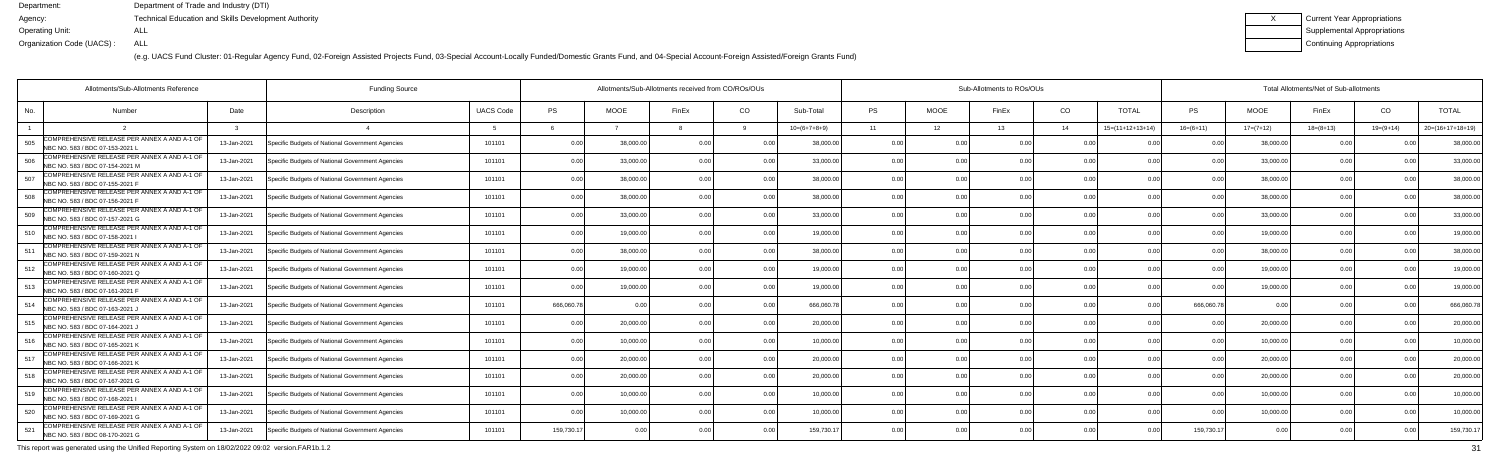(e.g. UACS Fund Cluster: 01-Regular Agency Fund, 02-Foreign Assisted Projects Fund, 03-Special Account-Locally Funded/Domestic Grants Fund, and 04-Special Account-Foreign Assisted/Foreign Grants Fund)

| Current Year Appropriations |
|-----------------------------|
| Supplemental Appropriations |
| Continuing Appropriations   |

| Allotments/Sub-Allotments Reference                                                    |             | <b>Funding Source</b>                            |                  | Allotments/Sub-Allotments received from CO/ROs/OUs |             |                |                |                |           |             | Sub-Allotments to ROs/OUs |      |                    | Total Allotments/Net of Sub-allotments |                |                |             |                    |  |  |
|----------------------------------------------------------------------------------------|-------------|--------------------------------------------------|------------------|----------------------------------------------------|-------------|----------------|----------------|----------------|-----------|-------------|---------------------------|------|--------------------|----------------------------------------|----------------|----------------|-------------|--------------------|--|--|
| No.<br><b>Number</b>                                                                   | Date        | Description                                      | <b>UACS Code</b> | <b>PS</b>                                          | <b>MOOE</b> | FinEx          | CO.            | Sub-Total      | <b>PS</b> | <b>MOOE</b> | FinEx                     | CO   | <b>TOTAL</b>       | PS                                     | <b>MOOE</b>    | FinEx          | CO          | <b>TOTAL</b>       |  |  |
|                                                                                        |             |                                                  |                  |                                                    |             |                |                | $10=(6+7+8+9)$ | 11        | 12          | 13                        | 14   | $15=(11+12+13+14)$ | $16=(6+11)$                            | $17=(7+12)$    | $18=(8+13)$    | $19=(9+14)$ | $20=(16+17+18+19)$ |  |  |
| COMPREHENSIVE RELEASE PER ANNEX A AND A-1 OF<br>505<br>NBC NO. 583 / BDC 07-153-2021 L | 13-Jan-2021 | Specific Budgets of National Government Agencies | 101101           | 0.00                                               | 38,000.0    | 0 OC           |                | 38,000.0       | 0.0       |             |                           | 0.00 |                    |                                        | 38.000.        | 0 <sub>0</sub> |             | 38,000.0           |  |  |
| COMPREHENSIVE RELEASE PER ANNEX A AND A-1 OF<br>506<br>NBC NO. 583 / BDC 07-154-2021 M | 13-Jan-2021 | Specific Budgets of National Government Agencies | 101101           | 0.00                                               | 33,000.00   | 0 <sub>0</sub> | 0.00           | 33,000.00      | 0.00      | 0.00        |                           | 0.00 | 0.00               | 0 <sub>0</sub>                         | 33,000.00      | 0.00           |             | 33,000.0           |  |  |
| COMPREHENSIVE RELEASE PER ANNEX A AND A-1 OF<br>507<br>NBC NO. 583 / BDC 07-155-2021 F | 13-Jan-2021 | Specific Budgets of National Government Agencies | 101101           | 0.00                                               | 38,000.00   | 0 <sub>0</sub> | 0.00           | 38,000.00      | 0.00      | 0.00        |                           | 0.00 | 0.00               | 0 <sub>0</sub>                         | 38,000.00      | 0.00           | 0.00        | 38,000.0           |  |  |
| COMPREHENSIVE RELEASE PER ANNEX A AND A-1 OF<br>508<br>NBC NO. 583 / BDC 07-156-2021 F | 13-Jan-2021 | Specific Budgets of National Government Agencies | 101101           | 0.00                                               | 38,000.0    | 0 <sub>0</sub> | 0.0            | 38,000.0       | 0.0       | 0.00        |                           | 0.00 | 0 <sub>0</sub>     | 0 <sub>0</sub>                         | 38,000.0       | 0.0            |             | 38,000.0           |  |  |
| COMPREHENSIVE RELEASE PER ANNEX A AND A-1 OF<br>509<br>NBC NO. 583 / BDC 07-157-2021 G | 13-Jan-2021 | Specific Budgets of National Government Agencies | 101101           | 0.00                                               | 33,000.00   | 0 OC           | 0.00           | 33,000.00      | 0.00      | 0.00        |                           | 0.00 | 0.00               |                                        | 33,000.0       | 0.00           | n no        | 33,000.0           |  |  |
| COMPREHENSIVE RELEASE PER ANNEX A AND A-1 OF<br>510<br>NBC NO. 583 / BDC 07-158-2021   | 13-Jan-2021 | Specific Budgets of National Government Agencies | 101101           | 0.00                                               | 19,000.00   | 0 OC           | 0.00           | 19,000.00      | 0.00      | 0.00        |                           | 0.00 | 0.00               |                                        | 19,000.0       | 0.00           | 0.00        | 19,000.0           |  |  |
| COMPREHENSIVE RELEASE PER ANNEX A AND A-1 OF<br>511<br>NBC NO. 583 / BDC 07-159-2021 N | 13-Jan-2021 | Specific Budgets of National Government Agencies | 101101           | 0.00                                               | 38,000.00   |                | 0.00           | 38,000.00      | 0.00      | 0.00        |                           | 0.00 | 0.00               | n no                                   | 38,000.0       | 0.00           |             | 38,000.0           |  |  |
| COMPREHENSIVE RELEASE PER ANNEX A AND A-1 OF<br>512<br>NBC NO. 583 / BDC 07-160-2021 Q | 13-Jan-2021 | Specific Budgets of National Government Agencies | 101101           | 0.00                                               | 19,000.0    | 0.00           | 0.00           | 19,000.00      | 0.00      | 0.00        |                           | 0.00 | 0.00               | 0 <sup>0</sup>                         | 19,000.0       | 0.00           | n no        | 19,000.0           |  |  |
| COMPREHENSIVE RELEASE PER ANNEX A AND A-1 OF<br>513<br>NBC NO. 583 / BDC 07-161-2021 F | 13-Jan-2021 | Specific Budgets of National Government Agencies | 101101           | 0.00                                               | 19,000.0    |                | 0.00           | 19,000.00      | 0.00      | 0.00        |                           | 0.00 | 0.00               | 0 <sub>0</sub>                         | 19,000.00      | 0.00           |             | 19,000.0           |  |  |
| COMPREHENSIVE RELEASE PER ANNEX A AND A-1 OF<br>514<br>NBC NO. 583 / BDC 07-163-2021,  | 13-Jan-2021 | Specific Budgets of National Government Agencies | 101101           | 666,060.78                                         | 0.00        |                | 0.00           | 666,060.78     | 0.00      | 0.00        |                           | 0.00 | 0 <sub>0</sub>     | 666,060.78                             | 0 <sub>0</sub> | 0.00           |             | 666,060.7          |  |  |
| COMPREHENSIVE RELEASE PER ANNEX A AND A-1 OF<br>515<br>NBC NO. 583 / BDC 07-164-2021 J | 13-Jan-2021 | Specific Budgets of National Government Agencies | 101101           | 0.00                                               | 20,000.00   | n nr           | 0.00           | 20,000.00      | 0.00      | 0.00        |                           | 0.00 | 0.00               | n no                                   | 20,000.0       | 0.00           |             | 20,000.0           |  |  |
| COMPREHENSIVE RELEASE PER ANNEX A AND A-1 OF<br>516<br>NBC NO. 583 / BDC 07-165-2021 K | 13-Jan-2021 | Specific Budgets of National Government Agencies | 101101           | 0.00                                               | 10.000.00   |                | 0.00           | 10.000.00      | 0.00      | 0.00        |                           | 0.00 | 0.00               |                                        | 10,000.0       | 0.00           |             | 10,000.0           |  |  |
| COMPREHENSIVE RELEASE PER ANNEX A AND A-1 OF<br>517<br>NBC NO. 583 / BDC 07-166-2021 K | 13-Jan-2021 | Specific Budgets of National Government Agencies | 101101           | 0.00                                               | 20,000.00   | 0 <sub>0</sub> | 0.00           | 20,000.00      | 0.00      | 0.00        |                           | 0.00 | 0.00               | 0 <sub>0</sub>                         | 20,000.0       | 0.00           | 0.00        | 20,000.00          |  |  |
| COMPREHENSIVE RELEASE PER ANNEX A AND A-1 OF<br>518<br>NBC NO. 583 / BDC 07-167-2021 G | 13-Jan-2021 | Specific Budgets of National Government Agencies | 101101           | 0.00                                               | 20,000.00   |                | 0 <sub>0</sub> | 20,000.00      | 0.0       | 0.00        |                           | 0.00 |                    |                                        | 20,000.0       | n n            |             | 20,000.0           |  |  |
| COMPREHENSIVE RELEASE PER ANNEX A AND A-1 OF<br>519<br>NBC NO. 583 / BDC 07-168-2021   | 13-Jan-2021 | Specific Budgets of National Government Agencies | 101101           | 0.00                                               | 10.000.0    |                | 0 <sub>0</sub> | 10,000.00      | 0.00      | 0.00        |                           | 0.00 | 0.00               |                                        | 10,000.0       | 0.00           |             | 10,000.0           |  |  |
| COMPREHENSIVE RELEASE PER ANNEX A AND A-1 OF<br>520<br>NBC NO. 583 / BDC 07-169-2021 G | 13-Jan-2021 | Specific Budgets of National Government Agencies | 101101           | 0.00                                               | 10,000.00   | 0 <sub>0</sub> | 0.00           | 10,000.00      | 0.00      | 0.00        |                           | 0.00 | 0.00               | 0 <sub>0</sub>                         | 10,000.00      | 0.00           | 0.00        | 10,000.0           |  |  |
| COMPREHENSIVE RELEASE PER ANNEX A AND A-1 OF<br>521<br>NBC NO. 583 / BDC 08-170-2021 G | 13-Jan-2021 | Specific Budgets of National Government Agencies | 101101           | 159,730.17                                         | 0.00        |                | 0.00           | 159,730.1      | 0.00      | 0.00        |                           | 0.00 | n nr               | 159,730.17                             | 0.00           | 0.00           |             | 159,730.1          |  |  |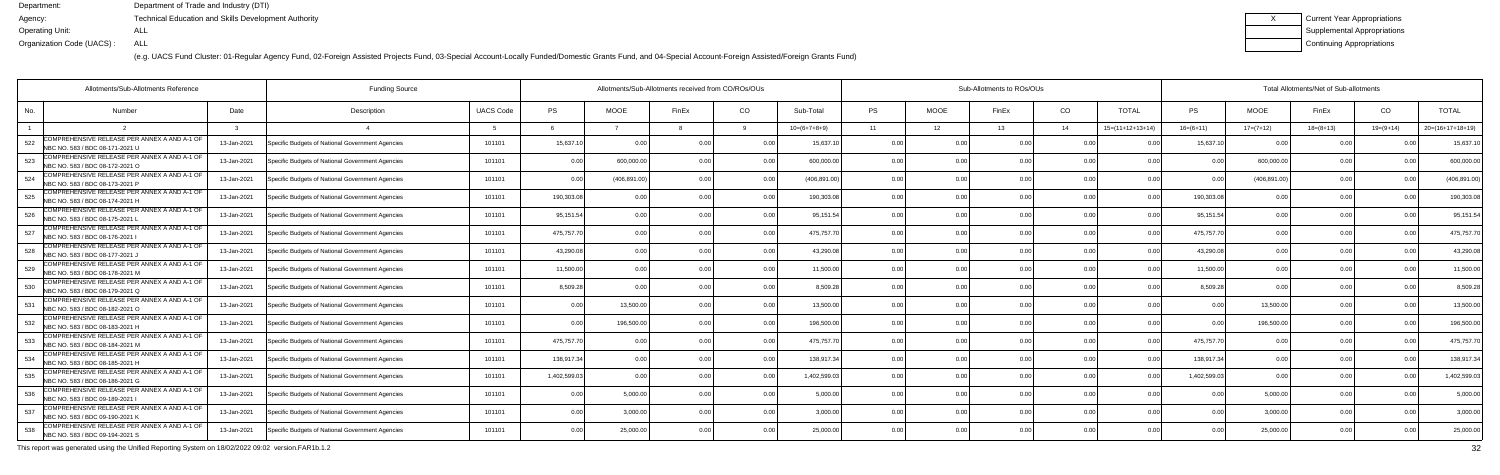(e.g. UACS Fund Cluster: 01-Regular Agency Fund, 02-Foreign Assisted Projects Fund, 03-Special Account-Locally Funded/Domestic Grants Fund, and 04-Special Account-Foreign Assisted/Foreign Grants Fund)

| Current Year Appropriations |
|-----------------------------|
| Supplemental Appropriations |
| Continuing Appropriations   |

| Allotments/Sub-Allotments Reference                                                    |             | <b>Funding Source</b>                            |                  | Allotments/Sub-Allotments received from CO/ROs/OUs |             |               |                |                | Sub-Allotments to ROs/OUs |             |       |                |                            |                | Total Allotments/Net of Sub-allotments |                |                |                    |  |  |  |
|----------------------------------------------------------------------------------------|-------------|--------------------------------------------------|------------------|----------------------------------------------------|-------------|---------------|----------------|----------------|---------------------------|-------------|-------|----------------|----------------------------|----------------|----------------------------------------|----------------|----------------|--------------------|--|--|--|
| No.<br>Number                                                                          | Date        | Description                                      | <b>UACS Code</b> | PS                                                 | <b>MOOE</b> | FinEx         | CO             | Sub-Total      | PS                        | <b>MOOE</b> | FinEx | CO             | <b>TOTAL</b>               | PS             | <b>MOOE</b>                            | FinEx          | CO             | <b>TOTAL</b>       |  |  |  |
|                                                                                        |             |                                                  |                  |                                                    |             |               |                | $10=(6+7+8+9)$ | 11                        | 12          | 13    | 14             | $15=(11+12+13+14)$         | $16=(6+11)$    | $17=(7+12)$                            | $18=(8+13)$    | $19=(9+14)$    | $20=(16+17+18+19)$ |  |  |  |
| COMPREHENSIVE RELEASE PER ANNEX A AND A-1 OF<br>522<br>NBC NO. 583 / BDC 08-171-2021 U | 13-Jan-2021 | Specific Budgets of National Government Agencies | 101101           | 15,637.10                                          | 0.00        | n nr          |                | 15,637.1       | 0.0                       |             |       | 0.00           |                            | 15.637.1       | $\Omega$                               |                |                | 15,637.1           |  |  |  |
| COMPREHENSIVE RELEASE PER ANNEX A AND A-1 OF<br>523<br>NBC NO. 583 / BDC 08-172-2021 O | 13-Jan-2021 | Specific Budgets of National Government Agencies | 101101           | 0.00                                               | 600,000.00  | 0.00          | 0.00           | 600,000.00     | 0.00                      | 0.00        |       | 0.00           | 0.00                       | 0 <sub>0</sub> | 600,000.00                             | 0.00           |                | 600,000.0          |  |  |  |
| COMPREHENSIVE RELEASE PER ANNEX A AND A-1 OF<br>524<br>NBC NO. 583 / BDC 08-173-2021 P | 13-Jan-2021 | Specific Budgets of National Government Agencies | 101101           | 0.00                                               | (406,891.00 | 0 OC          | 0.00           | (406, 891.00)  | 0.00                      | 0.00        |       | 0.00           | 0.00                       | 0.00           | (406, 891.00)                          | 0.00           |                | (406, 891.00)      |  |  |  |
| COMPREHENSIVE RELEASE PER ANNEX A AND A-1 OF<br>525<br>NBC NO. 583 / BDC 08-174-2021 H | 13-Jan-2021 | Specific Budgets of National Government Agencies | 101101           | 190,303.08                                         | 0.00        |               | 0.00           | 190,303.0      | 0.00                      | 0.00        |       | 0.00           | 0 <sub>0</sub>             | 190,303.08     |                                        | 0 Q            |                | 190,303.0          |  |  |  |
| COMPREHENSIVE RELEASE PER ANNEX A AND A-1 OF<br>526<br>NBC NO. 583 / BDC 08-175-2021 L | 13-Jan-2021 | Specific Budgets of National Government Agencies | 101101           | 95,151.54                                          | 0.00        |               | 0 <sub>0</sub> | 95,151.54      | 0.00                      | 0.00        |       | 0 <sub>0</sub> | 0 <sup>0<sup>c</sup></sup> | 95,151.54      | 0.00                                   | 0.00           |                | 95,151.5           |  |  |  |
| COMPREHENSIVE RELEASE PER ANNEX A AND A-1 OF<br>527<br>NBC NO. 583 / BDC 08-176-2021 I | 13-Jan-2021 | Specific Budgets of National Government Agencies | 101101           | 475,757.70                                         | 0.00        |               | 0.00           | 475,757.70     | 0.00                      | 0.00        |       | 0.00           | 0.00                       | 475,757.70     | 0.00                                   | 0.00           | 0.00           | 475,757.7          |  |  |  |
| COMPREHENSIVE RELEASE PER ANNEX A AND A-1 OF<br>528<br>NBC NO. 583 / BDC 08-177-2021 J | 13-Jan-2021 | Specific Budgets of National Government Agencies | 101101           | 43,290.08                                          | 0.00        |               | 0.00           | 43,290.08      | 0.00                      | 0.00        |       | 0.00           |                            | 43,290.08      | 0.0                                    | 0 Q            |                | 43,290.0           |  |  |  |
| COMPREHENSIVE RELEASE PER ANNEX A AND A-1 OF<br>529<br>NBC NO. 583 / BDC 08-178-2021 M | 13-Jan-2021 | Specific Budgets of National Government Agencies | 101101           | 11,500.00                                          | 0.00        |               | 0.00           | 11.500.00      | 0.00                      | 0.00        |       | 0.00           | 0 <sub>0</sub>             | 11.500.00      | 0.00                                   | 0 <sub>0</sub> | 0 <sub>0</sub> | 11,500.0           |  |  |  |
| COMPREHENSIVE RELEASE PER ANNEX A AND A-1 OF<br>530<br>NBC NO. 583 / BDC 08-179-2021 Q | 13-Jan-2021 | Specific Budgets of National Government Agencies | 101101           | 8,509.28                                           | 0.00        | 0 OC          | 0.00           | 8.509.28       | 0.00                      | 0.00        |       | 0.00           | 0.00                       | 8.509.28       | 0 <sub>0</sub>                         | 0.00           | 0.00           | 8,509.2            |  |  |  |
| COMPREHENSIVE RELEASE PER ANNEX A AND A-1 OF<br>531<br>NBC NO. 583 / BDC 08-182-2021 O | 13-Jan-2021 | Specific Budgets of National Government Agencies | 101101           | 0.00                                               | 13,500.00   |               | 0.00           | 13,500.00      | 0.00                      | 0.00        |       | 0.00           | 0.00                       | 0.00           | 13,500.00                              | 0.00           |                | 13,500.0           |  |  |  |
| COMPREHENSIVE RELEASE PER ANNEX A AND A-1 OF<br>532<br>NBC NO. 583 / BDC 08-183-2021 H | 13-Jan-2021 | Specific Budgets of National Government Agencies | 101101           | 0.00                                               | 196,500.00  | $\cap$ $\cap$ | 0 <sub>0</sub> | 196,500.0      | 0 <sub>0</sub>            | ი იი        |       | 0.00           | 0 <sub>0</sub>             |                | 196,500.0                              | n n            |                | 196,500.0          |  |  |  |
| COMPREHENSIVE RELEASE PER ANNEX A AND A-1 OF<br>533<br>NBC NO. 583 / BDC 08-184-2021 M | 13-Jan-2021 | Specific Budgets of National Government Agencies | 101101           | 475,757.70                                         | 0.00        |               | 0.00           | 475,757.7      | 0.00                      | 0.00        |       | 0.00           | 0.00                       | 475,757.70     |                                        | 0.00           |                | 475,757.7          |  |  |  |
| COMPREHENSIVE RELEASE PER ANNEX A AND A-1 OF<br>534<br>NBC NO. 583 / BDC 08-185-2021 H | 13-Jan-2021 | Specific Budgets of National Government Agencies | 101101           | 138.917.34                                         | 0.00        |               | 0.00           | 138,917.34     | 0.00                      | 0.00        |       | 0.00           | 0.00                       | 138,917.34     | 0.00                                   | 0.00           | 0.00           | 138,917.3          |  |  |  |
| COMPREHENSIVE RELEASE PER ANNEX A AND A-1 OF<br>535<br>NBC NO. 583 / BDC 08-186-2021 G | 13-Jan-2021 | Specific Budgets of National Government Agencies | 101101           | 1,402,599.03                                       | . 0 OC      |               |                | 1,402,599.0    | 0.00                      | 0.OO        |       | 0.00           |                            | 1,402,599.03   |                                        | 0.00           |                | 1,402,599.0        |  |  |  |
| COMPREHENSIVE RELEASE PER ANNEX A AND A-1 OF<br>536<br>NBC NO. 583 / BDC 09-189-2021   | 13-Jan-2021 | Specific Budgets of National Government Agencies | 101101           | 0.00                                               | 5,000.00    |               | 0.00           | 5.000.00       | 0.00                      | 0.00        |       | 0.00           | 0.00                       |                | 5,000.00                               | 0.00           | 0.00           | 5,000.0            |  |  |  |
| COMPREHENSIVE RELEASE PER ANNEX A AND A-1 OF<br>537<br>NBC NO. 583 / BDC 09-190-2021 K | 13-Jan-2021 | Specific Budgets of National Government Agencies | 101101           | 0.00                                               | 3,000.00    | 0.00          | 0.00           | 3.000.00       | 0.00                      | 0.00        | 0.00  | 0.00           | 0.00                       | 0.00           | 3,000.00                               | 0.00           | 0.00           | 3,000.00           |  |  |  |
| COMPREHENSIVE RELEASE PER ANNEX A AND A-1 OF<br>538<br>NBC NO. 583 / BDC 09-194-2021 S | 13-Jan-2021 | Specific Budgets of National Government Agencies | 101101           | 0.00                                               | 25,000.00   |               | 0.00           | 25,000.00      | 0 <sub>0</sub>            | 0.OO        |       | 0 <sub>0</sub> | 0 <sub>0</sub>             |                | 25,000.0                               | 0.00           |                | 25,000.00          |  |  |  |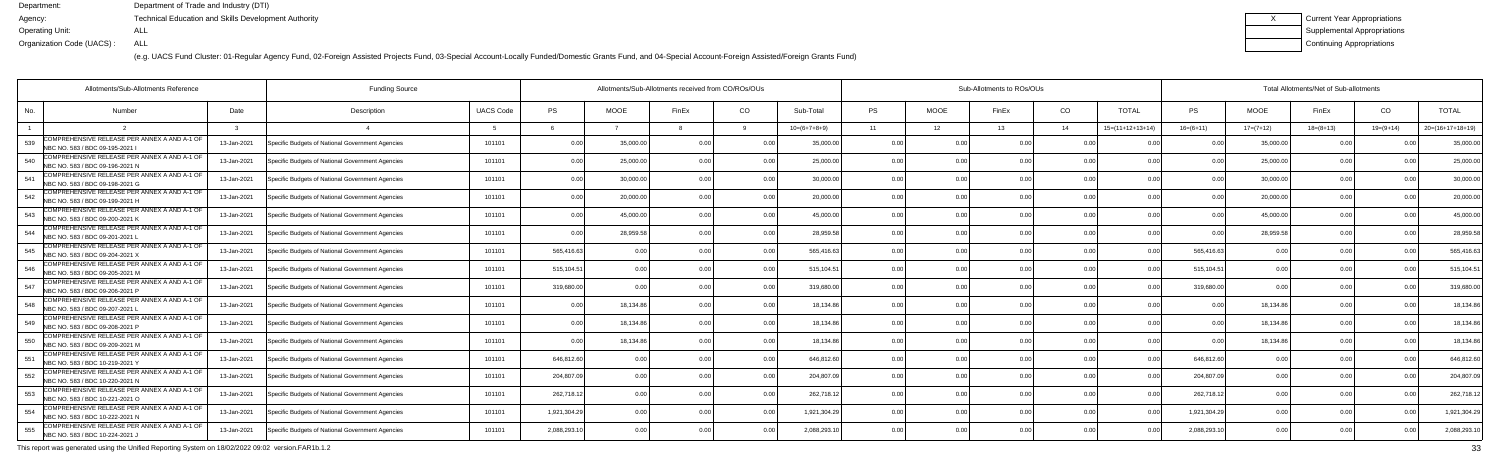(e.g. UACS Fund Cluster: 01-Regular Agency Fund, 02-Foreign Assisted Projects Fund, 03-Special Account-Locally Funded/Domestic Grants Fund, and 04-Special Account-Foreign Assisted/Foreign Grants Fund)

| Current Year Appropriations |
|-----------------------------|
| Supplemental Appropriations |
| Continuing Appropriations   |

| Allotments/Sub-Allotments Reference                                                    |             | <b>Funding Source</b>                            |                  | Allotments/Sub-Allotments received from CO/ROs/OUs |             |                |                |                |           |             | Sub-Allotments to ROs/OUs |                |                    | Total Allotments/Net of Sub-allotments |                |                |               |                    |  |
|----------------------------------------------------------------------------------------|-------------|--------------------------------------------------|------------------|----------------------------------------------------|-------------|----------------|----------------|----------------|-----------|-------------|---------------------------|----------------|--------------------|----------------------------------------|----------------|----------------|---------------|--------------------|--|
| No.<br>Number                                                                          | Date        | Description                                      | <b>UACS Code</b> | <b>PS</b>                                          | <b>MOOE</b> | FinEx          | CO.            | Sub-Total      | <b>PS</b> | <b>MOOE</b> | FinEx                     | CO             | <b>TOTAL</b>       | PS                                     | <b>MOOE</b>    | FinEx          | CO            | <b>TOTAL</b>       |  |
|                                                                                        |             |                                                  |                  |                                                    |             |                |                | $10=(6+7+8+9)$ | 11        | 12          | 13                        | 14             | $15=(11+12+13+14)$ | $16=(6+11)$                            | $17=(7+12)$    | $18=(8+13)$    | $19=(9+14)$   | $20=(16+17+18+19)$ |  |
| COMPREHENSIVE RELEASE PER ANNEX A AND A-1 OF<br>539<br>NBC NO. 583 / BDC 09-195-2021   | 13-Jan-2021 | Specific Budgets of National Government Agencies | 101101           | 0.00                                               | 35,000.0    | 0 OC           |                | 35,000.0       | 0.0       |             |                           | 0 OC           |                    |                                        | 35,000.        | 0 <sub>0</sub> |               | 35,000.0           |  |
| COMPREHENSIVE RELEASE PER ANNEX A AND A-1 OF<br>540<br>NBC NO. 583 / BDC 09-196-2021 N | 13-Jan-2021 | Specific Budgets of National Government Agencies | 101101           | 0.00                                               | 25,000.00   | 0 <sub>0</sub> | 0.00           | 25,000.00      | 0.00      | 0.00        |                           | 0.00           | 0.00               | 0 <sub>0</sub>                         | 25,000.0       | 0.00           |               | 25,000.0           |  |
| COMPREHENSIVE RELEASE PER ANNEX A AND A-1 OF<br>541<br>NBC NO. 583 / BDC 09-198-2021 G | 13-Jan-2021 | Specific Budgets of National Government Agencies | 101101           | 0.00                                               | 30,000.00   | 0 <sub>0</sub> | 0.00           | 30,000.00      | 0.00      | 0.00        |                           | 0.00           | 0.00               | 0 <sub>0</sub>                         | 30,000.00      | 0.00           | 0.00          | 30,000.0           |  |
| COMPREHENSIVE RELEASE PER ANNEX A AND A-1 OF<br>542<br>NBC NO. 583 / BDC 09-199-2021 H | 13-Jan-2021 | Specific Budgets of National Government Agencies | 101101           | 0.00                                               | 20,000.0    | 0 <sub>0</sub> | 0.0            | 20,000.00      | 0.0       |             |                           | 0.00           | 0 <sub>0</sub>     | 0 <sub>0</sub>                         | 20,000.0       | 0.0            |               | 20,000.0           |  |
| COMPREHENSIVE RELEASE PER ANNEX A AND A-1 OF<br>543<br>NBC NO. 583 / BDC 09-200-2021 K | 13-Jan-2021 | Specific Budgets of National Government Agencies | 101101           | 0.00                                               | 45,000.0    | 0 OC           | 0 <sub>0</sub> | 45.000.00      | 0.00      | 0.00        |                           | 0.00           | 0.00               |                                        | 45,000.0       | 0.00           | n no          | 45,000.0           |  |
| COMPREHENSIVE RELEASE PER ANNEX A AND A-1 OF<br>544<br>NBC NO. 583 / BDC 09-201-2021 L | 13-Jan-2021 | Specific Budgets of National Government Agencies | 101101           | 0.00                                               | 28,959.58   | 0 OC           | 0.00           | 28,959.58      | 0.00      | 0.00        |                           | 0.00           | 0.00               |                                        | 28,959.5       | 0.00           | 0.00          | 28,959.5           |  |
| COMPREHENSIVE RELEASE PER ANNEX A AND A-1 OF<br>545<br>NBC NO. 583 / BDC 09-204-2021 X | 13-Jan-2021 | Specific Budgets of National Government Agencies | 101101           | 565,416.63                                         | 0.00        |                | 0.00           | 565,416.63     | 0.00      | 0.00        |                           | 0.00           | 0 <sub>0</sub>     | 565,416.63                             | 0.0            | 0.00           |               | 565,416.6          |  |
| COMPREHENSIVE RELEASE PER ANNEX A AND A-1 OF<br>546<br>NBC NO. 583 / BDC 09-205-2021 M | 13-Jan-2021 | Specific Budgets of National Government Agencies | 101101           | 515,104.51                                         | 0.00        |                | 0 <sub>0</sub> | 515,104.51     | 0.00      | 0.00        |                           | 0.00           | n nr               | 515,104.51                             | 0.00           | 0 Q            | n no          | 515,104.5          |  |
| COMPREHENSIVE RELEASE PER ANNEX A AND A-1 OF<br>547<br>NBC NO. 583 / BDC 09-206-2021 P | 13-Jan-2021 | Specific Budgets of National Government Agencies | 101101           | 319,680.00                                         | 0.00        |                | 0.00           | 319,680.0      | 0.00      | 0.00        |                           | 0.00           | 0.00               | 319,680.00                             | 0 <sub>0</sub> | 0.00           |               | 319,680.0          |  |
| COMPREHENSIVE RELEASE PER ANNEX A AND A-1 OF<br>548<br>NBC NO. 583 / BDC 09-207-2021   | 13-Jan-2021 | Specific Budgets of National Government Agencies | 101101           | 0.00                                               | 18,134.86   |                | 0.00           | 18,134.86      | 0.00      | 0.00        |                           | 0.00           | 0.00               | 0.00                                   | 18,134.86      | 0.00           | $\cap$ $\cap$ | 18,134.8           |  |
| COMPREHENSIVE RELEASE PER ANNEX A AND A-1 OF<br>549<br>NBC NO. 583 / BDC 09-208-2021 P | 13-Jan-2021 | Specific Budgets of National Government Agencies | 101101           | 0.00                                               | 18,134.8    | n nr           | 0.00           | 18,134.86      | 0.00      | 0.00        |                           | 0.00           | 0 <sub>0</sub>     | $\cap$ $\cap$                          | 18,134.8       | 0.00           |               | 18,134.8           |  |
| COMPREHENSIVE RELEASE PER ANNEX A AND A-1 OF<br>550<br>NBC NO. 583 / BDC 09-209-2021 M | 13-Jan-2021 | Specific Budgets of National Government Agencies | 101101           | 0.00                                               | 18.134.86   |                | 0.00           | 18.134.86      | 0.00      | 0.00        |                           | 0.00           | 0.00               |                                        | 18,134.86      | 0.00           |               | 18,134.8           |  |
| COMPREHENSIVE RELEASE PER ANNEX A AND A-1 OF<br>551<br>NBC NO. 583 / BDC 10-219-2021 \ | 13-Jan-2021 | Specific Budgets of National Government Agencies | 101101           | 646,812.60                                         | 0.00        |                | 0.00           | 646,812.6      | 0.00      | 0.00        |                           | 0.00           | 0 <sub>0</sub>     | 646,812.60                             | 0.00           | 0.00           | 0.00          | 646,812.6          |  |
| COMPREHENSIVE RELEASE PER ANNEX A AND A-1 OF<br>552<br>NBC NO. 583 / BDC 10-220-2021 N | 13-Jan-2021 | Specific Budgets of National Government Agencies | 101101           | 204,807.09                                         | 0.00        |                | 0.00           | 204,807.0      | 0.0       | 0.00        |                           | 0.00           |                    | 204,807.0                              | 0.0            | n n            |               | 204,807.0          |  |
| COMPREHENSIVE RELEASE PER ANNEX A AND A-1 OF<br>553<br>NBC NO. 583 / BDC 10-221-2021 O | 13-Jan-2021 | Specific Budgets of National Government Agencies | 101101           | 262,718.12                                         | 0.00        |                |                | 262,718.12     | 0.00      | 0.00        |                           | 0.00           | n nr               | 262,718.12                             | 0.00           | n n            |               | 262,718.1          |  |
| COMPREHENSIVE RELEASE PER ANNEX A AND A-1 OF<br>554<br>NBC NO. 583 / BDC 10-222-2021 N | 13-Jan-2021 | Specific Budgets of National Government Agencies | 101101           | 1,921,304.29                                       | 0.00        |                | 0.00           | 1,921,304.29   | 0.00      | 0.00        |                           | 0.00           | 0.00               | 1,921,304.29                           | 0.00           | 0.00           | 0.00          | 1,921,304.2        |  |
| COMPREHENSIVE RELEASE PER ANNEX A AND A-1 OF<br>555<br>NBC NO. 583 / BDC 10-224-2021 J | 13-Jan-2021 | Specific Budgets of National Government Agencies | 101101           | 2,088,293.10                                       | 0.00        |                | 0 <sub>0</sub> | 2,088,293.1    | 0.00      | 0.00        |                           | 0 <sub>0</sub> | n nr               | 2,088,293.1                            | 0.00           | 0.00           |               | 2,088,293.1        |  |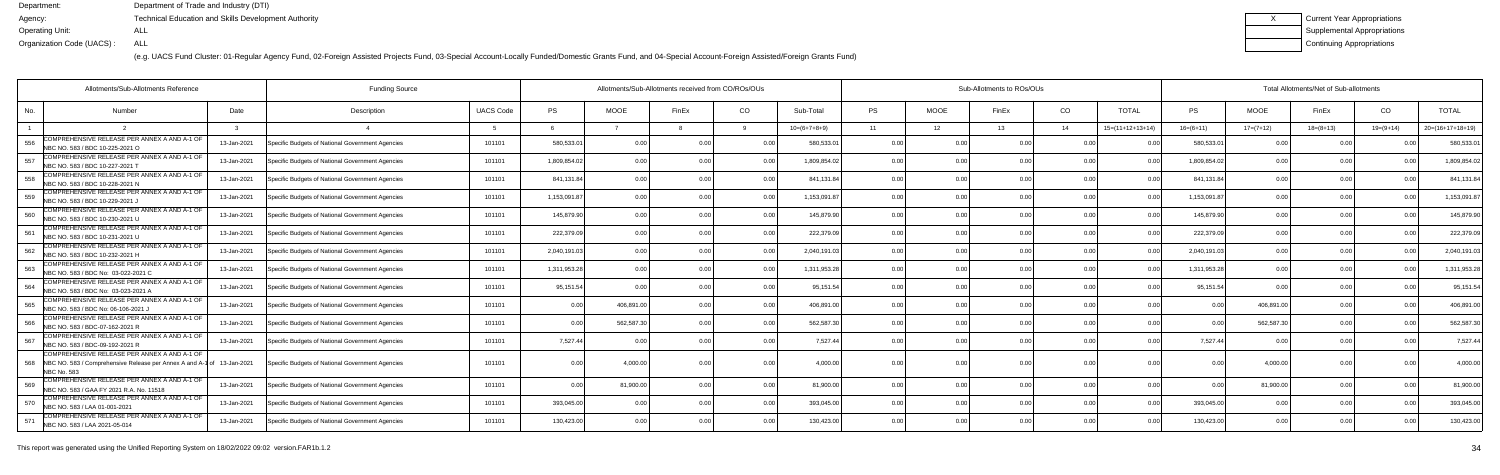(e.g. UACS Fund Cluster: 01-Regular Agency Fund, 02-Foreign Assisted Projects Fund, 03-Special Account-Locally Funded/Domestic Grants Fund, and 04-Special Account-Foreign Assisted/Foreign Grants Fund)

| Current Year Appropriations |
|-----------------------------|
| Supplemental Appropriations |
| Continuing Appropriations   |

|     | Allotments/Sub-Allotments Reference<br><b>Funding Source</b>                                                                                 |             |                                                  |                  |              |                | Allotments/Sub-Allotments received from CO/ROs/OUs |                |                | Sub-Allotments to ROs/OUs |                 |                |                |                    |                | Total Allotments/Net of Sub-allotments |             |             |                    |  |  |  |
|-----|----------------------------------------------------------------------------------------------------------------------------------------------|-------------|--------------------------------------------------|------------------|--------------|----------------|----------------------------------------------------|----------------|----------------|---------------------------|-----------------|----------------|----------------|--------------------|----------------|----------------------------------------|-------------|-------------|--------------------|--|--|--|
| No. | Number                                                                                                                                       | Date        | Description                                      | <b>UACS Code</b> | <b>PS</b>    | <b>MOOE</b>    | FinEx                                              | CO             | Sub-Total      | <b>PS</b>                 | <b>MOOE</b>     | FinEx          | CO.            | <b>TOTAL</b>       | PS             | <b>MOOE</b>                            | FinEx       | CO          | <b>TOTAL</b>       |  |  |  |
|     |                                                                                                                                              |             |                                                  | -5               | $\kappa$     |                |                                                    |                | $10=(6+7+8+9)$ | 11                        | 12 <sup>1</sup> | 13             | 14             | $15=(11+12+13+14)$ | $16=(6+11)$    | $17=(7+12)$                            | $18=(8+13)$ | $19=(9+14)$ | $20=(16+17+18+19)$ |  |  |  |
| 556 | COMPREHENSIVE RELEASE PER ANNEX A AND A-1 OF<br>NBC NO. 583 / BDC 10-225-2021 O                                                              | 13-Jan-2021 | Specific Budgets of National Government Agencies | 101101           | 580,533.01   | 0 <sub>0</sub> |                                                    | 0 O            | 580,533.0      | 0.00                      | 0.00            | n nr           | 0.00           |                    | 580,533.0      | 0.00                                   | 0.00        |             | 580,533.0          |  |  |  |
| 557 | COMPREHENSIVE RELEASE PER ANNEX A AND A-1 OF<br>NBC NO. 583 / BDC 10-227-2021 T                                                              | 13-Jan-2021 | Specific Budgets of National Government Agencies | 101101           | 1,809,854.02 | 0 <sub>0</sub> |                                                    | 0 <sub>0</sub> | 1,809,854.0    | 0.00                      | 0.00            |                | 0 <sub>0</sub> |                    | 1,809,854.0    | 0.00                                   | 0.00        |             | 1,809,854.0        |  |  |  |
| 558 | COMPREHENSIVE RELEASE PER ANNEX A AND A-1 OF<br>NBC NO. 583 / BDC 10-228-2021 N                                                              | 13-Jan-2021 | Specific Budgets of National Government Agencies | 101101           | 841,131.84   | 0.00           |                                                    | 0.0            | 841,131.84     | 0.00                      | 0.00            |                | 0.00           |                    | 841,131.84     | 0.00                                   | 0.00        |             | 841,131.           |  |  |  |
| 559 | COMPREHENSIVE RELEASE PER ANNEX A AND A-1 OF<br>NBC NO. 583 / BDC 10-229-2021 J                                                              | 13-Jan-2021 | Specific Budgets of National Government Agencies | 101101           | 1,153,091.87 | 0.00           |                                                    | 0 O            | 1,153,091.87   | 0.00                      | 0.00            |                | 0.00           | 0.0(               | 1,153,091.87   | 0.00                                   | 0.00        |             | 1,153,091.         |  |  |  |
| 560 | COMPREHENSIVE RELEASE PER ANNEX A AND A-1 OF<br>NBC NO. 583 / BDC 10-230-2021 U                                                              | 13-Jan-2021 | Specific Budgets of National Government Agencies | 101101           | 145,879.90   | 0.00           |                                                    | 0.00           | 145,879.90     | 0.00                      | 0.00            |                | 0.00           |                    | 145,879.90     | 0.00                                   | 0.00        |             | 145,879.9          |  |  |  |
| 561 | COMPREHENSIVE RELEASE PER ANNEX A AND A-1 OF<br>NBC NO. 583 / BDC 10-231-2021 U                                                              | 13-Jan-2021 | Specific Budgets of National Government Agencies | 101101           | 222,379.09   | 0.00           |                                                    | 0.00           | 222,379.09     | 0.00                      | 0.00            | 0 <sub>0</sub> | 0.00           | 0.0(               | 222,379.09     | 0.00                                   | 0.00        |             | 222,379.09         |  |  |  |
| 562 | COMPREHENSIVE RELEASE PER ANNEX A AND A-1 OF<br>NBC NO. 583 / BDC 10-232-2021 H                                                              | 13-Jan-2021 | Specific Budgets of National Government Agencies | 101101           | 2,040,191.03 | 0.00           |                                                    | 0.0            | 2,040,191.03   | 0.00                      | 0.00            |                | 0.00           |                    | 2,040,191.03   | 0.00                                   | 0.00        |             | 2,040,191.0        |  |  |  |
| 563 | COMPREHENSIVE RELEASE PER ANNEX A AND A-1 OF<br>NBC NO. 583 / BDC No: 03-022-2021 C                                                          | 13-Jan-2021 | Specific Budgets of National Government Agencies | 101101           | 1,311,953.28 | 0 <sub>0</sub> |                                                    | 0.0            | 1.311.953.2    | 0.00                      | 0.00            |                | 0 <sub>0</sub> |                    | 1,311,953.2    | 0.00                                   | 0.00        |             | 1,311,953.2        |  |  |  |
| 564 | COMPREHENSIVE RELEASE PER ANNEX A AND A-1 OF<br>NBC NO. 583 / BDC No: 03-023-2021 A                                                          | 13-Jan-2021 | Specific Budgets of National Government Agencies | 101101           | 95,151.54    | 0 <sub>0</sub> |                                                    | 0 <sub>0</sub> | 95,151.54      | 0.00                      | 0.00            |                | 0.00           |                    | 95,151.54      | 0.00                                   | 0.00        |             | 95,151.5           |  |  |  |
| 565 | COMPREHENSIVE RELEASE PER ANNEX A AND A-1 OF<br>INBC NO. 583 / BDC No: 06-106-2021 J                                                         | 13-Jan-2021 | Specific Budgets of National Government Agencies | 101101           | 0.00         | 406,891.0      |                                                    | 0.00           | 406,891.00     | 0.00                      | 0.00            |                | 0.00           | 0.00               | n n            | 406,891.00                             | 0.00        |             | 406,891.0          |  |  |  |
| 566 | COMPREHENSIVE RELEASE PER ANNEX A AND A-1 OF<br>NBC NO. 583 / BDC-07-162-2021 R                                                              | 13-Jan-2021 | Specific Budgets of National Government Agencies | 101101           | 0.00         | 562,587.30     |                                                    | 0.00           | 562.587.30     | 0.00                      | 0.00            |                | 0.00           | 0.00               | 0 Q            | 562.587.30                             | 0.00        |             | 562,587.3          |  |  |  |
| 567 | COMPREHENSIVE RELEASE PER ANNEX A AND A-1 OF<br>NBC NO. 583 / BDC-09-192-2021 R                                                              | 13-Jan-2021 | Specific Budgets of National Government Agencies | 101101           | 7,527.44     | 00             |                                                    | 0.00           | 7.527.44       | 0.00                      | 0.00            |                | 0.00           |                    | 7,527.44       | 0.00                                   | 0.00        |             | 7,527.44           |  |  |  |
| 568 | COMPREHENSIVE RELEASE PER ANNEX A AND A-1 OF<br>NBC NO. 583 / Comprehensive Release per Annex A and A-1 of 13-Jan-2021<br><b>NBC No. 583</b> |             | Specific Budgets of National Government Agencies | 101101           | 0.00         | 4.000.0        |                                                    | 0.0            | 4.000.0        |                           | 0.00            |                | 0 <sub>0</sub> |                    |                | 4,000.00                               | 0.00        |             | 4,000.00           |  |  |  |
| 569 | COMPREHENSIVE RELEASE PER ANNEX A AND A-1 OF<br>NBC NO. 583 / GAA FY 2021 R.A. No. 11518                                                     | 13-Jan-2021 | Specific Budgets of National Government Agencies | 101101           | 0.00         | 81,900.00      |                                                    | 0.00           | 81.900.00      | 0.00                      | 0.00            |                | 0.00           | 0 <sub>0</sub>     | 0 <sub>0</sub> | 81,900.00                              | 0.00        |             | 81,900.00          |  |  |  |
| 570 | COMPREHENSIVE RELEASE PER ANNEX A AND A-1 OF<br>NBC NO. 583 / LAA 01-001-2021                                                                | 13-Jan-2021 | Specific Budgets of National Government Agencies | 101101           | 393,045.00   | 0.00           |                                                    | 0.00           | 393,045.00     | 0.00                      | 0.00            |                | 0.00           | 0 <sub>0</sub>     | 393,045.00     | 0.00                                   | 0.00        |             | 393,045.00         |  |  |  |
| 571 | COMPREHENSIVE RELEASE PER ANNEX A AND A-1 OF<br>NBC NO. 583 / LAA 2021-05-014                                                                | 13-Jan-2021 | Specific Budgets of National Government Agencies | 101101           | 130,423.00   | 0.00           |                                                    | 0.00           | 130,423.00     | 0.00                      | 0.00            |                | 0 <sub>0</sub> | 0 <sub>0</sub>     | 130,423.00     | 0.00                                   | 0.00        |             | 130,423.00         |  |  |  |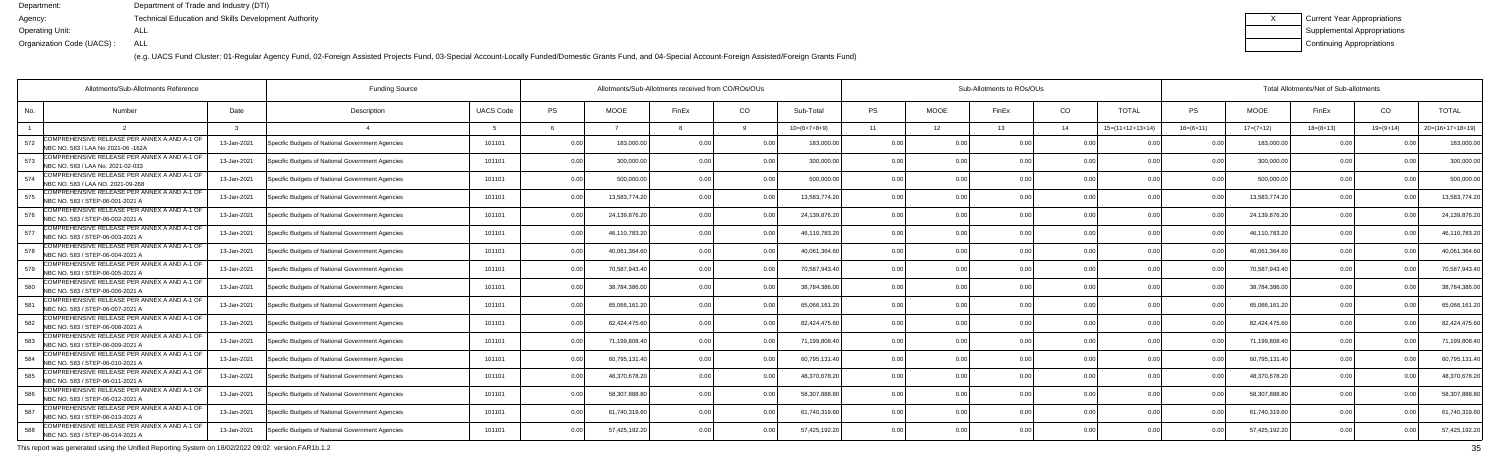(e.g. UACS Fund Cluster: 01-Regular Agency Fund, 02-Foreign Assisted Projects Fund, 03-Special Account-Locally Funded/Domestic Grants Fund, and 04-Special Account-Foreign Assisted/Foreign Grants Fund)

| Current Year Appropriations |
|-----------------------------|
| Supplemental Appropriations |
| Continuing Appropriations   |

|     | Allotments/Sub-Allotments Reference                                                |             | <b>Funding Source</b>                            |                  | Allotments/Sub-Allotments received from CO/ROs/OUs |               |                |                |                |      |                | Sub-Allotments to ROs/OUs |                |                    | Total Allotments/Net of Sub-allotments |               |             |             |                    |  |  |
|-----|------------------------------------------------------------------------------------|-------------|--------------------------------------------------|------------------|----------------------------------------------------|---------------|----------------|----------------|----------------|------|----------------|---------------------------|----------------|--------------------|----------------------------------------|---------------|-------------|-------------|--------------------|--|--|
| No. | Number                                                                             | Date        | Description                                      | <b>UACS Code</b> | <b>PS</b>                                          | <b>MOOE</b>   | FinEx          | CO             | Sub-Total      | PS   | <b>MOOE</b>    | FinEx                     | CO.            | <b>TOTAL</b>       | PS                                     | <b>MOOE</b>   | FinEx       | CO          | <b>TOTAL</b>       |  |  |
|     |                                                                                    |             |                                                  |                  |                                                    |               |                |                | $10=(6+7+8+9)$ | 11   | 12             | 13                        | - 14           | $15=(11+12+13+14)$ | $16=(6+11)$                            | $17=(7+12)$   | $18=(8+13)$ | $19=(9+14)$ | $20=(16+17+18+19)$ |  |  |
| 572 | COMPREHENSIVE RELEASE PER ANNEX A AND A-1 OF<br>NBC NO. 583 / LAA No 2021-06 -162A | 13-Jan-2021 | Specific Budgets of National Government Agencies | 101101           | 0.00                                               | 183,000.0     | 0 <sub>0</sub> | 0 <sub>0</sub> | 183.000.0      | 0.00 | 0 <sub>0</sub> |                           | 0 <sub>0</sub> |                    | n n                                    | 183,000.00    | 0.00        |             | 183,000.0          |  |  |
| 573 | COMPREHENSIVE RELEASE PER ANNEX A AND A-1 OF<br>NBC NO. 583 / LAA No. 2021-02-033  | 13-Jan-2021 | Specific Budgets of National Government Agencies | 101101           | 0.00                                               | 300,000.0     |                | 0.00           | 300,000.00     | 0.00 | 0.00           |                           | 0.00           | 0.00               | $\cap$                                 | 300,000.00    | 0.00        |             | 300,000.00         |  |  |
| 574 | COMPREHENSIVE RELEASE PER ANNEX A AND A-1 OF<br>VBC NO. 583 / LAA NO. 2021-09-268  | 13-Jan-2021 | Specific Budgets of National Government Agencies | 101101           | 0.00                                               | 500,000.00    |                | 0.00           | 500,000.00     | 0.00 | 0.00           |                           | 0.00           | 0.00               |                                        | 500,000.00    | 0.00        |             | 500,000.00         |  |  |
| 575 | OMPREHENSIVE RELEASE PER ANNEX A AND A-1 OF<br>NBC NO. 583 / STEP-06-001-2021 A    | 13-Jan-2021 | Specific Budgets of National Government Agencies | 101101           | 0.00                                               | 13,583,774.2  |                | 0.0            | 13,583,774.2   | 0.00 | 0.00           |                           | 0.00           |                    |                                        | 13,583,774.20 | 0.00        |             | 13,583,774.2       |  |  |
| 576 | COMPREHENSIVE RELEASE PER ANNEX A AND A-1 OF<br>NBC NO. 583 / STEP-06-002-2021 A   | 13-Jan-2021 | Specific Budgets of National Government Agencies | 101101           | 0.00                                               | 24,139,876.20 | 0 <sub>0</sub> | . 0 OC         | 24,139,876.20  | 0.00 | 0.00           |                           | 0 <sub>0</sub> | 0.00               |                                        | 24,139,876.20 | 0.00        |             | 24,139,876.2       |  |  |
| 577 | COMPREHENSIVE RELEASE PER ANNEX A AND A-1 OF<br>NBC NO. 583 / STEP-06-003-2021 A   | 13-Jan-2021 | Specific Budgets of National Government Agencies | 101101           | 0.00                                               | 46,110,783.20 |                | 0.00           | 46,110,783.2   | 0.00 | 0.00           |                           | 0.00           | 0.00               | n n                                    | 46,110,783.20 | 0.00        |             | 46,110,783.20      |  |  |
| 578 | OMPREHENSIVE RELEASE PER ANNEX A AND A-1 OF<br>NBC NO. 583 / STEP-06-004-2021 A    | 13-Jan-2021 | Specific Budgets of National Government Agencies | 101101           | 0.00                                               | 40,061,364.6  |                |                | 40,061,364.6   | 0.00 | 0.00           |                           | 0.00           |                    |                                        | 40,061,364.60 | 0.00        |             | 40,061,364.6       |  |  |
| 579 | COMPREHENSIVE RELEASE PER ANNEX A AND A-1 OF<br>NBC NO. 583 / STEP-06-005-2021 A   | 13-Jan-2021 | Specific Budgets of National Government Agencies | 101101           | 0.00                                               | 70,587,943.4  | 0.00           |                | 70,587,943.40  | 0.00 | 0.00           |                           | 0.00           | 0.00               |                                        | 70,587,943.40 | 0.00        |             | 70,587,943.        |  |  |
| 580 | COMPREHENSIVE RELEASE PER ANNEX A AND A-1 OF<br>NBC NO. 583 / STEP-06-006-2021 A   | 13-Jan-2021 | Specific Budgets of National Government Agencies | 101101           | 0.00                                               | 38,784,386.0  |                | 0.00           | 38,784,386.00  | 0.00 | 0.00           |                           | 0.00           | 0.00               | 0 <sub>0</sub>                         | 38,784,386.00 | 0.00        |             | 38,784,386.0       |  |  |
| 581 | COMPREHENSIVE RELEASE PER ANNEX A AND A-1 OF<br>NBC NO. 583 / STEP-06-007-2021 A   | 13-Jan-2021 | Specific Budgets of National Government Agencies | 101101           | 0.00                                               | 65,066,161.2  | 0 <sub>0</sub> | 0 <sub>0</sub> | 65,066,161.20  | 0.00 | 0.00           |                           | 0.00           | 0.00               |                                        | 65,066,161.20 | 0.00        |             | 65,066,161.        |  |  |
| 582 | OMPREHENSIVE RELEASE PER ANNEX A AND A-1 OF<br>NBC NO. 583 / STEP-06-008-2021 A    | 13-Jan-2021 | Specific Budgets of National Government Agencies | 101101           | 0.00                                               | 82,424,475.6  |                | 0 <sub>0</sub> | 82,424,475.60  | 0.00 | 0.00           |                           | 0.00           | 0.0(               |                                        | 82,424,475.60 | 0.00        |             | 82,424,475.6       |  |  |
| 583 | COMPREHENSIVE RELEASE PER ANNEX A AND A-1 OF<br>NBC NO. 583 / STEP-06-009-2021 A   | 13-Jan-2021 | Specific Budgets of National Government Agencies | 101101           | 0.00                                               | 71,199,808.4  |                | 0 <sub>0</sub> | 71,199,808.40  | 0.00 | 0.00           |                           | 0.00           | 0.0(               | 0 Q                                    | 71,199,808.40 | 0.00        |             | 71,199,808.4       |  |  |
| 584 | OMPREHENSIVE RELEASE PER ANNEX A AND A-1 OF:<br>NBC NO. 583 / STEP-06-010-2021 A   | 13-Jan-2021 | Specific Budgets of National Government Agencies | 101101           | 0.00                                               | 60,795,131.40 |                | 0.00           | 60,795,131.40  | 0.00 | 0.00           |                           | 0 <sub>0</sub> | 0.00               | n n                                    | 60,795,131.40 | 0.00        |             | 60,795,131.4       |  |  |
| 585 | COMPREHENSIVE RELEASE PER ANNEX A AND A-1 OF<br>NBC NO. 583 / STEP-06-011-2021 A   | 13-Jan-2021 | Specific Budgets of National Government Agencies | 101101           | 0.00                                               | 48,370,678.2  |                |                | 48,370,678.20  | 0.00 | 0.00           |                           | 0.00           |                    |                                        | 48,370,678.20 | 0.00        |             | 48,370,678.2       |  |  |
| 586 | COMPREHENSIVE RELEASE PER ANNEX A AND A-1 OF<br>NBC NO. 583 / STEP-06-012-2021 A   | 13-Jan-2021 | Specific Budgets of National Government Agencies | 101101           | 0.00                                               | 58,307,888.8  |                |                | 58.307.888.80  | 0.00 | 0.00           |                           | 0 <sub>0</sub> |                    |                                        | 58,307,888.80 | 0.00        |             | 58,307,888.8       |  |  |
| 587 | OMPREHENSIVE RELEASE PER ANNEX A AND A-1 OF<br>NBC NO. 583 / STEP-06-013-2021 A    | 13-Jan-2021 | Specific Budgets of National Government Agencies | 101101           | 0.00                                               | 61,740,319.60 |                | 0.00           | 61,740,319.60  | 0.00 | 0.00           |                           | 0.00           | 0.00               | 0.00                                   | 61,740,319.60 | 0.00        |             | 61.740.319.6       |  |  |
| 588 | OMPREHENSIVE RELEASE PER ANNEX A AND A-1 OF<br>NBC NO. 583 / STEP-06-014-2021 A    | 13-Jan-2021 | Specific Budgets of National Government Agencies | 101101           | 0.00                                               | 57,425,192.20 |                | 0.00           | 57,425,192.20  | 0.00 | 0.00           |                           | 0 <sub>0</sub> | 0.00               |                                        | 57,425,192.20 | 0.00        |             | 57,425,192.20      |  |  |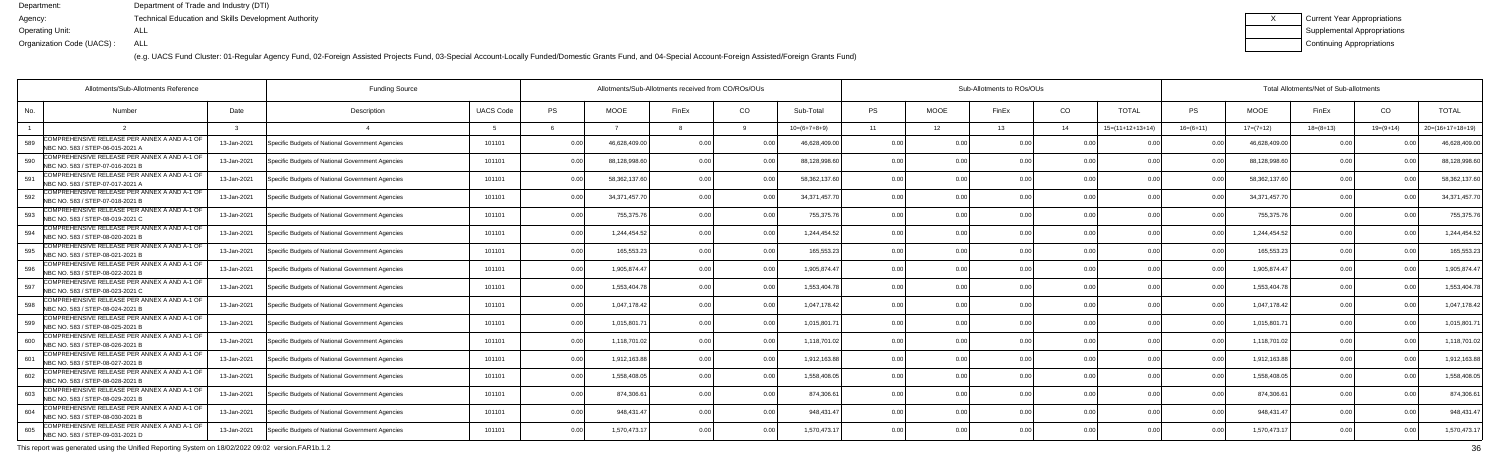(e.g. UACS Fund Cluster: 01-Regular Agency Fund, 02-Foreign Assisted Projects Fund, 03-Special Account-Locally Funded/Domestic Grants Fund, and 04-Special Account-Foreign Assisted/Foreign Grants Fund)

| Current Year Appropriations |
|-----------------------------|
| Supplemental Appropriations |
| Continuing Appropriations   |

|     | Allotments/Sub-Allotments Reference                                              |             | <b>Funding Source</b>                            |                  | Allotments/Sub-Allotments received from CO/ROs/OUs |                |                |                |                | Sub-Allotments to ROs/OUs |                 |       |                |                    |                | Total Allotments/Net of Sub-allotments |                 |             |                    |  |  |  |
|-----|----------------------------------------------------------------------------------|-------------|--------------------------------------------------|------------------|----------------------------------------------------|----------------|----------------|----------------|----------------|---------------------------|-----------------|-------|----------------|--------------------|----------------|----------------------------------------|-----------------|-------------|--------------------|--|--|--|
| No. | Number                                                                           | Date        | Description                                      | <b>UACS Code</b> | PS                                                 | <b>MOOE</b>    | FinEx          | CO.            | Sub-Total      | <b>PS</b>                 | <b>MOOE</b>     | FinEx | CO             | <b>TOTAL</b>       | <b>PS</b>      | <b>MOOE</b>                            | FinEx           | CO          | <b>TOTAL</b>       |  |  |  |
|     |                                                                                  |             |                                                  |                  |                                                    |                |                |                | $10=(6+7+8+9)$ | 11                        | 12 <sup>7</sup> | 13    | 14             | $15=(11+12+13+14)$ | $16=(6+11)$    | $17=(7+12)$                            | $18 = (8 + 13)$ | $19=(9+14)$ | $20=(16+17+18+19)$ |  |  |  |
| 589 | COMPREHENSIVE RELEASE PER ANNEX A AND A-1 OF<br>NBC NO. 583 / STEP-06-015-2021 A | 13-Jan-2021 | Specific Budgets of National Government Agencies | 101101           | 0.00                                               | 46.628.409.0   | 0 <sub>0</sub> |                | 46.628.409.0   | 0.00                      |                 |       | 0.00           |                    |                | 46.628.409.0                           | 0 Q             |             | 46,628,409.0       |  |  |  |
| 590 | COMPREHENSIVE RELEASE PER ANNEX A AND A-1 OF<br>NBC NO. 583 / STEP-07-016-2021 B | 13-Jan-2021 | Specific Budgets of National Government Agencies | 101101           | 0.00                                               | 88,128,998.6   | 0.00           | 0 <sub>0</sub> | 88,128,998.60  | 0.00                      | 0.00            |       | 0.00           | 0.00               | 0 <sub>0</sub> | 88,128,998.6                           | 0.00            |             | 88,128,998.6       |  |  |  |
| 591 | COMPREHENSIVE RELEASE PER ANNEX A AND A-1 OF<br>NBC NO. 583 / STEP-07-017-2021 A | 13-Jan-2021 | Specific Budgets of National Government Agencies | 101101           | 0.00                                               | 58,362,137.6   | 0 <sub>0</sub> | 0.00           | 58,362,137.60  | 0.00                      | 0.00            |       | 0.00           | 0.00               | 0 <sub>0</sub> | 58,362,137.60                          | 0.00            |             | 58,362,137.6       |  |  |  |
| 592 | COMPREHENSIVE RELEASE PER ANNEX A AND A-1 OF<br>NBC NO. 583 / STEP-07-018-2021 B | 13-Jan-2021 | Specific Budgets of National Government Agencies | 101101           | 0.00                                               | 34, 371, 457.7 | 0 <sub>0</sub> | 0.00           | 34,371,457.7   | 0.00                      | 0.00            |       | 0.00           | 0 <sub>0</sub>     | 0 <sub>0</sub> | 34,371,457.7                           | 0.00            |             | 34,371,457.7       |  |  |  |
| 593 | COMPREHENSIVE RELEASE PER ANNEX A AND A-1 OF<br>NBC NO. 583 / STEP-08-019-2021 C | 13-Jan-2021 | Specific Budgets of National Government Agencies | 101101           | 0.00                                               | 755,375.7      | 0 <sub>0</sub> | 0 <sub>0</sub> | 755,375.7      | 0.00                      | 0.00            |       | 0.00           | 0.00               |                | 755,375.7                              | 0.00            | n no        | 755,375.7          |  |  |  |
| 594 | COMPREHENSIVE RELEASE PER ANNEX A AND A-1 OF<br>NBC NO. 583 / STEP-08-020-2021 B | 13-Jan-2021 | Specific Budgets of National Government Agencies | 101101           | 0.00                                               | 1,244,454.5    |                | 0.00           | 1.244.454.52   | 0.00                      | 0.00            |       | 0.00           | 0.00               | 0 <sub>0</sub> | 1.244.454.5                            | 0.00            |             | 1,244,454.5        |  |  |  |
|     | COMPREHENSIVE RELEASE PER ANNEX A AND A-1 OF<br>NBC NO. 583 / STEP-08-021-2021 B | 13-Jan-2021 | Specific Budgets of National Government Agencies | 101101           | 0.00                                               | 165,553.2      |                | 0.00           | 165,553.2      | 0.00                      | 0.00            |       | 0.00           | 0 <sub>0</sub>     |                | 165,553.2                              | 0.00            |             | 165,553.2          |  |  |  |
| 596 | COMPREHENSIVE RELEASE PER ANNEX A AND A-1 OF<br>NBC NO. 583 / STEP-08-022-2021 B | 13-Jan-2021 | Specific Budgets of National Government Agencies | 101101           | 0.00                                               | 1,905,874.4    | 0 <sub>0</sub> |                | 1,905,874.47   | 0.00                      | 0.00            |       | 0.00           | 0.00               | $\cap$ $\cap$  | 1.905.874.47                           | 0.00            | n nr        | 1,905,874.4        |  |  |  |
| 597 | COMPREHENSIVE RELEASE PER ANNEX A AND A-1 OF<br>NBC NO. 583 / STEP-08-023-2021 C | 13-Jan-2021 | Specific Budgets of National Government Agencies | 101101           | 0.00                                               | 1.553.404.7    | 0 <sub>0</sub> | 0.00           | 1,553,404.78   | 0.00                      | 0.00            |       | 0.00           | 0.00               | 0.00           | 1,553,404.7                            | 0.00            | 0.00        | 1,553,404.7        |  |  |  |
| 598 | COMPREHENSIVE RELEASE PER ANNEX A AND A-1 OF<br>NBC NO. 583 / STEP-08-024-2021 B | 13-Jan-2021 | Specific Budgets of National Government Agencies | 101101           | 0.00                                               | 1,047,178.4    | 0 <sub>0</sub> | 0.00           | 1,047,178.42   | 0.00                      | 0.00            |       | 0.00           | 0.00               | 0 <sub>0</sub> | 1,047,178.42                           | 0.00            |             | 1,047,178.4        |  |  |  |
| 599 | COMPREHENSIVE RELEASE PER ANNEX A AND A-1 OF<br>NBC NO. 583 / STEP-08-025-2021 B | 13-Jan-2021 | Specific Budgets of National Government Agencies | 101101           | 0.00                                               | 1,015,801.     | 0 <sub>0</sub> |                | 1,015,801.7    | 0.00                      | 0.00            |       | 0.00           | 0 <sub>0</sub>     |                | 1,015,801.7                            | 0.00            |             | 1,015,801.         |  |  |  |
| 600 | COMPREHENSIVE RELEASE PER ANNEX A AND A-1 OF<br>NBC NO. 583 / STEP-08-026-2021 B | 13-Jan-2021 | Specific Budgets of National Government Agencies | 101101           | 0.00                                               | 1,118,701.0    |                | 0 <sub>0</sub> | 1,118,701.0    | 0.00                      | 0.00            |       | 0.00           | 0.00               | 0 <sub>0</sub> | 1,118,701.0                            | 0.00            |             | 1,118,701.0        |  |  |  |
| 601 | COMPREHENSIVE RELEASE PER ANNEX A AND A-1 OF<br>NBC NO. 583 / STEP-08-027-2021 B | 13-Jan-2021 | Specific Budgets of National Government Agencies | 101101           | 0.00                                               | 1,912,163.88   |                | 0.00           | 1,912,163.88   | 0.00                      | 0.00            |       | 0.00           | 0.00               | 0 <sub>0</sub> | 1,912,163.8                            | 0.00            | 0.00        | 1,912,163.8        |  |  |  |
| 602 | COMPREHENSIVE RELEASE PER ANNEX A AND A-1 OF<br>NBC NO. 583 / STEP-08-028-2021 B | 13-Jan-2021 | Specific Budgets of National Government Agencies | 101101           | 0.00                                               | 1,558,408.0    |                |                | 1,558,408.0    | 0.00                      | 0.00            |       | 0.00           |                    |                | 1,558,408.0                            | 0.00            |             | 1,558,408.0        |  |  |  |
| 603 | COMPREHENSIVE RELEASE PER ANNEX A AND A-1 OF<br>NBC NO. 583 / STEP-08-029-2021 B | 13-Jan-2021 | Specific Budgets of National Government Agencies | 101101           | 0.00                                               | 874,306.6      |                | 0 <sub>0</sub> | 874.306.61     | 0.00                      | 0.00            |       | 0.00           | 0.00               |                | 874,306.6                              | 0.00            | 0.00        | 874,306.6          |  |  |  |
| 604 | COMPREHENSIVE RELEASE PER ANNEX A AND A-1 OF<br>NBC NO. 583 / STEP-08-030-2021 B | 13-Jan-2021 | Specific Budgets of National Government Agencies | 101101           | 0.00                                               | 948,431.4      | 0 <sub>0</sub> | 0.00           | 948,431.47     | 0.00                      | 0.00            | 0.00  | 0.00           | 0.00               | 0.00           | 948,431.47                             | 0.00            | 0.00        | 948,431.4          |  |  |  |
| 605 | COMPREHENSIVE RELEASE PER ANNEX A AND A-1 OF<br>NBC NO. 583 / STEP-09-031-2021 D | 13-Jan-2021 | Specific Budgets of National Government Agencies | 101101           | 0.00                                               | 1,570,473.1    |                | 0 <sub>0</sub> | 1,570,473.1    | 0.0                       | 0.OO            |       | 0 <sub>0</sub> | 0 <sub>0</sub>     |                | 1,570,473.1                            | 0.00            |             | 1,570,473.1        |  |  |  |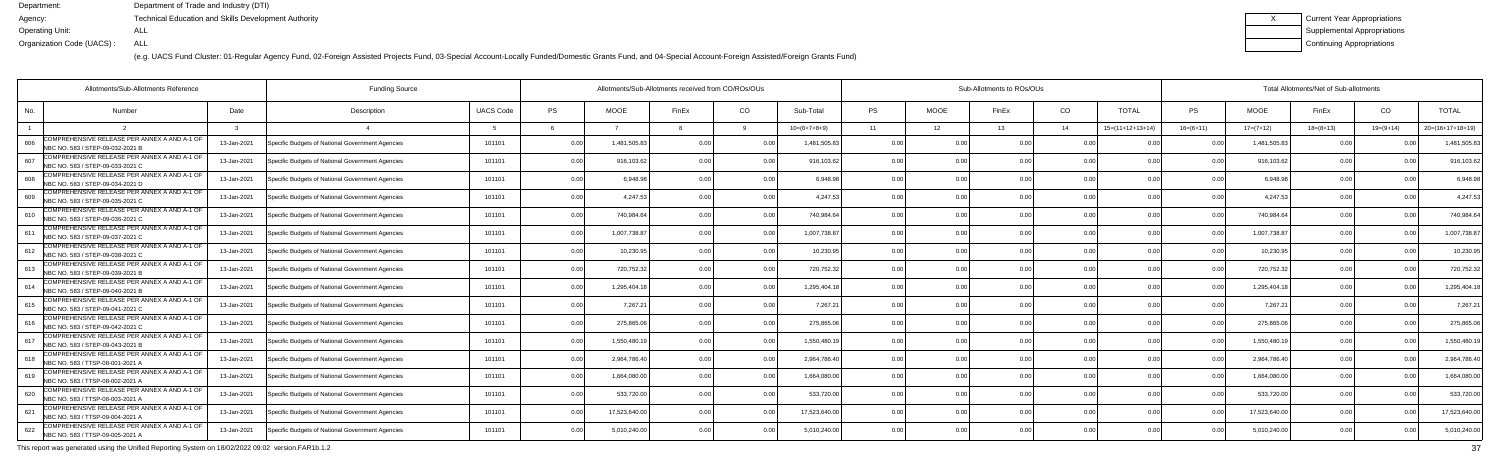(e.g. UACS Fund Cluster: 01-Regular Agency Fund, 02-Foreign Assisted Projects Fund, 03-Special Account-Locally Funded/Domestic Grants Fund, and 04-Special Account-Foreign Assisted/Foreign Grants Fund)

| Current Year Appropriations |
|-----------------------------|
| Supplemental Appropriations |
| Continuing Appropriations   |

|     | Allotments/Sub-Allotments Reference                                              |             |                                                  |                  | Allotments/Sub-Allotments received from CO/ROs/OUs |               |                | Sub-Allotments to ROs/OUs |                |                |             |       |                | Total Allotments/Net of Sub-allotments |                |               |             |             |                    |
|-----|----------------------------------------------------------------------------------|-------------|--------------------------------------------------|------------------|----------------------------------------------------|---------------|----------------|---------------------------|----------------|----------------|-------------|-------|----------------|----------------------------------------|----------------|---------------|-------------|-------------|--------------------|
| No. | Number                                                                           | Date        | Description                                      | <b>UACS Code</b> | <b>PS</b>                                          | <b>MOOE</b>   | FinEx          | CO.                       | Sub-Total      | PS             | <b>MOOE</b> | FinEx | CO.            | <b>TOTAL</b>                           | PS             | <b>MOOE</b>   | FinEx       | CO          | <b>TOTAL</b>       |
|     |                                                                                  |             |                                                  |                  |                                                    |               |                |                           | $10=(6+7+8+9)$ | 11             | 12          | 13    | 14             | $15=(11+12+13+14)$                     | $16=(6+11)$    | $17=(7+12)$   | $18=(8+13)$ | $19=(9+14)$ | $20=(16+17+18+19)$ |
| 606 | COMPREHENSIVE RELEASE PER ANNEX A AND A-1 OF<br>NBC NO. 583 / STEP-09-032-2021 B | 13-Jan-2021 | Specific Budgets of National Government Agencies | 101101           | 0.00                                               | 1,481,505.8   | 0 <sub>0</sub> |                           | 1.481.505.8    | 0.00           | 0.00        |       | 0 <sub>0</sub> |                                        | 00             | 1,481,505.83  | 0.00        |             | 1,481,505.8        |
| 607 | COMPREHENSIVE RELEASE PER ANNEX A AND A-1 OF<br>NBC NO. 583 / STEP-09-033-2021 C | 13-Jan-2021 | Specific Budgets of National Government Agencies | 101101           | 0.00                                               | 916,103.62    | 0 <sub>0</sub> | 0.00                      | 916,103.62     | 0.00           | 0.00        |       | 0.00           | 0.00                                   | 0 <sub>0</sub> | 916,103.62    | 0.00        | n n         | 916,103.6          |
| 608 | COMPREHENSIVE RELEASE PER ANNEX A AND A-1 OF<br>VBC NO. 583 / STEP-09-034-2021 D | 13-Jan-2021 | Specific Budgets of National Government Agencies | 101101           | 0.00                                               | 6,948.98      |                | 0.00                      | 6.948.98       | 0.00           | 0.00        |       | 0.00           | 0.00                                   |                | 6,948.98      | 0.00        |             | 6,948.98           |
| 609 | OMPREHENSIVE RELEASE PER ANNEX A AND A-1 OF<br>NBC NO. 583 / STEP-09-035-2021 C  | 13-Jan-2021 | Specific Budgets of National Government Agencies | 101101           | 0.00                                               | 4,247.5       |                | 0.0                       | 4.247.5        | 0.00           | 0.00        |       | 0.00           |                                        | n n            | 4,247.53      | 0.00        |             | 4,247.53           |
| 610 | COMPREHENSIVE RELEASE PER ANNEX A AND A-1 OF<br>NBC NO. 583 / STEP-09-036-2021 C | 13-Jan-2021 | Specific Budgets of National Government Agencies | 101101           | 0.00                                               | 740,984.64    | n n            | 0.00                      | 740,984.64     | 0.00           | 0.00        |       | 0.00           | 0.0(                                   |                | 740,984.64    | 0.00        |             | 740,984.6          |
| 611 | COMPREHENSIVE RELEASE PER ANNEX A AND A-1 OF<br>NBC NO. 583 / STEP-09-037-2021 C | 13-Jan-2021 | Specific Budgets of National Government Agencies | 101101           | 0.00                                               | 1,007,738.8   |                | 0.00                      | 1.007.738.87   | 0.00           | 0.00        |       | 0.00           | 0.00                                   | 0 <sub>0</sub> | 1,007,738.87  | 0.00        |             | 1,007,738.8        |
| 612 | COMPREHENSIVE RELEASE PER ANNEX A AND A-1 OF<br>NBC NO. 583 / STEP-09-038-2021 C | 13-Jan-2021 | Specific Budgets of National Government Agencies | 101101           | 0.00                                               | 10,230.95     |                | 0.00                      | 10,230.95      | 0.00           | 0.00        |       | 0.00           |                                        |                | 10,230.95     | 0.00        |             | 10,230.9           |
| 613 | COMPREHENSIVE RELEASE PER ANNEX A AND A-1 OF<br>NBC NO. 583 / STEP-09-039-2021 B | 13-Jan-2021 | Specific Budgets of National Government Agencies | 101101           | 0.00                                               | 720,752.32    |                | 0.00                      | 720,752.32     | 0.00           | 0.00        |       | 0 <sub>0</sub> | 0.00                                   |                | 720,752.32    | 0.00        |             | 720,752.3          |
| 614 | COMPREHENSIVE RELEASE PER ANNEX A AND A-1 OF<br>NBC NO. 583 / STEP-09-040-2021 B | 13-Jan-2021 | Specific Budgets of National Government Agencies | 101101           | 0.00                                               | 1,295,404.1   |                | 0.00                      | 1,295,404.1    | 0.00           | 0.00        |       | 0.00           | 0.00                                   | 0.00           | 1,295,404.18  | 0.00        |             | 1,295,404.1        |
| 615 | COMPREHENSIVE RELEASE PER ANNEX A AND A-1 OF<br>NBC NO. 583 / STEP-09-041-2021 C | 13-Jan-2021 | Specific Budgets of National Government Agencies | 101101           | 0.00                                               | 7,267.2       | 0 <sub>0</sub> | 0.00                      | 7,267.2        | 0.00           | 0.00        |       | 0.00           | 0.00                                   | n n            | 7,267.21      | 0.00        |             | 7,267.2            |
| 616 | COMPREHENSIVE RELEASE PER ANNEX A AND A-1 OF<br>NBC NO. 583 / STEP-09-042-2021 C | 13-Jan-2021 | Specific Budgets of National Government Agencies | 101101           | 0.00                                               | 275,865.06    |                | 0.00                      | 275,865.0      | 0.00           | 0.00        |       | 0 <sub>0</sub> | 0 <sub>0</sub>                         |                | 275,865.06    | 0.00        |             | 275,865.06         |
| 617 | COMPREHENSIVE RELEASE PER ANNEX A AND A-1 OF<br>NBC NO. 583 / STEP-09-043-2021 B | 13-Jan-2021 | Specific Budgets of National Government Agencies | 101101           | 0.00                                               | 1.550.480.1   |                | 0.00                      | 1,550,480.1    | 0.00           | 0.00        |       | 0.00           | 0 <sub>0</sub>                         | n n            | 1,550,480.19  | 0.00        |             | 1,550,480.         |
| 618 | COMPREHENSIVE RELEASE PER ANNEX A AND A-1 OF<br>NBC NO. 583 / TTSP-08-001-2021 A | 13-Jan-2021 | Specific Budgets of National Government Agencies | 101101           | 0.00                                               | 2,964,786.40  |                | 0.00                      | 2,964,786.40   | 0.00           | 0.00        |       | 0.00           | 0.00                                   | n n            | 2,964,786.40  | 0.00        |             | 2,964,786.4        |
| 619 | COMPREHENSIVE RELEASE PER ANNEX A AND A-1 OF<br>NBC NO. 583 / TTSP-08-002-2021 A | 13-Jan-2021 | Specific Budgets of National Government Agencies | 101101           | 0.00                                               | 1.664.080.0   |                | 0 <sub>0</sub>            | 1.664.080.00   | 0.00           | 0.00        |       | 0 <sub>0</sub> |                                        |                | 1,664,080.00  | 0.00        |             | 1,664,080.0        |
| 620 | COMPREHENSIVE RELEASE PER ANNEX A AND A-1 OF<br>NBC NO. 583 / TTSP-08-003-2021 A | 13-Jan-2021 | Specific Budgets of National Government Agencies | 101101           | 0.00                                               | 533,720.00    |                | 0.00                      | 533,720.00     | 0.00           | 0.00        |       | 0.00           | 0 <sub>0</sub>                         |                | 533,720.00    | 0.00        |             | 533,720.00         |
| 621 | OMPREHENSIVE RELEASE PER ANNEX A AND A-1 OF<br>NBC NO. 583 / TTSP-09-004-2021 A  | 13-Jan-2021 | Specific Budgets of National Government Agencies | 101101           | 0.00                                               | 17,523,640.00 | 0 <sub>0</sub> | 0.00                      | 17,523,640.00  | 0.00           | 0.00        | 0.00  | 0.00           | 0.00                                   | 0.00           | 17,523,640.00 | 0.00        |             | 17,523,640.00      |
| 622 | COMPREHENSIVE RELEASE PER ANNEX A AND A-1 OF<br>NBC NO. 583 / TTSP-09-005-2021 A | 13-Jan-2021 | Specific Budgets of National Government Agencies | 101101           | 0.00                                               | 5,010,240.00  |                | 0.00                      | 5,010,240.00   | 0 <sub>0</sub> | 0.00        |       | 0 <sub>0</sub> |                                        |                | 5,010,240.00  | 0.00        |             | 5,010,240.00       |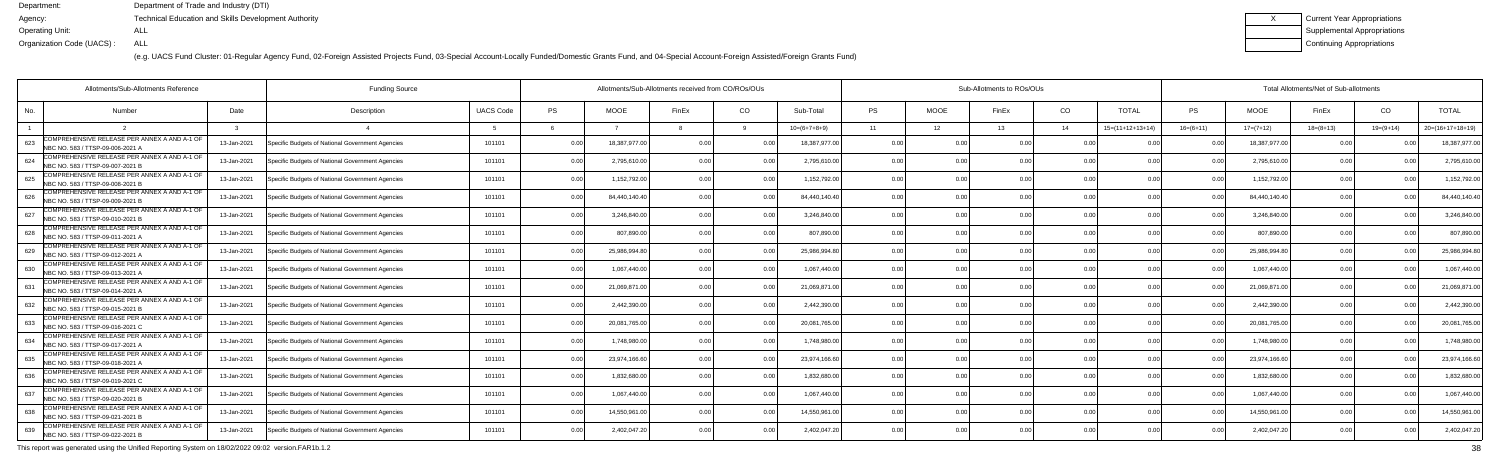(e.g. UACS Fund Cluster: 01-Regular Agency Fund, 02-Foreign Assisted Projects Fund, 03-Special Account-Locally Funded/Domestic Grants Fund, and 04-Special Account-Foreign Assisted/Foreign Grants Fund)

| Current Year Appropriations |
|-----------------------------|
| Supplemental Appropriations |
| Continuing Appropriations   |

|     | Allotments/Sub-Allotments Reference                                              |             | <b>Funding Source</b>                            |                  | Allotments/Sub-Allotments received from CO/ROs/OUs |               |                |                |                |           |                 | Sub-Allotments to ROs/OUs |                |                    | Total Allotments/Net of Sub-allotments |               |             |             |                    |  |  |
|-----|----------------------------------------------------------------------------------|-------------|--------------------------------------------------|------------------|----------------------------------------------------|---------------|----------------|----------------|----------------|-----------|-----------------|---------------------------|----------------|--------------------|----------------------------------------|---------------|-------------|-------------|--------------------|--|--|
| No. | Number                                                                           | Date        | Description                                      | <b>UACS Code</b> | PS                                                 | <b>MOOE</b>   | FinEx          | CO             | Sub-Total      | <b>PS</b> | <b>MOOE</b>     | FinEx                     | CO             | <b>TOTAL</b>       | PS                                     | <b>MOOE</b>   | FinEx       | CO          | <b>TOTAL</b>       |  |  |
|     |                                                                                  |             |                                                  |                  |                                                    |               |                |                | $10=(6+7+8+9)$ | 11        | 12 <sup>7</sup> | 13                        | 14             | $15=(11+12+13+14)$ | $16=(6+11)$                            | $17=(7+12)$   | $18=(8+13)$ | $19=(9+14)$ | $20=(16+17+18+19)$ |  |  |
| 623 | COMPREHENSIVE RELEASE PER ANNEX A AND A-1 OF<br>NBC NO. 583 / TTSP-09-006-2021 A | 13-Jan-2021 | Specific Budgets of National Government Agencies | 101101           | 0.00                                               | 18,387,977.0  | 0.00           |                | 18,387,977.00  | 0.00      |                 | 0.00                      | 0 OC           |                    |                                        | 18,387,977.00 | 0.00        |             | 18,387,977.0       |  |  |
| 624 | COMPREHENSIVE RELEASE PER ANNEX A AND A-1 OF<br>NBC NO. 583 / TTSP-09-007-2021 B | 13-Jan-2021 | Specific Budgets of National Government Agencies | 101101           | 0.00                                               | 2,795,610.00  | 0.00           | 0.00           | 2,795,610.00   | 0.00      | 0.00            |                           | 0.00           | 0.00               | 0 <sub>0</sub>                         | 2,795,610.00  | 0.00        | 0.00        | 2,795,610.0        |  |  |
| 625 | OMPREHENSIVE RELEASE PER ANNEX A AND A-1 OF<br>NBC NO. 583 / TTSP-09-008-2021 B  | 13-Jan-2021 | Specific Budgets of National Government Agencies | 101101           | 0.00                                               | 1,152,792.00  | 0.00           | 0.00           | 1,152,792.00   | 0.00      | 0.00            |                           | 0.00           | 0.00               | 0 <sub>0</sub>                         | 1,152,792.00  | 0.00        |             | 1,152,792.0        |  |  |
| 626 | OMPREHENSIVE RELEASE PER ANNEX A AND A-1 OF<br>NBC NO. 583 / TTSP-09-009-2021 B  | 13-Jan-2021 | Specific Budgets of National Government Agencies | 101101           | 0.00                                               | 84,440,140.4  | 0.00           | 0.00           | 84,440,140.40  | 0.00      | 0.00            |                           | 0.00           | 0 <sub>0</sub>     | 0 <sub>0</sub>                         | 84,440,140.40 | 0.00        |             | 84,440,140.4       |  |  |
| 627 | COMPREHENSIVE RELEASE PER ANNEX A AND A-1 OF<br>NBC NO. 583 / TTSP-09-010-2021 B | 13-Jan-2021 | Specific Budgets of National Government Agencies | 101101           | 0.00                                               | 3,246,840.00  | 0 <sub>0</sub> | 0 <sub>0</sub> | 3,246,840.00   | 0.00      | 0.00            |                           | 0.00           | 0.00               | 0 <sub>0</sub>                         | 3,246,840.00  | 0.00        |             | 3,246,840.0        |  |  |
| 628 | COMPREHENSIVE RELEASE PER ANNEX A AND A-1 OF<br>NBC NO. 583 / TTSP-09-011-2021 A | 13-Jan-2021 | Specific Budgets of National Government Agencies | 101101           | 0.00                                               | 807,890.0     | 0.00           | 0.00           | 807.890.0      | 0.00      | 0.00            | 0.OC                      | 0.00           | 0.00               | $\cap$ $\cap$                          | 807.890.0     | 0.00        | 0.00        | 807,890.0          |  |  |
| 629 | OMPREHENSIVE RELEASE PER ANNEX A AND A-1 OF<br>NBC NO. 583 / TTSP-09-012-2021 A  | 13-Jan-2021 | Specific Budgets of National Government Agencies | 101101           | 0.00                                               | 25,986,994.8  |                |                | 25,986,994.8   | 0.0       | 0.00            |                           | 0.00           |                    |                                        | 25,986,994.8  | 0.00        |             | 25,986,994.8       |  |  |
| 630 | COMPREHENSIVE RELEASE PER ANNEX A AND A-1 OF<br>NBC NO. 583 / TTSP-09-013-2021 A | 13-Jan-2021 | Specific Budgets of National Government Agencies | 101101           | 0.00                                               | 1,067,440.0   | 0.00           |                | 1.067.440.00   | 0.00      | 0.00            |                           | 0.00           | 0.00               |                                        | 1,067,440.00  | 0.00        |             | 1,067,440.0        |  |  |
| 631 | COMPREHENSIVE RELEASE PER ANNEX A AND A-1 OF<br>NBC NO. 583 / TTSP-09-014-2021 A | 13-Jan-2021 | Specific Budgets of National Government Agencies | 101101           | 0.00                                               | 21,069,871.0  | 0.00           | 0.00           | 21,069,871.0   | 0.00      | 0.00            |                           | 0.00           | 0.00               | 0.00                                   | 21,069,871.0  | 0.00        | 0.00        | 21,069,871.        |  |  |
| 632 | COMPREHENSIVE RELEASE PER ANNEX A AND A-1 OF<br>NBC NO. 583 / TTSP-09-015-2021 B | 13-Jan-2021 | Specific Budgets of National Government Agencies | 101101           | 0.00                                               | 2,442,390.0   | 0 <sub>0</sub> | 0.00           | 2,442,390.00   | 0.00      | 0.00            |                           | 0.00           | 0.00               |                                        | 2,442,390.0   | 0.00        |             | 2,442,390.0        |  |  |
| 633 | COMPREHENSIVE RELEASE PER ANNEX A AND A-1 OF<br>NBC NO. 583 / TTSP-09-016-2021 C | 13-Jan-2021 | Specific Budgets of National Government Agencies | 101101           | 0.00                                               | 20,081,765.00 | 0 OC           |                | 20,081,765.00  | 0.00      | 0.00            |                           | 0.00           | 0 <sub>0</sub>     |                                        | 20,081,765.00 | 0.00        |             | 20,081,765.0       |  |  |
| 634 | COMPREHENSIVE RELEASE PER ANNEX A AND A-1 OF<br>NBC NO. 583 / TTSP-09-017-2021 A | 13-Jan-2021 | Specific Budgets of National Government Agencies | 101101           | 0.00                                               | 1.748.980.0   | 0 <sub>0</sub> | 0 <sub>0</sub> | 1.748.980.0    | 0.00      | 0.00            |                           | 0.00           | 0.00               | 0 <sub>0</sub>                         | 1.748.980.0   | 0.00        |             | 1,748,980.0        |  |  |
| 635 | COMPREHENSIVE RELEASE PER ANNEX A AND A-1 OF<br>NBC NO. 583 / TTSP-09-018-2021 A | 13-Jan-2021 | Specific Budgets of National Government Agencies | 101101           | 0.00                                               | 23,974,166.60 | 0.00           | 0 <sub>0</sub> | 23,974,166.60  | 0.00      | 0.00            | 0.00                      | 0.00           | 0.00               | 0 <sub>0</sub>                         | 23,974,166.60 | 0.00        |             | 23,974,166.6       |  |  |
| 636 | COMPREHENSIVE RELEASE PER ANNEX A AND A-1 OF<br>NBC NO. 583 / TTSP-09-019-2021 C | 13-Jan-2021 | Specific Budgets of National Government Agencies | 101101           | 0.00                                               | 1,832,680.0   | 0 <sub>0</sub> |                | 1,832,680.0    | 0.00      | 0.00            |                           | 0 <sub>0</sub> |                    |                                        | 1,832,680.0   | 0.00        |             | 1,832,680.0        |  |  |
| 637 | COMPREHENSIVE RELEASE PER ANNEX A AND A-1 OF<br>NBC NO. 583 / TTSP-09-020-2021 B | 13-Jan-2021 | Specific Budgets of National Government Agencies | 101101           | 0.00                                               | 1,067,440.00  | 0 <sub>0</sub> | 0 <sub>0</sub> | 1.067.440.00   | 0.00      | 0.00            |                           | 0.00           | 0.00               | 0 <sub>0</sub>                         | 1,067,440.00  | 0.00        | 0.00        | 1,067,440.0        |  |  |
| 638 | OMPREHENSIVE RELEASE PER ANNEX A AND A-1 OF<br>NBC NO. 583 / TTSP-09-021-2021 B  | 13-Jan-2021 | Specific Budgets of National Government Agencies | 101101           | 0.00                                               | 14,550,961.00 | 0.00           | 0.00           | 14,550,961.00  | 0.00      | 0.00            | 0.00                      | 0.00           | 0.00               | 0.00                                   | 14,550,961.0  | 0.00        | 0.00        | 14,550,961.0       |  |  |
| 639 | COMPREHENSIVE RELEASE PER ANNEX A AND A-1 OF<br>NBC NO. 583 / TTSP-09-022-2021 B | 13-Jan-2021 | Specific Budgets of National Government Agencies | 101101           | 0.00                                               | 2,402,047.20  |                | 0 <sub>0</sub> | 2,402,047.20   | 0.0       | 0.OO            |                           | 0 <sub>0</sub> | 0 <sub>0</sub>     |                                        | 2,402,047.20  | 0.00        |             | 2,402,047.2        |  |  |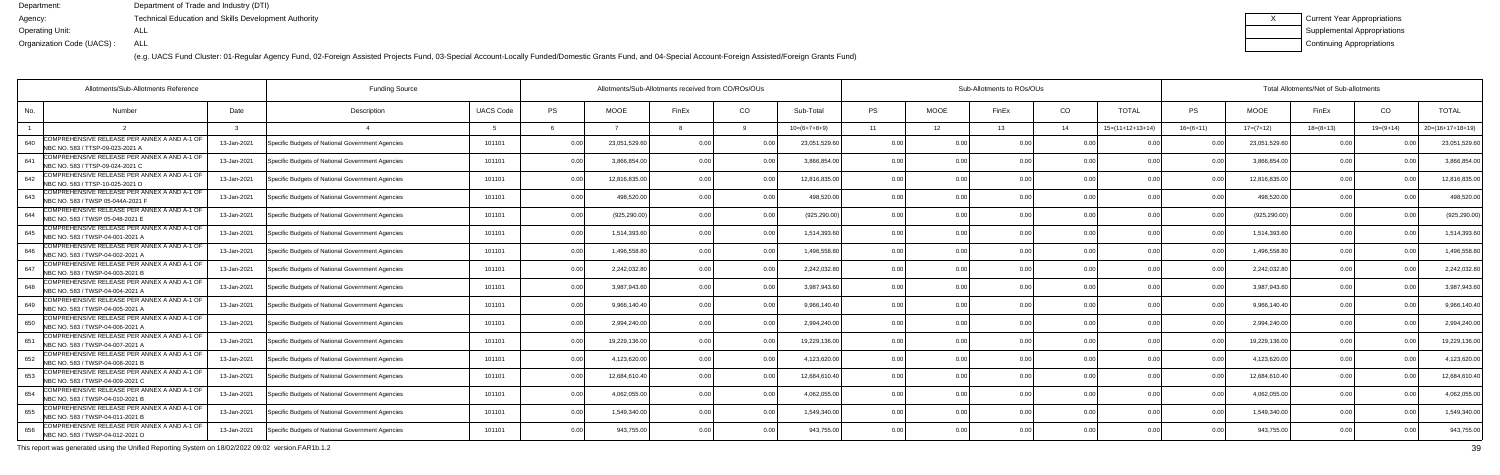(e.g. UACS Fund Cluster: 01-Regular Agency Fund, 02-Foreign Assisted Projects Fund, 03-Special Account-Locally Funded/Domestic Grants Fund, and 04-Special Account-Foreign Assisted/Foreign Grants Fund)

| Current Year Appropriations |
|-----------------------------|
| Supplemental Appropriations |
| Continuing Appropriations   |

|     | <b>Funding Source</b><br>Allotments/Sub-Allotments Reference                      |             |                                                  |                  |           | Allotments/Sub-Allotments received from CO/ROs/OUs |                |                |                |           |                 | Sub-Allotments to ROs/OUs |                |                    |                |               | Total Allotments/Net of Sub-allotments |             |                    |  |  |  |
|-----|-----------------------------------------------------------------------------------|-------------|--------------------------------------------------|------------------|-----------|----------------------------------------------------|----------------|----------------|----------------|-----------|-----------------|---------------------------|----------------|--------------------|----------------|---------------|----------------------------------------|-------------|--------------------|--|--|--|
| No. | Number                                                                            | Date        | Description                                      | <b>UACS Code</b> | <b>PS</b> | <b>MOOE</b>                                        | FinEx          | CO             | Sub-Total      | <b>PS</b> | <b>MOOE</b>     | FinEx                     | CO             | <b>TOTAL</b>       | <b>PS</b>      | <b>MOOE</b>   | FinEx                                  | CO          | <b>TOTAL</b>       |  |  |  |
|     |                                                                                   |             |                                                  |                  |           |                                                    |                |                | $10=(6+7+8+9)$ | 11        | 12 <sup>°</sup> | 13                        | 14             | $15=(11+12+13+14)$ | $16=(6+11)$    | $17=(7+12)$   | $18 = (8 + 13)$                        | $19=(9+14)$ | $20=(16+17+18+19)$ |  |  |  |
| 640 | COMPREHENSIVE RELEASE PER ANNEX A AND A-1 OF<br>NBC NO. 583 / TTSP-09-023-2021 A  | 13-Jan-2021 | Specific Budgets of National Government Agencies | 101101           | 0.00      | 23,051,529.6                                       | 0 <sub>0</sub> |                | 23,051,529.60  | 0.00      |                 | 0 <sub>0</sub>            | 0 <sub>0</sub> |                    |                | 23,051,529.60 | n n                                    |             | 23,051,529.6       |  |  |  |
| 641 | COMPREHENSIVE RELEASE PER ANNEX A AND A-1 OF<br>NBC NO. 583 / TTSP-09-024-2021 C  | 13-Jan-2021 | Specific Budgets of National Government Agencies | 101101           | 0.00      | 3.866.854.0                                        |                | 0.00           | 3.866.854.00   | 0.00      | 0.00            |                           | 0.00           | 0.00               | 0.00           | 3,866,854.00  | 0.00                                   |             | 3,866,854.0        |  |  |  |
| 642 | COMPREHENSIVE RELEASE PER ANNEX A AND A-1 OF<br>NBC NO. 583 / TTSP-10-025-2021 D  | 13-Jan-2021 | Specific Budgets of National Government Agencies | 101101           | 0.00      | 12,816,835.0                                       | 0 U            | 0 <sub>0</sub> | 12,816,835.00  | 0.00      | 0.00            | 0.00                      | 0.0(           | 0.00               |                | 12,816,835.00 | 0.00                                   |             | 12,816,835.0       |  |  |  |
| 643 | COMPREHENSIVE RELEASE PER ANNEX A AND A-1 OF<br>NBC NO. 583 / TWSP 05-044A-2021 F | 13-Jan-2021 | Specific Budgets of National Government Agencies | 101101           | 0.00      | 498,520.0                                          | n n            | 0.0            | 498,520.00     | 0.00      | 0.00            |                           | 0.0(           |                    |                | 498,520.00    | 0.0                                    |             | 498,520.0          |  |  |  |
| 644 | COMPREHENSIVE RELEASE PER ANNEX A AND A-1 OF<br>NBC NO. 583 / TWSP 05-048-2021 E  | 13-Jan-2021 | Specific Budgets of National Government Agencies | 101101           | 0.00      | (925, 290.00)                                      |                | 0.00           | (925, 290.00)  | 0.00      | 0.00            |                           | 0.0(           | 0.00               |                | (925, 290.00) | 0.00                                   |             | (925, 290.00)      |  |  |  |
| 645 | COMPREHENSIVE RELEASE PER ANNEX A AND A-1 OF<br>NBC NO. 583 / TWSP-04-001-2021 A  | 13-Jan-2021 | Specific Budgets of National Government Agencies | 101101           | 0.00      | 1,514,393.6                                        | 0 <sub>0</sub> | 0.00           | 1,514,393.60   | 0.00      | 0.00            | 0.00                      | 0.0(           | 0.00               | $\cap$ $\cap$  | 1,514,393.60  | 0.00                                   |             | 1,514,393.6        |  |  |  |
| 646 | COMPREHENSIVE RELEASE PER ANNEX A AND A-1 OF<br>NBC NO. 583 / TWSP-04-002-2021 A  | 13-Jan-2021 | Specific Budgets of National Government Agencies | 101101           | 0.00      | 1,496,558.8                                        |                | . 0.0          | 1,496,558.80   | 0.00      | 0.00            |                           | 0.0(           |                    |                | 1,496,558.80  | 0.0                                    |             | 1,496,558.8        |  |  |  |
| 647 | COMPREHENSIVE RELEASE PER ANNEX A AND A-1 OF<br>NBC NO. 583 / TWSP-04-003-2021 B  | 13-Jan-2021 | Specific Budgets of National Government Agencies | 101101           | 0.00      | 2,242,032.80                                       |                |                | 2,242,032.80   | 0.00      | 0.00            |                           | 0.0(           | 0.00               |                | 2,242,032.80  | 0.00                                   |             | 2,242,032.8        |  |  |  |
| 648 | COMPREHENSIVE RELEASE PER ANNEX A AND A-1 OF<br>NBC NO. 583 / TWSP-04-004-2021 A  | 13-Jan-2021 | Specific Budgets of National Government Agencies | 101101           | 0.00      | 3.987.943.6                                        | n n            | 0.00           | 3,987,943.60   | 0.00      | 0.00            |                           | 0.00           | 0.00               | 0.00           | 3,987,943.60  | 0.00                                   |             | 3.987.943.6        |  |  |  |
| 649 | COMPREHENSIVE RELEASE PER ANNEX A AND A-1 OF<br>NBC NO. 583 / TWSP-04-005-2021 /  | 13-Jan-2021 | Specific Budgets of National Government Agencies | 101101           | 0.00      | 9,966,140.40                                       | 0 O            | 0.00           | 9,966,140.40   | 0.00      | 0.00            | 0.00                      | 0.0(           | 0.00               |                | 9,966,140.40  | 0.00                                   |             | 9,966,140.4        |  |  |  |
| 650 | COMPREHENSIVE RELEASE PER ANNEX A AND A-1 OF<br>NBC NO. 583 / TWSP-04-006-2021 A  | 13-Jan-2021 | Specific Budgets of National Government Agencies | 101101           | 0.00      | 2,994,240.0                                        |                |                | 2,994,240.00   | 0.00      | 0.00            |                           | 0 <sub>0</sub> |                    |                | 2,994,240.00  | 0.00                                   |             | 2,994,240.0        |  |  |  |
| 651 | COMPREHENSIVE RELEASE PER ANNEX A AND A-1 OF<br>NBC NO. 583 / TWSP-04-007-2021 A  | 13-Jan-2021 | Specific Budgets of National Government Agencies | 101101           | 0.00      | 19,229,136.00                                      |                | 0.0            | 19,229,136.00  | 0.00      | 0.00            |                           | 0.0(           | 0.0                | 0 <sub>0</sub> | 19,229,136.00 | 0.00                                   |             | 19,229,136.0       |  |  |  |
| 652 | COMPREHENSIVE RELEASE PER ANNEX A AND A-1 OF<br>NBC NO. 583 / TWSP-04-008-2021 B  | 13-Jan-2021 | Specific Budgets of National Government Agencies | 101101           | 0.00      | 4,123,620.00                                       | n nr           | $\cap$ $\cap$  | 4,123,620.00   | 0.00      | 0.00            | 0.00                      | 0.00           | 0.00               | $\cap$ $\cap$  | 4,123,620.00  | 0.00                                   |             | 4,123,620.0        |  |  |  |
| 653 | COMPREHENSIVE RELEASE PER ANNEX A AND A-1 OF<br>NBC NO. 583 / TWSP-04-009-2021 C  | 13-Jan-2021 | Specific Budgets of National Government Agencies | 101101           | 0.00      | 12,684,610.4                                       |                | 0 <sub>0</sub> | 12,684,610.40  | 0.00      | 0.00            |                           | 0.0(           |                    |                | 12,684,610.40 | 0.00                                   |             | 12,684,610.4       |  |  |  |
| 654 | COMPREHENSIVE RELEASE PER ANNEX A AND A-1 OF<br>NBC NO. 583 / TWSP-04-010-2021 B  | 13-Jan-2021 | Specific Budgets of National Government Agencies | 101101           | 0.00      | 4,062,055.0                                        | n n            | 0 <sub>0</sub> | 4,062,055.00   | 0.00      | 0.00            |                           | 0.00           | 0.00               |                | 4,062,055.00  | 0.00                                   |             | 4,062,055.0        |  |  |  |
| 655 | COMPREHENSIVE RELEASE PER ANNEX A AND A-1 OF<br>NBC NO. 583 / TWSP-04-011-2021 B  | 13-Jan-2021 | Specific Budgets of National Government Agencies | 101101           | 0.00      | 1,549,340.00                                       | 0.00           | 0.00           | 1,549,340.00   | 0.00      | 0.00            | 0.00                      | 0.00           | 0.00               | 0.00           | 1,549,340.00  | 0.00                                   | n nn        | 1,549,340.00       |  |  |  |
| 656 | COMPREHENSIVE RELEASE PER ANNEX A AND A-1 OF<br>NBC NO. 583 / TWSP-04-012-2021 D  | 13-Jan-2021 | Specific Budgets of National Government Agencies | 101101           | 0.00      | 943,755.00                                         |                | 0.00           | 943,755.00     |           | 0 <sub>0</sub>  |                           | 0 <sub>0</sub> | $\cap$ $\cap$      |                | 943,755.00    | 0.00                                   |             | 943,755.00         |  |  |  |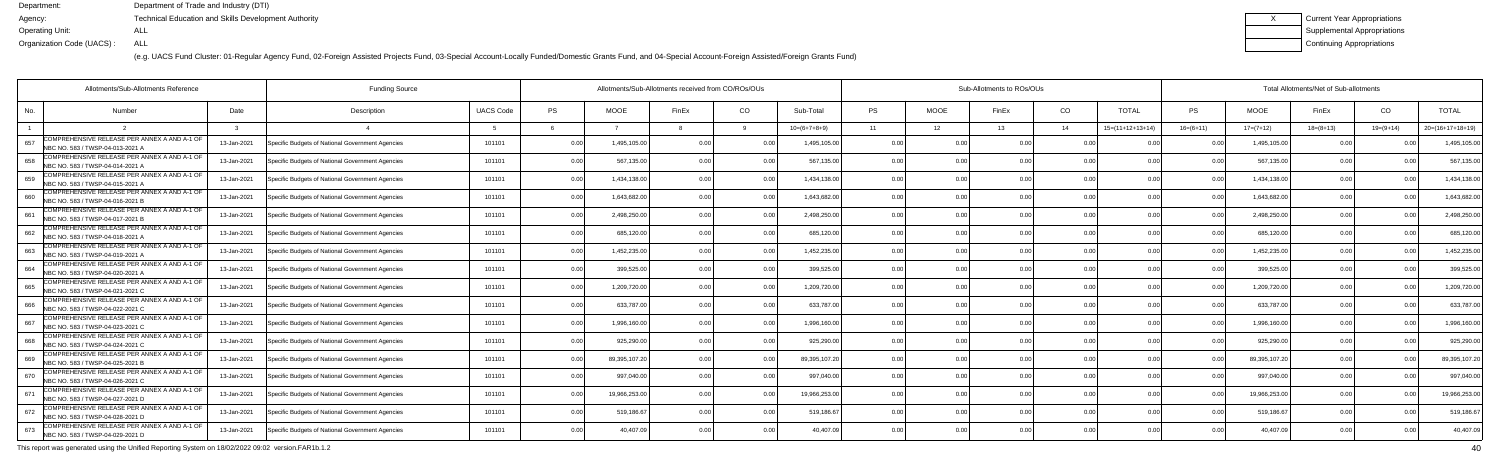(e.g. UACS Fund Cluster: 01-Regular Agency Fund, 02-Foreign Assisted Projects Fund, 03-Special Account-Locally Funded/Domestic Grants Fund, and 04-Special Account-Foreign Assisted/Foreign Grants Fund)

| Current Year Appropriations |
|-----------------------------|
| Supplemental Appropriations |
| Continuing Appropriations   |

|     | Allotments/Sub-Allotments Reference                                              |             |                                                  |                  | Allotments/Sub-Allotments received from CO/ROs/OUs |               |                | Sub-Allotments to ROs/OUs |                |           |             |       |                | Total Allotments/Net of Sub-allotments |                |               |             |             |                    |
|-----|----------------------------------------------------------------------------------|-------------|--------------------------------------------------|------------------|----------------------------------------------------|---------------|----------------|---------------------------|----------------|-----------|-------------|-------|----------------|----------------------------------------|----------------|---------------|-------------|-------------|--------------------|
| No. | Number                                                                           | Date        | Description                                      | <b>UACS Code</b> | <b>PS</b>                                          | <b>MOOE</b>   | FinEx          | CO                        | Sub-Total      | <b>PS</b> | <b>MOOE</b> | FinEx | CO             | <b>TOTAL</b>                           | <b>PS</b>      | <b>MOOE</b>   | FinEx       | CO          | <b>TOTAL</b>       |
|     |                                                                                  |             |                                                  |                  |                                                    |               |                |                           | $10=(6+7+8+9)$ | 11        | 12          | 13    | 14             | $15=(11+12+13+14)$                     | $16=(6+11)$    | $17=(7+12)$   | $18=(8+13)$ | $19=(9+14)$ | $20=(16+17+18+19)$ |
| 657 | COMPREHENSIVE RELEASE PER ANNEX A AND A-1 OF<br>NBC NO. 583 / TWSP-04-013-2021 A | 13-Jan-2021 | Specific Budgets of National Government Agencies | 101101           | 0.00                                               | 1,495,105.0   | 0 <sub>0</sub> |                           | 1,495,105.0    | 0.00      | 0 O         |       | 0 <sub>0</sub> |                                        | . N Q          | 1,495,105.0   | 0 Q         |             | 1,495,105.0        |
| 658 | COMPREHENSIVE RELEASE PER ANNEX A AND A-1 OF<br>NBC NO. 583 / TWSP-04-014-2021 / | 13-Jan-2021 | Specific Budgets of National Government Agencies | 101101           | 0.00                                               | 567,135.00    | 0 <sub>0</sub> | 0.00                      | 567,135.00     | 0.00      | 0.00        | n nr  | 0.00           | 0.00                                   | 0 <sub>0</sub> | 567,135.00    | 0.00        |             | 567,135.0          |
| 659 | COMPREHENSIVE RELEASE PER ANNEX A AND A-1 OF<br>NBC NO. 583 / TWSP-04-015-2021 / | 13-Jan-2021 | Specific Budgets of National Government Agencies | 101101           | 0.00                                               | 1,434,138.0   | 0 <sub>0</sub> | 0.00                      | 1,434,138.00   | 0.00      | 0.00        | n nr  | 0.00           | 0.00                                   | 0 <sub>0</sub> | 1,434,138.00  | 0.00        | 0.00        | 1,434,138.0        |
| 660 | COMPREHENSIVE RELEASE PER ANNEX A AND A-1 OF<br>NBC NO. 583 / TWSP-04-016-2021 B | 13-Jan-2021 | Specific Budgets of National Government Agencies | 101101           | 0.00                                               | 1,643,682.0   |                | 0.0                       | 1,643,682.0    | 0.00      | 0.00        |       | 0.00           | 0.00                                   | 0 <sub>0</sub> | 1,643,682.0   | 0.00        |             | 1,643,682.0        |
| 661 | COMPREHENSIVE RELEASE PER ANNEX A AND A-1 OF<br>NBC NO. 583 / TWSP-04-017-2021 B | 13-Jan-2021 | Specific Budgets of National Government Agencies | 101101           | 0.00                                               | 2,498,250.0   | 0 <sub>0</sub> | 0 <sub>0</sub>            | 2,498,250.00   | 0.00      | 0.00        |       | 0.00           | 0.00                                   | n n            | 2,498,250.00  | 0.00        | $\Omega$    | 2,498,250.0        |
| 662 | COMPREHENSIVE RELEASE PER ANNEX A AND A-1 OF<br>NBC NO. 583 / TWSP-04-018-2021 A | 13-Jan-2021 | Specific Budgets of National Government Agencies | 101101           | 0.00                                               | 685,120.00    | 0 <sub>0</sub> | 0.00                      | 685,120.00     | 0.00      | 0.00        | n nr  | 0.00           | 0.00                                   |                | 685,120.00    | 0.00        | 0.00        | 685,120.0          |
| 663 | COMPREHENSIVE RELEASE PER ANNEX A AND A-1 OF<br>NBC NO. 583 / TWSP-04-019-2021 / | 13-Jan-2021 | Specific Budgets of National Government Agencies | 101101           | 0.00                                               | 1,452,235.00  | 0 <sub>0</sub> | 0.00                      | 1,452,235.00   | 0.00      | 0.00        |       | 0.00           | 0 <sub>0</sub>                         | 0 <sub>0</sub> | 1,452,235.0   | 0.00        |             | 1,452,235.0        |
| 664 | COMPREHENSIVE RELEASE PER ANNEX A AND A-1 OF<br>NBC NO. 583 / TWSP-04-020-2021 A | 13-Jan-2021 | Specific Budgets of National Government Agencies | 101101           | 0.00                                               | 399,525.00    | 0.00           | 0 <sub>0</sub>            | 399,525.00     | 0.00      | 0.00        |       | 0.00           | 0.00                                   | $\Omega$       | 399,525.0     | 0.00        | 0.00        | 399,525.0          |
| 665 | COMPREHENSIVE RELEASE PER ANNEX A AND A-1 OF<br>NBC NO. 583 / TWSP-04-021-2021 C | 13-Jan-2021 | Specific Budgets of National Government Agencies | 101101           | 0.00                                               | 1,209,720.00  |                | 0.00                      | 1,209,720.00   | 0.00      | 0.00        |       | 0.00           | 0.00                                   | 0 <sub>0</sub> | 1,209,720.00  | 0.00        | 0.00        | 1,209,720.0        |
| 666 | COMPREHENSIVE RELEASE PER ANNEX A AND A-1 OF<br>NBC NO. 583 / TWSP-04-022-2021 C | 13-Jan-2021 | Specific Budgets of National Government Agencies | 101101           | 0.00                                               | 633,787.00    | 0 <sub>0</sub> | 0.00                      | 633,787.00     | 0.00      | 0.00        |       | 0.00           | 0.00                                   | 0 <sub>0</sub> | 633,787.00    | 0.00        |             | 633,787.0          |
| 667 | COMPREHENSIVE RELEASE PER ANNEX A AND A-1 OF<br>NBC NO. 583 / TWSP-04-023-2021 C | 13-Jan-2021 | Specific Budgets of National Government Agencies | 101101           | 0.00                                               | 1,996,160.0   |                | 0.00                      | 1,996,160.00   | 0.00      | 0.00        |       | 0.00           | 0.00                                   |                | 1,996,160.00  | 0.00        |             | 1,996,160.0        |
| 668 | COMPREHENSIVE RELEASE PER ANNEX A AND A-1 OF<br>NBC NO. 583 / TWSP-04-024-2021 C | 13-Jan-2021 | Specific Budgets of National Government Agencies | 101101           | 0.00                                               | 925,290.00    |                | 0 <sub>0</sub>            | 925,290.00     | 0.00      | 0.00        |       | 0.00           | 0.00                                   |                | 925,290.00    | 0.00        |             | 925,290.0          |
| 669 | COMPREHENSIVE RELEASE PER ANNEX A AND A-1 OF<br>NBC NO. 583 / TWSP-04-025-2021 B | 13-Jan-2021 | Specific Budgets of National Government Agencies | 101101           | 0.00                                               | 89,395,107.20 | 0 <sub>0</sub> | 0.00                      | 89,395,107.2   | 0.00      | 0.00        | 0.00  | 0.00           | 0.00                                   |                | 89,395,107.20 | 0.00        |             | 89,395,107.2       |
| 670 | COMPREHENSIVE RELEASE PER ANNEX A AND A-1 OF<br>NBC NO. 583 / TWSP-04-026-2021 C | 13-Jan-2021 | Specific Budgets of National Government Agencies | 101101           | 0.00                                               | 997,040.0     |                |                           | 997,040.00     | 0.00      | 0.00        |       | 0.00           |                                        |                | 997,040.0     | 0.00        |             | 997,040.0          |
| 671 | COMPREHENSIVE RELEASE PER ANNEX A AND A-1 OF<br>NBC NO. 583 / TWSP-04-027-2021 D | 13-Jan-2021 | Specific Budgets of National Government Agencies | 101101           | 0.00                                               | 19,966,253.0  | 0 <sub>0</sub> |                           | 19,966,253.0   | 0.00      | 0.00        |       | 0 <sub>0</sub> | 0.00                                   |                | 19,966,253.00 | 0.00        |             | 19,966,253.0       |
| 672 | COMPREHENSIVE RELEASE PER ANNEX A AND A-1 OF<br>NBC NO. 583 / TWSP-04-028-2021 D | 13-Jan-2021 | Specific Budgets of National Government Agencies | 101101           | 0.00                                               | 519,186.6     | 0 <sub>0</sub> | 0.00                      | 519,186.67     | 0.00      | 0.00        | 0.OC  | 0.00           | 0.00                                   | 0 <sub>0</sub> | 519,186.67    | 0.00        | 0.00        | 519,186.6          |
| 673 | COMPREHENSIVE RELEASE PER ANNEX A AND A-1 OF<br>NBC NO. 583 / TWSP-04-029-2021 D | 13-Jan-2021 | Specific Budgets of National Government Agencies | 101101           | 0.00                                               | 40,407.09     |                | 0.00                      | 40,407.09      | 0.00      | 0.00        |       | 0 <sub>0</sub> | 0.00                                   |                | 40,407.09     | 0.00        |             | 40,407.            |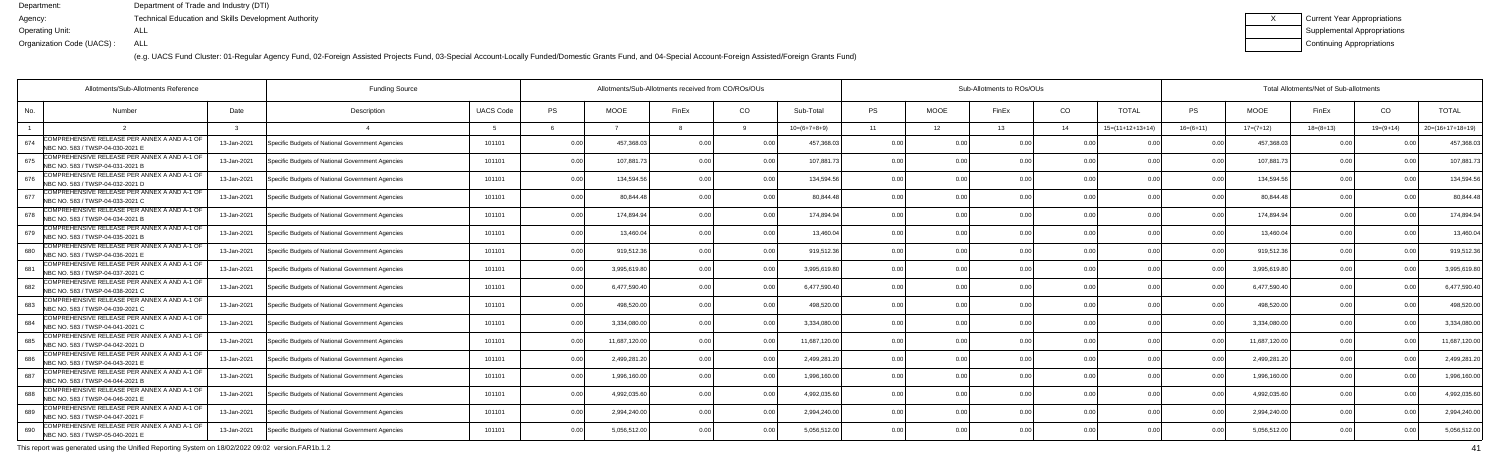(e.g. UACS Fund Cluster: 01-Regular Agency Fund, 02-Foreign Assisted Projects Fund, 03-Special Account-Locally Funded/Domestic Grants Fund, and 04-Special Account-Foreign Assisted/Foreign Grants Fund)

| Current Year Appropriations |
|-----------------------------|
| Supplemental Appropriations |
| Continuing Appropriations   |

| Allotments/Sub-Allotments Reference                                                     |             | <b>Funding Source</b>                            |                  | Allotments/Sub-Allotments received from CO/ROs/OUs |               |                |                |                | Sub-Allotments to ROs/OUs |             |       |                |                    |                | Total Allotments/Net of Sub-allotments |                |                |                    |  |  |  |
|-----------------------------------------------------------------------------------------|-------------|--------------------------------------------------|------------------|----------------------------------------------------|---------------|----------------|----------------|----------------|---------------------------|-------------|-------|----------------|--------------------|----------------|----------------------------------------|----------------|----------------|--------------------|--|--|--|
| No.<br><b>Number</b>                                                                    | Date        | Description                                      | <b>UACS Code</b> | PS                                                 | <b>MOOE</b>   | FinEx          | CO             | Sub-Total      | <b>PS</b>                 | <b>MOOE</b> | FinEx | CO             | <b>TOTAL</b>       | PS             | <b>MOOE</b>                            | FinEx          | CO             | <b>TOTAL</b>       |  |  |  |
|                                                                                         |             |                                                  | -5               |                                                    |               |                |                | $10=(6+7+8+9)$ | 11                        | 12          | 13    | 14             | $15=(11+12+13+14)$ | $16=(6+11)$    | $17=(7+12)$                            | $18=(8+13)$    | $19=(9+14)$    | $20=(16+17+18+19)$ |  |  |  |
| COMPREHENSIVE RELEASE PER ANNEX A AND A-1 OF<br>674<br>NBC NO. 583 / TWSP-04-030-2021 E | 13-Jan-2021 | Specific Budgets of National Government Agencies | 101101           | 0.00                                               | 457,368.0     | 0.00           |                | 457.368.0      | 0.0                       |             |       | 0.00           |                    |                | 457,368.0                              |                |                | 457,368.0          |  |  |  |
| COMPREHENSIVE RELEASE PER ANNEX A AND A-1 OF<br>675<br>NBC NO. 583 / TWSP-04-031-2021 B | 13-Jan-2021 | Specific Budgets of National Government Agencies | 101101           | 0.00                                               | 107,881.7     | 0 OC           | 0.00           | 107,881.7      | 0.00                      | 0.00        |       | 0.00           | 0.00               | 0 <sub>0</sub> | 107,881.7                              | 0.00           |                | 107,881.7          |  |  |  |
| COMPREHENSIVE RELEASE PER ANNEX A AND A-1 OF<br>676<br>NBC NO. 583 / TWSP-04-032-2021 D | 13-Jan-2021 | Specific Budgets of National Government Agencies | 101101           | 0.00                                               | 134,594.56    | 0.00           | 0.00           | 134,594.56     | 0.00                      | 0.00        |       | 0.00           | 0.00               | 0 <sub>0</sub> | 134,594.56                             | 0.00           | 0 <sub>0</sub> | 134,594.5          |  |  |  |
| COMPREHENSIVE RELEASE PER ANNEX A AND A-1 OF<br>677<br>NBC NO. 583 / TWSP-04-033-2021 C | 13-Jan-2021 | Specific Budgets of National Government Agencies | 101101           | 0.00                                               | 80.844.48     | 0 <sub>0</sub> | 0 <sub>0</sub> | 80.844.4       | 0 <sub>0</sub>            | ი იი        |       | 0 <sub>0</sub> | 0 <sub>0</sub>     |                | 80,844.4                               | 0 <sub>0</sub> |                | 80,844.4           |  |  |  |
| COMPREHENSIVE RELEASE PER ANNEX A AND A-1 OF<br>678<br>NBC NO. 583 / TWSP-04-034-2021 B | 13-Jan-2021 | Specific Budgets of National Government Agencies | 101101           | 0.00                                               | 174,894.94    |                | 0.00           | 174.894.94     | 0.00                      | 0.00        |       | 0.00           | 0.00               |                | 174,894.9                              | 0.00           |                | 174,894.9          |  |  |  |
| COMPREHENSIVE RELEASE PER ANNEX A AND A-1 OF<br>679<br>NBC NO. 583 / TWSP-04-035-2021 B | 13-Jan-2021 | Specific Budgets of National Government Agencies | 101101           | 0.00                                               | 13,460.04     | 0.00           | 0.00           | 13,460.04      | 0.00                      | 0.00        |       | 0.00           | 0.00               | 0.00           | 13,460.0                               | 0.00           | 0.00           | 13,460.04          |  |  |  |
| COMPREHENSIVE RELEASE PER ANNEX A AND A-1 OF<br>680<br>NBC NO. 583 / TWSP-04-036-2021 E | 13-Jan-2021 | Specific Budgets of National Government Agencies | 101101           | 0.00                                               | 919,512.36    |                | 0 <sub>0</sub> | 919,512.36     | 0 <sup>0</sup>            | 0.00        |       | 0.00           |                    |                | 919,512.36                             | 0.00           |                | 919,512.3          |  |  |  |
| COMPREHENSIVE RELEASE PER ANNEX A AND A-1 OF<br>681<br>NBC NO. 583 / TWSP-04-037-2021 C | 13-Jan-2021 | Specific Budgets of National Government Agencies | 101101           | 0.00                                               | 3,995,619.8   | 0.00           | 0 <sub>0</sub> | 3,995,619.8    | 0.00                      | 0.00        |       | 0.00           | 0.00               |                | 3,995,619.8                            | 0.00           |                | 3,995,619.8        |  |  |  |
| COMPREHENSIVE RELEASE PER ANNEX A AND A-1 OF<br>682<br>NBC NO. 583 / TWSP-04-038-2021 C | 13-Jan-2021 | Specific Budgets of National Government Agencies | 101101           | 0.00                                               | 6,477,590.4   | 0.00           | 0.00           | 6,477,590.40   | 0.00                      | 0.00        |       | 0.00           | 0.00               | 0.00           | 6,477,590.40                           | 0.00           | 0.00           | 6,477,590.4        |  |  |  |
| COMPREHENSIVE RELEASE PER ANNEX A AND A-1 OF<br>683<br>NBC NO. 583 / TWSP-04-039-2021 C | 13-Jan-2021 | Specific Budgets of National Government Agencies | 101101           | 0.00                                               | 498.520.00    |                | 0.00           | 498.520.00     | 0 <sub>0</sub>            | 0.00        |       | 0.00           | 0 <sub>0</sub>     |                | 498.520.0                              | 0.00           |                | 498,520.0          |  |  |  |
| COMPREHENSIVE RELEASE PER ANNEX A AND A-1 OF<br>684<br>NBC NO. 583 / TWSP-04-041-2021 C | 13-Jan-2021 | Specific Budgets of National Government Agencies | 101101           | 0.00                                               | 3,334,080.0   | 0 OC           | 0 Q            | 3.334.080.0    | 0.00                      | 0.00        |       | 0.00           | 0 <sub>0</sub>     |                | 3,334,080.0                            | 0 Q            |                | 3,334,080.0        |  |  |  |
| COMPREHENSIVE RELEASE PER ANNEX A AND A-1 OF<br>685<br>NBC NO. 583 / TWSP-04-042-2021 D | 13-Jan-2021 | Specific Budgets of National Government Agencies | 101101           | 0.00                                               | 11,687,120.00 | 0 <sub>0</sub> | 0 <sub>0</sub> | 11,687,120.00  | 0.00                      | 0.00        |       | 0.00           | 0.00               |                | 11,687,120.00                          | 0.00           |                | 11,687,120.0       |  |  |  |
| COMPREHENSIVE RELEASE PER ANNEX A AND A-1 OF<br>686<br>NBC NO. 583 / TWSP-04-043-2021 E | 13-Jan-2021 | Specific Budgets of National Government Agencies | 101101           | 0.00                                               | 2,499,281.2   |                |                | 2,499,281.2    | 0.00                      | 0.00        |       | 0.00           | 0.00               |                | 2,499,281.2                            | 0.00           |                | 2,499,281.2        |  |  |  |
| COMPREHENSIVE RELEASE PER ANNEX A AND A-1 OF<br>687<br>NBC NO. 583 / TWSP-04-044-2021 B | 13-Jan-2021 | Specific Budgets of National Government Agencies | 101101           | 0.00                                               | 1,996,160.0   |                |                | 1,996,160.0    | 0.00                      | 0.00        |       | 0.00           |                    |                | 1,996,160.0                            | 0 Q            |                | 1,996,160.0        |  |  |  |
| COMPREHENSIVE RELEASE PER ANNEX A AND A-1 OF<br>688<br>NBC NO. 583 / TWSP-04-046-2021 E | 13-Jan-2021 | Specific Budgets of National Government Agencies | 101101           | 0.00                                               | 4,992,035.6   | 0 <sub>0</sub> |                | 4,992,035.60   | 0.00                      | 0.00        |       | 0.00           | 0.00               |                | 4,992,035.6                            | 0.00           |                | 4,992,035.6        |  |  |  |
| COMPREHENSIVE RELEASE PER ANNEX A AND A-1 OF<br>689<br>NBC NO. 583 / TWSP-04-047-2021 F | 13-Jan-2021 | Specific Budgets of National Government Agencies | 101101           | 0.00                                               | 2,994,240.0   | 0.00           | 0.00           | 2,994,240.00   | 0.00                      | 0.00        |       | 0.00           | 0.00               | 0.00           | 2,994,240.00                           | 0.00           | 0.00           | 2,994,240.0        |  |  |  |
| COMPREHENSIVE RELEASE PER ANNEX A AND A-1 OF<br>690<br>NBC NO. 583 / TWSP-05-040-2021 E | 13-Jan-2021 | Specific Budgets of National Government Agencies | 101101           | 0.00                                               | 5,056,512.00  |                | 0.00           | 5,056,512.00   | 0 <sub>0</sub>            | ი იი        |       | 0 <sub>0</sub> | 0.00               |                | 5,056,512.00                           | 0.00           |                | 5,056,512.0        |  |  |  |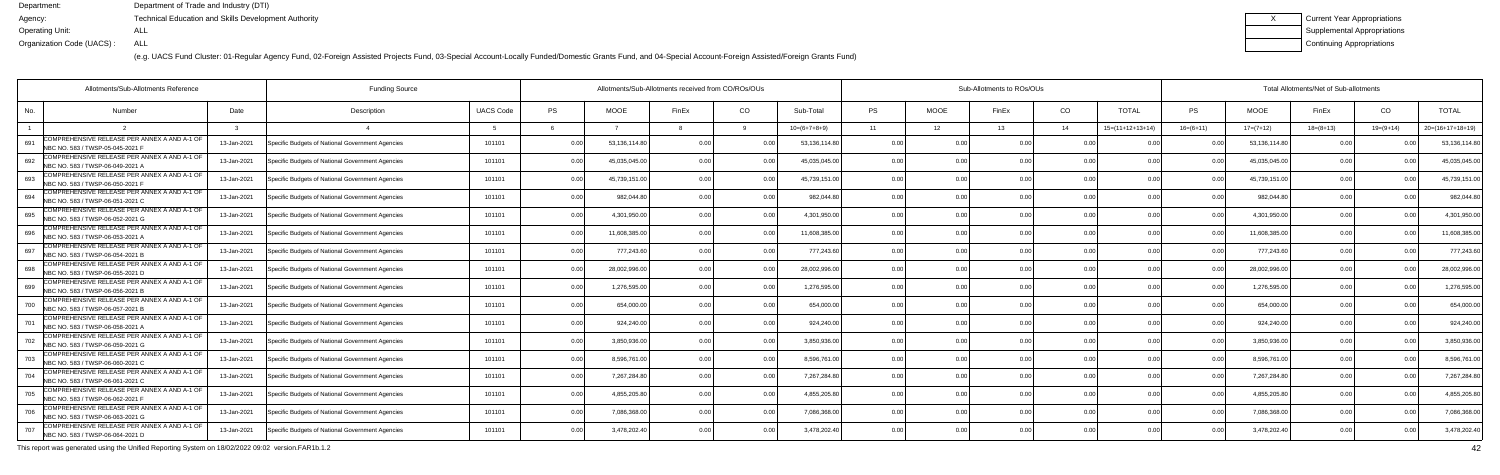(e.g. UACS Fund Cluster: 01-Regular Agency Fund, 02-Foreign Assisted Projects Fund, 03-Special Account-Locally Funded/Domestic Grants Fund, and 04-Special Account-Foreign Assisted/Foreign Grants Fund)

| Current Year Appropriations |
|-----------------------------|
| Supplemental Appropriations |
| Continuing Appropriations   |

|     | Allotments/Sub-Allotments Reference                                              | <b>Funding Source</b> |                                                  |                  | Allotments/Sub-Allotments received from CO/ROs/OUs |               |       | Sub-Allotments to ROs/OUs |                |           |                |                |                | Total Allotments/Net of Sub-allotments |                |               |                 |                |                    |
|-----|----------------------------------------------------------------------------------|-----------------------|--------------------------------------------------|------------------|----------------------------------------------------|---------------|-------|---------------------------|----------------|-----------|----------------|----------------|----------------|----------------------------------------|----------------|---------------|-----------------|----------------|--------------------|
| No. | <b>Number</b>                                                                    | Date                  | Description                                      | <b>UACS Code</b> | <b>PS</b>                                          | <b>MOOE</b>   | FinEx | CO                        | Sub-Total      | <b>PS</b> | <b>MOOE</b>    | FinEx          | CO             | <b>TOTAL</b>                           | PS.            | <b>MOOE</b>   | FinEx           | CO             | <b>TOTAL</b>       |
|     |                                                                                  |                       |                                                  |                  |                                                    |               |       |                           | $10=(6+7+8+9)$ | 11        | 12             | 13             | 14             | $15=(11+12+13+14)$                     | $16=(6+11)$    | $17=(7+12)$   | $18 = (8 + 13)$ | $19=(9+14)$    | $20=(16+17+18+19)$ |
| 691 | COMPREHENSIVE RELEASE PER ANNEX A AND A-1 OF<br>NBC NO. 583 / TWSP-05-045-2021 F | 13-Jan-2021           | Specific Budgets of National Government Agencies | 101101           | 0.00                                               | 53,136,114.80 | n no  |                           | 53,136,114.80  | 0.00      | 0 OC           | n no           |                |                                        |                | 53,136,114.80 | 0.00            |                | 53,136,114.8       |
| 692 | COMPREHENSIVE RELEASE PER ANNEX A AND A-1 OF<br>NBC NO. 583 / TWSP-06-049-2021 A | 13-Jan-2021           | Specific Budgets of National Government Agencies | 101101           | 0.00                                               | 45.035.045.0  |       | 0.00                      | 45,035,045.00  | 0.00      | 0.00           |                | 0.00           | 0.00                                   | 0.00           | 45,035,045.00 | 0.00            |                | 45,035,045.0       |
| 693 | COMPREHENSIVE RELEASE PER ANNEX A AND A-1 OF<br>NBC NO. 583 / TWSP-06-050-2021 F | 13-Jan-2021           | Specific Budgets of National Government Agencies | 101101           | 0.00                                               | 45,739,151.00 | n nr  | 0 <sub>0</sub>            | 45,739,151.00  | 0.00      | 0.00           |                | 0.00           | 0.00                                   |                | 45,739,151.00 | 0.00            |                | 45,739,151.0       |
| 694 | COMPREHENSIVE RELEASE PER ANNEX A AND A-1 OF<br>NBC NO. 583 / TWSP-06-051-2021 C | 13-Jan-2021           | Specific Budgets of National Government Agencies | 101101           | 0.00                                               | 982,044.8     |       | 0.0                       | 982,044.8      | 0.00      | 0.00           |                | 0.00           |                                        |                | 982,044.80    | 0.00            |                | 982,044.8          |
| 695 | COMPREHENSIVE RELEASE PER ANNEX A AND A-1 OF<br>NBC NO. 583 / TWSP-06-052-2021 G | 13-Jan-2021           | Specific Budgets of National Government Agencies | 101101           | 0.00                                               | 4,301,950.0   |       | 0 <sub>0</sub>            | 4,301,950.00   | 0.00      | 0.00           |                | 0.00           | 0 <sub>0</sub>                         | n n            | 4,301,950.00  | 0.00            |                | 4,301,950.00       |
| 696 | COMPREHENSIVE RELEASE PER ANNEX A AND A-1 OF<br>NBC NO. 583 / TWSP-06-053-2021 A | 13-Jan-2021           | Specific Budgets of National Government Agencies | 101101           | 0.00                                               | 11,608,385.0  |       | 0.00                      | 11,608,385.00  | 0.00      | 0.00           |                | 0.00           | 0.00                                   | 0 <sub>0</sub> | 11,608,385.00 | 0.00            |                | 11,608,385.0       |
| 697 | COMPREHENSIVE RELEASE PER ANNEX A AND A-1 OF<br>NBC NO. 583 / TWSP-06-054-2021 B | 13-Jan-2021           | Specific Budgets of National Government Agencies | 101101           | 0.00                                               | 777,243.60    |       | 0 O                       | 777,243.60     | 0.00      | 0.00           |                | 0.00           |                                        |                | 777,243.60    | 0.00            |                | 777,243.6          |
| 698 | COMPREHENSIVE RELEASE PER ANNEX A AND A-1 OF<br>NBC NO. 583 / TWSP-06-055-2021 D | 13-Jan-2021           | Specific Budgets of National Government Agencies | 101101           | 0.00                                               | 28,002,996.0  |       | 0 <sub>0</sub>            | 28,002,996.00  | 0.00      | 0.00           |                | 0 <sub>0</sub> | 0.00                                   |                | 28,002,996.00 | 0.00            |                | 28,002,996.0       |
| 699 | COMPREHENSIVE RELEASE PER ANNEX A AND A-1 OF<br>NBC NO. 583 / TWSP-06-056-2021 B | 13-Jan-2021           | Specific Budgets of National Government Agencies | 101101           | 0.00                                               | 1,276,595.0   |       | 0.00                      | 1,276,595.00   | 0.00      | 0.00           |                | 0.00           | 0.00                                   | 0.00           | 1,276,595.00  | 0.00            |                | 1,276,595.0        |
| 700 | COMPREHENSIVE RELEASE PER ANNEX A AND A-1 OF<br>NBC NO. 583 / TWSP-06-057-2021 E | 13-Jan-2021           | Specific Budgets of National Government Agencies | 101101           | 0.00                                               | 654,000.00    |       | 0.00                      | 654,000.00     | 0.00      | 0.00           |                | 0.00           | 0.0(                                   |                | 654,000.00    | 0.00            |                | 654,000.0          |
| 701 | COMPREHENSIVE RELEASE PER ANNEX A AND A-1 OF<br>NBC NO. 583 / TWSP-06-058-2021 A | 13-Jan-2021           | Specific Budgets of National Government Agencies | 101101           | 0.00                                               | 924,240.0     |       | 0 <sub>0</sub>            | 924,240.00     | 0.00      | 0.00           |                | 0 <sub>0</sub> |                                        |                | 924,240.00    | 0.00            |                | 924,240.00         |
| 702 | COMPREHENSIVE RELEASE PER ANNEX A AND A-1 OF<br>NBC NO. 583 / TWSP-06-059-2021 G | 13-Jan-2021           | Specific Budgets of National Government Agencies | 101101           | 0.00                                               | 3.850.936.0   |       | 0.0                       | 3.850.936.00   | 0.00      | 0.00           |                | 0.00           | 0.0(                                   | 0 <sub>0</sub> | 3.850.936.00  | 0.00            |                | 3.850.936.00       |
| 703 | COMPREHENSIVE RELEASE PER ANNEX A AND A-1 OF<br>NBC NO. 583 / TWSP-06-060-2021 C | 13-Jan-2021           | Specific Budgets of National Government Agencies | 101101           | 0.00                                               | 8,596,761.00  |       | 0.00                      | 8,596,761.00   | 0.00      | 0.00           | 0 <sub>0</sub> | 0.00           | 0 <sub>0</sub>                         | $\cap$         | 8,596,761.00  | 0.00            |                | 8,596,761.         |
| 704 | COMPREHENSIVE RELEASE PER ANNEX A AND A-1 OF<br>NBC NO. 583 / TWSP-06-061-2021 C | 13-Jan-2021           | Specific Budgets of National Government Agencies | 101101           | 0.00                                               | 7,267,284.8   |       | $\cap$                    | 7,267,284.8    | 0.00      | 0.00           |                | 0 <sub>0</sub> |                                        |                | 7,267,284.80  | 0.00            |                | 7,267,284.8        |
| 705 | COMPREHENSIVE RELEASE PER ANNEX A AND A-1 OF<br>NBC NO. 583 / TWSP-06-062-2021 F | 13-Jan-2021           | Specific Budgets of National Government Agencies | 101101           | 0.00                                               | 4,855,205.8   |       | 0 O                       | 4.855.205.80   | 0.00      | 0.00           |                | 0.00           | 0 <sub>0</sub>                         |                | 4,855,205.80  | 0.00            |                | 4,855,205.8        |
| 706 | COMPREHENSIVE RELEASE PER ANNEX A AND A-1 OF<br>NBC NO. 583 / TWSP-06-063-2021 G | 13-Jan-2021           | Specific Budgets of National Government Agencies | 101101           | 0.00                                               | 7,086,368.0   | n nr  | 0.00                      | 7,086,368.00   | 0.00      | 0.00           | 0.00           | 0.00           | 0.00                                   | 0.00           | 7,086,368.00  | 0.00            | 0 <sub>0</sub> | 7,086,368.0        |
| 707 | COMPREHENSIVE RELEASE PER ANNEX A AND A-1 OF<br>NBC NO. 583 / TWSP-06-064-2021 D | 13-Jan-2021           | Specific Budgets of National Government Agencies | 101101           | 0.00                                               | 3,478,202.40  |       | 0 <sub>0</sub>            | 3,478,202.40   | 0.00      | 0 <sub>0</sub> |                | 0 <sub>0</sub> |                                        |                | 3,478,202.40  | 0.00            |                | 3,478,202.4        |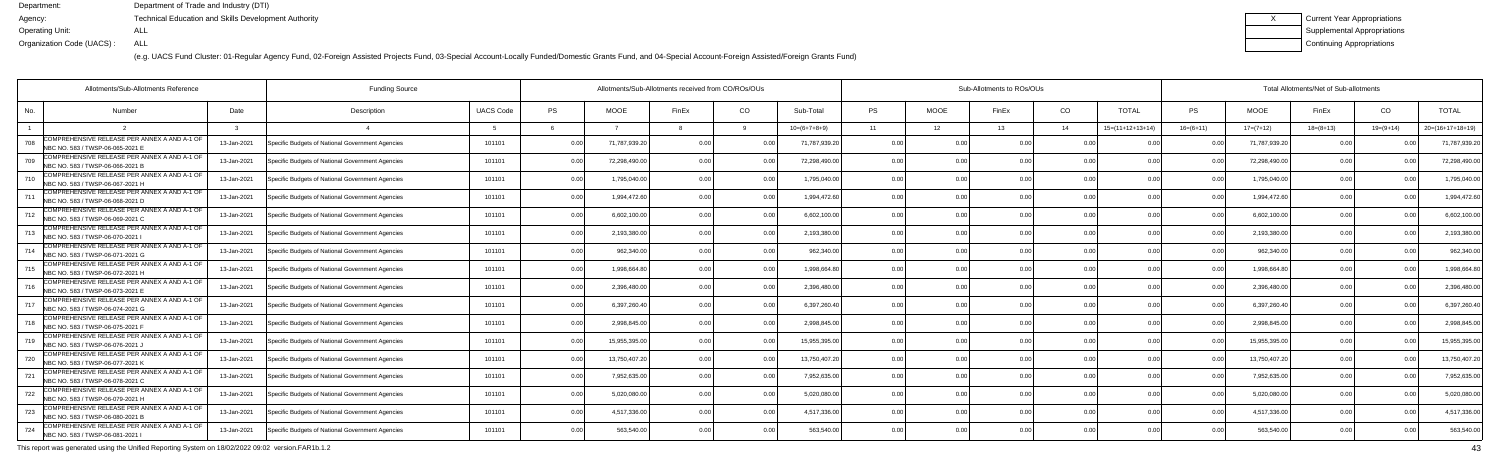(e.g. UACS Fund Cluster: 01-Regular Agency Fund, 02-Foreign Assisted Projects Fund, 03-Special Account-Locally Funded/Domestic Grants Fund, and 04-Special Account-Foreign Assisted/Foreign Grants Fund)

| Current Year Appropriations |
|-----------------------------|
| Supplemental Appropriations |
| Continuing Appropriations   |

|     | Allotments/Sub-Allotments Reference                                              |             |                                                  |                  | Allotments/Sub-Allotments received from CO/ROs/OUs |              |                |                |                | Sub-Allotments to ROs/OUs |             |       | Total Allotments/Net of Sub-allotments |                    |                |               |             |             |                    |
|-----|----------------------------------------------------------------------------------|-------------|--------------------------------------------------|------------------|----------------------------------------------------|--------------|----------------|----------------|----------------|---------------------------|-------------|-------|----------------------------------------|--------------------|----------------|---------------|-------------|-------------|--------------------|
| No. | <b>Number</b>                                                                    | Date        | Description                                      | <b>UACS Code</b> | <b>PS</b>                                          | <b>MOOE</b>  | FinEx          | CO             | Sub-Total      | <b>PS</b>                 | <b>MOOE</b> | FinEx | CO.                                    | <b>TOTAL</b>       | PS             | <b>MOOE</b>   | FinEx       | CO          | <b>TOTAL</b>       |
|     |                                                                                  |             |                                                  |                  |                                                    |              |                |                | $10=(6+7+8+9)$ | 11                        | 12          | 13    | - 14                                   | $15=(11+12+13+14)$ | $16=(6+11)$    | $17=(7+12)$   | $18=(8+13)$ | $19=(9+14)$ | $20=(16+17+18+19)$ |
| 708 | COMPREHENSIVE RELEASE PER ANNEX A AND A-1 OF<br>NBC NO. 583 / TWSP-06-065-2021 E | 13-Jan-2021 | Specific Budgets of National Government Agencies | 101101           | 0.00                                               | 71,787,939.2 | 0 <sub>0</sub> |                | 71,787,939.20  | 0.00                      | 0 OC        |       | 0 <sub>0</sub>                         |                    |                | 71,787,939.20 | 0.00        |             | 71,787,939.2       |
| 709 | COMPREHENSIVE RELEASE PER ANNEX A AND A-1 OF<br>NBC NO. 583 / TWSP-06-066-2021 B | 13-Jan-2021 | Specific Budgets of National Government Agencies | 101101           | 0.00                                               | 72,298,490.0 | በ በ(           | 0.00           | 72,298,490.00  | 0.00                      | 0.00        |       | 0.00                                   | 0.00               | n n            | 72,298,490.00 | 0.00        |             | 72,298,490.0       |
| 710 | COMPREHENSIVE RELEASE PER ANNEX A AND A-1 OF<br>NBC NO. 583 / TWSP-06-067-2021 H | 13-Jan-2021 | Specific Budgets of National Government Agencies | 101101           | 0.00                                               | 1,795,040.00 |                | 0.00           | 1,795,040.00   | 0.00                      | 0.00        |       | 0.00                                   | 0.00               | n n            | 1,795,040.00  | 0.00        |             | 1,795,040.00       |
|     | COMPREHENSIVE RELEASE PER ANNEX A AND A-1 OF<br>NBC NO. 583 / TWSP-06-068-2021 D | 13-Jan-2021 | Specific Budgets of National Government Agencies | 101101           | 0.00                                               | 1,994,472.6  |                | 0.0            | 1,994,472.60   | 0.00                      | 0.00        |       | 0.00                                   |                    | 0 <sub>0</sub> | 1,994,472.60  | 0.00        |             | 1,994,472.6        |
| 712 | COMPREHENSIVE RELEASE PER ANNEX A AND A-1 OF<br>NBC NO. 583 / TWSP-06-069-2021 C | 13-Jan-2021 | Specific Budgets of National Government Agencies | 101101           | 0.00                                               | 6,602,100.0  |                | 0 O            | 6,602,100.00   | 0.00                      | 0.00        |       | 0.00                                   | 0 <sub>0</sub>     |                | 6,602,100.00  | 0.00        |             | 6,602,100.0        |
|     | COMPREHENSIVE RELEASE PER ANNEX A AND A-1 OF<br>NBC NO. 583 / TWSP-06-070-2021   | 13-Jan-2021 | Specific Budgets of National Government Agencies | 101101           | 0.00                                               | 2,193,380.0  |                | 0.00           | 2,193,380.00   | 0.00                      | 0.00        |       | 0.00                                   | 0.00               | 0.00           | 2,193,380.00  | 0.00        |             | 2,193,380.00       |
|     | COMPREHENSIVE RELEASE PER ANNEX A AND A-1 OF<br>NBC NO. 583 / TWSP-06-071-2021 G | 13-Jan-2021 | Specific Budgets of National Government Agencies | 101101           | 0.00                                               | 962,340.00   |                | 0.0            | 962,340.00     | 0.00                      | 0.00        |       | 0.00                                   |                    |                | 962,340.00    | 0.00        |             | 962,340.0          |
| 715 | COMPREHENSIVE RELEASE PER ANNEX A AND A-1 OF<br>NBC NO. 583 / TWSP-06-072-2021 H | 13-Jan-2021 | Specific Budgets of National Government Agencies | 101101           | 0.00                                               | 1.998.664.8  |                | 0 <sub>0</sub> | 1.998.664.8    | 0.00                      | 0.00        |       | 0.00                                   | 0.00               |                | 1,998,664.80  | 0.00        |             | 1,998,664.8        |
| 716 | COMPREHENSIVE RELEASE PER ANNEX A AND A-1 OF<br>NBC NO. 583 / TWSP-06-073-2021 E | 13-Jan-2021 | Specific Budgets of National Government Agencies | 101101           | 0.00                                               | 2,396,480.0  |                | 0.00           | 2.396.480.00   | 0.00                      | 0.00        |       | 0.00                                   | 0.00               | 0 <sub>0</sub> | 2,396,480.00  | 0.00        |             | 2,396,480.0        |
|     | COMPREHENSIVE RELEASE PER ANNEX A AND A-1 OF<br>NBC NO. 583 / TWSP-06-074-2021 G | 13-Jan-2021 | Specific Budgets of National Government Agencies | 101101           | 0.00                                               | 6,397,260.40 | n nr           | 0.0            | 6,397,260.40   | 0.00                      | 0.00        | n no  | 0.00                                   | 0.00               |                | 6,397,260.40  | 0.00        |             | 6,397,260.4        |
| 718 | COMPREHENSIVE RELEASE PER ANNEX A AND A-1 OF<br>NBC NO. 583 / TWSP-06-075-2021 F | 13-Jan-2021 | Specific Budgets of National Government Agencies | 101101           | 0.00                                               | 2,998,845.0  |                | 0.0            | 2,998,845.00   | 0.00                      | 0.00        |       | 0.00                                   |                    |                | 2,998,845.00  | 0.00        |             | 2,998,845.0        |
| 719 | COMPREHENSIVE RELEASE PER ANNEX A AND A-1 OF<br>NBC NO. 583 / TWSP-06-076-2021 J | 13-Jan-2021 | Specific Budgets of National Government Agencies | 101101           | 0.00                                               | 15,955,395.0 |                | 0 <sub>0</sub> | 15,955,395.00  | 0.00                      | 0.00        |       | 0.00                                   | 0.0(               | 0 Q            | 15,955,395.00 | 0.00        |             | 15,955,395.0       |
| 720 | COMPREHENSIVE RELEASE PER ANNEX A AND A-1 OF<br>NBC NO. 583 / TWSP-06-077-2021 K | 13-Jan-2021 | Specific Budgets of National Government Agencies | 101101           | 0.00                                               | 13,750,407.2 |                | 0.00           | 13,750,407.20  | 0.00                      | 0.00        |       | 0.00                                   | 0.00               | n n            | 13,750,407.20 | 0.00        |             | 13,750,407.2       |
| 721 | COMPREHENSIVE RELEASE PER ANNEX A AND A-1 OF<br>NBC NO. 583 / TWSP-06-078-2021 C | 13-Jan-2021 | Specific Budgets of National Government Agencies | 101101           | 0.00                                               | 7,952,635.0  |                |                | 7,952,635.00   | 0.00                      | 0.00        |       | 0.00                                   |                    |                | 7,952,635.00  | 0.00        |             | 7,952,635.0        |
| 722 | COMPREHENSIVE RELEASE PER ANNEX A AND A-1 OF<br>NBC NO. 583 / TWSP-06-079-2021 H | 13-Jan-2021 | Specific Budgets of National Government Agencies | 101101           | 0.00                                               | 5,020,080.0  |                |                | 5,020,080.00   | 0.00                      | 0.00        |       | 0.00                                   |                    |                | 5,020,080.00  | 0.00        |             | 5,020,080.0        |
| 723 | COMPREHENSIVE RELEASE PER ANNEX A AND A-1 OF<br>NBC NO. 583 / TWSP-06-080-2021 B | 13-Jan-2021 | Specific Budgets of National Government Agencies | 101101           | 0.00                                               | 4,517,336.0  |                | 0.00           | 4,517,336.00   | 0.00                      | 0.00        |       | 0.00                                   | 0.0(               | 0.00           | 4,517,336.00  | 0.00        |             | 4,517,336.0        |
| 724 | COMPREHENSIVE RELEASE PER ANNEX A AND A-1 OF<br>NBC NO. 583 / TWSP-06-081-2021   | 13-Jan-2021 | Specific Budgets of National Government Agencies | 101101           | 0.00                                               | 563,540.00   |                | 0.00           | 563,540.00     | 0.00                      | 0.00        |       | 0 <sub>0</sub>                         | 0.00               |                | 563,540.00    | 0.00        |             | 563,540.00         |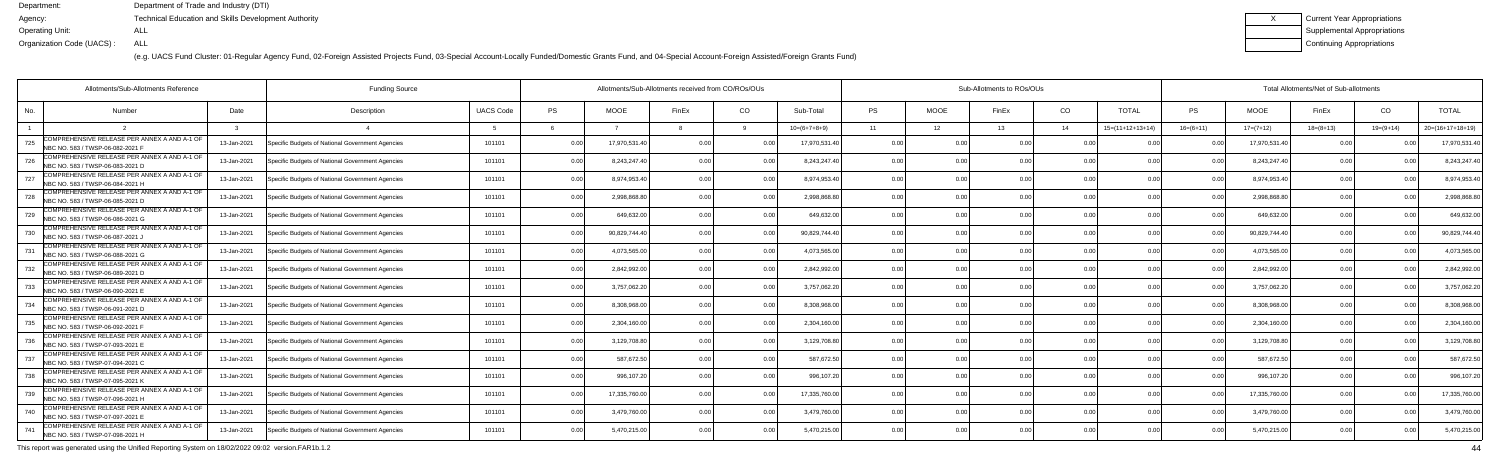(e.g. UACS Fund Cluster: 01-Regular Agency Fund, 02-Foreign Assisted Projects Fund, 03-Special Account-Locally Funded/Domestic Grants Fund, and 04-Special Account-Foreign Assisted/Foreign Grants Fund)

| <b>Current Year Appropriations</b> |
|------------------------------------|
| <b>Supplemental Appropriations</b> |
| Continuing Appropriations          |

|     | Allotments/Sub-Allotments Reference                                               | <b>Funding Source</b> |                                                  |                  | Allotments/Sub-Allotments received from CO/ROs/OUs |              |                | Sub-Allotments to ROs/OUs |                |           |             |       |                | Total Allotments/Net of Sub-allotments |                |               |             |             |                    |  |
|-----|-----------------------------------------------------------------------------------|-----------------------|--------------------------------------------------|------------------|----------------------------------------------------|--------------|----------------|---------------------------|----------------|-----------|-------------|-------|----------------|----------------------------------------|----------------|---------------|-------------|-------------|--------------------|--|
| No. | <b>Number</b>                                                                     | Date                  | Description                                      | <b>UACS Code</b> | <b>PS</b>                                          | <b>MOOE</b>  | FinEx          | CO                        | Sub-Total      | <b>PS</b> | <b>MOOE</b> | FinEx | CO.            | <b>TOTAL</b>                           | PS             | <b>MOOE</b>   | FinEx       | CO          | <b>TOTAL</b>       |  |
|     |                                                                                   |                       |                                                  |                  |                                                    |              |                |                           | $10=(6+7+8+9)$ | 11        | 12          | 13    | 14             | $15=(11+12+13+14)$                     | $16=(6+11)$    | $17=(7+12)$   | $18=(8+13)$ | $19=(9+14)$ | $20=(16+17+18+19)$ |  |
| 725 | COMPREHENSIVE RELEASE PER ANNEX A AND A-1 OF<br>NBC NO. 583 / TWSP-06-082-2021 F  | 13-Jan-2021           | Specific Budgets of National Government Agencies | 101101           | 0.00                                               | 17,970,531.4 | 0 <sub>0</sub> |                           | 17,970,531.40  | 0.00      | 0 OC        |       | 0 <sub>0</sub> |                                        |                | 17,970,531.40 | 0.00        |             | 17,970,531.        |  |
| 726 | COMPREHENSIVE RELEASE PER ANNEX A AND A-1 OF<br>NBC NO. 583 / TWSP-06-083-2021 D  | 13-Jan-2021           | Specific Budgets of National Government Agencies | 101101           | 0.00                                               | 8,243,247.40 | በ በ(           | 0.00                      | 8,243,247.40   | 0.00      | 0.00        |       | 0.00           | 0.00                                   | n n            | 8,243,247.40  | 0.00        |             | 8,243,247.         |  |
| 727 | COMPREHENSIVE RELEASE PER ANNEX A AND A-1 OF<br>NBC NO. 583 / TWSP-06-084-2021 H  | 13-Jan-2021           | Specific Budgets of National Government Agencies | 101101           | 0.00                                               | 8,974,953.40 |                | 0.00                      | 8,974,953.40   | 0.00      | 0.00        |       | 0.00           | 0.00                                   | n n            | 8,974,953.40  | 0.00        |             | 8,974,953.4        |  |
| 728 | COMPREHENSIVE RELEASE PER ANNEX A AND A-1 OF<br>NBC NO. 583 / TWSP-06-085-2021 D  | 13-Jan-2021           | Specific Budgets of National Government Agencies | 101101           | 0.00                                               | 2,998,868.8  |                | 0.0                       | 2,998,868.8    | 0.00      | 0.00        |       | 0.00           |                                        | 0 <sub>0</sub> | 2,998,868.80  | 0.00        |             | 2,998,868.8        |  |
| 729 | COMPREHENSIVE RELEASE PER ANNEX A AND A-1 OF<br>NBC NO. 583 / TWSP-06-086-2021 G  | 13-Jan-2021           | Specific Budgets of National Government Agencies | 101101           | 0.00                                               | 649,632.0    |                | 0.00                      | 649,632.00     | 0.00      | 0.00        |       | 0.00           | 0 <sub>0</sub>                         |                | 649,632.00    | 0.00        |             | 649,632.0          |  |
| 730 | COMPREHENSIVE RELEASE PER ANNEX A AND A-1 OF<br>NBC NO. 583 / TWSP-06-087-2021 J  | 13-Jan-2021           | Specific Budgets of National Government Agencies | 101101           | 0.00                                               | 90,829,744.4 |                | 0.00                      | 90,829,744.40  | 0.00      | 0.00        |       | 0.00           | 0.00                                   | 0.00           | 90,829,744.40 | 0.00        |             | 90,829,744.4       |  |
| 731 | COMPREHENSIVE RELEASE PER ANNEX A AND A-1 OF<br>NBC NO. 583 / TWSP-06-088-2021 G  | 13-Jan-2021           | Specific Budgets of National Government Agencies | 101101           | 0.00                                               | 4,073,565.00 |                | 0 U                       | 4,073,565.00   | 0.00      | 0.00        |       | 0.00           |                                        |                | 4,073,565.00  | 0.00        |             | 4,073,565.0        |  |
| 732 | COMPREHENSIVE RELEASE PER ANNEX A AND A-1 OF<br>NBC NO. 583 / TWSP-06-089-2021 D  | 13-Jan-2021           | Specific Budgets of National Government Agencies | 101101           | 0.00                                               | 2,842,992.0  |                | 0 <sub>0</sub>            | 2,842,992.00   | 0.00      | 0.00        |       | 0.00           | 0.00                                   | n n            | 2,842,992.00  | 0.00        |             | 2,842,992.0        |  |
| 733 | COMPREHENSIVE RELEASE PER ANNEX A AND A-1 OF<br>NBC NO. 583 / TWSP-06-090-2021 E  | 13-Jan-2021           | Specific Budgets of National Government Agencies | 101101           | 0.00                                               | 3,757,062.20 |                | 0.00                      | 3,757,062.20   | 0.00      | 0.00        |       | 0.00           | 0.00                                   | 0.00           | 3,757,062.20  | 0.00        |             | 3,757,062.2        |  |
| 734 | COMPREHENSIVE RELEASE PER ANNEX A AND A-1 OF<br>NBC NO. 583 / TWSP-06-091-2021 D  | 13-Jan-2021           | Specific Budgets of National Government Agencies | 101101           | 0.00                                               | 8,308,968.0  | 0 <sub>0</sub> | 0 O                       | 8.308.968.00   | 0.00      | 0.00        | n no  | 0.00           | 0.00                                   |                | 8,308,968.00  | 0.00        |             | 8,308,968.0        |  |
| 735 | COMPREHENSIVE RELEASE PER ANNEX A AND A-1 OF<br>NBC NO. 583 / TWSP-06-092-2021 F  | 13-Jan-2021           | Specific Budgets of National Government Agencies | 101101           | 0.00                                               | 2,304,160.0  |                | 0.0                       | 2,304,160.00   | 0.00      | 0.00        |       | 0.00           |                                        |                | 2,304,160.00  | 0.00        |             | 2,304,160.00       |  |
| 736 | COMPREHENSIVE RELEASE PER ANNEX A AND A-1 OF<br>NBC NO. 583 / TWSP-07-093-2021 E  | 13-Jan-2021           | Specific Budgets of National Government Agencies | 101101           | 0.00                                               | 3,129,708.80 |                | 0.0                       | 3,129,708.80   | 0.00      | 0.00        |       | 0.00           | 0.0(                                   | 0 Q            | 3,129,708.80  | 0.00        |             | 3,129,708.8        |  |
| 737 | COMPREHENSIVE RELEASE PER ANNEX A AND A-1 OF<br>NBC NO. 583 / TWSP-07-094-2021 C  | 13-Jan-2021           | Specific Budgets of National Government Agencies | 101101           | 0.00                                               | 587,672.50   |                | 0.00                      | 587,672.50     | 0.00      | 0.00        |       | 0.00           | 0.00                                   | 0 <sup>0</sup> | 587,672.50    | 0.00        |             | 587,672.50         |  |
| 738 | COMPREHENSIVE RELEASE PER ANNEX A AND A-1 OF<br>INBC NO. 583 / TWSP-07-095-2021 K | 13-Jan-2021           | Specific Budgets of National Government Agencies | 101101           | 0.00                                               | 996,107.2    |                | 0 O                       | 996,107.20     | 0.00      | 0.00        |       | 0.00           |                                        |                | 996,107.20    | 0.00        |             | 996,107.2          |  |
| 739 | COMPREHENSIVE RELEASE PER ANNEX A AND A-1 OF<br>NBC NO. 583 / TWSP-07-096-2021 H  | 13-Jan-2021           | Specific Budgets of National Government Agencies | 101101           | 0.00                                               | 17,335,760.0 |                | 0 <sub>0</sub>            | 17,335,760.00  | 0.00      | 0.00        |       | 0.00           |                                        |                | 17,335,760.00 | 0.00        |             | 17,335,760.0       |  |
| 740 | COMPREHENSIVE RELEASE PER ANNEX A AND A-1 OF<br>NBC NO. 583 / TWSP-07-097-2021 E  | 13-Jan-2021           | Specific Budgets of National Government Agencies | 101101           | 0.00                                               | 3,479,760.0  |                | 0.00                      | 3,479,760.00   | 0.00      | 0.00        |       | 0.00           | 0.0(                                   | 0.00           | 3,479,760.00  | 0.00        |             | 3,479,760.00       |  |
| 741 | COMPREHENSIVE RELEASE PER ANNEX A AND A-1 OF<br>NBC NO. 583 / TWSP-07-098-2021 H  | 13-Jan-2021           | Specific Budgets of National Government Agencies | 101101           | 0.00                                               | 5,470,215.00 |                | 0.00                      | 5,470,215.00   | 0.00      | 0.00        |       | 0 <sub>0</sub> | 0.00                                   |                | 5,470,215.00  | 0.00        |             | 5,470,215.00       |  |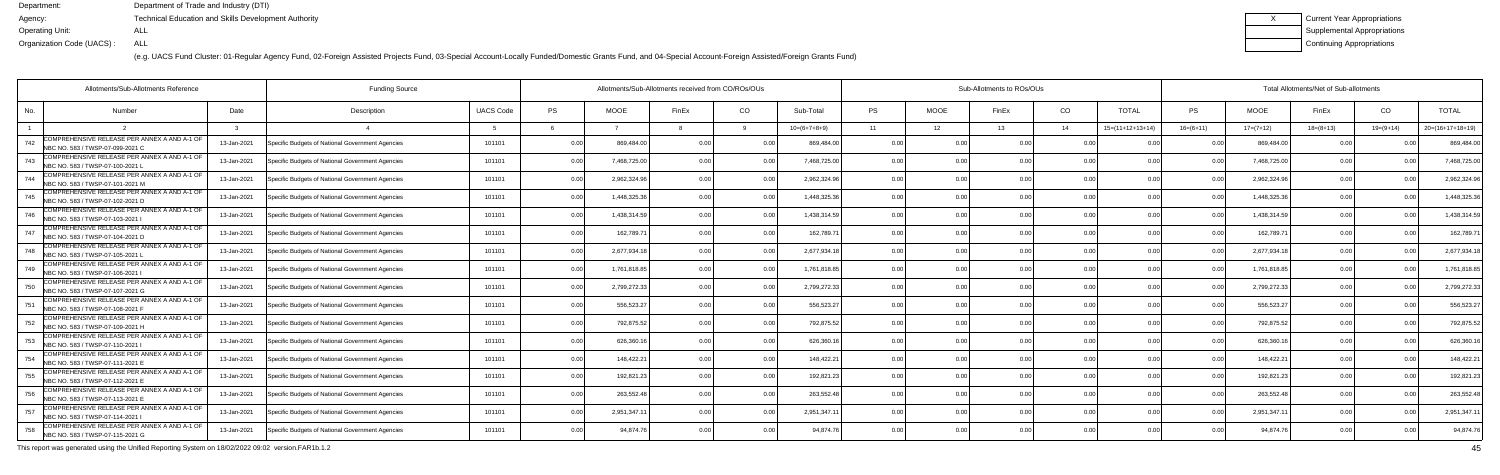(e.g. UACS Fund Cluster: 01-Regular Agency Fund, 02-Foreign Assisted Projects Fund, 03-Special Account-Locally Funded/Domestic Grants Fund, and 04-Special Account-Foreign Assisted/Foreign Grants Fund)

| Current Year Appropriations |
|-----------------------------|
| Supplemental Appropriations |
| Continuing Appropriations   |

| Allotments/Sub-Allotments Reference<br><b>Funding Source</b>                             |             |                                                  |                  | Allotments/Sub-Allotments received from CO/ROs/OUs |              |                |                |                |           | Sub-Allotments to ROs/OUs |       |      |                    |                |              | Total Allotments/Net of Sub-allotments |             |                    |  |  |  |
|------------------------------------------------------------------------------------------|-------------|--------------------------------------------------|------------------|----------------------------------------------------|--------------|----------------|----------------|----------------|-----------|---------------------------|-------|------|--------------------|----------------|--------------|----------------------------------------|-------------|--------------------|--|--|--|
| No.<br><b>Number</b>                                                                     | Date        | Description                                      | <b>UACS Code</b> | PS                                                 | <b>MOOE</b>  | FinEx          | CO.            | Sub-Total      | <b>PS</b> | <b>MOOE</b>               | FinEx | CO   | <b>TOTAL</b>       | PS             | <b>MOOE</b>  | FinEx                                  | CO          | <b>TOTAL</b>       |  |  |  |
|                                                                                          |             |                                                  |                  |                                                    |              |                |                | $10=(6+7+8+9)$ | 11        | 12                        | 13    | 14   | $15=(11+12+13+14)$ | $16=(6+11)$    | $17=(7+12)$  | $18=(8+13)$                            | $19=(9+14)$ | $20=(16+17+18+19)$ |  |  |  |
| COMPREHENSIVE RELEASE PER ANNEX A AND A-1 OF<br>742<br>INBC NO. 583 / TWSP-07-099-2021 C | 13-Jan-2021 | Specific Budgets of National Government Agencies | 101101           | 0.00                                               | 869,484.0    | 0.00           |                | 869,484.0      | 0.00      |                           |       | 0.00 |                    |                | 869,484.     | 0 <sub>0</sub>                         |             | 869,484.0          |  |  |  |
| COMPREHENSIVE RELEASE PER ANNEX A AND A-1 OF<br>743<br>NBC NO. 583 / TWSP-07-100-2021    | 13-Jan-2021 | Specific Budgets of National Government Agencies | 101101           | 0.00                                               | 7,468,725.00 | 0.00           | 0.00           | 7,468,725.00   | 0.00      | 0.00                      |       | 0.00 | 0.00               | 0 <sub>0</sub> | 7,468,725.00 | 0.00                                   |             | 7,468,725.0        |  |  |  |
| COMPREHENSIVE RELEASE PER ANNEX A AND A-1 OF<br>NBC NO. 583 / TWSP-07-101-2021 M         | 13-Jan-2021 | Specific Budgets of National Government Agencies | 101101           | 0.00                                               | 2,962,324.96 | 0.00           | 0.00           | 2,962,324.96   | 0.00      | 0.00                      |       | 0.00 | 0.00               | 0 <sub>0</sub> | 2,962,324.96 | 0.00                                   | n no        | 2,962,324.9        |  |  |  |
| COMPREHENSIVE RELEASE PER ANNEX A AND A-1 OF<br>745<br>NBC NO. 583 / TWSP-07-102-2021 D  | 13-Jan-2021 | Specific Budgets of National Government Agencies | 101101           | 0.00                                               | 1,448,325.3  | 0 <sub>0</sub> | 0.0            | 1,448,325.3    | 0.0       | 0.00                      |       | 0.00 | 0 <sub>0</sub>     |                | 1,448,325.3  | 0.00                                   |             | 1,448,325.3        |  |  |  |
| COMPREHENSIVE RELEASE PER ANNEX A AND A-1 OF<br>746<br>NBC NO. 583 / TWSP-07-103-2021    | 13-Jan-2021 | Specific Budgets of National Government Agencies | 101101           | 0.00                                               | 1,438,314.59 | 0.00           | 0 <sub>0</sub> | 1,438,314.5    | 0.00      | 0.00                      |       | 0.00 | 0.00               |                | 1,438,314.59 | 0.00                                   | 0.00        | 1,438,314.5        |  |  |  |
| COMPREHENSIVE RELEASE PER ANNEX A AND A-1 OF<br>747<br>NBC NO. 583 / TWSP-07-104-2021 D  | 13-Jan-2021 | Specific Budgets of National Government Agencies | 101101           | 0.00                                               | 162,789.7    | 0.00           | 0.00           | 162,789.7      | 0.00      | 0.00                      |       | 0.00 | 0.00               |                | 162,789.7    | 0.00                                   |             | 162,789.7          |  |  |  |
| COMPREHENSIVE RELEASE PER ANNEX A AND A-1 OF<br>748<br>NBC NO. 583 / TWSP-07-105-2021 L  | 13-Jan-2021 | Specific Budgets of National Government Agencies | 101101           | 0.00                                               | 2,677,934.1  | 0.00           | n n            | 2,677,934.18   | 0.00      | 0.00                      |       | 0.00 | 0.00               |                | 2,677,934.1  | 0.00                                   |             | 2,677,934.         |  |  |  |
| COMPREHENSIVE RELEASE PER ANNEX A AND A-1 OF<br>749<br>NBC NO. 583 / TWSP-07-106-2021    | 13-Jan-2021 | Specific Budgets of National Government Agencies | 101101           | 0.00                                               | 1,761,818.8  | 0.00           | 0 <sub>0</sub> | 1,761,818.85   | 0.00      | 0.00                      |       | 0.00 | 0.00               | 0 <sup>0</sup> | 1,761,818.8  | 0.00                                   |             | 1,761,818.8        |  |  |  |
| COMPREHENSIVE RELEASE PER ANNEX A AND A-1 OF<br>750<br>NBC NO. 583 / TWSP-07-107-2021 G  | 13-Jan-2021 | Specific Budgets of National Government Agencies | 101101           | 0.00                                               | 2,799,272.33 | 0.00           | 0.00           | 2,799,272.33   | 0.00      | 0.00                      |       | 0.00 | 0.00               | 0 <sub>0</sub> | 2,799,272.33 | 0.00                                   |             | 2,799,272.3        |  |  |  |
| COMPREHENSIVE RELEASE PER ANNEX A AND A-1 OF<br>751<br>NBC NO. 583 / TWSP-07-108-2021    | 13-Jan-2021 | Specific Budgets of National Government Agencies | 101101           | 0.00                                               | 556,523.2    | 0 <sub>0</sub> | 0.00           | 556,523.2      | 0.00      | 0.00                      |       | 0.00 | 0.00               | 0 <sub>0</sub> | 556,523.2    | 0.00                                   | n no        | 556,523.2          |  |  |  |
| COMPREHENSIVE RELEASE PER ANNEX A AND A-1 OF<br>752<br>NBC NO. 583 / TWSP-07-109-2021 H  | 13-Jan-2021 | Specific Budgets of National Government Agencies | 101101           | 0.00                                               | 792,875.5    | 0 OC           | 0.00           | 792,875.52     | 0.00      | 0.00                      |       | 0.00 | 0.00               |                | 792,875.5    | 0.00                                   |             | 792,875.5          |  |  |  |
| COMPREHENSIVE RELEASE PER ANNEX A AND A-1 OF<br>753<br>NBC NO. 583 / TWSP-07-110-2021    | 13-Jan-2021 | Specific Budgets of National Government Agencies | 101101           | 0.00                                               | 626,360.1    |                | 0.00           | 626.360.1      | 0.00      | 0.00                      |       | 0.00 | 0.00               |                | 626.360.1    | 0.00                                   |             | 626,360.1          |  |  |  |
| COMPREHENSIVE RELEASE PER ANNEX A AND A-1 OF<br>754<br>NBC NO. 583 / TWSP-07-111-2021 E  | 13-Jan-2021 | Specific Budgets of National Government Agencies | 101101           | 0.00                                               | 148,422.2    | 0 OC           | 0.00           | 148,422.21     | 0.00      | 0.00                      |       | 0.00 | 0.00               | 0 <sub>0</sub> | 148,422.2    | 0.00                                   | 0.00        | 148,422.2          |  |  |  |
| COMPREHENSIVE RELEASE PER ANNEX A AND A-1 OF<br>755<br>NBC NO. 583 / TWSP-07-112-2021 E  | 13-Jan-2021 | Specific Budgets of National Government Agencies | 101101           | 0.00                                               | 192,821.23   |                | 0.00           | 192,821.2      | 0.0       | 0.00                      |       | 0.00 |                    |                | 192,821.2    | 0 Q                                    |             | 192,821.2          |  |  |  |
| COMPREHENSIVE RELEASE PER ANNEX A AND A-1 OF<br>756<br>NBC NO. 583 / TWSP-07-113-2021 E  | 13-Jan-2021 | Specific Budgets of National Government Agencies | 101101           | 0.00                                               | 263,552.48   | 0 OC           |                | 263,552.48     | 0.00      | 0.00                      |       | 0.00 | 0.00               |                | 263,552.4    | 0.00                                   |             | 263,552.4          |  |  |  |
| COMPREHENSIVE RELEASE PER ANNEX A AND A-1 OF<br>757<br>NBC NO. 583 / TWSP-07-114-2021    | 13-Jan-2021 | Specific Budgets of National Government Agencies | 101101           | 0.00                                               | 2,951,347.1  | 0.00           | 0.00           | 2,951,347.1    | 0.00      | 0.00                      |       | 0.00 | 0.00               | 0.00           | 2,951,347.   | 0.00                                   | 0.00        | 2,951,347.1        |  |  |  |
| COMPREHENSIVE RELEASE PER ANNEX A AND A-1 OF<br>758<br>NBC NO. 583 / TWSP-07-115-2021 G  | 13-Jan-2021 | Specific Budgets of National Government Agencies | 101101           | 0.00                                               | 94,874.76    |                | 0 <sub>0</sub> | 94,874.76      | 0.00      | 0.00                      |       | 0.00 | 0.00               | $\cap$ $\cap$  | 94,874.7     | 0.00                                   |             | 94,874.7           |  |  |  |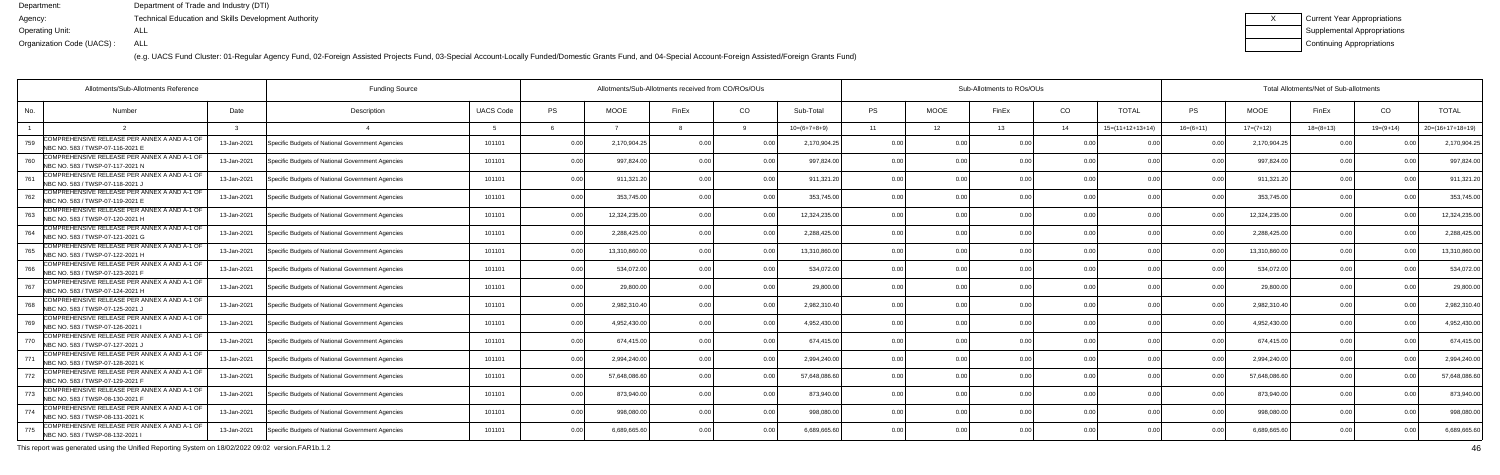(e.g. UACS Fund Cluster: 01-Regular Agency Fund, 02-Foreign Assisted Projects Fund, 03-Special Account-Locally Funded/Domestic Grants Fund, and 04-Special Account-Foreign Assisted/Foreign Grants Fund)

| Current Year Appropriations |
|-----------------------------|
| Supplemental Appropriations |
| Continuing Appropriations   |

| Allotments/Sub-Allotments Reference                                                     |             | Allotments/Sub-Allotments received from CO/ROs/OUs |                  |      |               |                |                | Sub-Allotments to ROs/OUs |                |             |       |                |                            | Total Allotments/Net of Sub-allotments |               |             |               |                    |  |
|-----------------------------------------------------------------------------------------|-------------|----------------------------------------------------|------------------|------|---------------|----------------|----------------|---------------------------|----------------|-------------|-------|----------------|----------------------------|----------------------------------------|---------------|-------------|---------------|--------------------|--|
| No.<br><b>Number</b>                                                                    | Date        | Description                                        | <b>UACS Code</b> | PS   | <b>MOOE</b>   | FinEx          | CO             | Sub-Total                 | <b>PS</b>      | <b>MOOE</b> | FinEx | CO             | <b>TOTAL</b>               | PS                                     | <b>MOOE</b>   | FinEx       | CO            | <b>TOTAL</b>       |  |
|                                                                                         |             |                                                    |                  |      |               |                |                | $10=(6+7+8+9)$            | 11             | 12          | 13    | 14             | $15=(11+12+13+14)$         | $16=(6+11)$                            | $17=(7+12)$   | $18=(8+13)$ | $19=(9+14)$   | $20=(16+17+18+19)$ |  |
| COMPREHENSIVE RELEASE PER ANNEX A AND A-1 OF<br>759<br>NBC NO. 583 / TWSP-07-116-2021 E | 13-Jan-2021 | Specific Budgets of National Government Agencies   | 101101           | 0.00 | 2,170,904.2   | 0.00           |                | 2,170,904.25              | 0.00           |             |       | 0.00           |                            |                                        | 2,170,904.2   | 0 Q         |               | 2,170,904.2        |  |
| COMPREHENSIVE RELEASE PER ANNEX A AND A-1 OF<br>760<br>NBC NO. 583 / TWSP-07-117-2021 N | 13-Jan-2021 | Specific Budgets of National Government Agencies   | 101101           | 0.00 | 997,824.00    | 0.00           | 0.00           | 997,824.00                | 0.00           | 0.00        |       | 0.00           | 0.00                       | 0 <sub>0</sub>                         | 997,824.0     | 0.00        |               | 997,824.0          |  |
| COMPREHENSIVE RELEASE PER ANNEX A AND A-1 OF<br>761<br>NBC NO. 583 / TWSP-07-118-2021,  | 13-Jan-2021 | Specific Budgets of National Government Agencies   | 101101           | 0.00 | 911,321.20    | 0 OC           | 0.00           | 911,321.20                | 0.00           | 0.00        |       | 0.00           | 0.00                       | 0 <sub>0</sub>                         | 911,321.20    | 0.00        |               | 911,321.2          |  |
| COMPREHENSIVE RELEASE PER ANNEX A AND A-1 OF<br>762<br>NBC NO. 583 / TWSP-07-119-2021 E | 13-Jan-2021 | Specific Budgets of National Government Agencies   | 101101           | 0.00 | 353,745.00    | 0 <sub>0</sub> | 0.00           | 353,745.00                | 0.00           | 0.00        |       | 0.00           | 0 <sub>0</sub>             |                                        | 353,745.0     | 0.00        |               | 353,745.0          |  |
| COMPREHENSIVE RELEASE PER ANNEX A AND A-1 OF<br>763<br>NBC NO. 583 / TWSP-07-120-2021 H | 13-Jan-2021 | Specific Budgets of National Government Agencies   | 101101           | 0.00 | 12,324,235.00 | 0 OC           | 0 <sub>0</sub> | 12,324,235.00             | 0.00           | 0.00        |       | 0.00           | 0.00                       |                                        | 12,324,235.00 | 0.00        |               | 12,324,235.0       |  |
| COMPREHENSIVE RELEASE PER ANNEX A AND A-1 OF<br>764<br>NBC NO. 583 / TWSP-07-121-2021 G | 13-Jan-2021 | Specific Budgets of National Government Agencies   | 101101           | 0.00 | 2,288,425.00  | 0.00           | 0.00           | 2,288,425.00              | 0.00           | 0.00        |       | 0.00           | 0.00                       | 0 <sub>0</sub>                         | 2,288,425.0   | 0.00        |               | 2,288,425.0        |  |
| COMPREHENSIVE RELEASE PER ANNEX A AND A-1 OF<br>765<br>NBC NO. 583 / TWSP-07-122-2021 H | 13-Jan-2021 | Specific Budgets of National Government Agencies   | 101101           | 0.00 | 13,310,860.0  |                |                | 13,310,860.00             | 0.00           | 0.00        |       | 0.00           | n nr                       |                                        | 13,310,860.0  | 0.00        |               | 13,310,860.0       |  |
| COMPREHENSIVE RELEASE PER ANNEX A AND A-1 OF<br>766<br>NBC NO. 583 / TWSP-07-123-2021 F | 13-Jan-2021 | Specific Budgets of National Government Agencies   | 101101           | 0.00 | 534,072.0     | 0 <sub>0</sub> | 0 <sub>0</sub> | 534,072.00                | 0.00           | 0.00        |       | 0.00           | 0.00                       |                                        | 534,072.00    | 0.00        |               | 534,072.0          |  |
| COMPREHENSIVE RELEASE PER ANNEX A AND A-1 OF<br>767<br>NBC NO. 583 / TWSP-07-124-2021 H | 13-Jan-2021 | Specific Budgets of National Government Agencies   | 101101           | 0.00 | 29,800.0      | 0 <sub>0</sub> | 0.00           | 29,800.00                 | 0.00           | 0.00        |       | 0.00           | 0.00                       | 0 <sub>0</sub>                         | 29.800.0      | 0.00        | 0.00          | 29,800.0           |  |
| COMPREHENSIVE RELEASE PER ANNEX A AND A-1 OF<br>768<br>NBC NO. 583 / TWSP-07-125-2021,  | 13-Jan-2021 | Specific Budgets of National Government Agencies   | 101101           | 0.00 | 2,982,310.40  | 0 <sub>0</sub> | 0.00           | 2,982,310.40              | 0.00           | 0.00        |       | 0.00           | 0.00                       | n no                                   | 2,982,310.40  | 0.00        |               | 2,982,310.4        |  |
| COMPREHENSIVE RELEASE PER ANNEX A AND A-1 OF<br>769<br>NBC NO. 583 / TWSP-07-126-2021   | 13-Jan-2021 | Specific Budgets of National Government Agencies   | 101101           | 0.00 | 4,952,430.0   | 0 OC           |                | 4,952,430.00              | 0.0            | ი იი        |       | 0.00           | 0 <sup>0<sup>c</sup></sup> |                                        | 4,952,430.0   | 0.00        |               | 4,952,430.0        |  |
| COMPREHENSIVE RELEASE PER ANNEX A AND A-1 OF<br>770<br>NBC NO. 583 / TWSP-07-127-2021,  | 13-Jan-2021 | Specific Budgets of National Government Agencies   | 101101           | 0.00 | 674.415.00    |                | 0 <sub>0</sub> | 674.415.00                | 0.00           | 0.00        |       | 0.00           | 0.00                       |                                        | 674.415.0     | 0.00        |               | 674,415.00         |  |
| COMPREHENSIVE RELEASE PER ANNEX A AND A-1 OF<br>771<br>NBC NO. 583 / TWSP-07-128-2021 K | 13-Jan-2021 | Specific Budgets of National Government Agencies   | 101101           | 0.00 | 2,994,240.00  | 0 <sub>0</sub> | 0 <sub>0</sub> | 2,994,240.00              | 0.00           | 0.00        |       | 0.00           | 0.00                       | 0 <sub>0</sub>                         | 2,994,240.00  | 0.00        | $\cap$ $\cap$ | 2,994,240.0        |  |
| COMPREHENSIVE RELEASE PER ANNEX A AND A-1 OF<br>772<br>NBC NO. 583 / TWSP-07-129-2021 F | 13-Jan-2021 | Specific Budgets of National Government Agencies   | 101101           | 0.00 | 57,648,086.6  | 0 <sub>0</sub> |                | 57,648,086.6              | 0.00           | ი იი        |       | 0.00           |                            |                                        | 57,648,086.6  | 0.00        |               | 57,648,086.6       |  |
| COMPREHENSIVE RELEASE PER ANNEX A AND A-1 OF<br>773<br>NBC NO. 583 / TWSP-08-130-2021 F | 13-Jan-2021 | Specific Budgets of National Government Agencies   | 101101           | 0.00 | 873,940.00    | 0 <sub>0</sub> | 0 <sub>0</sub> | 873,940.00                | 0.00           | 0.00        |       | 0.00           | 0.00                       |                                        | 873,940.0     | 0.00        | n no          | 873,940.0          |  |
| COMPREHENSIVE RELEASE PER ANNEX A AND A-1 OF<br>774<br>NBC NO. 583 / TWSP-08-131-2021 K | 13-Jan-2021 | Specific Budgets of National Government Agencies   | 101101           | 0.00 | 998,080.00    | 0.00           | 0.00           | 998.080.00                | 0.00           | 0.00        | 0.00  | 0.00           | 0.00                       | 0.00                                   | 998,080.0     | 0.00        | 0.00          | 998,080.0          |  |
| COMPREHENSIVE RELEASE PER ANNEX A AND A-1 OF<br>775<br>NBC NO. 583 / TWSP-08-132-2021   | 13-Jan-2021 | Specific Budgets of National Government Agencies   | 101101           | 0.00 | 6,689,665.6   |                | 0 <sub>0</sub> | 6.689.665.6               | 0 <sub>0</sub> | 0.OO        |       | 0 <sub>0</sub> | 0 <sub>0</sub>             |                                        | 6,689,665.6   | 0.00        |               | 6,689,665.6        |  |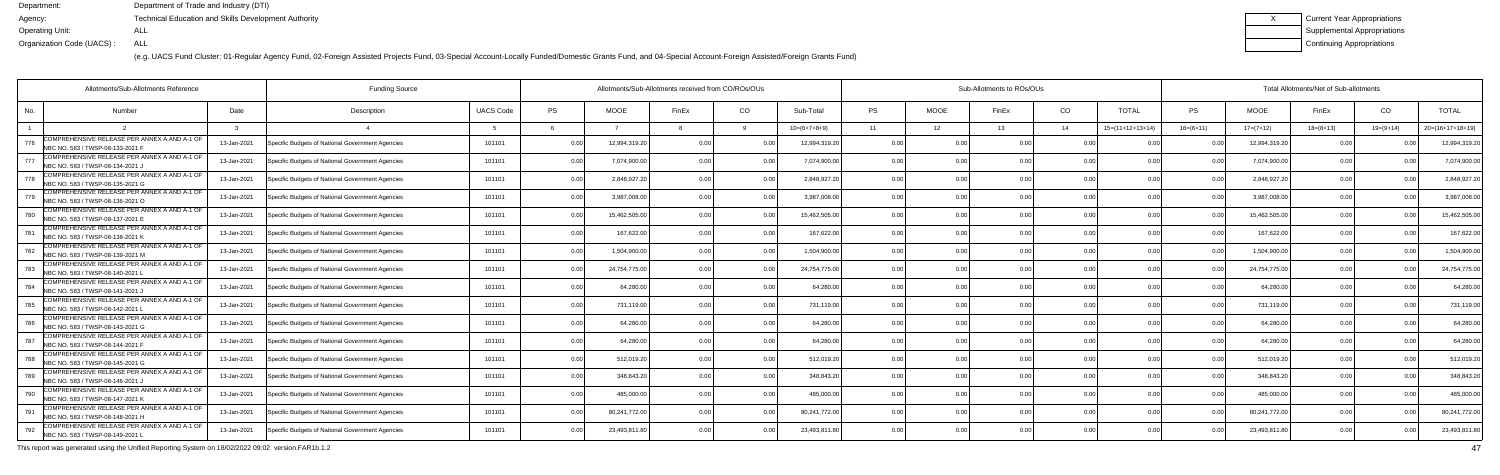(e.g. UACS Fund Cluster: 01-Regular Agency Fund, 02-Foreign Assisted Projects Fund, 03-Special Account-Locally Funded/Domestic Grants Fund, and 04-Special Account-Foreign Assisted/Foreign Grants Fund)

| <b>Current Year Appropriations</b> |
|------------------------------------|
| <b>Supplemental Appropriations</b> |
| Continuing Appropriations          |

|     | <b>Funding Source</b><br>Allotments/Sub-Allotments Reference                      |             |                                                  |                  |           |               | Allotments/Sub-Allotments received from CO/ROs/OUs |                |                |           |                | Sub-Allotments to ROs/OUs |                |                    | Total Allotments/Net of Sub-allotments |               |                 |             |                    |  |  |
|-----|-----------------------------------------------------------------------------------|-------------|--------------------------------------------------|------------------|-----------|---------------|----------------------------------------------------|----------------|----------------|-----------|----------------|---------------------------|----------------|--------------------|----------------------------------------|---------------|-----------------|-------------|--------------------|--|--|
| No. | <b>Number</b>                                                                     | Date        | Description                                      | <b>UACS Code</b> | <b>PS</b> | <b>MOOE</b>   | FinEx                                              | CO             | Sub-Total      | <b>PS</b> | <b>MOOE</b>    | FinEx                     | CO             | <b>TOTAL</b>       | PS                                     | <b>MOOE</b>   | FinEx           | CO          | <b>TOTAL</b>       |  |  |
|     |                                                                                   |             |                                                  |                  |           |               |                                                    |                | $10=(6+7+8+9)$ | 11        | 12             | 13                        | 14             | $15=(11+12+13+14)$ | $16=(6+11)$                            | $17=(7+12)$   | $18 = (8 + 13)$ | $19=(9+14)$ | $20=(16+17+18+19)$ |  |  |
| 776 | COMPREHENSIVE RELEASE PER ANNEX A AND A-1 OF<br>NBC NO. 583 / TWSP-08-133-2021 F  | 13-Jan-2021 | Specific Budgets of National Government Agencies | 101101           | 0.00      | 12,994,319.20 | ሰ በ                                                |                | 12,994,319.20  | 0.00      | 0 OC           | n nr                      | 0 <sub>0</sub> |                    |                                        | 12,994,319.20 | 0.00            |             | 12,994,319.2       |  |  |
| 777 | COMPREHENSIVE RELEASE PER ANNEX A AND A-1 OF<br>NBC NO. 583 / TWSP-08-134-2021,   | 13-Jan-2021 | Specific Budgets of National Government Agencies | 101101           | 0.00      | 7,074,900.0   |                                                    | 0.00           | 7,074,900.00   | 0.00      | 0.00           |                           | 0.00           | 0.00               | 0.00                                   | 7,074,900.00  | 0.00            |             | 7,074,900.0        |  |  |
| 778 | COMPREHENSIVE RELEASE PER ANNEX A AND A-1 OF<br>NBC NO. 583 / TWSP-08-135-2021 G  | 13-Jan-2021 | Specific Budgets of National Government Agencies | 101101           | 0.00      | 2,848,927.2   | 0 <sub>0</sub>                                     | 0.0            | 2,848,927.20   | 0.00      | 0.00           |                           | 0.00           | 0.00               | 0 <sub>0</sub>                         | 2,848,927.20  | 0.00            |             | 2,848,927.2        |  |  |
| 779 | COMPREHENSIVE RELEASE PER ANNEX A AND A-1 OF<br>NBC NO. 583 / TWSP-08-136-2021 O  | 13-Jan-2021 | Specific Budgets of National Government Agencies | 101101           | 0.00      | 3,987,008.0   |                                                    | 0.0            | 3,987,008.00   | 0.00      | 0.00           |                           | 0.00           |                    | 0 <sub>0</sub>                         | 3,987,008.00  | 0.00            |             | 3,987,008.0        |  |  |
| 780 | COMPREHENSIVE RELEASE PER ANNEX A AND A-1 OF<br>NBC NO. 583 / TWSP-08-137-2021 E  | 13-Jan-2021 | Specific Budgets of National Government Agencies | 101101           | 0.00      | 15,462,505.00 |                                                    | 0 <sub>0</sub> | 15,462,505.00  | 0.00      | 0.00           |                           | 0.00           | 0 <sub>0</sub>     | n n                                    | 15,462,505.00 | 0.00            |             | 15,462,505.0       |  |  |
| 781 | COMPREHENSIVE RELEASE PER ANNEX A AND A-1 OF<br>NBC NO. 583 / TWSP-08-138-2021 K  | 13-Jan-2021 | Specific Budgets of National Government Agencies | 101101           | 0.00      | 167,622.00    |                                                    | 0.00           | 167.622.00     | 0.00      | 0.00           |                           | 0.00           | 0.00               | 0 <sup>0</sup>                         | 167,622.00    | 0.00            |             | 167,622.0          |  |  |
| 782 | COMPREHENSIVE RELEASE PER ANNEX A AND A-1 OF<br>INBC NO. 583 / TWSP-08-139-2021 M | 13-Jan-2021 | Specific Budgets of National Government Agencies | 101101           | 0.00      | 1,504,900.0   |                                                    | 0 O            | 1,504,900.00   | 0.00      | 0.00           |                           | 0.00           |                    |                                        | 1,504,900.00  | 0.00            |             | 1,504,900.00       |  |  |
| 783 | COMPREHENSIVE RELEASE PER ANNEX A AND A-1 OF<br>NBC NO. 583 / TWSP-08-140-2021 L  | 13-Jan-2021 | Specific Budgets of National Government Agencies | 101101           | 0.00      | 24,754,775.00 |                                                    | 0 <sub>0</sub> | 24,754,775.00  | 0.00      | 0.00           |                           | 0 <sub>0</sub> | 0.00               |                                        | 24,754,775.00 | 0.00            |             | 24,754,775.0       |  |  |
| 784 | COMPREHENSIVE RELEASE PER ANNEX A AND A-1 OF<br>NBC NO. 583 / TWSP-08-141-2021 J  | 13-Jan-2021 | Specific Budgets of National Government Agencies | 101101           | 0.00      | 64,280.0      |                                                    | 0.00           | 64,280.00      | 0.00      | 0.00           |                           | 0.00           | 0.00               | 0 <sup>0</sup>                         | 64,280.00     | 0.00            |             | 64,280.0           |  |  |
| 785 | COMPREHENSIVE RELEASE PER ANNEX A AND A-1 OF<br>NBC NO. 583 / TWSP-08-142-2021 I  | 13-Jan-2021 | Specific Budgets of National Government Agencies | 101101           | 0.00      | 731,119.00    |                                                    | 0.00           | 731,119.00     | 0.00      | 0.00           |                           | 0.00           | 0.0(               | n n                                    | 731,119.00    | 0.00            |             | 731,119.00         |  |  |
| 786 | COMPREHENSIVE RELEASE PER ANNEX A AND A-1 OF<br>NBC NO. 583 / TWSP-08-143-2021 G  | 13-Jan-2021 | Specific Budgets of National Government Agencies | 101101           | 0.00      | 64,280.0      |                                                    | 0 O            | 64,280.00      | 0.00      | 0.00           |                           | 0 <sub>0</sub> |                    |                                        | 64,280.00     | 0.00            |             | 64,280.0           |  |  |
| 787 | COMPREHENSIVE RELEASE PER ANNEX A AND A-1 OF<br>NBC NO. 583 / TWSP-08-144-2021 F  | 13-Jan-2021 | Specific Budgets of National Government Agencies | 101101           | 0.00      | 64.280.00     |                                                    | 0.00           | 64.280.00      | 0.00      | 0.00           |                           | 0.00           | 0 <sub>0</sub>     |                                        | 64,280.00     | 0.00            |             | 64,280.00          |  |  |
| 788 | COMPREHENSIVE RELEASE PER ANNEX A AND A-1 OF<br>NBC NO. 583 / TWSP-08-145-2021 G  | 13-Jan-2021 | Specific Budgets of National Government Agencies | 101101           | 0.00      | 512,019.20    |                                                    | 0.00           | 512,019.20     | 0.00      | 0.00           | 0 <sub>0</sub>            | 0.00           | 0 <sub>0</sub>     | 0.00                                   | 512,019.20    | 0.00            |             | 512,019.20         |  |  |
| 789 | COMPREHENSIVE RELEASE PER ANNEX A AND A-1 OF<br>NBC NO. 583 / TWSP-08-146-2021,   | 13-Jan-2021 | Specific Budgets of National Government Agencies | 101101           | 0.00      | 348,843.2     |                                                    | 0.00           | 348.843.2      | 0.00      | 0.00           |                           | 0 <sub>0</sub> |                    |                                        | 348,843.20    | 0.00            |             | 348,843.2          |  |  |
| 790 | COMPREHENSIVE RELEASE PER ANNEX A AND A-1 OF<br>NBC NO. 583 / TWSP-08-147-2021 K  | 13-Jan-2021 | Specific Budgets of National Government Agencies | 101101           | 0.00      | 485.000.0     |                                                    | 0.00           | 485.000.00     | 0.00      | 0.00           |                           | 0.00           | 0 <sub>0</sub>     |                                        | 485.000.00    | 0.00            |             | 485,000.0          |  |  |
| 791 | COMPREHENSIVE RELEASE PER ANNEX A AND A-1 OF<br>NBC NO. 583 / TWSP-08-148-2021 H  | 13-Jan-2021 | Specific Budgets of National Government Agencies | 101101           | 0.00      | 80,241,772.00 | 0 <sub>0</sub>                                     | 0.00           | 80,241,772.00  | 0.00      | 0.00           | 0.00                      | 0.00           | 0.00               | 0.00                                   | 80,241,772.00 | 0.00            |             | 80,241,772.0       |  |  |
| 792 | COMPREHENSIVE RELEASE PER ANNEX A AND A-1 OF<br>NBC NO. 583 / TWSP-08-149-2021 L  | 13-Jan-2021 | Specific Budgets of National Government Agencies | 101101           | 0.00      | 23,493,811.80 |                                                    | 0 <sub>0</sub> | 23,493,811.80  | 0.00      | 0 <sub>0</sub> |                           | 0 <sub>0</sub> |                    |                                        | 23,493,811.80 | 0.00            |             | 23,493,811.        |  |  |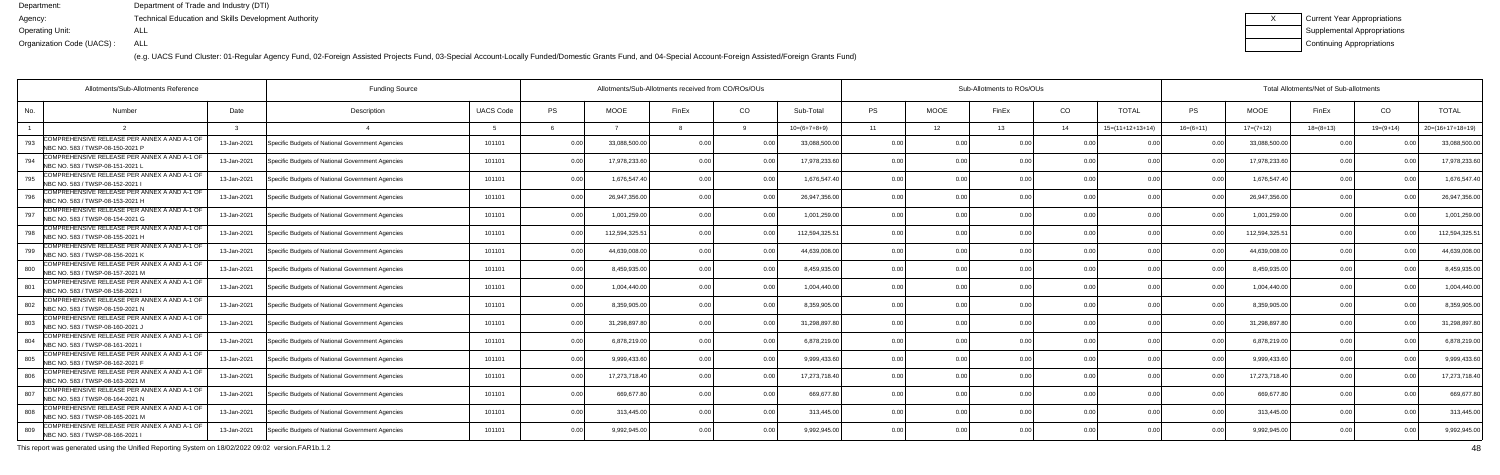(e.g. UACS Fund Cluster: 01-Regular Agency Fund, 02-Foreign Assisted Projects Fund, 03-Special Account-Locally Funded/Domestic Grants Fund, and 04-Special Account-Foreign Assisted/Foreign Grants Fund)

| Current Year Appropriations |
|-----------------------------|
| Supplemental Appropriations |
| Continuing Appropriations   |

|     | <b>Funding Source</b><br>Allotments/Sub-Allotments Reference                      |             |                                                  |                  |           |               | Allotments/Sub-Allotments received from CO/ROs/OUs |                |                |                |                 | Sub-Allotments to ROs/OUs |                |                    | Total Allotments/Net of Sub-allotments |                |                 |                |                    |  |  |
|-----|-----------------------------------------------------------------------------------|-------------|--------------------------------------------------|------------------|-----------|---------------|----------------------------------------------------|----------------|----------------|----------------|-----------------|---------------------------|----------------|--------------------|----------------------------------------|----------------|-----------------|----------------|--------------------|--|--|
| No. | <b>Number</b>                                                                     | Date        | Description                                      | <b>UACS Code</b> | <b>PS</b> | <b>MOOE</b>   | FinEx                                              | CO             | Sub-Total      | <b>PS</b>      | <b>MOOE</b>     | FinEx                     | CO             | <b>TOTAL</b>       | PS.                                    | <b>MOOE</b>    | FinEx           | CO             | <b>TOTAL</b>       |  |  |
|     |                                                                                   |             |                                                  |                  |           |               |                                                    |                | $10=(6+7+8+9)$ | 11             | 12 <sup>1</sup> | 13                        | 14             | $15=(11+12+13+14)$ | $16=(6+11)$                            | $17=(7+12)$    | $18 = (8 + 13)$ | $19=(9+14)$    | $20=(16+17+18+19)$ |  |  |
| 793 | COMPREHENSIVE RELEASE PER ANNEX A AND A-1 OF<br>NBC NO. 583 / TWSP-08-150-2021 P  | 13-Jan-2021 | Specific Budgets of National Government Agencies | 101101           | 0.00      | 33.088.500.0  | ሰ በ                                                |                | 33,088,500.00  | 0.00           | 0 OC            | n nr                      | 0 <sub>0</sub> |                    |                                        | 33,088,500.00  | . O O           |                | 33,088,500.0       |  |  |
| 794 | COMPREHENSIVE RELEASE PER ANNEX A AND A-1 OF<br>NBC NO. 583 / TWSP-08-151-2021 L  | 13-Jan-2021 | Specific Budgets of National Government Agencies | 101101           | 0.00      | 17,978,233.6  |                                                    | 0.00           | 17,978,233.60  | 0.00           | 0.00            |                           | 0.00           | 0.00               | 0.00                                   | 17,978,233.60  | 0.00            |                | 17,978,233.6       |  |  |
| 795 | COMPREHENSIVE RELEASE PER ANNEX A AND A-1 OF<br>NBC NO. 583 / TWSP-08-152-2021    | 13-Jan-2021 | Specific Budgets of National Government Agencies | 101101           | 0.00      | 1,676,547.4   | 0 <sub>0</sub>                                     | 0.0            | 1,676,547.40   | 0.00           | 0.00            |                           | 0.00           | 0.00               | n n                                    | 1,676,547.40   | 0.00            |                | 1,676,547.         |  |  |
| 796 | COMPREHENSIVE RELEASE PER ANNEX A AND A-1 OF<br>NBC NO. 583 / TWSP-08-153-2021 H  | 13-Jan-2021 | Specific Budgets of National Government Agencies | 101101           | 0.00      | 26,947,356.0  |                                                    | 0.0            | 26,947,356.00  | 0.00           | 0.00            |                           | 0.00           |                    |                                        | 26,947,356.00  | 0.00            |                | 26,947,356.0       |  |  |
| 797 | COMPREHENSIVE RELEASE PER ANNEX A AND A-1 OF<br>NBC NO. 583 / TWSP-08-154-2021 G  | 13-Jan-2021 | Specific Budgets of National Government Agencies | 101101           | 0.00      | 1,001,259.00  |                                                    | 0 <sub>0</sub> | 1,001,259.00   | 0.00           | 0.00            |                           | 0.00           | 0 <sub>0</sub>     |                                        | 1,001,259.00   | 0.00            |                | 1,001,259.00       |  |  |
| 798 | COMPREHENSIVE RELEASE PER ANNEX A AND A-1 OF<br>NBC NO. 583 / TWSP-08-155-2021 H  | 13-Jan-2021 | Specific Budgets of National Government Agencies | 101101           | 0.00      | 112,594,325.5 | n nr                                               | 0.00           | 112,594,325.51 | 0.00           | 0.00            |                           | 0.00           | 0.00               | n n                                    | 112,594,325.51 | 0.00            |                | 112,594,325.5      |  |  |
| 799 | COMPREHENSIVE RELEASE PER ANNEX A AND A-1 OF<br>INBC NO. 583 / TWSP-08-156-2021 K | 13-Jan-2021 | Specific Budgets of National Government Agencies | 101101           | 0.00      | 44,639,008.0  |                                                    |                | 44,639,008.00  | 0.00           | 0.00            |                           | 0.00           |                    |                                        | 44,639,008.00  | 0.00            |                | 44,639,008.00      |  |  |
| 800 | COMPREHENSIVE RELEASE PER ANNEX A AND A-1 OF<br>NBC NO. 583 / TWSP-08-157-2021 M  | 13-Jan-2021 | Specific Budgets of National Government Agencies | 101101           | 0.00      | 8,459,935.0   |                                                    | 0 <sub>0</sub> | 8,459,935.00   | 0.00           | 0.00            |                           | 0 <sub>0</sub> | 0.00               |                                        | 8,459,935.00   | 0.00            |                | 8,459,935.0        |  |  |
| 801 | COMPREHENSIVE RELEASE PER ANNEX A AND A-1 OF<br>NBC NO. 583 / TWSP-08-158-2021    | 13-Jan-2021 | Specific Budgets of National Government Agencies | 101101           | 0.00      | 1.004.440.0   |                                                    | 0.00           | 1,004,440.00   | 0.00           | 0.00            |                           | 0.00           | 0.00               | 0.00                                   | 1,004,440.00   | 0.00            |                | 1,004,440.0        |  |  |
| 802 | COMPREHENSIVE RELEASE PER ANNEX A AND A-1 OF<br>NBC NO. 583 / TWSP-08-159-2021 N  | 13-Jan-2021 | Specific Budgets of National Government Agencies | 101101           | 0.00      | 8,359,905.0   | ሰ በ                                                | 0.0            | 8,359,905.00   | 0.00           | 0.00            |                           | 0.00           | 0.0(               |                                        | 8,359,905.00   | 0.00            |                | 8,359,905.0        |  |  |
| 803 | COMPREHENSIVE RELEASE PER ANNEX A AND A-1 OF<br>NBC NO. 583 / TWSP-08-160-2021 J  | 13-Jan-2021 | Specific Budgets of National Government Agencies | 101101           | 0.00      | 31,298,897.8  |                                                    | 0 <sub>0</sub> | 31,298,897.80  | 0.00           | 0.00            |                           | 0 <sub>0</sub> |                    |                                        | 31,298,897.80  | 0.00            |                | 31,298,897.        |  |  |
| 804 | COMPREHENSIVE RELEASE PER ANNEX A AND A-1 OF<br>NBC NO. 583 / TWSP-08-161-2021 I  | 13-Jan-2021 | Specific Budgets of National Government Agencies | 101101           | 0.00      | 6,878,219.00  |                                                    | 0 <sub>0</sub> | 6.878.219.00   | 0.00           | 0.00            |                           | 0.00           | 0.0(               |                                        | 6,878,219.00   | 0.00            |                | 6,878,219.00       |  |  |
| 805 | COMPREHENSIVE RELEASE PER ANNEX A AND A-1 OF<br>NBC NO. 583 / TWSP-08-162-2021 F  | 13-Jan-2021 | Specific Budgets of National Government Agencies | 101101           | 0.00      | 9,999,433.6   |                                                    | 0.00           | 9,999,433.60   | 0.00           | 0.00            | 0 <sub>0</sub>            | 0.00           | 0 <sub>0</sub>     | $\cap$                                 | 9,999,433.60   | 0.00            |                | 9,999,433.6        |  |  |
| 806 | COMPREHENSIVE RELEASE PER ANNEX A AND A-1 OF<br>NBC NO. 583 / TWSP-08-163-2021 M  | 13-Jan-2021 | Specific Budgets of National Government Agencies | 101101           | 0.00      | 17,273,718.40 |                                                    | 0 <sub>0</sub> | 17,273,718.40  | 0.00           | 0.00            |                           | 0 <sub>0</sub> |                    |                                        | 17,273,718.40  | 0.00            |                | 17,273,718.4       |  |  |
| 807 | COMPREHENSIVE RELEASE PER ANNEX A AND A-1 OF<br>NBC NO. 583 / TWSP-08-164-2021 N  | 13-Jan-2021 | Specific Budgets of National Government Agencies | 101101           | 0.00      | 669,677.8     |                                                    | 0.00           | 669.677.8      | 0.00           | 0.00            |                           | 0.00           | 0 <sub>0</sub>     |                                        | 669,677.80     | 0.00            |                | 669,677.           |  |  |
| 808 | COMPREHENSIVE RELEASE PER ANNEX A AND A-1 OF<br>NBC NO. 583 / TWSP-08-165-2021 M  | 13-Jan-2021 | Specific Budgets of National Government Agencies | 101101           | 0.00      | 313,445.00    | n nr                                               | 0.00           | 313,445.00     | 0.00           | 0.00            | 0.00                      | 0.00           | 0.00               | 0.00                                   | 313,445.00     | 0.00            | 0 <sub>0</sub> | 313,445.00         |  |  |
| 809 | COMPREHENSIVE RELEASE PER ANNEX A AND A-1 OF<br>NBC NO. 583 / TWSP-08-166-2021    | 13-Jan-2021 | Specific Budgets of National Government Agencies | 101101           | 0.00      | 9,992,945.00  |                                                    | 0 <sub>0</sub> | 9,992,945.00   | 0 <sub>0</sub> | 0 <sub>0</sub>  |                           | 0 <sub>0</sub> |                    |                                        | 9,992,945.00   | 0.00            |                | 9,992,945.00       |  |  |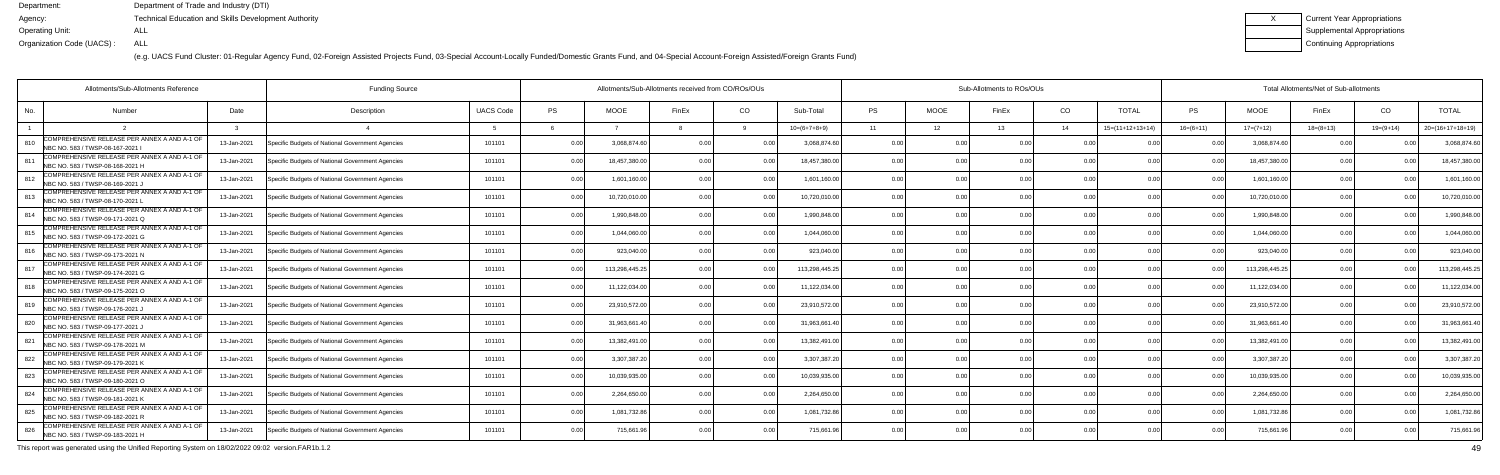(e.g. UACS Fund Cluster: 01-Regular Agency Fund, 02-Foreign Assisted Projects Fund, 03-Special Account-Locally Funded/Domestic Grants Fund, and 04-Special Account-Foreign Assisted/Foreign Grants Fund)

| Current Year Appropriations        |
|------------------------------------|
| <b>Supplemental Appropriations</b> |
| Continuing Appropriations          |

|                                                                                         | Allotments/Sub-Allotments Reference<br><b>Funding Source</b> |                                                  |                  |           |                | Allotments/Sub-Allotments received from CO/ROs/OUs |                |                |           |                 | Sub-Allotments to ROs/OUs |                |                    | Total Allotments/Net of Sub-allotments |                |                 |                |                    |  |  |
|-----------------------------------------------------------------------------------------|--------------------------------------------------------------|--------------------------------------------------|------------------|-----------|----------------|----------------------------------------------------|----------------|----------------|-----------|-----------------|---------------------------|----------------|--------------------|----------------------------------------|----------------|-----------------|----------------|--------------------|--|--|
| No.<br>Number                                                                           | Date                                                         | Description                                      | <b>UACS Code</b> | <b>PS</b> | <b>MOOE</b>    | FinEx                                              | CO             | Sub-Total      | <b>PS</b> | <b>MOOE</b>     | FinEx                     | CO             | <b>TOTAL</b>       | PS                                     | <b>MOOE</b>    | FinEx           | CO             | <b>TOTAL</b>       |  |  |
|                                                                                         |                                                              |                                                  |                  |           |                |                                                    |                | $10=(6+7+8+9)$ | 11        | 12 <sup>1</sup> | 13                        | 14             | $15=(11+12+13+14)$ | $16=(6+11)$                            | $17=(7+12)$    | $18 = (8 + 13)$ | $19=(9+14)$    | $20=(16+17+18+19)$ |  |  |
| COMPREHENSIVE RELEASE PER ANNEX A AND A-1 OF<br>810<br>NBC NO. 583 / TWSP-08-167-2021 I | 13-Jan-2021                                                  | Specific Budgets of National Government Agencies | 101101           | 0.00      | 3,068,874.6    | 0 <sub>0</sub>                                     |                | 3.068.874.60   | 0.00      | 0 OC            | 0 <sub>0</sub>            | 0 <sub>0</sub> |                    |                                        | 3,068,874.60   | 0.00            |                | 3,068,874.6        |  |  |
| COMPREHENSIVE RELEASE PER ANNEX A AND A-1 OF<br>NBC NO. 583 / TWSP-08-168-2021 H        | 13-Jan-2021                                                  | Specific Budgets of National Government Agencies | 101101           | 0.00      | 18,457,380.0   |                                                    | 0.00           | 18,457,380.00  | 0.00      | 0.00            |                           | 0.00           | 0.00               | 0.00                                   | 18,457,380.00  | 0.00            |                | 18,457,380.0       |  |  |
| COMPREHENSIVE RELEASE PER ANNEX A AND A-1 OF<br>NBC NO. 583 / TWSP-08-169-2021 、        | 13-Jan-2021                                                  | Specific Budgets of National Government Agencies | 101101           | 0.00      | 1,601,160.00   | n n                                                | 0.0            | 1,601,160.00   | 0.00      | 0.00            | 0 <sub>0</sub>            | 0.00           | 0.00               | 0 <sub>0</sub>                         | 1,601,160.00   | 0.00            |                | 1,601,160.0        |  |  |
| COMPREHENSIVE RELEASE PER ANNEX A AND A-1 OF<br>NBC NO. 583 / TWSP-08-170-2021 L        | 13-Jan-2021                                                  | Specific Budgets of National Government Agencies | 101101           | 0.00      | 10,720,010.0   | n n                                                | 0.0            | 10,720,010.00  | 0.00      | 0.00            |                           | 0.00           |                    | 0 <sub>0</sub>                         | 10,720,010.00  | 0.00            |                | 10,720,010.00      |  |  |
| COMPREHENSIVE RELEASE PER ANNEX A AND A-1 OF<br>NBC NO. 583 / TWSP-09-171-2021 Q        | 13-Jan-2021                                                  | Specific Budgets of National Government Agencies | 101101           | 0.00      | 1.990.848.0    |                                                    | $\cap$         | 1,990,848.00   | 0.00      | 0.00            |                           | 0.00           | 0 <sub>0</sub>     |                                        | 1,990,848.00   | 0.00            |                | 1,990,848.0        |  |  |
| COMPREHENSIVE RELEASE PER ANNEX A AND A-1 OF<br>815<br>NBC NO. 583 / TWSP-09-172-2021 G | 13-Jan-2021                                                  | Specific Budgets of National Government Agencies | 101101           | 0.00      | 1.044.060.0    | 0 <sub>0</sub>                                     | 0.00           | 1.044.060.00   | 0.00      | 0.00            |                           | 0.00           | 0.00               | 0.00                                   | 1,044,060.00   | 0.00            |                | 1,044,060.00       |  |  |
| COMPREHENSIVE RELEASE PER ANNEX A AND A-1 OF<br>NBC NO. 583 / TWSP-09-173-2021 N        | 13-Jan-2021                                                  | Specific Budgets of National Government Agencies | 101101           | 0.00      | 923,040.00     |                                                    | . 0.0          | 923,040.00     | 0.00      | 0.00            |                           | 0.00           |                    |                                        | 923,040.00     | 0.00            |                | 923,040.0          |  |  |
| COMPREHENSIVE RELEASE PER ANNEX A AND A-1 OF<br>NBC NO. 583 / TWSP-09-174-2021 G        | 13-Jan-2021                                                  | Specific Budgets of National Government Agencies | 101101           | 0.00      | 113,298,445.25 |                                                    | 0 <sub>0</sub> | 113,298,445.25 | 0.00      | 0.00            |                           | 0.00           | 0.00               |                                        | 113,298,445.25 | 0.00            |                | 113,298,445.2      |  |  |
| COMPREHENSIVE RELEASE PER ANNEX A AND A-1 OF<br>NBC NO. 583 / TWSP-09-175-2021 O        | 13-Jan-2021                                                  | Specific Budgets of National Government Agencies | 101101           | 0.00      | 11,122,034.0   | n n                                                | 0.00           | 11,122,034.00  | 0.00      | 0.00            |                           | 0.00           | 0.00               | 0.00                                   | 11,122,034.00  | 0.00            |                | 11,122,034.0       |  |  |
| COMPREHENSIVE RELEASE PER ANNEX A AND A-1 OF<br>819<br>NBC NO. 583 / TWSP-09-176-2021   | 13-Jan-2021                                                  | Specific Budgets of National Government Agencies | 101101           | 0.00      | 23,910,572.00  | 0 <sub>0</sub>                                     | 0.0            | 23,910,572.00  | 0.00      | 0.00            | n nr                      | 0.00           | 0.0                |                                        | 23,910,572.00  | 0.00            |                | 23,910,572.0       |  |  |
| COMPREHENSIVE RELEASE PER ANNEX A AND A-1 OF<br>820<br>NBC NO. 583 / TWSP-09-177-2021,  | 13-Jan-2021                                                  | Specific Budgets of National Government Agencies | 101101           | 0.00      | 31,963,661.4   |                                                    |                | 31,963,661.40  | 0.00      | 0.00            |                           | 0 <sub>0</sub> |                    |                                        | 31,963,661.40  | 0.00            |                | 31,963,661.        |  |  |
| COMPREHENSIVE RELEASE PER ANNEX A AND A-1 OF<br>821<br>NBC NO. 583 / TWSP-09-178-2021 M | 13-Jan-2021                                                  | Specific Budgets of National Government Agencies | 101101           | 0.00      | 13.382.491.    |                                                    | 0 <sub>0</sub> | 13.382.491.00  | 0.00      | 0.00            |                           | 0.00           | 0.0                | 0 <sub>0</sub>                         | 13,382,491.00  | 0.00            |                | 13,382,491.        |  |  |
| COMPREHENSIVE RELEASE PER ANNEX A AND A-1 OF<br>822<br>NBC NO. 583 / TWSP-09-179-2021 K | 13-Jan-2021                                                  | Specific Budgets of National Government Agencies | 101101           | 0.00      | 3,307,387.2    | n nr                                               | $\cap$ $\cap$  | 3,307,387.20   | 0.00      | 0.00            |                           | 0.00           | 0 <sub>0</sub>     | <u>. በ በበ</u>                          | 3,307,387.20   | 0.00            |                | 3,307,387.2        |  |  |
| COMPREHENSIVE RELEASE PER ANNEX A AND A-1 OF<br>823<br>NBC NO. 583 / TWSP-09-180-2021 O | 13-Jan-2021                                                  | Specific Budgets of National Government Agencies | 101101           | 0.00      | 10,039,935.0   |                                                    | 0 <sub>0</sub> | 10,039,935.00  | 0.00      | 0.00            |                           | 0 <sub>0</sub> |                    |                                        | 10,039,935.00  | 0.00            |                | 10,039,935.00      |  |  |
| COMPREHENSIVE RELEASE PER ANNEX A AND A-1 OF<br>824<br>NBC NO. 583 / TWSP-09-181-2021 K | 13-Jan-2021                                                  | Specific Budgets of National Government Agencies | 101101           | 0.00      | 2,264,650.0    | n n                                                | 0 <sub>0</sub> | 2,264,650.00   | 0.00      | 0.00            |                           | 0.00           | 00                 |                                        | 2,264,650.00   | 0.00            |                | 2,264,650.0        |  |  |
| COMPREHENSIVE RELEASE PER ANNEX A AND A-1 OF<br>825<br>NBC NO. 583 / TWSP-09-182-2021 R | 13-Jan-2021                                                  | Specific Budgets of National Government Agencies | 101101           | 0.00      | 1,081,732.86   | n nr                                               | 0.00           | 1,081,732.86   | 0.00      | 0.00            | 0.00                      | 0.00           | 0.00               | 0.00                                   | 1,081,732.86   | 0.00            | 0 <sub>0</sub> | 1,081,732.8        |  |  |
| COMPREHENSIVE RELEASE PER ANNEX A AND A-1 OF<br>826<br>NBC NO. 583 / TWSP-09-183-2021 H | 13-Jan-2021                                                  | Specific Budgets of National Government Agencies | 101101           | 0.00      | 715,661.96     |                                                    | $\cap$         | 715,661.96     |           | 0 <sub>0</sub>  |                           | 0 <sub>0</sub> |                    |                                        | 715,661.96     | 0.00            |                | 715,661.           |  |  |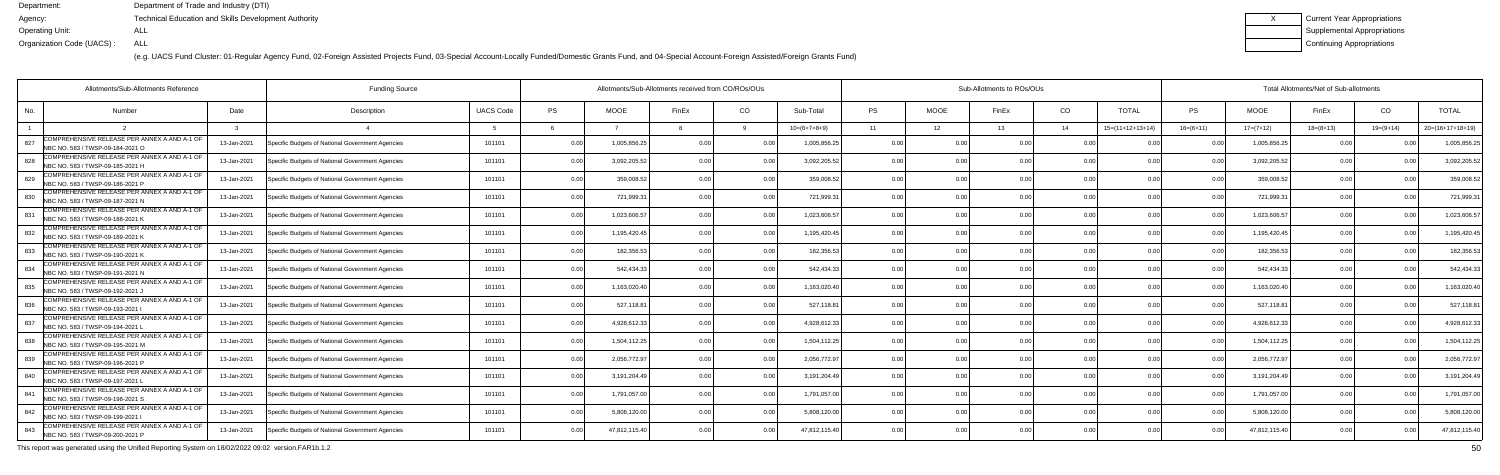(e.g. UACS Fund Cluster: 01-Regular Agency Fund, 02-Foreign Assisted Projects Fund, 03-Special Account-Locally Funded/Domestic Grants Fund, and 04-Special Account-Foreign Assisted/Foreign Grants Fund)

| Current Year Appropriations |
|-----------------------------|
| Supplemental Appropriations |
| Continuing Appropriations   |

|     | Allotments/Sub-Allotments Reference<br><b>Funding Source</b>                     |             |                                                  |                  |           |               | Allotments/Sub-Allotments received from CO/ROs/OUs |                |                | Sub-Allotments to ROs/OUs |             |       |                |                    |                | Total Allotments/Net of Sub-allotments |             |                |                    |  |  |
|-----|----------------------------------------------------------------------------------|-------------|--------------------------------------------------|------------------|-----------|---------------|----------------------------------------------------|----------------|----------------|---------------------------|-------------|-------|----------------|--------------------|----------------|----------------------------------------|-------------|----------------|--------------------|--|--|
| No. | <b>Number</b>                                                                    | Date        | Description                                      | <b>UACS Code</b> | <b>PS</b> | <b>MOOE</b>   | FinEx                                              | CO.            | Sub-Total      | <b>PS</b>                 | <b>MOOE</b> | FinEx | CO             | <b>TOTAL</b>       | PS             | <b>MOOE</b>                            | FinEx       | CO             | <b>TOTAL</b>       |  |  |
|     |                                                                                  |             |                                                  |                  |           |               |                                                    |                | $10=(6+7+8+9)$ | 11                        | 12          | 13    | 14             | $15=(11+12+13+14)$ | $16=(6+11)$    | $17=(7+12)$                            | $18=(8+13)$ | $19=(9+14)$    | $20=(16+17+18+19)$ |  |  |
| 827 | COMPREHENSIVE RELEASE PER ANNEX A AND A-1 OF<br>NBC NO. 583 / TWSP-09-184-2021 O | 13-Jan-2021 | Specific Budgets of National Government Agencies | 101101           | 0.00      | 1,005,856.2   | 0 <sub>0</sub>                                     |                | 1.005.856.2    | 0.00                      |             |       | 0 <sub>0</sub> |                    |                | 1.005.856.2                            | n n         |                | 1,005,856.2        |  |  |
| 828 | COMPREHENSIVE RELEASE PER ANNEX A AND A-1 OF<br>NBC NO. 583 / TWSP-09-185-2021 H | 13-Jan-2021 | Specific Budgets of National Government Agencies | 101101           | 0.00      | 3,092,205.5   | 0 <sub>0</sub>                                     | 0.00           | 3,092,205.52   | 0.00                      | 0.00        | n nr  | 0.00           | 0.00               | 0.0(           | 3,092,205.52                           | 0.00        | 0.00           | 3,092,205.5        |  |  |
| 829 | COMPREHENSIVE RELEASE PER ANNEX A AND A-1 OF<br>NBC NO. 583 / TWSP-09-186-2021 P | 13-Jan-2021 | Specific Budgets of National Government Agencies | 101101           | 0.00      | 359,008.5     | 0 <sub>0</sub>                                     | 0.00           | 359,008.52     | 0.00                      | 0.00        | n nr  | 0.00           | 0.00               | 0 <sub>0</sub> | 359,008.52                             | 0.00        | 0.00           | 359,008.5          |  |  |
| 830 | COMPREHENSIVE RELEASE PER ANNEX A AND A-1 OF<br>NBC NO. 583 / TWSP-09-187-2021 N | 13-Jan-2021 | Specific Budgets of National Government Agencies | 101101           | 0.00      | 721,999.3     | 0 <sub>0</sub>                                     | 0.00           | 721,999.3      | 0.00                      | 0.00        |       | 0.00           |                    | 0 <sub>0</sub> | 721,999.3                              | 0.00        |                | 721,999.3          |  |  |
| 831 | COMPREHENSIVE RELEASE PER ANNEX A AND A-1 OF<br>NBC NO. 583 / TWSP-09-188-2021 K | 13-Jan-2021 | Specific Budgets of National Government Agencies | 101101           | 0.00      | 1,023,606.5   | 0 <sub>0</sub>                                     | 0 <sub>0</sub> | 1,023,606.5    | 0.00                      | 0.00        |       | 0.00           | 0.00               | 0 <sub>0</sub> | 1,023,606.5                            | 0.00        | 0 <sub>0</sub> | 1,023,606.5        |  |  |
| 832 | COMPREHENSIVE RELEASE PER ANNEX A AND A-1 OF<br>NBC NO. 583 / TWSP-09-189-2021 K | 13-Jan-2021 | Specific Budgets of National Government Agencies | 101101           | 0.00      | 1,195,420.4   | 0 <sub>0</sub>                                     | 0.00           | 1,195,420.4    | 0.00                      | 0.00        | n nr  | 0.00           | 0.00               | 0 <sub>0</sub> | 1,195,420.45                           | 0.00        | 0.00           | 1,195,420.4        |  |  |
| 833 | COMPREHENSIVE RELEASE PER ANNEX A AND A-1 OF<br>NBC NO. 583 / TWSP-09-190-2021 K | 13-Jan-2021 | Specific Budgets of National Government Agencies | 101101           | 0.00      | 182,356.5     | 0 <sub>0</sub>                                     | 0.00           | 182,356.5      | 0.00                      | 0.00        |       | 0.00           | 0 <sub>0</sub>     | $\Omega$       | 182,356.5                              | 0.00        |                | 182,356.5          |  |  |
| 834 | COMPREHENSIVE RELEASE PER ANNEX A AND A-1 OF<br>NBC NO. 583 / TWSP-09-191-2021 N | 13-Jan-2021 | Specific Budgets of National Government Agencies | 101101           | 0.00      | 542,434.3     | 0.00                                               | 0 <sub>0</sub> | 542,434.33     | 0.00                      | 0.00        |       | 0.00           | 0.00               | 0 <sub>0</sub> | 542,434.33                             | 0.00        | 0.00           | 542,434.3          |  |  |
| 835 | COMPREHENSIVE RELEASE PER ANNEX A AND A-1 OF<br>NBC NO. 583 / TWSP-09-192-2021,  | 13-Jan-2021 | Specific Budgets of National Government Agencies | 101101           | 0.00      | 1,163,020.4   | 0 <sub>0</sub>                                     | 0.00           | 1,163,020.40   | 0.00                      | 0.00        |       | 0.00           | 0.00               | 0 <sub>0</sub> | 1,163,020.40                           | 0.00        | 0.00           | 1,163,020.4        |  |  |
| 836 | COMPREHENSIVE RELEASE PER ANNEX A AND A-1 OF<br>NBC NO. 583 / TWSP-09-193-2021   | 13-Jan-2021 | Specific Budgets of National Government Agencies | 101101           | 0.00      | 527,118.8     | 0 <sub>0</sub>                                     | 0.00           | 527,118.81     | 0.00                      | 0.00        |       | 0.00           | 0.00               | 0 <sub>0</sub> | 527,118.81                             | 0.00        |                | 527,118.8          |  |  |
| 837 | COMPREHENSIVE RELEASE PER ANNEX A AND A-1 OF<br>NBC NO. 583 / TWSP-09-194-2021 L | 13-Jan-2021 | Specific Budgets of National Government Agencies | 101101           | 0.00      | 4,928,612.3   | n n                                                | 0.00           | 4,928,612.3    | 0.00                      | 0.00        |       | 0.00           |                    | 0 <sub>0</sub> | 4,928,612.33                           | 0.00        |                | 4,928,612.3        |  |  |
| 838 | COMPREHENSIVE RELEASE PER ANNEX A AND A-1 OF<br>NBC NO. 583 / TWSP-09-195-2021 M | 13-Jan-2021 | Specific Budgets of National Government Agencies | 101101           | 0.00      | 1,504,112.25  |                                                    | 0 <sub>0</sub> | 1,504,112.25   | 0.00                      | 0.00        |       | 0.00           | 0.00               | 0 <sub>0</sub> | 1,504,112.25                           | 0.00        |                | 1,504,112.2        |  |  |
| 839 | COMPREHENSIVE RELEASE PER ANNEX A AND A-1 OF<br>NBC NO. 583 / TWSP-09-196-2021 P | 13-Jan-2021 | Specific Budgets of National Government Agencies | 101101           | 0.00      | 2,056,772.9   | 0 <sub>0</sub>                                     | 0.00           | 2,056,772.97   | 0.00                      | 0.00        | 0.00  | 0.00           | 0.00               | 0 <sub>0</sub> | 2,056,772.97                           | 0.00        | 0.00           | 2,056,772.9        |  |  |
| 840 | COMPREHENSIVE RELEASE PER ANNEX A AND A-1 OF<br>NBC NO. 583 / TWSP-09-197-2021 I | 13-Jan-2021 | Specific Budgets of National Government Agencies | 101101           | 0.00      | 3,191,204.4   |                                                    |                | 3,191,204.49   | 0.00                      | 0.00        |       | 0.00           |                    |                | 3,191,204.49                           | 0.00        |                | 3,191,204.4        |  |  |
| 841 | COMPREHENSIVE RELEASE PER ANNEX A AND A-1 OF<br>NBC NO. 583 / TWSP-09-198-2021 S | 13-Jan-2021 | Specific Budgets of National Government Agencies | 101101           | 0.00      | 1,791,057.0   |                                                    |                | 1,791,057.00   | 0.00                      | 0.00        |       | 0 <sub>0</sub> | 0.00               |                | 1,791,057.00                           | 0.00        |                | 1,791,057.0        |  |  |
| 842 | COMPREHENSIVE RELEASE PER ANNEX A AND A-1 OF<br>NBC NO. 583 / TWSP-09-199-2021   | 13-Jan-2021 | Specific Budgets of National Government Agencies | 101101           | 0.00      | 5,808,120.0   | 0 <sub>0</sub>                                     | 0.00           | 5,808,120.00   | 0.00                      | 0.00        |       | 0.00           | 0.00               | 0 <sub>0</sub> | 5,808,120.00                           | 0.00        | 0.00           | 5,808,120.0        |  |  |
| 843 | COMPREHENSIVE RELEASE PER ANNEX A AND A-1 OF<br>NBC NO. 583 / TWSP-09-200-2021 P | 13-Jan-2021 | Specific Budgets of National Government Agencies | 101101           | 0.00      | 47,812,115.40 |                                                    | 0.00           | 47,812,115.40  | 0.00                      | 0.00        |       | 0 <sub>0</sub> | 0.00               |                | 47,812,115.40                          | 0.00        |                | 47,812,115.4       |  |  |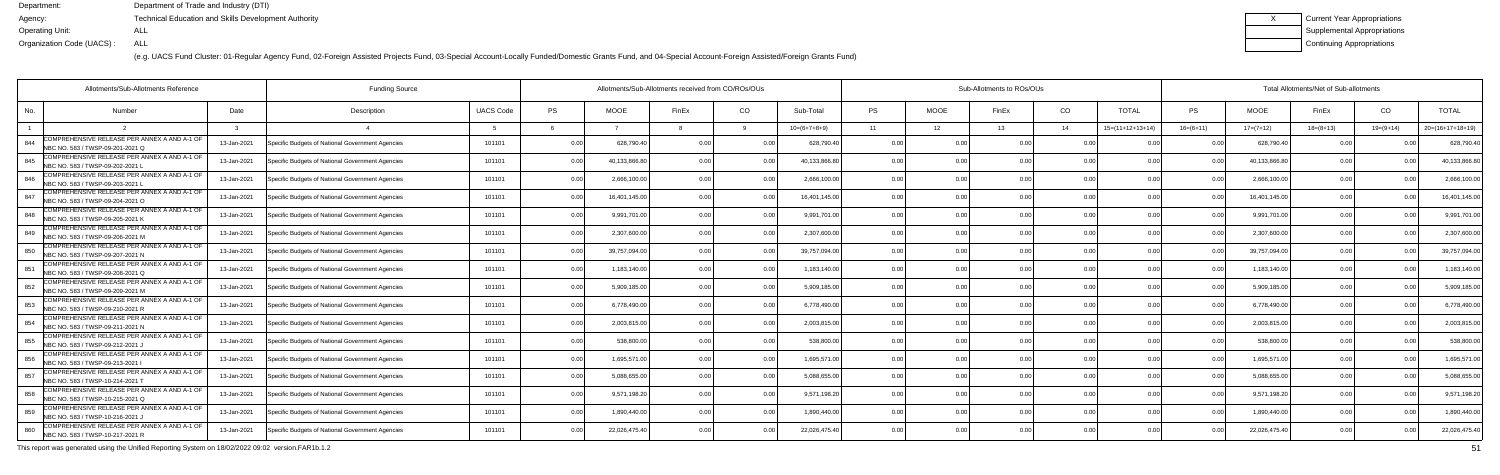(e.g. UACS Fund Cluster: 01-Regular Agency Fund, 02-Foreign Assisted Projects Fund, 03-Special Account-Locally Funded/Domestic Grants Fund, and 04-Special Account-Foreign Assisted/Foreign Grants Fund)

| Current Year Appropriations |
|-----------------------------|
| Supplemental Appropriations |
| Continuing Appropriations   |

| Allotments/Sub-Allotments Reference                                                      |             | <b>Funding Source</b>                            |                  | Allotments/Sub-Allotments received from CO/ROs/OUs |               |                |                |                | Sub-Allotments to ROs/OUs |             |       |                |                    |                | Total Allotments/Net of Sub-allotments |                |             |                    |  |  |
|------------------------------------------------------------------------------------------|-------------|--------------------------------------------------|------------------|----------------------------------------------------|---------------|----------------|----------------|----------------|---------------------------|-------------|-------|----------------|--------------------|----------------|----------------------------------------|----------------|-------------|--------------------|--|--|
| No.<br><b>Number</b>                                                                     | Date        | Description                                      | <b>UACS Code</b> | PS                                                 | <b>MOOE</b>   | FinEx          | CO             | Sub-Total      | <b>PS</b>                 | <b>MOOE</b> | FinEx | CO             | <b>TOTAL</b>       | PS             | <b>MOOE</b>                            | FinEx          | CO          | <b>TOTAL</b>       |  |  |
|                                                                                          |             |                                                  |                  |                                                    |               |                |                | $10=(6+7+8+9)$ | 11                        | 12          | 13    | 14             | $15=(11+12+13+14)$ | $16=(6+11)$    | $17=(7+12)$                            | $18=(8+13)$    | $19=(9+14)$ | $20=(16+17+18+19)$ |  |  |
| COMPREHENSIVE RELEASE PER ANNEX A AND A-1 OF<br>844<br>NBC NO. 583 / TWSP-09-201-2021 Q  | 13-Jan-2021 | Specific Budgets of National Government Agencies | 101101           | 0.00                                               | 628,790.4     | 0.00           |                | 628,790.40     | 0.0                       |             |       | 0 OC           |                    |                | 628.790.4                              | 0 <sub>0</sub> |             | 628,790.4          |  |  |
| COMPREHENSIVE RELEASE PER ANNEX A AND A-1 OF<br>845<br>NBC NO. 583 / TWSP-09-202-2021    | 13-Jan-2021 | Specific Budgets of National Government Agencies | 101101           | 0.00                                               | 40.133.866.8  | 0.00           | 0.00           | 40,133,866.8   | 0.00                      | 0.00        |       | 0.00           | 0.00               | 0.00           | 40.133.866.8                           | 0.00           |             | 40,133,866.8       |  |  |
| COMPREHENSIVE RELEASE PER ANNEX A AND A-1 OF<br>846<br>NBC NO. 583 / TWSP-09-203-2021    | 13-Jan-2021 | Specific Budgets of National Government Agencies | 101101           | 0.00                                               | 2,666,100.0   | 0 OC           | 0.00           | 2,666,100.00   | 0.00                      | 0.00        |       | 0.00           | 0 <sub>0</sub>     | 0 <sub>0</sub> | 2,666,100.00                           | 0.00           |             | 2,666,100.0        |  |  |
| COMPREHENSIVE RELEASE PER ANNEX A AND A-1 OF<br>847<br>INBC NO. 583 / TWSP-09-204-2021 O | 13-Jan-2021 | Specific Budgets of National Government Agencies | 101101           | 0.00                                               | 16,401,145.0  | 0 OC           | 0 <sub>0</sub> | 16,401,145.00  | 0.00                      | 0.00        |       | 0.00           | 0 <sub>0</sub>     |                | 16,401,145.0                           | 0.00           |             | 16,401,145.0       |  |  |
| COMPREHENSIVE RELEASE PER ANNEX A AND A-1 OF<br>848<br>NBC NO. 583 / TWSP-09-205-2021 K  | 13-Jan-2021 | Specific Budgets of National Government Agencies | 101101           | 0.00                                               | 9,991,701.00  | 0 <sub>0</sub> | 0 <sub>0</sub> | 9,991,701.00   | 0.00                      | 0.00        |       | 0.00           | 0.00               |                | 9,991,701.00                           | 0.00           |             | 9,991,701.0        |  |  |
| COMPREHENSIVE RELEASE PER ANNEX A AND A-1 OF<br>849<br>NBC NO. 583 / TWSP-09-206-2021 M  | 13-Jan-2021 | Specific Budgets of National Government Agencies | 101101           | 0.00                                               | 2,307,600.0   | 0.00           | 0.00           | 2,307,600.00   | 0.00                      | 0.00        |       | 0.00           | 0.00               | 0 <sub>0</sub> | 2,307,600.0                            | 0.00           |             | 2,307,600.0        |  |  |
| COMPREHENSIVE RELEASE PER ANNEX A AND A-1 OF<br>850<br>NBC NO. 583 / TWSP-09-207-2021 N  | 13-Jan-2021 | Specific Budgets of National Government Agencies | 101101           | 0.00                                               | 39,757,094.0  | 0 <sub>0</sub> |                | 39,757,094.00  | 0.0                       | 0.00        |       | 0.00           | n nr               |                | 39,757,094.0                           | 0.00           |             | 39,757,094.0       |  |  |
| COMPREHENSIVE RELEASE PER ANNEX A AND A-1 OF<br>851<br>NBC NO. 583 / TWSP-09-208-2021 Q  | 13-Jan-2021 | Specific Budgets of National Government Agencies | 101101           | 0.00                                               | 1,183,140.0   | 0 <sub>0</sub> |                | 1,183,140.00   | 0.00                      | 0.00        |       | 0.00           | 0.00               |                | 1,183,140.00                           | 0.00           |             | 1,183,140.0        |  |  |
| COMPREHENSIVE RELEASE PER ANNEX A AND A-1 OF<br>852<br>NBC NO. 583 / TWSP-09-209-2021 M  | 13-Jan-2021 | Specific Budgets of National Government Agencies | 101101           | 0.00                                               | 5,909,185.0   | 0.00           | 0.00           | 5,909,185.0    | 0.00                      | 0.00        |       | 0.00           | 0.00               | 0.00           | 5,909,185.0                            | 0.00           | 0.00        | 5,909,185.0        |  |  |
| COMPREHENSIVE RELEASE PER ANNEX A AND A-1 OF<br>853<br>NBC NO. 583 / TWSP-09-210-2021 R  | 13-Jan-2021 | Specific Budgets of National Government Agencies | 101101           | 0.00                                               | 6,778,490.0   | 0 <sub>0</sub> | 0.00           | 6,778,490.00   | 0.00                      | 0.00        |       | 0.00           | 0.00               |                | 6,778,490.00                           | 0.00           |             | 6,778,490.0        |  |  |
| COMPREHENSIVE RELEASE PER ANNEX A AND A-1 OF<br>854<br>NBC NO. 583 / TWSP-09-211-2021 N  | 13-Jan-2021 | Specific Budgets of National Government Agencies | 101101           | 0.00                                               | 2,003,815.00  | 0 OC           |                | 2,003,815.00   | 0 <sub>0</sub>            | ი იი        |       | 0.00           | 0 <sub>0</sub>     |                | 2,003,815.0                            | n n            |             | 2,003,815.0        |  |  |
| COMPREHENSIVE RELEASE PER ANNEX A AND A-1 OF<br>855<br>NBC NO. 583 / TWSP-09-212-2021 J  | 13-Jan-2021 | Specific Budgets of National Government Agencies | 101101           | 0.00                                               | 538,800.0     |                | 0 <sub>0</sub> | 538,800.0      | 0.00                      | 0.00        |       | 0.00           | 0.00               |                | 538,800.0                              | 0.00           |             | 538,800.0          |  |  |
| COMPREHENSIVE RELEASE PER ANNEX A AND A-1 OF<br>856<br>NBC NO. 583 / TWSP-09-213-2021    | 13-Jan-2021 | Specific Budgets of National Government Agencies | 101101           | 0.00                                               | 1,695,571.00  | 0 <sub>0</sub> | 0 <sub>0</sub> | 1,695,571.00   | 0.00                      | 0.00        |       | 0.00           | 0.00               | 0 <sub>0</sub> | 1,695,571.00                           | 0.00           | 0.00        | 1,695,571.0        |  |  |
| COMPREHENSIVE RELEASE PER ANNEX A AND A-1 OF<br>857<br>NBC NO. 583 / TWSP-10-214-2021 T  | 13-Jan-2021 | Specific Budgets of National Government Agencies | 101101           | 0.00                                               | 5.088.655.0   | 0 <sub>0</sub> |                | 5.088.655.0    | 0.00                      | ი იი        |       | 0.00           |                    |                | 5.088.655.0                            | 0.00           |             | 5,088,655.0        |  |  |
| COMPREHENSIVE RELEASE PER ANNEX A AND A-1 OF<br>858<br>NBC NO. 583 / TWSP-10-215-2021 Q  | 13-Jan-2021 | Specific Budgets of National Government Agencies | 101101           | 0.00                                               | 9,571,198.2   | 0 <sub>0</sub> | 0 <sub>0</sub> | 9.571.198.20   | 0.00                      | 0.00        |       | 0.00           | 0.00               | 0 <sub>0</sub> | 9,571,198.20                           | 0.00           |             | 9,571,198.2        |  |  |
| COMPREHENSIVE RELEASE PER ANNEX A AND A-1 OF<br>859<br>NBC NO. 583 / TWSP-10-216-2021 J  | 13-Jan-2021 | Specific Budgets of National Government Agencies | 101101           | 0.00                                               | 1,890,440.00  | 0.00           | 0.00           | 1,890,440.00   | 0.00                      | 0.00        | 0 OC  | 0.00           | 0.00               | 0.00           | 1,890,440.00                           | 0.00           | 0.00        | 1,890,440.0        |  |  |
| COMPREHENSIVE RELEASE PER ANNEX A AND A-1 OF<br>860<br>NBC NO. 583 / TWSP-10-217-2021 R  | 13-Jan-2021 | Specific Budgets of National Government Agencies | 101101           | 0.00                                               | 22,026,475.40 |                | 0 <sub>0</sub> | 22,026,475.40  | 0 <sub>0</sub>            | 0.OO        |       | 0 <sub>0</sub> | 0 <sub>0</sub>     |                | 22,026,475.40                          | 0.00           |             | 22,026,475.4       |  |  |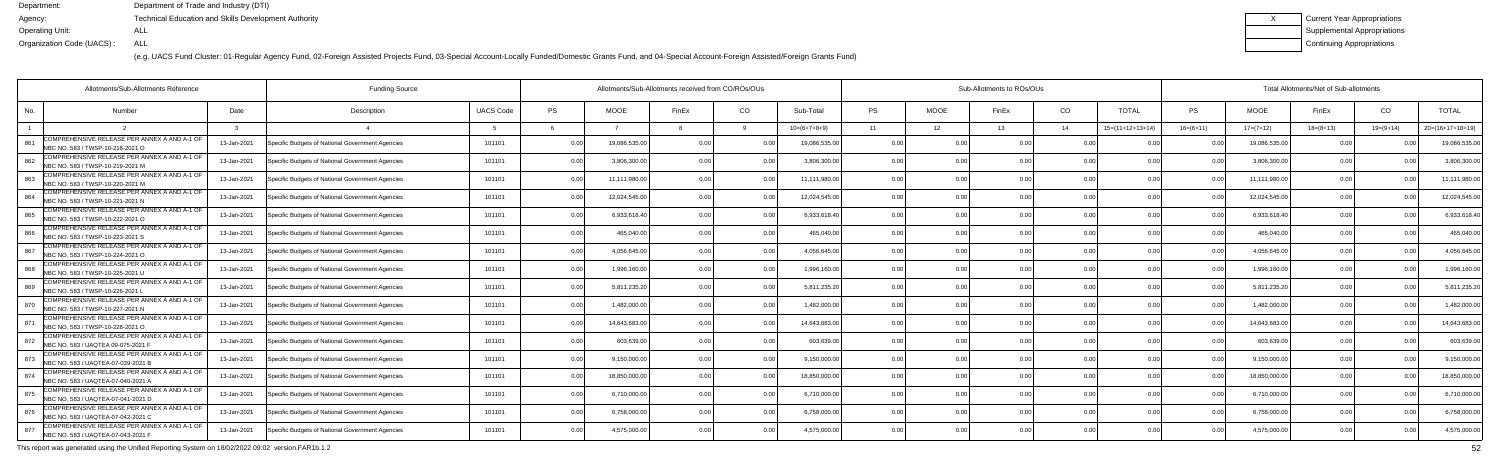(e.g. UACS Fund Cluster: 01-Regular Agency Fund, 02-Foreign Assisted Projects Fund, 03-Special Account-Locally Funded/Domestic Grants Fund, and 04-Special Account-Foreign Assisted/Foreign Grants Fund)

| Current Year Appropriations        |
|------------------------------------|
| <b>Supplemental Appropriations</b> |
| Continuing Appropriations          |

|     | <b>Funding Source</b><br>Allotments/Sub-Allotments Reference                       |             |                                                  |                  |           |              | Allotments/Sub-Allotments received from CO/ROs/OUs |                |                | Sub-Allotments to ROs/OUs |                 |                |                |                    |                | Total Allotments/Net of Sub-allotments |             |             |                    |  |  |
|-----|------------------------------------------------------------------------------------|-------------|--------------------------------------------------|------------------|-----------|--------------|----------------------------------------------------|----------------|----------------|---------------------------|-----------------|----------------|----------------|--------------------|----------------|----------------------------------------|-------------|-------------|--------------------|--|--|
| No. | <b>Number</b>                                                                      | Date        | Description                                      | <b>UACS Code</b> | <b>PS</b> | <b>MOOE</b>  | FinEx                                              | CO             | Sub-Total      | <b>PS</b>                 | <b>MOOE</b>     | FinEx          | CO             | <b>TOTAL</b>       | PS.            | <b>MOOE</b>                            | FinEx       | CO          | <b>TOTAL</b>       |  |  |
|     |                                                                                    |             |                                                  |                  |           |              |                                                    |                | $10=(6+7+8+9)$ | 11                        | 12 <sup>7</sup> | 13             | 14             | $15=(11+12+13+14)$ | $16=(6+11)$    | $17=(7+12)$                            | $18=(8+13)$ | $19=(9+14)$ | $20=(16+17+18+19)$ |  |  |
| 861 | COMPREHENSIVE RELEASE PER ANNEX A AND A-1 OF<br>NBC NO. 583 / TWSP-10-218-2021 O   | 13-Jan-2021 | Specific Budgets of National Government Agencies | 101101           | 0.00      | 19,086,535.0 | ሰ ሰ                                                |                | 19,086,535.00  | 0.00                      | 0 OC            | n nr           | n no           |                    |                | 19,086,535.00                          | 0.00        |             | 19,086,535.0       |  |  |
| 862 | COMPREHENSIVE RELEASE PER ANNEX A AND A-1 OF<br>NBC NO. 583 / TWSP-10-219-2021 M   | 13-Jan-2021 | Specific Budgets of National Government Agencies | 101101           | 0.00      | 3,806,300.00 |                                                    | 0.00           | 3,806,300.00   | 0.00                      | 0.00            |                | 0.00           | 0.00               | 0.00           | 3,806,300.00                           | 0.00        |             | 3,806,300.0        |  |  |
| 863 | COMPREHENSIVE RELEASE PER ANNEX A AND A-1 OF<br>NBC NO. 583 / TWSP-10-220-2021 M   | 13-Jan-2021 | Specific Budgets of National Government Agencies | 101101           | 0.00      | 11,111,980.0 | 0 U                                                | 0.0            | 11,111,980.00  | 0.00                      | 0.00            |                | 0.00           | 0.00               | 0 <sub>0</sub> | 11,111,980.00                          | 0.00        |             | 11,111,980.0       |  |  |
| 864 | COMPREHENSIVE RELEASE PER ANNEX A AND A-1 OF<br>NBC NO. 583 / TWSP-10-221-2021 N   | 13-Jan-2021 | Specific Budgets of National Government Agencies | 101101           | 0.00      | 12,024,545.0 |                                                    | 0.0            | 12,024,545.00  | 0.00                      | 0.00            |                | 0.00           |                    | 0 <sub>0</sub> | 12,024,545.00                          | 0.00        |             | 12,024,545.0       |  |  |
| 865 | COMPREHENSIVE RELEASE PER ANNEX A AND A-1 OF<br>NBC NO. 583 / TWSP-10-222-2021 O   | 13-Jan-2021 | Specific Budgets of National Government Agencies | 101101           | 0.00      | 6,933,618.40 |                                                    | 0 O            | 6,933,618.40   | 0.00                      | 0.00            |                | 0.00           | 0 <sub>0</sub>     |                | 6,933,618.40                           | 0.00        |             | 6,933,618.4        |  |  |
| 866 | COMPREHENSIVE RELEASE PER ANNEX A AND A-1 OF<br>NBC NO. 583 / TWSP-10-223-2021 S   | 13-Jan-2021 | Specific Budgets of National Government Agencies | 101101           | 0.00      | 465,040.0    |                                                    | 0.00           | 465,040.00     | 0.00                      | 0.00            |                | 0.00           | 0.00               | 0 <sub>0</sub> | 465,040.00                             | 0.00        |             | 465,040.00         |  |  |
| 867 | COMPREHENSIVE RELEASE PER ANNEX A AND A-1 OF<br>NBC NO. 583 / TWSP-10-224-2021 O   | 13-Jan-2021 | Specific Budgets of National Government Agencies | 101101           | 0.00      | 4.056.645.0  |                                                    | 0 <sub>0</sub> | 4.056.645.00   | 0.00                      | 0.00            |                | 0.00           |                    |                | 4,056,645.00                           | 0.00        |             | 4,056,645.0        |  |  |
| 868 | COMPREHENSIVE RELEASE PER ANNEX A AND A-1 OF<br>NBC NO. 583 / TWSP-10-225-2021 U   | 13-Jan-2021 | Specific Budgets of National Government Agencies | 101101           | 0.00      | 1,996,160.0  |                                                    | 0 <sub>0</sub> | 1,996,160.00   | 0.00                      | 0.00            |                | 0 <sub>0</sub> | 0.00               |                | 1,996,160.00                           | 0.00        |             | 1,996,160.0        |  |  |
| 869 | COMPREHENSIVE RELEASE PER ANNEX A AND A-1 OF<br>NBC NO. 583 / TWSP-10-226-2021 L   | 13-Jan-2021 | Specific Budgets of National Government Agencies | 101101           | 0.00      | 5,811,235.2  |                                                    | 0.00           | 5,811,235.20   | 0.00                      | 0.00            |                | 0.00           | 0.00               | 0.00           | 5,811,235.20                           | 0.00        |             | 5,811,235.2        |  |  |
| 870 | COMPREHENSIVE RELEASE PER ANNEX A AND A-1 OF<br>NBC NO. 583 / TWSP-10-227-2021 N   | 13-Jan-2021 | Specific Budgets of National Government Agencies | 101101           | 0.00      | 1,482,000.0  | 0 <sub>0</sub>                                     | 0 <sub>0</sub> | 1,482,000.00   | 0.00                      | 0.00            | 0 <sub>0</sub> | 0.00           | 0.00               |                | 1,482,000.00                           | 0.00        |             | 1,482,000.0        |  |  |
| 871 | COMPREHENSIVE RELEASE PER ANNEX A AND A-1 OF<br>NBC NO. 583 / TWSP-10-228-2021 O   | 13-Jan-2021 | Specific Budgets of National Government Agencies | 101101           | 0.00      | 14,643,683.0 |                                                    | 0 <sub>0</sub> | 14,643,683.0   | 0.00                      | 0.00            |                | 0 <sub>0</sub> | 0 <sub>0</sub>     |                | 14,643,683.00                          | 0.00        |             | 14,643,683.0       |  |  |
| 872 | COMPREHENSIVE RELEASE PER ANNEX A AND A-1 OF<br>NBC NO. 583 / UAQTEA 09-075-2021   | 13-Jan-2021 | Specific Budgets of National Government Agencies | 101101           | 0.00      | 603,639.0    |                                                    | 0 <sub>0</sub> | 603,639.00     | 0.00                      | 0.00            |                | 0.00           | 0 <sub>0</sub>     |                | 603,639.00                             | 0.00        |             | 603,639.00         |  |  |
| 873 | COMPREHENSIVE RELEASE PER ANNEX A AND A-1 OF<br>NBC NO. 583 / UAQTEA-07-039-2021 B | 13-Jan-2021 | Specific Budgets of National Government Agencies | 101101           | 0.00      | 9,150,000.0  |                                                    | 0.00           | 9,150,000.00   | 0.00                      | 0.00            |                | 0.00           | 0.00               | 0.00           | 9,150,000.00                           | 0.00        |             | 9,150,000.00       |  |  |
| 874 | COMPREHENSIVE RELEASE PER ANNEX A AND A-1 OF<br>NBC NO. 583 / UAOTEA-07-040-2021 A | 13-Jan-2021 | Specific Budgets of National Government Agencies | 101101           | 0.00      | 18,850,000.0 |                                                    |                | 18.850.000.00  | 0.00                      | 0.00            |                | 0 <sub>0</sub> |                    |                | 18,850,000.00                          | 0.00        |             | 18,850,000.00      |  |  |
| 875 | COMPREHENSIVE RELEASE PER ANNEX A AND A-1 OF<br>NBC NO. 583 / UAQTEA-07-041-2021 D | 13-Jan-2021 | Specific Budgets of National Government Agencies | 101101           | 0.00      | 6,710,000.0  |                                                    |                | 6.710.000.00   | 0.00                      | 0.00            |                | 0 <sub>0</sub> |                    |                | 6,710,000.00                           | 0.00        |             | 6,710,000.0        |  |  |
| 876 | COMPREHENSIVE RELEASE PER ANNEX A AND A-1 OF<br>NBC NO. 583 / UAQTEA-07-042-2021 C | 13-Jan-2021 | Specific Budgets of National Government Agencies | 101101           | 0.00      | 6,758,000.0  |                                                    | 0.00           | 6,758,000.00   | 0.00                      | 0.00            |                | 0.00           | 0.0(               | 0.00           | 6,758,000.00                           | 0.00        |             | 6.758.000.0        |  |  |
| 877 | COMPREHENSIVE RELEASE PER ANNEX A AND A-1 OF<br>NBC NO. 583 / UAQTEA-07-043-2021 F | 13-Jan-2021 | Specific Budgets of National Government Agencies | 101101           | 0.00      | 4,575,000.00 |                                                    | 0.00           | 4,575,000.00   | 0.00                      | 0.00            |                | 0 <sub>0</sub> | 0.00               |                | 4,575,000.00                           | 0.00        |             | 4,575,000.00       |  |  |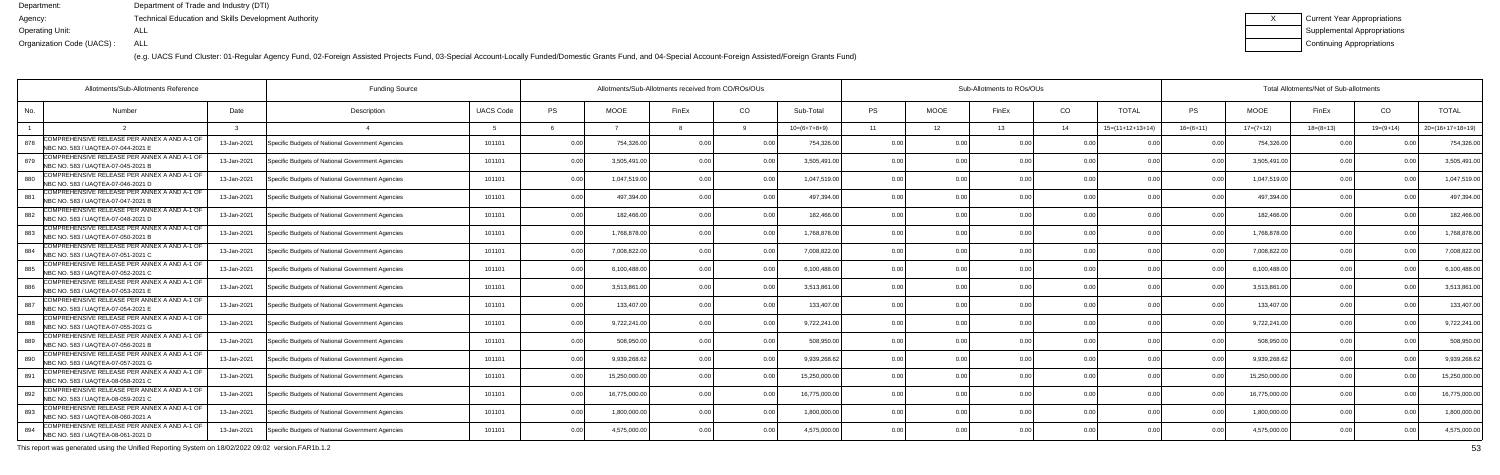(e.g. UACS Fund Cluster: 01-Regular Agency Fund, 02-Foreign Assisted Projects Fund, 03-Special Account-Locally Funded/Domestic Grants Fund, and 04-Special Account-Foreign Assisted/Foreign Grants Fund)

| Current Year Appropriations |
|-----------------------------|
| Supplemental Appropriations |
| Continuing Appropriations   |

| Allotments/Sub-Allotments Reference                                                       |             | <b>Funding Source</b>                            |                  | Allotments/Sub-Allotments received from CO/ROs/OUs |               |                |                |                | Sub-Allotments to ROs/OUs |             |       |                |                    |                | Total Allotments/Net of Sub-allotments |                |               |                    |  |  |  |
|-------------------------------------------------------------------------------------------|-------------|--------------------------------------------------|------------------|----------------------------------------------------|---------------|----------------|----------------|----------------|---------------------------|-------------|-------|----------------|--------------------|----------------|----------------------------------------|----------------|---------------|--------------------|--|--|--|
| No.<br><b>Number</b>                                                                      | Date        | Description                                      | <b>UACS Code</b> | PS                                                 | <b>MOOE</b>   | FinEx          | CO             | Sub-Total      | <b>PS</b>                 | <b>MOOE</b> | FinEx | CO             | <b>TOTAL</b>       | PS             | <b>MOOE</b>                            | FinEx          | CO            | <b>TOTAL</b>       |  |  |  |
|                                                                                           |             |                                                  |                  |                                                    |               |                |                | $10=(6+7+8+9)$ | 11                        | 12          | 13    | 14             | $15=(11+12+13+14)$ | $16=(6+11)$    | $17=(7+12)$                            | $18=(8+13)$    | $19=(9+14)$   | $20=(16+17+18+19)$ |  |  |  |
| COMPREHENSIVE RELEASE PER ANNEX A AND A-1 OF<br>878<br>NBC NO. 583 / UAQTEA-07-044-2021 E | 13-Jan-2021 | Specific Budgets of National Government Agencies | 101101           | 0.00                                               | 754,326.00    | 0.00           |                | 754,326.00     | 0.0                       |             |       | 0 OC           |                    |                | 754,326.0                              | 0 <sub>0</sub> |               | 754,326.0          |  |  |  |
| COMPREHENSIVE RELEASE PER ANNEX A AND A-1 OF<br>879<br>NBC NO. 583 / UAOTEA-07-045-2021 B | 13-Jan-2021 | Specific Budgets of National Government Agencies | 101101           | 0.00                                               | 3,505,491.0   | 0.00           | 0.00           | 3,505,491.00   | 0.00                      | 0.00        |       | 0.00           | 0.00               | 0.00           | 3,505,491.0                            | 0.00           |               | 3,505,491.0        |  |  |  |
| COMPREHENSIVE RELEASE PER ANNEX A AND A-1 OF<br>880<br>NBC NO. 583 / UAQTEA-07-046-2021 D | 13-Jan-2021 | Specific Budgets of National Government Agencies | 101101           | 0.00                                               | 1,047,519.00  | 0 OC           | 0.00           | 1,047,519.00   | 0.00                      | 0.00        |       | 0.00           | 0 <sub>0</sub>     | 0 <sub>0</sub> | 1,047,519.00                           | 0.00           |               | 1,047,519.0        |  |  |  |
| COMPREHENSIVE RELEASE PER ANNEX A AND A-1 OF<br>881<br>NBC NO. 583 / UAQTEA-07-047-2021 B | 13-Jan-2021 | Specific Budgets of National Government Agencies | 101101           | 0.00                                               | 497,394.0     | 0 OC           | 0.00           | 497,394.0      | 0.00                      | 0.00        |       | 0.00           | 0 <sub>0</sub>     |                | 497,394.0                              | 0.00           |               | 497,394.0          |  |  |  |
| COMPREHENSIVE RELEASE PER ANNEX A AND A-1 OF<br>882<br>NBC NO. 583 / UAQTEA-07-048-2021 D | 13-Jan-2021 | Specific Budgets of National Government Agencies | 101101           | 0.00                                               | 182.466.00    | 0 <sub>0</sub> | 0 <sub>0</sub> | 182,466.00     | 0.00                      | 0.00        |       | 0.00           | 0.00               |                | 182.466.0                              | 0.00           |               | 182,466.0          |  |  |  |
| COMPREHENSIVE RELEASE PER ANNEX A AND A-1 OF<br>883<br>NBC NO. 583 / UAQTEA-07-050-2021 B | 13-Jan-2021 | Specific Budgets of National Government Agencies | 101101           | 0.00                                               | 1,768,878.00  | 0.00           | 0.00           | 1,768,878.00   | 0.00                      | 0.00        |       | 0.00           | 0.00               | 0 <sub>0</sub> | 1,768,878.0                            | 0.00           | 0.00          | 1,768,878.0        |  |  |  |
| COMPREHENSIVE RELEASE PER ANNEX A AND A-1 OF<br>884<br>NBC NO. 583 / UAQTEA-07-051-2021 C | 13-Jan-2021 | Specific Budgets of National Government Agencies | 101101           | 0.00                                               | 7,008,822.0   |                |                | 7,008,822.00   | 0.0                       | 0.00        |       | 0.00           | n nr               |                | 7,008,822.0                            | 0.00           |               | 7,008,822.0        |  |  |  |
| COMPREHENSIVE RELEASE PER ANNEX A AND A-1 OF<br>885<br>NBC NO. 583 / UAQTEA-07-052-2021 C | 13-Jan-2021 | Specific Budgets of National Government Agencies | 101101           | 0.00                                               | 6,100,488.0   | 0 <sub>0</sub> |                | 6,100,488.00   | 0.00                      | 0.00        |       | 0.00           | 0.00               |                | 6,100,488.0                            | 0.00           | $\cap$ $\cap$ | 6,100,488.0        |  |  |  |
| COMPREHENSIVE RELEASE PER ANNEX A AND A-1 OF<br>886<br>NBC NO. 583 / UAQTEA-07-053-2021 E | 13-Jan-2021 | Specific Budgets of National Government Agencies | 101101           | 0.00                                               | 3,513,861.0   | 0.00           | 0.00           | 3,513,861.0    | 0.00                      | 0.00        |       | 0.00           | 0.00               | 0.00           | 3,513,861.0                            | 0.00           | 0.00          | 3,513,861.0        |  |  |  |
| COMPREHENSIVE RELEASE PER ANNEX A AND A-1 OF<br>887<br>NBC NO. 583 / UAQTEA-07-054-2021   | 13-Jan-2021 | Specific Budgets of National Government Agencies | 101101           | 0.00                                               | 133,407.0     | 0 <sub>0</sub> | 0.00           | 133,407.00     | 0.00                      | 0.00        |       | 0.00           | 0.00               | n no           | 133,407.0                              | 0.00           |               | 133,407.0          |  |  |  |
| COMPREHENSIVE RELEASE PER ANNEX A AND A-1 OF<br>888<br>NBC NO. 583 / UAQTEA-07-055-2021 G | 13-Jan-2021 | Specific Budgets of National Government Agencies | 101101           | 0.00                                               | 9,722,241.00  | 0 OC           | 0 <sub>0</sub> | 9,722,241.00   | 0 <sub>0</sub>            | ი იი        |       | 0.00           | 0 <sub>0</sub>     |                | 9,722,241.0                            | 0 Q            |               | 9,722,241.0        |  |  |  |
| COMPREHENSIVE RELEASE PER ANNEX A AND A-1 OF<br>889<br>NBC NO. 583 / UAQTEA-07-056-2021 B | 13-Jan-2021 | Specific Budgets of National Government Agencies | 101101           | 0.00                                               | 508.950.0     |                | 0 <sub>0</sub> | 508.950.0      | 0.00                      | 0.00        |       | 0.00           | 0.00               |                | 508.950.0                              | 0.00           |               | 508,950.0          |  |  |  |
| COMPREHENSIVE RELEASE PER ANNEX A AND A-1 OF<br>890<br>NBC NO. 583 / UAOTEA-07-057-2021 G | 13-Jan-2021 | Specific Budgets of National Government Agencies | 101101           | 0.00                                               | 9,939,268.6   | 0 <sub>0</sub> | 0 <sub>0</sub> | 9,939,268.62   | 0.00                      | 0.00        |       | 0.00           | 0.00               | 0 <sub>0</sub> | 9,939,268.6                            | 0.00           | 0.00          | 9,939,268.6        |  |  |  |
| COMPREHENSIVE RELEASE PER ANNEX A AND A-1 OF<br>891<br>NBC NO. 583 / UAQTEA-08-058-2021 C | 13-Jan-2021 | Specific Budgets of National Government Agencies | 101101           | 0.00                                               | 15,250,000.0  | 0 <sub>0</sub> |                | 15,250,000.00  | 0.00                      | ი იი        |       | 0.00           |                    |                | 15,250,000.0                           | 0.00           |               | 15,250,000.0       |  |  |  |
| COMPREHENSIVE RELEASE PER ANNEX A AND A-1 OF<br>892<br>NBC NO. 583 / UAQTEA-08-059-2021 C | 13-Jan-2021 | Specific Budgets of National Government Agencies | 101101           | 0.00                                               | 16,775,000.00 | 0.00           | 0 <sub>0</sub> | 16,775,000.00  | 0.00                      | 0.00        |       | 0.00           | 0.00               | 0 <sub>0</sub> | 16,775,000.0                           | 0.00           |               | 16,775,000.0       |  |  |  |
| COMPREHENSIVE RELEASE PER ANNEX A AND A-1 OF<br>893<br>NBC NO. 583 / UAQTEA-08-060-2021 A | 13-Jan-2021 | Specific Budgets of National Government Agencies | 101101           | 0.00                                               | 1,800,000.00  | 0.00           | 0.00           | 1,800,000.00   | 0.00                      | 0.00        | 0.00  | 0.00           | 0.00               | 0.00           | 1,800,000.0                            | 0.00           | 0.00          | 1,800,000.0        |  |  |  |
| COMPREHENSIVE RELEASE PER ANNEX A AND A-1 OF<br>894<br>NBC NO. 583 / UAQTEA-08-061-2021 D | 13-Jan-2021 | Specific Budgets of National Government Agencies | 101101           | 0.00                                               | 4,575,000.0   |                | 0 <sub>0</sub> | 4,575,000.00   | 0 <sub>0</sub>            | 0.OO        |       | 0 <sub>0</sub> | 0 <sub>0</sub>     |                | 4,575,000.0                            | 0.00           |               | 4,575,000.0        |  |  |  |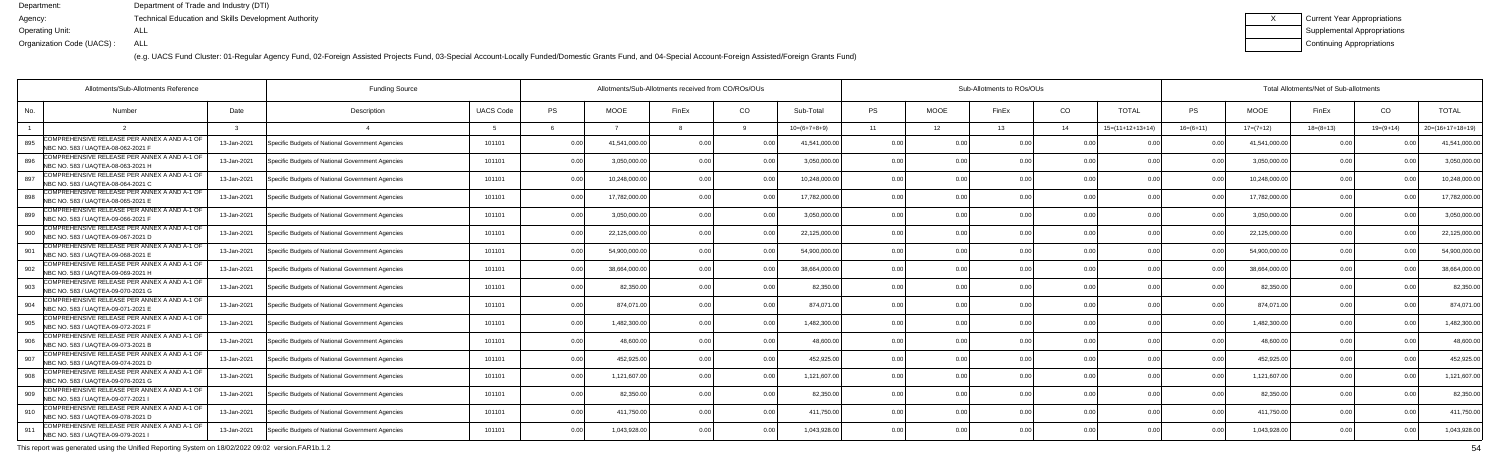(e.g. UACS Fund Cluster: 01-Regular Agency Fund, 02-Foreign Assisted Projects Fund, 03-Special Account-Locally Funded/Domestic Grants Fund, and 04-Special Account-Foreign Assisted/Foreign Grants Fund)

| <b>Current Year Appropriations</b> |
|------------------------------------|
| <b>Supplemental Appropriations</b> |
| Continuing Appropriations          |

|     | <b>Funding Source</b><br>Allotments/Sub-Allotments Reference                       |             |                                                  |                  |           |              | Allotments/Sub-Allotments received from CO/ROs/OUs |                |                |           |                | Sub-Allotments to ROs/OUs |                |                    | Total Allotments/Net of Sub-allotments |               |             |                |                    |  |
|-----|------------------------------------------------------------------------------------|-------------|--------------------------------------------------|------------------|-----------|--------------|----------------------------------------------------|----------------|----------------|-----------|----------------|---------------------------|----------------|--------------------|----------------------------------------|---------------|-------------|----------------|--------------------|--|
| No. | <b>Number</b>                                                                      | Date        | Description                                      | <b>UACS Code</b> | <b>PS</b> | <b>MOOE</b>  | FinEx                                              | CO             | Sub-Total      | <b>PS</b> | <b>MOOE</b>    | FinEx                     | CO             | <b>TOTAL</b>       | PS.                                    | <b>MOOE</b>   | FinEx       | CO             | <b>TOTAL</b>       |  |
|     |                                                                                    |             |                                                  |                  |           |              |                                                    |                | $10=(6+7+8+9)$ | 11        | 12             | 13                        | 14             | $15=(11+12+13+14)$ | $16=(6+11)$                            | $17=(7+12)$   | $18=(8+13)$ | $19=(9+14)$    | $20=(16+17+18+19)$ |  |
| 895 | COMPREHENSIVE RELEASE PER ANNEX A AND A-1 OF<br>NBC NO. 583 / UAQTEA-08-062-2021 F | 13-Jan-2021 | Specific Budgets of National Government Agencies | 101101           | 0.00      | 41,541,000.0 | n no                                               |                | 41.541.000.00  | 0.00      | 0 OC           | n nr                      | 0 <sub>0</sub> |                    |                                        | 41,541,000.00 | 0.00        |                | 41,541,000.0       |  |
| 896 | COMPREHENSIVE RELEASE PER ANNEX A AND A-1 OF<br>NBC NO. 583 / UAOTEA-08-063-2021 H | 13-Jan-2021 | Specific Budgets of National Government Agencies | 101101           | 0.00      | 3,050,000.0  |                                                    | 0.00           | 3,050,000.00   | 0.00      | 0.00           |                           | 0.00           | 0.00               | 0.00                                   | 3,050,000.00  | 0.00        |                | 3,050,000.0        |  |
| 897 | COMPREHENSIVE RELEASE PER ANNEX A AND A-1 OF<br>NBC NO. 583 / UAQTEA-08-064-2021 C | 13-Jan-2021 | Specific Budgets of National Government Agencies | 101101           | 0.00      | 10,248,000.0 | n nr                                               | 0 <sub>0</sub> | 10,248,000.00  | 0.00      | 0.00           |                           | 0.00           | 0.00               |                                        | 10,248,000.00 | 0.00        |                | 10,248,000.0       |  |
| 898 | COMPREHENSIVE RELEASE PER ANNEX A AND A-1 OF<br>NBC NO. 583 / UAQTEA-08-065-2021 E | 13-Jan-2021 | Specific Budgets of National Government Agencies | 101101           | 0.00      | 17,782,000.0 |                                                    | 0.0            | 17,782,000.00  | 0.00      | 0.00           |                           | 0.00           |                    |                                        | 17,782,000.00 | 0.00        |                | 17,782,000.0       |  |
| 899 | COMPREHENSIVE RELEASE PER ANNEX A AND A-1 OF<br>NBC NO. 583 / UAQTEA-09-066-2021 F | 13-Jan-2021 | Specific Budgets of National Government Agencies | 101101           | 0.00      | 3,050,000.0  |                                                    | 0 <sub>0</sub> | 3.050.000.00   | 0.00      | 0.00           |                           | 0.00           | 0 <sub>0</sub>     |                                        | 3,050,000.00  | 0.00        |                | 3,050,000.00       |  |
| 900 | COMPREHENSIVE RELEASE PER ANNEX A AND A-1 OF<br>NBC NO. 583 / UAQTEA-09-067-2021 D | 13-Jan-2021 | Specific Budgets of National Government Agencies | 101101           | 0.00      | 22,125,000.0 | n nr                                               | 0.00           | 22,125,000.00  | 0.00      | 0.00           |                           | 0.00           | 0.00               | 0 <sup>0</sup>                         | 22,125,000.00 | 0.00        |                | 22,125,000.00      |  |
| 901 | COMPREHENSIVE RELEASE PER ANNEX A AND A-1 OF<br>NBC NO. 583 / UAQTEA-09-068-2021 E | 13-Jan-2021 | Specific Budgets of National Government Agencies | 101101           | 0.00      | 54,900,000.0 |                                                    |                | 54,900,000.00  | 0.00      | 0.00           |                           | 0.00           |                    |                                        | 54,900,000.00 | 0.00        |                | 54,900,000.00      |  |
| 902 | COMPREHENSIVE RELEASE PER ANNEX A AND A-1 OF<br>NBC NO. 583 / UAQTEA-09-069-2021 H | 13-Jan-2021 | Specific Budgets of National Government Agencies | 101101           | 0.00      | 38,664,000.0 |                                                    | 0 <sub>0</sub> | 38,664,000.00  | 0.00      | 0.00           |                           | 0 <sub>0</sub> | 0.00               |                                        | 38,664,000.00 | 0.00        |                | 38,664,000.0       |  |
| 903 | COMPREHENSIVE RELEASE PER ANNEX A AND A-1 OF<br>NBC NO. 583 / UAQTEA-09-070-2021 G | 13-Jan-2021 | Specific Budgets of National Government Agencies | 101101           | 0.00      | 82,350.0     |                                                    | 0.00           | 82.350.00      | 0.00      | 0.00           |                           | 0.00           | 0.00               | 0 <sup>0</sup>                         | 82,350.00     | 0.00        |                | 82,350.00          |  |
| 904 | COMPREHENSIVE RELEASE PER ANNEX A AND A-1 OF<br>NBC NO. 583 / UAQTEA-09-071-2021 E | 13-Jan-2021 | Specific Budgets of National Government Agencies | 101101           | 0.00      | 874,071.00   |                                                    | 0.00           | 874.071.00     | 0.00      | 0.00           |                           | 0.00           | 0.0(               |                                        | 874,071.00    | 0.00        |                | 874,071.0          |  |
| 905 | COMPREHENSIVE RELEASE PER ANNEX A AND A-1 OF<br>NBC NO. 583 / UAQTEA-09-072-2021 F | 13-Jan-2021 | Specific Budgets of National Government Agencies | 101101           | 0.00      | 1,482,300.0  |                                                    | 0 <sub>0</sub> | 1,482,300.00   | 0.00      | 0.00           |                           | 0 <sub>0</sub> |                    |                                        | 1,482,300.00  | 0.00        |                | 1,482,300.0        |  |
| 906 | COMPREHENSIVE RELEASE PER ANNEX A AND A-1 OF<br>NBC NO. 583 / UAQTEA-09-073-2021 B | 13-Jan-2021 | Specific Budgets of National Government Agencies | 101101           | 0.00      | 48.600.0     |                                                    | 0.00           | 48,600.00      | 0.00      | 0.00           |                           | 0.00           | 0.0(               |                                        | 48.600.00     | 0.00        |                | 48,600.00          |  |
| 907 | COMPREHENSIVE RELEASE PER ANNEX A AND A-1 OF<br>NBC NO. 583 / UAOTEA-09-074-2021 D | 13-Jan-2021 | Specific Budgets of National Government Agencies | 101101           | 0.00      | 452,925.00   |                                                    | 0.00           | 452,925.00     | 0.00      | 0.00           | 0 <sub>0</sub>            | 0.00           | 0 <sub>0</sub>     | $\cap$                                 | 452,925.00    | 0.00        |                | 452,925.00         |  |
| 908 | COMPREHENSIVE RELEASE PER ANNEX A AND A-1 OF<br>NBC NO. 583 / UAOTEA-09-076-2021 G | 13-Jan-2021 | Specific Budgets of National Government Agencies | 101101           | 0.00      | 1,121,607.0  |                                                    | 0 <sub>0</sub> | 1,121,607.00   | 0.00      | 0.00           |                           | 0 <sub>0</sub> |                    | $\cap$                                 | 1,121,607.00  | 0.00        |                | 1,121,607.0        |  |
| 909 | COMPREHENSIVE RELEASE PER ANNEX A AND A-1 OF<br>NBC NO. 583 / UAQTEA-09-077-2021 I | 13-Jan-2021 | Specific Budgets of National Government Agencies | 101101           | 0.00      | 82.350.0     |                                                    | 0.00           | 82.350.00      | 0.00      | 0.00           |                           | 0.00           | 0 <sub>0</sub>     |                                        | 82,350.00     | 0.00        |                | 82,350.00          |  |
| 910 | COMPREHENSIVE RELEASE PER ANNEX A AND A-1 OF<br>NBC NO. 583 / UAQTEA-09-078-2021 D | 13-Jan-2021 | Specific Budgets of National Government Agencies | 101101           | 0.00      | 411,750.00   | n nr                                               | 0.00           | 411.750.00     | 0.00      | 0.00           | 0.00                      | 0.00           | 0.00               | 0.00                                   | 411,750.00    | 0.00        | 0 <sub>0</sub> | 411,750.00         |  |
| 911 | COMPREHENSIVE RELEASE PER ANNEX A AND A-1 OF<br>NBC NO. 583 / UAQTEA-09-079-2021   | 13-Jan-2021 | Specific Budgets of National Government Agencies | 101101           | 0.00      | 1,043,928.0  |                                                    | 0 <sub>0</sub> | 1,043,928.00   | 0 U       | 0 <sub>0</sub> |                           | 0 <sub>0</sub> |                    |                                        | 1,043,928.00  | 0.00        |                | 1,043,928.00       |  |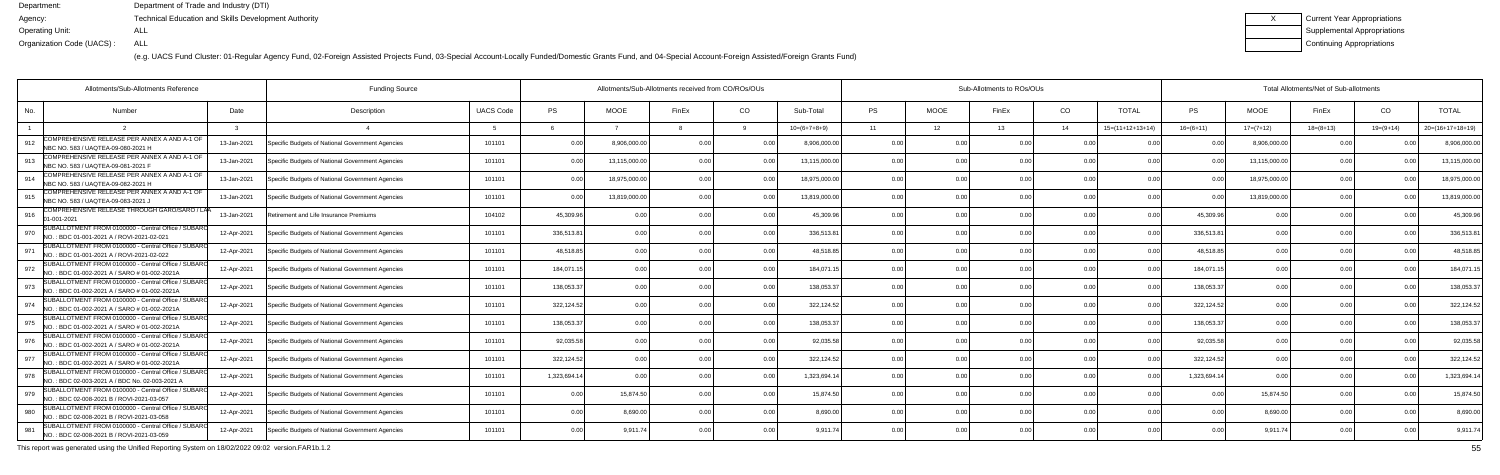(e.g. UACS Fund Cluster: 01-Regular Agency Fund, 02-Foreign Assisted Projects Fund, 03-Special Account-Locally Funded/Domestic Grants Fund, and 04-Special Account-Foreign Assisted/Foreign Grants Fund)

| Current Year Appropriations |
|-----------------------------|
| Supplemental Appropriations |
| Continuing Appropriations   |

| Allotments/Sub-Allotments Reference                                                                         |             | <b>Funding Source</b>                            |                  | Allotments/Sub-Allotments received from CO/ROs/OUs |              |                |                | Sub-Allotments to ROs/OUs |                |             |       |                |                    | Total Allotments/Net of Sub-allotments |               |                |             |                    |  |
|-------------------------------------------------------------------------------------------------------------|-------------|--------------------------------------------------|------------------|----------------------------------------------------|--------------|----------------|----------------|---------------------------|----------------|-------------|-------|----------------|--------------------|----------------------------------------|---------------|----------------|-------------|--------------------|--|
| No.<br><b>Number</b>                                                                                        | Date        | Description                                      | <b>UACS Code</b> | PS                                                 | <b>MOOE</b>  | FinEx          | CO             | Sub-Total                 | <b>PS</b>      | <b>MOOE</b> | FinEx | CO             | <b>TOTAL</b>       | PS                                     | <b>MOOE</b>   | FinEx          | CO          | <b>TOTAL</b>       |  |
|                                                                                                             |             |                                                  |                  |                                                    |              |                |                | $10=(6+7+8+9)$            | 11             | 12          | 13    | 14             | $15=(11+12+13+14)$ | $16=(6+11)$                            | $17=(7+12)$   | $18=(8+13)$    | $19=(9+14)$ | $20=(16+17+18+19)$ |  |
| COMPREHENSIVE RELEASE PER ANNEX A AND A-1 OF<br>912<br>NBC NO. 583 / UAQTEA-09-080-2021 H                   | 13-Jan-2021 | Specific Budgets of National Government Agencies | 101101           | 0.00                                               | 8,906,000.0  | 0.00           |                | 8,906,000.00              | 0.0            |             |       | 0 OC           |                    |                                        | 8,906,000.0   | 0 Q            |             | 8,906,000.0        |  |
| COMPREHENSIVE RELEASE PER ANNEX A AND A-1 OF<br>913<br>NBC NO. 583 / UAQTEA-09-081-2021 F                   | 13-Jan-2021 | Specific Budgets of National Government Agencies | 101101           | 0.00                                               | 13,115,000.0 | 0.00           | 0 <sub>0</sub> | 13,115,000.00             | 0.00           | 0.00        |       | 0.00           | 0.00               | 0.00                                   | 13,115,000.0  | 0.00           |             | 13,115,000.0       |  |
| COMPREHENSIVE RELEASE PER ANNEX A AND A-1 OF<br>914<br>NBC NO. 583 / UAQTEA-09-082-2021 H                   | 13-Jan-2021 | Specific Budgets of National Government Agencies | 101101           | 0.00                                               | 18,975,000.0 | 0.00           | 0.00           | 18,975,000.00             | 0.00           | 0.00        |       | 0.00           | 0.00               | 0 <sub>0</sub>                         | 18,975,000.00 | 0.00           |             | 18,975,000.0       |  |
| COMPREHENSIVE RELEASE PER ANNEX A AND A-1 OF<br>915<br>NBC NO. 583 / UAQTEA-09-083-2021 J                   | 13-Jan-2021 | Specific Budgets of National Government Agencies | 101101           | 0.00                                               | 13,819,000.0 | 0 <sub>0</sub> | 0.0            | 13,819,000.0              | 0.00           | 0.00        |       | 0.00           | 0 <sub>0</sub>     |                                        | 13,819,000.0  | 0.00           |             | 13,819,000.0       |  |
| COMPREHENSIVE RELEASE THROUGH GARO/SARO / LAA<br>916<br>01-001-202                                          | 13-Jan-2021 | Retirement and Life Insurance Premiums           | 104102           | 45,309.96                                          | 0.00         |                | 0 <sub>0</sub> | 45.309.96                 | 0.00           | 0.00        |       | 0 <sub>0</sub> | 0 <sub>0</sub>     | 45,309.96                              |               | 0.00           |             | 45,309.9           |  |
| SUBALLOTMENT FROM 0100000 - Central Office / SUBARO<br>970<br>INO.: BDC 01-001-2021 A / ROVI-2021-02-021    | 12-Apr-2021 | Specific Budgets of National Government Agencies | 101101           | 336,513.81                                         | 0.00         |                | 0.00           | 336,513.81                | 0.00           | 0.00        |       | 0.00           | 0.00               | 336,513.81                             | 0.00          | 0.00           | 0.00        | 336,513.8          |  |
| SUBALLOTMENT FROM 0100000 - Central Office / SUBARO<br>971<br>NO.: BDC 01-001-2021 A / ROVI-2021-02-022     | 12-Apr-2021 | Specific Budgets of National Government Agencies | 101101           | 48,518.85                                          | 0.00         |                | 0.00           | 48,518.8                  | 0.0            | 0.00        |       | 0.00           |                    | 48,518.8                               | 0.0           | 0 Q            |             | 48,518.8           |  |
| SUBALLOTMENT FROM 0100000 - Central Office / SUBAR<br>972<br>NO.: BDC 01-002-2021 A / SARO # 01-002-2021A   | 12-Apr-2021 | Specific Budgets of National Government Agencies | 101101           | 184,071.15                                         | 0.00         |                | 0 <sub>0</sub> | 184,071.1                 | 0.00           | 0.00        |       | 0.00           | 0 <sub>0</sub>     | 184,071.1                              | 0.00          | 0 <sub>0</sub> |             | 184,071.1          |  |
| SUBALLOTMENT FROM 0100000 - Central Office / SUBAR<br>973<br>NO.: BDC 01-002-2021 A / SARO # 01-002-2021A   | 12-Apr-2021 | Specific Budgets of National Government Agencies | 101101           | 138.053.37                                         | 0.00         |                | 0.00           | 138.053.3                 | 0.00           | 0.00        |       | 0.00           | 0.00               | 138,053.37                             | 0.00          | 0.00           | 0.00        | 138,053.3          |  |
| SUBALLOTMENT FROM 0100000 - Central Office / SUBARO<br>974<br>NO.: BDC 01-002-2021 A / SARO # 01-002-2021A  | 12-Apr-2021 | Specific Budgets of National Government Agencies | 101101           | 322,124.52                                         | 0.00         |                | 0.00           | 322,124.52                | 0.00           | 0.00        |       | 0.00           | 0.00               | 322,124.52                             | 0.00          | 0.00           |             | 322,124.5          |  |
| SUBALLOTMENT FROM 0100000 - Central Office / SUBARO<br>975<br>NO.: BDC 01-002-2021 A / SARO # 01-002-2021A  | 12-Apr-2021 | Specific Budgets of National Government Agencies | 101101           | 138,053.37                                         | 0.00         |                | n n            | 138,053.3                 | . 0.0          | ი იი        |       | 0.00           | n nr               | 138,053.37                             |               | . വ            |             | 138,053.3          |  |
| SUBALLOTMENT FROM 0100000 - Central Office / SUBAR<br>976<br>NO.: BDC 01-002-2021 A / SARO # 01-002-2021A   | 12-Apr-2021 | Specific Budgets of National Government Agencies | 101101           | 92.035.58                                          | 0.00         |                | 0.00           | 92.035.58                 | 0.00           | 0.00        |       | 0.00           | 0.00               | 92,035.58                              |               | 0.00           |             | 92,035.5           |  |
| SUBALLOTMENT FROM 0100000 - Central Office / SUBARO<br>977<br>INO.: BDC 01-002-2021 A / SARO # 01-002-2021A | 12-Apr-2021 | Specific Budgets of National Government Agencies | 101101           | 322,124.52                                         | 0.00         |                | 0.00           | 322,124.52                | 0.00           | 0.00        |       | 0.00           | 0 <sub>0</sub>     | 322,124.52                             | 0.00          | 0.00           | 0.00        | 322,124.5          |  |
| SUBALLOTMENT FROM 0100000 - Central Office / SUBAR<br>978<br>NO.: BDC 02-003-2021 A / BDC No. 02-003-2021 A | 12-Apr-2021 | Specific Budgets of National Government Agencies | 101101           | 1,323,694.14                                       | . 0 OC       |                |                | 1,323,694.14              | 0.00           | ი იი        |       | 0.00           |                    | 1,323,694.14                           |               | 0.00           |             | 1,323,694.1        |  |
| SUBALLOTMENT FROM 0100000 - Central Office / SUBARO<br>979<br>NO.: BDC 02-008-2021 B / ROVI-2021-03-057     | 12-Apr-2021 | Specific Budgets of National Government Agencies | 101101           | 0.00                                               | 15,874.50    |                | 0.00           | 15,874.50                 | 0.00           | 0.00        |       | 0.00           | 0.00               | 0 <sub>0</sub>                         | 15,874.50     | 0.00           |             | 15,874.5           |  |
| SUBALLOTMENT FROM 0100000 - Central Office / SUBAR<br>980<br>NO.: BDC 02-008-2021 B / ROVI-2021-03-058      | 12-Apr-2021 | Specific Budgets of National Government Agencies | 101101           | 0.00                                               | 8,690.00     | 0.00           | 0.00           | 8.690.00                  | 0.00           | 0.00        |       | 0.00           | 0.00               | 0.00                                   | 8,690.00      | 0.00           | 0.00        | 8,690.00           |  |
| SUBALLOTMENT FROM 0100000 - Central Office / SUBARO<br>981<br>NO.: BDC 02-008-2021 B / ROVI-2021-03-059     | 12-Apr-2021 | Specific Budgets of National Government Agencies | 101101           | 0.00                                               | 9,911.74     |                | 0 <sub>0</sub> | 9.911.74                  | 0 <sub>0</sub> | 0.OO        |       | 0 <sub>0</sub> | 0 <sub>0</sub>     |                                        | 9,911.7       | 0.00           |             | 9,911.7            |  |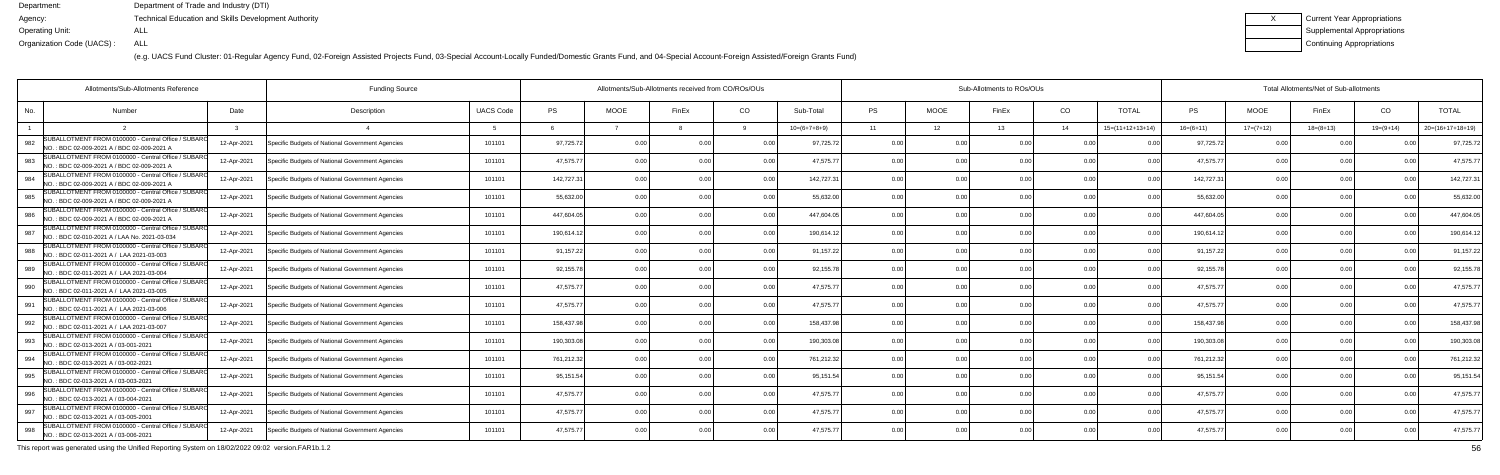(e.g. UACS Fund Cluster: 01-Regular Agency Fund, 02-Foreign Assisted Projects Fund, 03-Special Account-Locally Funded/Domestic Grants Fund, and 04-Special Account-Foreign Assisted/Foreign Grants Fund)

| Current Year Appropriations |
|-----------------------------|
| Supplemental Appropriations |
| Continuing Appropriations   |

| Allotments/Sub-Allotments Reference                                                                       |             | <b>Funding Source</b>                            |                  | Allotments/Sub-Allotments received from CO/ROs/OUs |                |       |      |                |           |             | Sub-Allotments to ROs/OUs |                |                    | Total Allotments/Net of Sub-allotments |             |             |             |                    |  |  |
|-----------------------------------------------------------------------------------------------------------|-------------|--------------------------------------------------|------------------|----------------------------------------------------|----------------|-------|------|----------------|-----------|-------------|---------------------------|----------------|--------------------|----------------------------------------|-------------|-------------|-------------|--------------------|--|--|
| No.<br><b>Number</b>                                                                                      | Date        | Description                                      | <b>UACS Code</b> | <b>PS</b>                                          | <b>MOOE</b>    | FinEx | CO   | Sub-Total      | <b>PS</b> | <b>MOOE</b> | FinEx                     | CO             | <b>TOTAL</b>       | PS                                     | <b>MOOE</b> | FinEx       | CO          | <b>TOTAL</b>       |  |  |
|                                                                                                           |             |                                                  |                  |                                                    |                |       |      | $10=(6+7+8+9)$ | 11        | 12          | 13                        | 14             | $15=(11+12+13+14)$ | $16=(6+11)$                            | $17=(7+12)$ | $18=(8+13)$ | $19=(9+14)$ | $20=(16+17+18+19)$ |  |  |
| SUBALLOTMENT FROM 0100000 - Central Office / SUBARO<br>982<br>NO.: BDC 02-009-2021 A / BDC 02-009-2021 A  | 12-Apr-2021 | Specific Budgets of National Government Agencies | 101101           | 97,725.72                                          | 0.0            |       | 0.0  | 97,725.72      | 0.00      | 0.00        |                           | 0 <sub>0</sub> |                    | 97,725.7                               | 0.00        |             |             | 97,725.72          |  |  |
| SUBALLOTMENT FROM 0100000 - Central Office / SUBAR(<br>983<br>NO.: BDC 02-009-2021 A / BDC 02-009-2021 A  | 12-Apr-2021 | Specific Budgets of National Government Agencies | 101101           | 47,575.77                                          | 0.00           |       | 0.00 | 47,575.77      | 0.00      | 0.00        |                           | 0.00           | 0 <sub>0</sub>     | 47,575.7                               | 0.00        | 0.00        |             | 47,575.7           |  |  |
| SUBALLOTMENT FROM 0100000 - Central Office / SUBARO<br>984<br>NO.: BDC 02-009-2021 A / BDC 02-009-2021 A  | 12-Apr-2021 | Specific Budgets of National Government Agencies | 101101           | 142,727.31                                         | 0.00           |       | 0.00 | 142,727.31     | 0.00      | 0.00        |                           | 0.00           | 0 <sub>0</sub>     | 142,727.31                             | 0.00        | 0.00        |             | 142,727.3          |  |  |
| SUBALLOTMENT FROM 0100000 - Central Office / SUBARO<br>985<br>NO.: BDC 02-009-2021 A / BDC 02-009-2021 A  | 12-Apr-2021 | Specific Budgets of National Government Agencies | 101101           | 55,632.00                                          | 0.00           |       | 0.0  | 55,632.00      | 0.00      | 0.00        |                           | 0.00           |                    | 55,632.0                               | 0.00        | 0.00        |             | 55,632.0           |  |  |
| SUBALLOTMENT FROM 0100000 - Central Office / SUBARO<br>986<br>NO.: BDC 02-009-2021 A / BDC 02-009-2021 A  | 12-Apr-2021 | Specific Budgets of National Government Agencies | 101101           | 447,604.05                                         | 0.00           |       | 0.00 | 447,604.05     | 0.00      | 0.00        |                           | 0.00           | 0 <sub>0</sub>     | 447,604.05                             | 0.00        | 0.00        |             | 447,604.0          |  |  |
| SUBALLOTMENT FROM 0100000 - Central Office / SUBAR<br>987<br>NO.: BDC 02-010-2021 A / LAA No. 2021-03-034 | 12-Apr-2021 | Specific Budgets of National Government Agencies | 101101           | 190.614.12                                         | 0.00           |       | 0.00 | 190.614.12     | 0.00      | 0.00        |                           | 0.00           |                    | 190,614.1                              | 0.00        | 0.00        |             | 190,614.12         |  |  |
| SUBALLOTMENT FROM 0100000 - Central Office / SUBARO<br>988<br>NO.: BDC 02-011-2021 A / LAA 2021-03-003    | 12-Apr-2021 | Specific Budgets of National Government Agencies | 101101           | 91,157.22                                          | 0.00           |       | 0.00 | 91,157.22      | 0.00      | 0.00        |                           | 0.00           |                    | 91,157.22                              | 0.00        | 0.00        |             | 91,157.22          |  |  |
| SUBALLOTMENT FROM 0100000 - Central Office / SUBARO<br>989<br>NO.: BDC 02-011-2021 A / LAA 2021-03-004    | 12-Apr-2021 | Specific Budgets of National Government Agencies | 101101           | 92,155.78                                          | 0 <sub>0</sub> |       | 0.00 | 92,155.78      | 0.00      | 0.00        |                           | 0 <sub>0</sub> |                    | 92,155.78                              | 0.00        | 0.00        |             | 92,155.7           |  |  |
| SUBALLOTMENT FROM 0100000 - Central Office / SUBAR<br>990<br>NO.: BDC 02-011-2021 A / LAA 2021-03-005     | 12-Apr-2021 | Specific Budgets of National Government Agencies | 101101           | 47,575.77                                          | 0.00           |       | 0.00 | 47,575.77      | 0.00      | 0.00        |                           | 0.00           | 0.0(               | 47,575.7                               | 0.00        | 0.00        |             | 47,575.77          |  |  |
| SUBALLOTMENT FROM 0100000 - Central Office / SUBARO<br>991<br>NO.: BDC 02-011-2021 A / LAA 2021-03-006    | 12-Apr-2021 | Specific Budgets of National Government Agencies | 101101           | 47,575.77                                          | 0.00           |       | 0.00 | 47,575.7       | 0.00      | 0.00        |                           | 0.00           | 0.0(               | 47,575.7                               | 0.00        | 0.00        |             | 47,575.7           |  |  |
| SUBALLOTMENT FROM 0100000 - Central Office / SUBARO<br>992<br>NO.: BDC 02-011-2021 A / LAA 2021-03-007    | 12-Apr-2021 | Specific Budgets of National Government Agencies | 101101           | 158,437.98                                         | 0.00           |       | 0.0  | 158,437.9      | 0.00      | 0.00        |                           | 0 <sub>0</sub> |                    | 158,437.9                              | 0.00        | 0.00        |             | 158,437.9          |  |  |
| SUBALLOTMENT FROM 0100000 - Central Office / SUBARO<br>993<br>NO.: BDC 02-013-2021 A / 03-001-2021        | 12-Apr-2021 | Specific Budgets of National Government Agencies | 101101           | 190,303.08                                         | 0.00           |       | 0.00 | 190.303.08     | 0.00      | 0.00        |                           | 0 <sub>0</sub> |                    | 190,303.0                              | 0.00        | 0.00        |             | 190,303.0          |  |  |
| SUBALLOTMENT FROM 0100000 - Central Office / SUBARO<br>994<br>NO.: BDC 02-013-2021 A / 03-002-2021        | 12-Apr-2021 | Specific Budgets of National Government Agencies | 101101           | 761,212.32                                         | 0.00           |       | 0.00 | 761,212.32     | 0.00      | 0.00        |                           | 0.00           | $\Omega$           | 761,212.32                             | 0.00        | 0.00        |             | 761,212.32         |  |  |
| SUBALLOTMENT FROM 0100000 - Central Office / SUBARO<br>995<br>NO.: BDC 02-013-2021 A / 03-003-2021        | 12-Apr-2021 | Specific Budgets of National Government Agencies | 101101           | 95,151.54                                          | 0.00           |       | 0.0  | 95,151.54      | 0.00      | 0.00        |                           | 0 <sub>0</sub> |                    | 95,151.54                              | 0.00        | 0.00        |             | 95,151.5           |  |  |
| SUBALLOTMENT FROM 0100000 - Central Office / SUBARO<br>996<br>NO.: BDC 02-013-2021 A / 03-004-2021        | 12-Apr-2021 | Specific Budgets of National Government Agencies | 101101           | 47,575.77                                          | 0.00           |       | 0.00 | 47,575.7       | 0.00      | 0.00        |                           | 0.00           | 0 <sub>0</sub>     | 47,575.7                               | 0.00        | 0.00        |             | 47,575.7           |  |  |
| SUBALLOTMENT FROM 0100000 - Central Office / SUBARO<br>997<br>NO.: BDC 02-013-2021 A / 03-005-2001        | 12-Apr-2021 | Specific Budgets of National Government Agencies | 101101           | 47,575.77                                          | 0.00           |       | 0.00 | 47,575.77      | 0.00      | 0.00        | n nr                      | 0.00           | 0.00               | 47,575.77                              | 0.00        | 0.00        | n no        | 47,575.77          |  |  |
| SUBALLOTMENT FROM 0100000 - Central Office / SUBARO<br>998<br>NO.: BDC 02-013-2021 A / 03-006-2021        | 12-Apr-2021 | Specific Budgets of National Government Agencies | 101101           | 47,575.77                                          | 0.00           |       | 0.00 | 47,575.77      | 0.00      | 0.00        |                           | 0 <sub>0</sub> |                    | 47,575.7                               | 0.00        | 0.00        |             | 47,575.77          |  |  |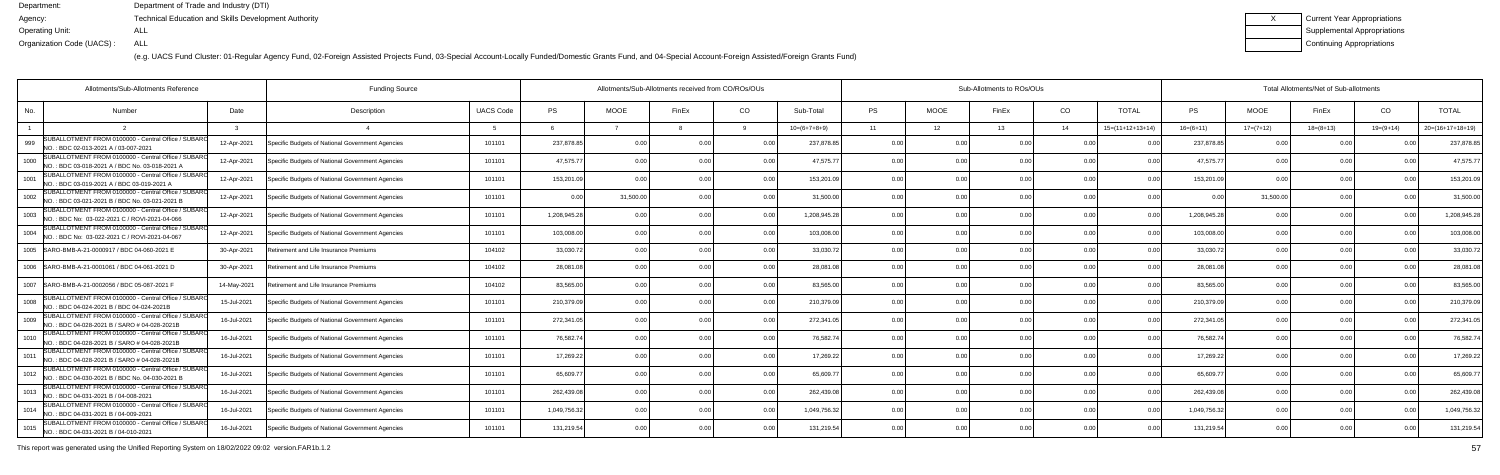(e.g. UACS Fund Cluster: 01-Regular Agency Fund, 02-Foreign Assisted Projects Fund, 03-Special Account-Locally Funded/Domestic Grants Fund, and 04-Special Account-Foreign Assisted/Foreign Grants Fund)

| Current Year Appropriations |
|-----------------------------|
| Supplemental Appropriations |
| Continuing Appropriations   |

| Allotments/Sub-Allotments Reference                                                                            |             | <b>Funding Source</b>                            |                  | Allotments/Sub-Allotments received from CO/ROs/OUs |             |       |                |                |                |             | Sub-Allotments to ROs/OUs |                 |                            | Total Allotments/Net of Sub-allotments |                |             |             |                    |  |  |
|----------------------------------------------------------------------------------------------------------------|-------------|--------------------------------------------------|------------------|----------------------------------------------------|-------------|-------|----------------|----------------|----------------|-------------|---------------------------|-----------------|----------------------------|----------------------------------------|----------------|-------------|-------------|--------------------|--|--|
| No.<br>Number                                                                                                  | Date        | Description                                      | <b>UACS Code</b> | <b>PS</b>                                          | <b>MOOE</b> | FinEx | CO.            | Sub-Total      | <b>PS</b>      | <b>MOOE</b> | FinEx                     | CO <sub>.</sub> | <b>TOTAL</b>               | <b>PS</b>                              | <b>MOOE</b>    | FinEx       | CO          | <b>TOTAL</b>       |  |  |
|                                                                                                                |             |                                                  | -5               | 6                                                  |             |       |                | $10=(6+7+8+9)$ | 11             | 12          | 13                        | 14              | $15=(11+12+13+14)$         | $16=(6+11)$                            | $17=(7+12)$    | $18=(8+13)$ | $19=(9+14)$ | $20=(16+17+18+19)$ |  |  |
| SUBALLOTMENT FROM 0100000 - Central Office / SUBARO<br>999<br>NO.: BDC 02-013-2021 A / 03-007-2021             | 12-Apr-2021 | Specific Budgets of National Government Agencies | 101101           | 237,878.85                                         | 0.00        |       |                | 237,878.8      | 0.0            |             |                           | 0.00            |                            | 237,878.8                              |                |             |             | 237,878.8          |  |  |
| SUBALLOTMENT FROM 0100000 - Central Office / SUBARO<br>1000<br>INO.: BDC 03-018-2021 A / BDC No. 03-018-2021 A | 12-Apr-2021 | Specific Budgets of National Government Agencies | 101101           | 47,575.77                                          | 0.00        |       | 0.00           | 47,575.7       | 0.00           | 0.00        |                           | 0.00            | 0 <sub>0</sub>             | 47,575.77                              | 0.00           | n n         | n no        | 47,575.7           |  |  |
| SUBALLOTMENT FROM 0100000 - Central Office / SUBAR<br>1001<br>NO.: BDC 03-019-2021 A / BDC 03-019-2021 A       | 12-Apr-2021 | Specific Budgets of National Government Agencies | 101101           | 153,201.09                                         | 0.00        |       | 0.00           | 153,201.09     | 0.00           | 0.00        |                           | 0.00            | 0.00                       | 153,201.09                             | 0.00           | 0.00        | 0.00        | 153,201.0          |  |  |
| SUBALLOTMENT FROM 0100000 - Central Office / SUBARO<br>1002<br>NO.: BDC 03-021-2021 B / BDC No. 03-021-2021 B  | 12-Apr-2021 | Specific Budgets of National Government Agencies | 101101           | 0.00                                               | 31,500.00   |       | 0.00           | 31,500.00      | 0.00           | 0.00        |                           | 0.00            | 0.00                       | 0.00                                   | 31,500.00      | 0.00        |             | 31,500.0           |  |  |
| SUBALLOTMENT FROM 0100000 - Central Office / SUBARO<br>1003<br>INO.: BDC No: 03-022-2021 C / ROVI-2021-04-066  | 12-Apr-2021 | Specific Budgets of National Government Agencies | 101101           | 1,208,945.28                                       | 0.00        |       | 0.00           | 1,208,945.28   | 0.00           | 0.00        |                           | 0.00            | 0 <sub>0</sub>             | 1,208,945.28                           |                | 0.0         |             | 1,208,945.2        |  |  |
| SUBALLOTMENT FROM 0100000 - Central Office / SUBAR<br>1004<br>NO.: BDC No: 03-022-2021 C / ROVI-2021-04-067    | 12-Apr-2021 | Specific Budgets of National Government Agencies | 101101           | 103,008.00                                         | 0.00        |       | 0 <sub>0</sub> | 103,008.00     | 0.00           | 0.00        |                           | 0.00            | 0.00                       | 103,008.00                             | 0 <sub>0</sub> | 0.00        |             | 103,008.0          |  |  |
| 1005 SARO-BMB-A-21-0000917 / BDC 04-060-2021 E                                                                 | 30-Apr-2021 | Retirement and Life Insurance Premiums           | 104102           | 33,030.72                                          | 0.00        |       | 0.00           | 33,030.72      | 0.00           | 0.00        |                           | 0.00            | 0.00                       | 33,030.72                              | 0.00           | 0.00        | 0.00        | 33,030.72          |  |  |
| 1006   SARO-BMB-A-21-0001061 / BDC 04-061-2021 D                                                               | 30-Apr-2021 | Retirement and Life Insurance Premiums           | 104102           | 28,081.08                                          | 0.00        |       | 0.00           | 28,081.08      | 0.00           | 0.00        |                           | 0.00            | n nr                       | 28,081.08                              | 0.00           |             | n nn        | 28,081.0           |  |  |
| 1007   SARO-BMB-A-21-0002056 / BDC 05-087-2021 F                                                               | 14-May-2021 | Retirement and Life Insurance Premiums           | 104102           | 83,565.00                                          | 0.00        |       | 0.00           | 83,565.00      | 0.00           | 0.00        |                           | 0.00            | 0.00                       | 83,565.00                              | 0.00           | 0.00        | 0.00        | 83,565.0           |  |  |
| SUBALLOTMENT FROM 0100000 - Central Office / SUBARO<br>1008<br>NO.: BDC 04-024-2021 B / BDC 04-024-2021B       | 15-Jul-2021 | Specific Budgets of National Government Agencies | 101101           | 210,379.09                                         | 0.00        |       | 0.00           | 210,379.09     | 0.0            | 0.00        |                           | 0.00            | 0 <sup>0<sup>c</sup></sup> | 210,379.09                             |                | 0.0         |             | 210,379.0          |  |  |
| SUBALLOTMENT FROM 0100000 - Central Office / SUBARO<br>1009<br>NO.: BDC 04-028-2021 B / SARO # 04-028-2021B    | 16-Jul-2021 | Specific Budgets of National Government Agencies | 101101           | 272,341.05                                         | 0.00        |       | 0 <sub>0</sub> | 272,341.05     | 0 <sub>0</sub> | 0.00        |                           | 0.00            | 0.00                       | 272,341.0                              | 0.00           | 0.00        | n no        | 272,341.0          |  |  |
| SUBALLOTMENT FROM 0100000 - Central Office / SUBAR<br>1010<br>NO.: BDC 04-028-2021 B / SARO # 04-028-2021B     | 16-Jul-2021 | Specific Budgets of National Government Agencies | 101101           | 76,582.74                                          | 0.00        |       | 0.00           | 76,582.74      | 0.00           | 0.00        |                           | 0.00            | 0 <sub>0</sub>             | 76,582.74                              | 0.00           | 0.00        | 0.00        | 76,582.74          |  |  |
| SUBALLOTMENT FROM 0100000 - Central Office / SUBARO<br>1011<br>NO.: BDC 04-028-2021 B / SARO # 04-028-2021E    | 16-Jul-2021 | Specific Budgets of National Government Agencies | 101101           | 17,269.22                                          | 0.00        |       | 0.00           | 17,269.22      | 0.00           | 0.00        |                           | 0.00            | n nr                       | 17,269.22                              | 0.00           | 0 Q         |             | 17,269.2           |  |  |
| SUBALLOTMENT FROM 0100000 - Central Office / SUBAR<br>1012<br>NO.: BDC 04-030-2021 B / BDC No. 04-030-2021 B   | 16-Jul-2021 | Specific Budgets of National Government Agencies | 101101           | 65,609.77                                          | 0.00        |       | 0 <sub>0</sub> | 65,609.7       | 0.00           | 0.00        |                           | 0.00            |                            | 65,609.77                              | 0 <sub>0</sub> | n n         |             | 65,609.7           |  |  |
| SUBALLOTMENT FROM 0100000 - Central Office / SUBARO<br>1013<br>NO.: BDC 04-031-2021 B / 04-008-2021            | 16-Jul-2021 | Specific Budgets of National Government Agencies | 101101           | 262,439.08                                         | 0.00        |       | 0.00           | 262,439.08     | 0.00           | 0.00        |                           | 0.00            | 0.00                       | 262,439.08                             | 0.00           | 0.00        |             | 262,439.0          |  |  |
| SUBALLOTMENT FROM 0100000 - Central Office / SUBARO<br>1014<br>NO.: BDC 04-031-2021 B / 04-009-2021            | 16-Jul-2021 | Specific Budgets of National Government Agencies | 101101           | 1,049,756.32                                       | 0.00        | 0.00  | 0.00           | 1,049,756.32   | 0.00           | 0.00        | 0.00                      | 0.00            | 0.00                       | 1,049,756.32                           | 0.00           | 0.00        | 0.00        | 1,049,756.3        |  |  |
| SUBALLOTMENT FROM 0100000 - Central Office / SUBARO<br>1015<br>NO.: BDC 04-031-2021 B / 04-010-2021            | 16-Jul-2021 | Specific Budgets of National Government Agencies | 101101           | 131,219.54                                         | 0.00        |       | 0.00           | 131,219.54     | 0 <sub>0</sub> | 0.00        |                           | 0.00            |                            | 131,219.54                             |                | 0.00        |             | 131,219.54         |  |  |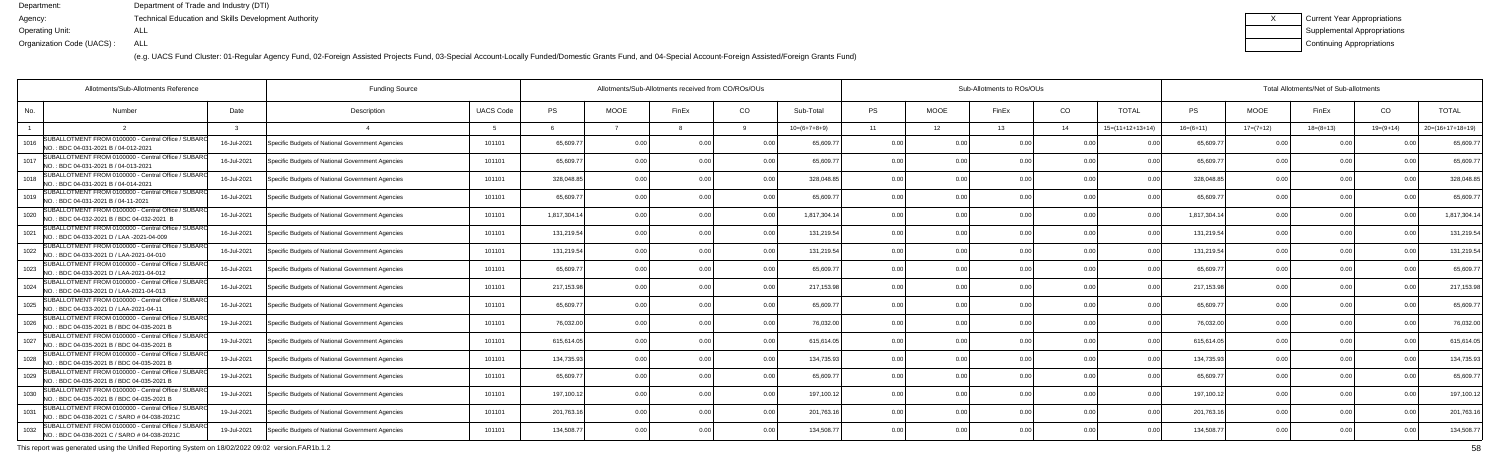(e.g. UACS Fund Cluster: 01-Regular Agency Fund, 02-Foreign Assisted Projects Fund, 03-Special Account-Locally Funded/Domestic Grants Fund, and 04-Special Account-Foreign Assisted/Foreign Grants Fund)

| Current Year Appropriations |
|-----------------------------|
| Supplemental Appropriations |
| Continuing Appropriations   |

| Allotments/Sub-Allotments Reference                                                                         |             | <b>Funding Source</b>                            |                  | Allotments/Sub-Allotments received from CO/ROs/OUs |                |       |                |                |           |             | Sub-Allotments to ROs/OUs |                |                    | Total Allotments/Net of Sub-allotments |             |               |             |                    |  |  |
|-------------------------------------------------------------------------------------------------------------|-------------|--------------------------------------------------|------------------|----------------------------------------------------|----------------|-------|----------------|----------------|-----------|-------------|---------------------------|----------------|--------------------|----------------------------------------|-------------|---------------|-------------|--------------------|--|--|
| No.<br>Number                                                                                               | Date        | Description                                      | <b>UACS Code</b> | <b>PS</b>                                          | <b>MOOE</b>    | FinEx | CO             | Sub-Total      | <b>PS</b> | <b>MOOE</b> | FinEx                     | CO             | <b>TOTAL</b>       | <b>PS</b>                              | <b>MOOE</b> | FinEx         | CO          | <b>TOTAL</b>       |  |  |
|                                                                                                             |             |                                                  |                  |                                                    |                |       |                | $10=(6+7+8+9)$ | 11        | 12          | 13                        | 14             | $15=(11+12+13+14)$ | $16=(6+11)$                            | $17=(7+12)$ | $18=(8+13)$   | $19=(9+14)$ | $20=(16+17+18+19)$ |  |  |
| SUBALLOTMENT FROM 0100000 - Central Office / SUBARO<br>1016<br>NO.: BDC 04-031-2021 B / 04-012-2021         | 16-Jul-2021 | Specific Budgets of National Government Agencies | 101101           | 65,609.7                                           | 0 <sub>0</sub> |       | 0 <sub>0</sub> | 65.609.7       | 0.00      | 0 O         |                           |                |                    | 65,609.7                               |             |               |             | 65,609.7           |  |  |
| SUBALLOTMENT FROM 0100000 - Central Office / SUBARO<br>1017<br>NO.: BDC 04-031-2021 B / 04-013-2021         | 16-Jul-2021 | Specific Budgets of National Government Agencies | 101101           | 65,609.77                                          | 0.00           |       | 0.00           | 65,609.7       | 0.00      | 0.00        |                           | 0.00           |                    | 65,609.7                               | 0.00        | 0.00          | 0.00        | 65,609.7           |  |  |
| SUBALLOTMENT FROM 0100000 - Central Office / SUBARO<br>1018<br>NO.: BDC 04-031-2021 B / 04-014-2021         | 16-Jul-2021 | Specific Budgets of National Government Agencies | 101101           | 328,048.85                                         | 0.00           |       | 0.00           | 328,048.85     | 0.00      | 0.00        |                           | 0.00           | 0.00               | 328,048.8                              | 0.00        | 0.00          | 0.00        | 328,048.85         |  |  |
| SUBALLOTMENT FROM 0100000 - Central Office / SUBARO<br>1019<br>NO.: BDC 04-031-2021 B / 04-11-2021          | 16-Jul-2021 | Specific Budgets of National Government Agencies | 101101           | 65,609.7                                           | 0.00           |       | 0.0            | 65,609.7       | 0.00      | 0.00        |                           | 0.00           |                    | 65,609.7                               | 0.0         | 0.00          |             | 65,609.7           |  |  |
| SUBALLOTMENT FROM 0100000 - Central Office / SUBARO<br>1020<br>NO.: BDC 04-032-2021 B / BDC 04-032-2021 B   | 16-Jul-2021 | Specific Budgets of National Government Agencies | 101101           | 1,817,304.14                                       | 0.00           |       | 0.00           | 1,817,304.14   | 0.00      | 0.00        |                           | 0 <sub>0</sub> | 0.00               | 1,817,304.14                           | 0.00        | 0.00          | 0.00        | 1,817,304.         |  |  |
| SUBALLOTMENT FROM 0100000 - Central Office / SUBAR(<br>1021<br>INO.: BDC 04-033-2021 D / LAA -2021-04-009   | 16-Jul-2021 | Specific Budgets of National Government Agencies | 101101           | 131,219.54                                         | 0.00           |       | 0.00           | 131,219.54     | 0.00      | 0.00        |                           | 0 <sub>0</sub> | 0.00               | 131,219.54                             | 0.00        | 0.00          | 0.00        | 131,219.54         |  |  |
| SUBALLOTMENT FROM 0100000 - Central Office / SUBARO<br>1022<br>NO.: BDC 04-033-2021 D / LAA-2021-04-010     | 16-Jul-2021 | Specific Budgets of National Government Agencies | 101101           | 131,219.54                                         | 0.00           |       | 0.00           | 131,219.54     | 0.00      | 0.00        |                           | 0.00           |                    | 131,219.54                             | 0.00        | 0.00          |             | 131,219.5          |  |  |
| SUBALLOTMENT FROM 0100000 - Central Office / SUBARO<br>1023<br>NO.: BDC 04-033-2021 D / LAA-2021-04-012     | 16-Jul-2021 | Specific Budgets of National Government Agencies | 101101           | 65,609.77                                          | 0.00           |       | 0.00           | 65.609.7       | 0.00      | 0.00        |                           | 0 <sub>0</sub> |                    | 65,609.7                               | 0.00        | 0.00          | 0.00        | 65,609.7           |  |  |
| SUBALLOTMENT FROM 0100000 - Central Office / SUBAR(<br>1024<br>INO.: BDC 04-033-2021 D / LAA-2021-04-013    | 16-Jul-2021 | Specific Budgets of National Government Agencies | 101101           | 217,153.98                                         | 0.00           |       | 0.00           | 217,153.9      | 0.00      | 0.00        |                           | 0 <sub>0</sub> | 0.00               | 217,153.9                              | 0.00        | 0.00          | 0.00        | 217,153.9          |  |  |
| SUBALLOTMENT FROM 0100000 - Central Office / SUBARO<br>1025<br>NO.: BDC 04-033-2021 D / LAA-2021-04-11      | 16-Jul-2021 | Specific Budgets of National Government Agencies | 101101           | 65,609.77                                          | 0.00           |       | 0.00           | 65,609.7       | 0.00      | 0.00        |                           | 0.00           | n no               | 65,609.7                               | 0.00        | 0.00          |             | 65,609.7           |  |  |
| SUBALLOTMENT FROM 0100000 - Central Office / SUBARO<br>1026<br>NO.: BDC 04-035-2021 B / BDC 04-035-2021 B   | 19-Jul-2021 | Specific Budgets of National Government Agencies | 101101           | 76,032.00                                          | 0.00           |       | 0.00           | 76,032.00      | 0.00      | 0.00        |                           | 0 <sub>0</sub> | n no               | 76,032.0                               |             | 0.00          |             | 76,032.0           |  |  |
| SUBALLOTMENT FROM 0100000 - Central Office / SUBARO<br>1027<br>NO.: BDC 04-035-2021 B / BDC 04-035-2021 B   | 19-Jul-2021 | Specific Budgets of National Government Agencies | 101101           | 615,614.05                                         | 0.00           |       | 0.00           | 615.614.05     | 0.00      | 0.00        |                           | 0.00           | 0.00               | 615,614.0                              | 0.00        | 0.00          | 0.00        | 615,614.0          |  |  |
| SUBALLOTMENT FROM 0100000 - Central Office / SUBARO<br>1028<br>NO.: BDC 04-035-2021 B / BDC 04-035-2021 B   | 19-Jul-2021 | Specific Budgets of National Government Agencies | 101101           | 134,735.93                                         | 0.00           |       | 0.00           | 134,735.93     | 0.00      | 0.00        |                           | 0 <sub>0</sub> | 0.00               | 134,735.93                             | 0.00        | 0.00          | 0.00        | 134,735.9          |  |  |
| SUBALLOTMENT FROM 0100000 - Central Office / SUBARO<br>1029<br>NO.: BDC 04-035-2021 B / BDC 04-035-2021 B   | 19-Jul-2021 | Specific Budgets of National Government Agencies | 101101           | 65,609.7                                           | 0.00           |       | 0.00           | 65,609.7       | 0.00      | 0.00        |                           | 0 <sub>0</sub> |                    | 65,609.7                               | 0.00        | $\cap$ $\cap$ |             | 65,609.7           |  |  |
| SUBALLOTMENT FROM 0100000 - Central Office / SUBARO<br>1030<br>INO.: BDC 04-035-2021 B / BDC 04-035-2021 B  | 19-Jul-2021 | Specific Budgets of National Government Agencies | 101101           | 197,100.12                                         | 0.00           |       | 0.00           | 197.100.12     | 0.00      | 0.00        |                           | 0 <sub>0</sub> |                    | 197,100.12                             | 0.00        | 0.00          |             | 197,100.1          |  |  |
| SUBALLOTMENT FROM 0100000 - Central Office / SUBAR<br>1031<br>NO.: BDC 04-038-2021 C / SARO # 04-038-2021C  | 19-Jul-2021 | Specific Budgets of National Government Agencies | 101101           | 201,763.16                                         | 0.00           |       | 0.00           | 201,763.1      | 0.00      | 0.00        |                           | 0.00           | 0.00               | 201,763.1                              | 0.00        | 0.00          | 0.00        | 201,763.1          |  |  |
| SUBALLOTMENT FROM 0100000 - Central Office / SUBARO<br>1032<br>NO.: BDC 04-038-2021 C / SARO # 04-038-2021C | 19-Jul-2021 | Specific Budgets of National Government Agencies | 101101           | 134,508.77                                         | 0.00           |       | 0.00           | 134,508.7      | 0.00      | 0.00        |                           | 0 <sub>0</sub> |                    | 134,508.7                              | 0.00        | 0.00          |             | 134,508.7          |  |  |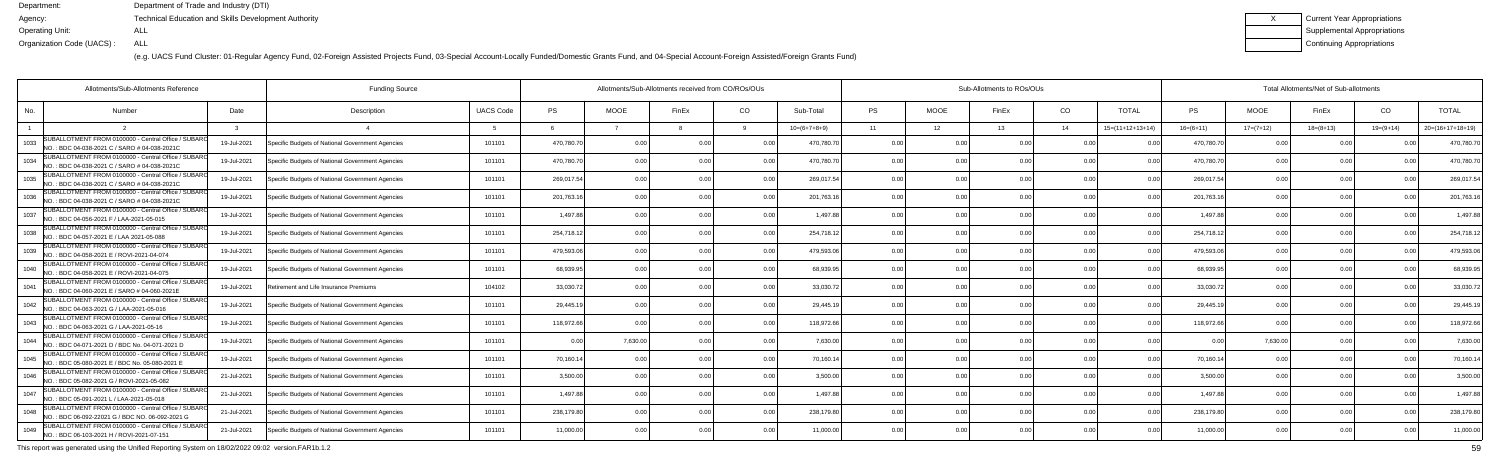(e.g. UACS Fund Cluster: 01-Regular Agency Fund, 02-Foreign Assisted Projects Fund, 03-Special Account-Locally Funded/Domestic Grants Fund, and 04-Special Account-Foreign Assisted/Foreign Grants Fund)

| Current Year Appropriations |
|-----------------------------|
| Supplemental Appropriations |
| Continuing Appropriations   |

| Allotments/Sub-Allotments Reference                                                                           |             | <b>Funding Source</b>                            |                  | Allotments/Sub-Allotments received from CO/ROs/OUs |                |       |      |                |           |             | Sub-Allotments to ROs/OUs |                |                    | Total Allotments/Net of Sub-allotments |             |             |                |                    |  |  |
|---------------------------------------------------------------------------------------------------------------|-------------|--------------------------------------------------|------------------|----------------------------------------------------|----------------|-------|------|----------------|-----------|-------------|---------------------------|----------------|--------------------|----------------------------------------|-------------|-------------|----------------|--------------------|--|--|
| No.<br><b>Number</b>                                                                                          | Date        | Description                                      | <b>UACS Code</b> | <b>PS</b>                                          | <b>MOOE</b>    | FinEx | CO   | Sub-Total      | <b>PS</b> | <b>MOOE</b> | FinEx                     | CO             | <b>TOTAL</b>       | PS                                     | <b>MOOE</b> | FinEx       | CO             | <b>TOTAL</b>       |  |  |
|                                                                                                               |             |                                                  |                  |                                                    |                |       |      | $10=(6+7+8+9)$ | 11        | 12          | 13                        | - 14           | $15=(11+12+13+14)$ | $16=(6+11)$                            | $17=(7+12)$ | $18=(8+13)$ | $19=(9+14)$    | $20=(16+17+18+19)$ |  |  |
| SUBALLOTMENT FROM 0100000 - Central Office / SUBARO<br>1033<br>NO.: BDC 04-038-2021 C / SARO # 04-038-2021C   | 19-Jul-2021 | Specific Budgets of National Government Agencies | 101101           | 470,780.70                                         | 0.0            |       | 0.0  | 470.780.7      | 0.00      | 0.00        |                           | 0 <sub>0</sub> |                    | 470,780.7                              | 0.00        |             |                | 470,780.7          |  |  |
| SUBALLOTMENT FROM 0100000 - Central Office / SUBARO<br>1034<br>INO.: BDC 04-038-2021 C / SARO # 04-038-2021C  | 19-Jul-2021 | Specific Budgets of National Government Agencies | 101101           | 470,780.70                                         | 0.00           |       | 0.00 | 470,780.7      | 0.00      | 0.00        |                           | 0.00           | 0 <sub>0</sub>     | 470,780.70                             | 0.00        | 0.00        |                | 470,780.7          |  |  |
| SUBALLOTMENT FROM 0100000 - Central Office / SUBARO<br>1035<br>NO.: BDC 04-038-2021 C / SARO # 04-038-2021C   | 19-Jul-2021 | Specific Budgets of National Government Agencies | 101101           | 269,017.54                                         | 0.00           |       | 0.00 | 269,017.54     | 0.00      | 0.00        |                           | 0.00           | 0 <sub>0</sub>     | 269,017.54                             | 0.00        | 0.00        |                | 269,017.54         |  |  |
| SUBALLOTMENT FROM 0100000 - Central Office / SUBARO<br>1036<br>NO.: BDC 04-038-2021 C / SARO # 04-038-2021C   | 19-Jul-2021 | Specific Budgets of National Government Agencies | 101101           | 201,763.16                                         | 0.00           |       | 0.0  | 201,763.1      | 0.00      | 0.00        |                           | 0.00           |                    | 201,763.16                             | 0.00        | 0.00        |                | 201,763.1          |  |  |
| SUBALLOTMENT FROM 0100000 - Central Office / SUBARO<br>1037<br>NO.: BDC 04-056-2021 F / LAA-2021-05-015       | 19-Jul-2021 | Specific Budgets of National Government Agencies | 101101           | 1,497.88                                           | 0.00           |       | 0.00 | 1.497.8        | 0.00      | 0.00        |                           | 0.00           | 0 <sub>0</sub>     | 1,497.8                                | 0.00        | 0.00        |                | 1,497.88           |  |  |
| SUBALLOTMENT FROM 0100000 - Central Office / SUBARO<br>1038<br>NO.: BDC 04-057-2021 E / LAA 2021-05-088       | 19-Jul-2021 | Specific Budgets of National Government Agencies | 101101           | 254.718.12                                         | 0.00           |       | 0.00 | 254,718.12     | 0.00      | 0.00        |                           | 0.00           | 0 <sub>0</sub>     | 254,718.12                             | 0.00        | 0.00        |                | 254,718.12         |  |  |
| SUBALLOTMENT FROM 0100000 - Central Office / SUBARO<br>1039<br>NO.: BDC 04-058-2021 E / ROVI-2021-04-074      | 19-Jul-2021 | Specific Budgets of National Government Agencies | 101101           | 479,593.06                                         | 0.00           |       | 0.00 | 479,593.06     | 0.00      | 0.00        |                           | 0.00           |                    | 479,593.06                             | 0.00        | 0.00        |                | 479,593.0          |  |  |
| SUBALLOTMENT FROM 0100000 - Central Office / SUBARO<br>1040<br>NO.: BDC 04-058-2021 E / ROVI-2021-04-075      | 19-Jul-2021 | Specific Budgets of National Government Agencies | 101101           | 68,939.95                                          | 0 <sub>0</sub> |       | 0.00 | 68,939.9       | 0.00      | 0.00        |                           | 0 <sub>0</sub> |                    | 68,939.9                               | 0.00        | 0.00        |                | 68,939.9           |  |  |
| SUBALLOTMENT FROM 0100000 - Central Office / SUBAR<br>1041<br>NO.: BDC 04-060-2021 E / SARO # 04-060-2021E    | 19-Jul-2021 | Retirement and Life Insurance Premiums           | 104102           | 33,030.72                                          | 0.00           |       | 0.00 | 33,030.72      | 0.00      | 0.00        |                           | 0.00           | 0.00               | 33,030.72                              | 0.00        | 0.00        |                | 33,030.7           |  |  |
| SUBALLOTMENT FROM 0100000 - Central Office / SUBARO<br>1042<br>NO.: BDC 04-063-2021 G / LAA-2021-05-016       | 19-Jul-2021 | Specific Budgets of National Government Agencies | 101101           | 29,445.19                                          | 0.00           |       | 0.00 | 29,445.19      | 0.00      | 0.00        | 0 <sub>0</sub>            | 0.00           | 0.0(               | 29,445.19                              | 0.00        | 0.00        |                | 29,445.1           |  |  |
| SUBALLOTMENT FROM 0100000 - Central Office / SUBARO<br>1043<br>NO.: BDC 04-063-2021 G / LAA-2021-05-16        | 19-Jul-2021 | Specific Budgets of National Government Agencies | 101101           | 118,972.66                                         | 0.00           |       | 0.0  | 118,972.6      | 0.00      | 0.00        |                           | 0 <sub>0</sub> |                    | 118,972.6                              | 0.00        | 0.00        |                | 118,972.6          |  |  |
| SUBALLOTMENT FROM 0100000 - Central Office / SUBARO<br>1044<br>NO.: BDC 04-071-2021 D / BDC No. 04-071-2021 D | 19-Jul-2021 | Specific Budgets of National Government Agencies | 101101           | 0.00                                               | 7,630.00       |       | 0.00 | 7.630.00       | 0.00      | 0.00        |                           | 0.00           | 0.00               | 0 Q                                    | 7,630.00    | 0.00        |                | 7,630.00           |  |  |
| SUBALLOTMENT FROM 0100000 - Central Office / SUBARO<br>1045<br>NO.: BDC 05-080-2021 E / BDC No. 05-080-2021 E | 19-Jul-2021 | Specific Budgets of National Government Agencies | 101101           | 70,160.14                                          | 0.00           |       | 0.00 | 70,160.14      | 0.00      | 0.00        |                           | 0.00           | $\Omega$           | 70,160.14                              | 0.00        | 0.00        |                | 70,160.14          |  |  |
| SUBALLOTMENT FROM 0100000 - Central Office / SUBARO<br>1046<br>NO.: BDC 05-082-2021 G / ROVI-2021-05-082      | 21-Jul-2021 | Specific Budgets of National Government Agencies | 101101           | 3,500.00                                           | 0.00           |       | 0.0  | 3,500.00       | 0.00      | 0.00        |                           | 0 <sub>0</sub> |                    | 3,500.0                                | 0.00        | 0.00        |                | 3,500.00           |  |  |
| SUBALLOTMENT FROM 0100000 - Central Office / SUBARO<br>1047<br>NO.: BDC 05-091-2021 L / LAA-2021-05-018       | 21-Jul-2021 | Specific Budgets of National Government Agencies | 101101           | 1,497.88                                           | 0.00           |       | 0.00 | 1.497.8        | 0.00      | 0.00        |                           | 0.00           | 0 <sub>0</sub>     | 1.497.88                               | 0.00        | 0.00        |                | 1,497.88           |  |  |
| SUBALLOTMENT FROM 0100000 - Central Office / SUBAR<br>1048<br>NO.: BDC 06-092-22021 G / BDC NO. 06-092-2021 G | 21-Jul-2021 | Specific Budgets of National Government Agencies | 101101           | 238,179.80                                         | 0.00           |       | 0.00 | 238,179.80     | 0.00      | 0.00        | n nr                      | 0.00           | 0.00               | 238,179.80                             | 0.00        | 0.00        | 0 <sub>0</sub> | 238,179.80         |  |  |
| SUBALLOTMENT FROM 0100000 - Central Office / SUBARO<br>1049<br>NO.: BDC 06-103-2021 H / ROVI-2021-07-151      | 21-Jul-2021 | Specific Budgets of National Government Agencies | 101101           | 11,000.00                                          | 0.00           |       | 0.00 | 11.000.00      |           | 0.00        |                           | 0 <sub>0</sub> |                    | 11.000.0                               | 0.00        | 0.00        |                | 11,000.00          |  |  |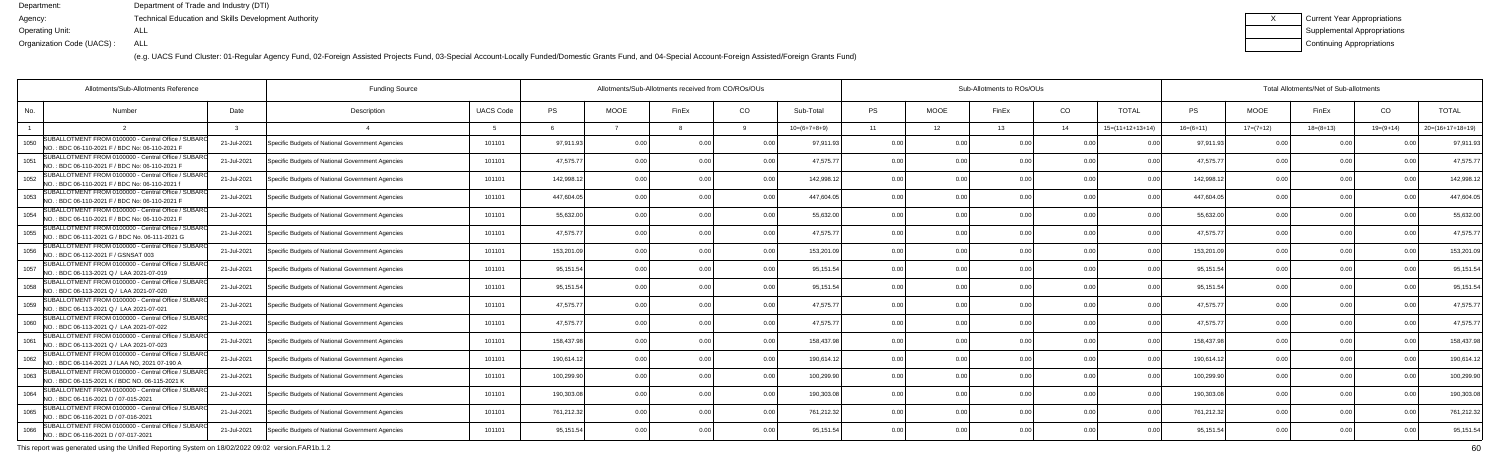(e.g. UACS Fund Cluster: 01-Regular Agency Fund, 02-Foreign Assisted Projects Fund, 03-Special Account-Locally Funded/Domestic Grants Fund, and 04-Special Account-Foreign Assisted/Foreign Grants Fund)

| Current Year Appropriations |
|-----------------------------|
| Supplemental Appropriations |
| Continuing Appropriations   |

| Allotments/Sub-Allotments Reference                                                                            |             | <b>Funding Source</b>                            |                  | Allotments/Sub-Allotments received from CO/ROs/OUs |             |       |                |                |                |             | Sub-Allotments to ROs/OUs |                | Total Allotments/Net of Sub-allotments |             |                |             |                |                    |
|----------------------------------------------------------------------------------------------------------------|-------------|--------------------------------------------------|------------------|----------------------------------------------------|-------------|-------|----------------|----------------|----------------|-------------|---------------------------|----------------|----------------------------------------|-------------|----------------|-------------|----------------|--------------------|
| No.<br><b>Number</b>                                                                                           | Date        | Description                                      | <b>UACS Code</b> | <b>PS</b>                                          | <b>MOOE</b> | FinEx | CO.            | Sub-Total      | <b>PS</b>      | <b>MOOE</b> | FinEx                     | CO             | <b>TOTAL</b>                           | <b>PS</b>   | <b>MOOE</b>    | FinEx       | CO             | <b>TOTAL</b>       |
|                                                                                                                |             |                                                  |                  |                                                    |             |       |                | $10=(6+7+8+9)$ | 11             | 12          | 13                        | 14             | $15=(11+12+13+14)$                     | $16=(6+11)$ | $17=(7+12)$    | $18=(8+13)$ | $19=(9+14)$    | $20=(16+17+18+19)$ |
| SUBALLOTMENT FROM 0100000 - Central Office / SUBARO<br>1050<br>NO.: BDC 06-110-2021 F / BDC No: 06-110-2021 F  | 21-Jul-2021 | Specific Budgets of National Government Agencies | 101101           | 97,911.93                                          | 0.00        |       | 0 <sub>0</sub> | 97.911.9       | 0.00           |             |                           |                |                                        | 97.911.9    |                |             |                | 97,911.9           |
| SUBALLOTMENT FROM 0100000 - Central Office / SUBARO<br>1051<br>INO.: BDC 06-110-2021 F / BDC No: 06-110-2021 F | 21-Jul-2021 | Specific Budgets of National Government Agencies | 101101           | 47,575.77                                          | 0.00        |       | 0.00           | 47,575.77      | 0.00           | 0.00        |                           | 0.00           |                                        | 47,575.7    | 0.00           | 0.00        | 0.00           | 47,575.7           |
| SUBALLOTMENT FROM 0100000 - Central Office / SUBAR(<br>1052<br>NO.: BDC 06-110-2021 F / BDC No: 06-110-2021 1  | 21-Jul-2021 | Specific Budgets of National Government Agencies | 101101           | 142,998.12                                         | 0.00        |       | 0.00           | 142,998.1      | 0.00           | 0.00        |                           | 0.00           | 0.00                                   | 142,998.1   | 0.00           | 0.00        | 0.00           | 142,998.1          |
| SUBALLOTMENT FROM 0100000 - Central Office / SUBARO<br>1053<br>NO.: BDC 06-110-2021 F / BDC No: 06-110-2021 F  | 21-Jul-2021 | Specific Budgets of National Government Agencies | 101101           | 447,604.05                                         | 0.00        |       | 0.00           | 447,604.0      | 0.00           | 0.00        |                           | 0.00           |                                        | 447,604.0   |                | 0.00        |                | 447,604.           |
| SUBALLOTMENT FROM 0100000 - Central Office / SUBARO<br>1054<br>NO.: BDC 06-110-2021 F / BDC No: 06-110-2021 F  | 21-Jul-2021 | Specific Budgets of National Government Agencies | 101101           | 55,632.00                                          | 0.00        |       | 0.00           | 55,632.00      | 0.00           | 0.00        |                           | 0.00           |                                        | 55,632.0    | 0.00           | 0.00        | 0 <sub>0</sub> | 55,632.0           |
| SUBALLOTMENT FROM 0100000 - Central Office / SUBAR<br>1055<br>NO.: BDC 06-111-2021 G / BDC No. 06-111-2021 G   | 21-Jul-2021 | Specific Budgets of National Government Agencies | 101101           | 47.575.77                                          | 0.00        |       | 0.00           | 47.575.77      | 0.00           | 0.00        |                           | 0.00           | $\cap$ $\cap$                          | 47,575.7    | 0.00           | 0.00        | 0.00           | 47,575.7           |
| SUBALLOTMENT FROM 0100000 - Central Office / SUBARO<br>1056<br>NO.: BDC 06-112-2021 F / GSNSAT 003             | 21-Jul-2021 | Specific Budgets of National Government Agencies | 101101           | 153,201.09                                         | 0.00        |       | 0.00           | 153,201.09     | 0.00           | 0.00        |                           | 0.00           |                                        | 153,201.0   | 0.00           | 0.00        |                | 153,201.0          |
| SUBALLOTMENT FROM 0100000 - Central Office / SUBARO<br>1057<br>NO.: BDC 06-113-2021 Q / LAA 2021-07-019        | 21-Jul-2021 | Specific Budgets of National Government Agencies | 101101           | 95,151.54                                          | 0.00        |       | 0 <sub>0</sub> | 95,151.54      | 0.00           | 0.00        |                           | 0 <sub>0</sub> |                                        | 95,151.54   | 0.00           | -0.00       | n nn           | 95,151.            |
| SUBALLOTMENT FROM 0100000 - Central Office / SUBAR<br>1058<br>NO.: BDC 06-113-2021 Q / LAA 2021-07-020         | 21-Jul-2021 | Specific Budgets of National Government Agencies | 101101           | 95,151.54                                          | 0.00        |       | 0.00           | 95,151.54      | 0.00           | 0.00        |                           | 0.00           | 0.00                                   | 95,151.54   | 0.00           | 0.00        | 0.00           | 95,151.5           |
| SUBALLOTMENT FROM 0100000 - Central Office / SUBARO<br>1059<br>NO.: BDC 06-113-2021 Q / LAA 2021-07-021        | 21-Jul-2021 | Specific Budgets of National Government Agencies | 101101           | 47,575.77                                          | 0.00        |       | 0.00           | 47,575.7       | 0.00           | 0.00        |                           | 0.00           | 0 <sub>0</sub>                         | 47,575.7    | 0.00           | 0.00        |                | 47,575.7           |
| SUBALLOTMENT FROM 0100000 - Central Office / SUBARO<br>1060<br>NO.: BDC 06-113-2021 Q / LAA 2021-07-022        | 21-Jul-2021 | Specific Budgets of National Government Agencies | 101101           | 47,575.77                                          | 0.00        |       | 0.00           | 47.575.77      | 0.00           | 0.00        |                           | 0.00           |                                        | 47,575.7    | 0.00           | 0.00        |                | 47,575.7           |
| SUBALLOTMENT FROM 0100000 - Central Office / SUBARO<br>1061<br>NO.: BDC 06-113-2021 Q / LAA 2021-07-023        | 21-Jul-2021 | Specific Budgets of National Government Agencies | 101101           | 158,437.98                                         | 0.00        |       | 0.00           | 158,437.98     | 0.00           | 0.00        |                           | 0 <sub>0</sub> |                                        | 158,437.9   | 0 <sub>0</sub> | 0.00        |                | 158,437.9          |
| SUBALLOTMENT FROM 0100000 - Central Office / SUBARO<br>1062<br>NO.: BDC 06-114-2021 J / LAA NO, 2021 07-190 A  | 21-Jul-2021 | Specific Budgets of National Government Agencies | 101101           | 190,614.12                                         | 0.00        |       | 0.00           | 190,614.1      | 0.00           | 0.00        |                           | 0.00           | 0.00                                   | 190,614.12  | 0.00           | 0.00        | 0.00           | 190,614.1          |
| SUBALLOTMENT FROM 0100000 - Central Office / SUBARO<br>1063<br>INO.: BDC 06-115-2021 K / BDC NO. 06-115-2021 K | 21-Jul-2021 | Specific Budgets of National Government Agencies | 101101           | 100,299.90                                         | 0.00        |       | 0 <sub>0</sub> | 100,299.9      | 0.00           | 0.00        |                           | 0 <sub>0</sub> |                                        | 100,299.9   | 0 <sub>0</sub> | 0.00        |                | 100,299.9          |
| SUBALLOTMENT FROM 0100000 - Central Office / SUBARO<br>1064<br>NO.: BDC 06-116-2021 D / 07-015-2021            | 21-Jul-2021 | Specific Budgets of National Government Agencies | 101101           | 190,303.08                                         | 0.00        |       | 0.00           | 190,303.08     | 0.00           | 0.00        |                           | 0 <sub>0</sub> | 0 <sub>0</sub>                         | 190,303.0   | 0.00           | 0.00        | 0 <sub>0</sub> | 190,303.0          |
| SUBALLOTMENT FROM 0100000 - Central Office / SUBARO<br>1065<br>NO.: BDC 06-116-2021 D / 07-016-2021            | 21-Jul-2021 | Specific Budgets of National Government Agencies | 101101           | 761,212.32                                         | 0.00        |       | 0.00           | 761,212.32     | 0.00           | 0.00        | 0.00                      | 0.00           | 0.00                                   | 761,212.32  | 0.00           | 0.00        | 0.00           | 761,212.3          |
| SUBALLOTMENT FROM 0100000 - Central Office / SUBARO<br>1066<br>NO.: BDC 06-116-2021 D / 07-017-2021            | 21-Jul-2021 | Specific Budgets of National Government Agencies | 101101           | 95,151.54                                          | 0.00        |       | 0.00           | 95,151.54      | 0 <sub>0</sub> | 0.00        |                           | 0 <sub>0</sub> |                                        | 95,151.54   | 0.00           | 0.00        |                | 95,151.5           |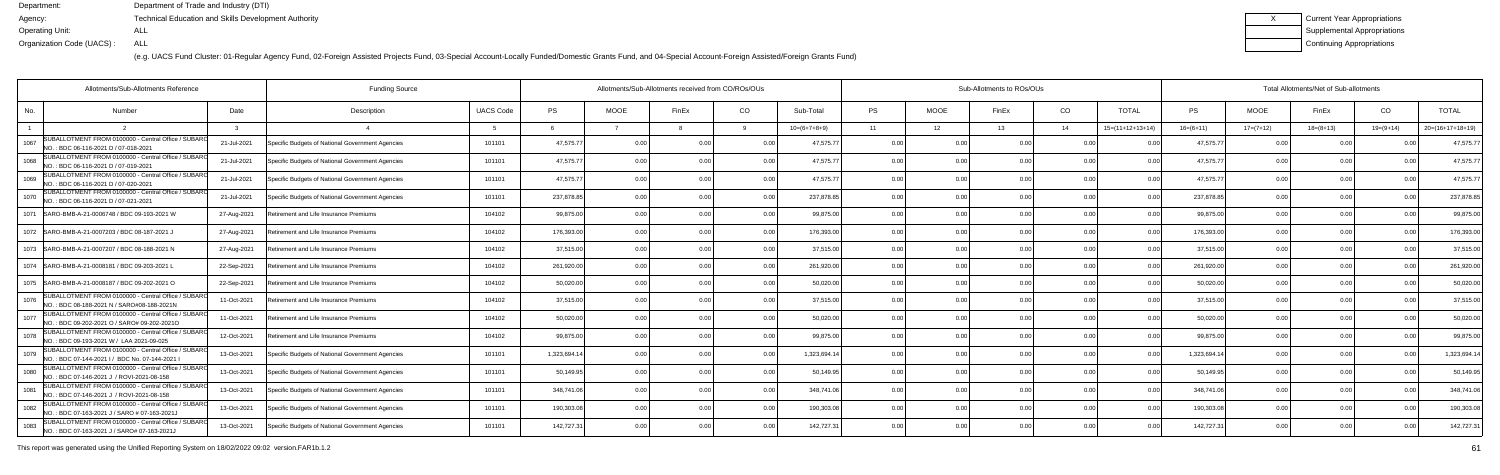(e.g. UACS Fund Cluster: 01-Regular Agency Fund, 02-Foreign Assisted Projects Fund, 03-Special Account-Locally Funded/Domestic Grants Fund, and 04-Special Account-Foreign Assisted/Foreign Grants Fund)

| Current Year Appropriations |
|-----------------------------|
| Supplemental Appropriations |
| Continuing Appropriations   |

| Allotments/Sub-Allotments Reference<br><b>Funding Source</b>                                                 |             |                                                  |                  |              |             | Allotments/Sub-Allotments received from CO/ROs/OUs |                |                |           |             | Sub-Allotments to ROs/OUs |                |                    |             | Total Allotments/Net of Sub-allotments |             |                |                    |  |  |
|--------------------------------------------------------------------------------------------------------------|-------------|--------------------------------------------------|------------------|--------------|-------------|----------------------------------------------------|----------------|----------------|-----------|-------------|---------------------------|----------------|--------------------|-------------|----------------------------------------|-------------|----------------|--------------------|--|--|
| No.<br>Number                                                                                                | Date        | Description                                      | <b>UACS Code</b> | <b>PS</b>    | <b>MOOE</b> | FinEx                                              | CO             | Sub-Total      | <b>PS</b> | <b>MOOE</b> | FinEx                     | CO.            | <b>TOTAL</b>       | PS          | <b>MOOE</b>                            | FinEx       | CO             | <b>TOTAL</b>       |  |  |
|                                                                                                              |             |                                                  |                  |              |             |                                                    |                | $10=(6+7+8+9)$ | 11        | 12          | 13                        | 14             | $15=(11+12+13+14)$ | $16=(6+11)$ | $17=(7+12)$                            | $18=(8+13)$ | $19=(9+14)$    | $20=(16+17+18+19)$ |  |  |
| SUBALLOTMENT FROM 0100000 - Central Office / SUBARO<br>1067<br>NO.: BDC 06-116-2021 D / 07-018-2021          | 21-Jul-2021 | Specific Budgets of National Government Agencies | 101101           | 47,575.7     |             |                                                    |                | 47,575.77      | 0.00      |             |                           |                |                    | 47,575.7    |                                        |             |                | 47,575.7           |  |  |
| SUBALLOTMENT FROM 0100000 - Central Office / SUBARO<br>1068<br>NO.: BDC 06-116-2021 D / 07-019-2021          | 21-Jul-2021 | Specific Budgets of National Government Agencies | 101101           | 47,575.77    | 0.00        |                                                    | 0 <sub>0</sub> | 47.575.77      | 0.00      | 0.00        |                           | 0 <sub>0</sub> |                    | 47.575.77   | 0.00                                   | . O O       |                | 47,575.7           |  |  |
| SUBALLOTMENT FROM 0100000 - Central Office / SUBARO<br>1069<br>NO.: BDC 06-116-2021 D / 07-020-2021          | 21-Jul-2021 | Specific Budgets of National Government Agencies | 101101           | 47,575.77    | 0.00        |                                                    | 0.00           | 47.575.77      | 0.00      | 0.00        |                           | 0.00           | 0.00               | 47,575.77   | 0.00                                   | 0.00        |                | 47,575.7           |  |  |
| SUBALLOTMENT FROM 0100000 - Central Office / SUBARO<br>1070<br>NO.: BDC 06-116-2021 D / 07-021-2021          | 21-Jul-2021 | Specific Budgets of National Government Agencies | 101101           | 237,878.85   | 0.00        | n n                                                | 0.00           | 237,878.85     | 0.00      | 0.00        | 0.00                      | 0.00           | 0.00               | 237,878.85  | 0.00                                   | 0.00        | 0 <sub>0</sub> | 237,878.8          |  |  |
| 1071 SARO-BMB-A-21-0006748 / BDC 09-193-2021 W                                                               | 27-Aug-2021 | Retirement and Life Insurance Premiums           | 104102           | 99,875.00    | 0.00        |                                                    | 0.00           | 99.875.00      | 0.00      | 0.00        |                           | 0 <sub>0</sub> | 0 <sub>0</sub>     | 99.875.0    | 0.00                                   | 0.00        |                | 99,875.0           |  |  |
| 1072   SARO-BMB-A-21-0007203 / BDC 08-187-2021 J                                                             | 27-Aug-2021 | Retirement and Life Insurance Premiums           | 104102           | 176.393.00   | 0.00        |                                                    | 0.00           | 176,393.00     | 0.00      | 0.00        | 0 <sub>0</sub>            | 0.00           | 0.00               | 176,393.00  | 0.00                                   | 0.00        |                | 176,393.00         |  |  |
| 1073 SARO-BMB-A-21-0007207 / BDC 08-188-2021 N                                                               | 27-Aug-2021 | Retirement and Life Insurance Premiums           | 104102           | 37,515.00    | 0.00        |                                                    | 0.00           | 37.515.00      | 0.00      | 0.00        |                           | 0.00           |                    | 37.515.00   | 0.00                                   | 0.00        |                | 37,515.00          |  |  |
| 1074   SARO-BMB-A-21-0008181 / BDC 09-203-2021 L                                                             | 22-Sep-2021 | Retirement and Life Insurance Premiums           | 104102           | 261,920.00   | 0.00        |                                                    | 0.00           | 261,920.00     | 0.00      | 0.00        | n nr                      | 0.00           | 0.00               | 261,920.00  | 0.00                                   | 0.00        |                | 261,920.00         |  |  |
| 1075  SARO-BMB-A-21-0008187 / BDC 09-202-2021 O                                                              | 22-Sep-2021 | Retirement and Life Insurance Premiums           | 104102           | 50,020.00    | 0.00        |                                                    | 0.00           | 50,020.00      | 0.00      | 0.00        | 0.00                      | 0.00           | 0.00               | 50,020.00   | 0.00                                   | 0.00        |                | 50,020.00          |  |  |
| SUBALLOTMENT FROM 0100000 - Central Office / SUBARO<br>1076<br>INO.: BDC 08-188-2021 N / SARO#08-188-2021N   | 11-Oct-2021 | Retirement and Life Insurance Premiums           | 104102           | 37,515.00    | 0 Q         |                                                    | 0.00           | 37,515.00      | 0.00      | 0.00        |                           | 0 <sub>0</sub> |                    | 37,515.00   | 0.00                                   | 0.00        |                | 37,515.00          |  |  |
| SUBALLOTMENT FROM 0100000 - Central Office / SUBARO<br>1077<br>NO.: BDC 09-202-2021 O / SARO# 09-202-2021O   | 11-Oct-2021 | Retirement and Life Insurance Premiums           | 104102           | 50,020.00    | 0.00        |                                                    | 0.00           | 50,020.00      | 0.00      | 0.00        |                           | 0.00           |                    | 50,020.00   | 0.00                                   | 0.00        |                | 50,020.00          |  |  |
| SUBALLOTMENT FROM 0100000 - Central Office / SUBARO<br>1078<br>NO.: BDC 09-193-2021 W / LAA 2021-09-025      | 12-Oct-2021 | Retirement and Life Insurance Premiums           | 104102           | 99,875.00    | 0.00        |                                                    | 0.00           | 99,875.00      | 0.00      | 0.00        |                           | 0.00           | 0.00               | 99,875.00   | 0.00                                   | 0.00        |                | 99,875.00          |  |  |
| SUBALLOTMENT FROM 0100000 - Central Office / SUBARO<br>1079<br>NO.: BDC 07-144-2021 I / BDC No. 07-144-2021  | 13-Oct-2021 | Specific Budgets of National Government Agencies | 101101           | 1,323,694.14 | 0.00        |                                                    | $\cap$         | 1,323,694.14   | 0.00      | 0.00        |                           | 0.00           |                    | 1,323,694.1 | 0.00                                   | 0.00        |                | 1,323,694.14       |  |  |
| SUBALLOTMENT FROM 0100000 - Central Office / SUBARO<br>1080<br>NO.: BDC 07-146-2021 J / ROVI-2021-08-158     | 13-Oct-2021 | Specific Budgets of National Government Agencies | 101101           | 50,149.95    | 0.00        |                                                    | 0.00           | 50,149.95      | 0.00      | 0.00        |                           | 0.00           |                    | 50,149.95   | 0.00                                   | 0.00        |                | 50,149.9           |  |  |
| SUBALLOTMENT FROM 0100000 - Central Office / SUBARO<br>1081<br>NO.: BDC 07-146-2021 J / ROVI-2021-08-158     | 13-Oct-2021 | Specific Budgets of National Government Agencies | 101101           | 348,741.06   | 0.00        |                                                    | 0.00           | 348,741.06     | 0.00      | 0.00        |                           | 0.00           | 0 O                | 348,741.06  | 0.00                                   | 0.00        |                | 348,741.           |  |  |
| SUBALLOTMENT FROM 0100000 - Central Office / SUBAR(<br>1082<br>INO.: BDC 07-163-2021 J / SARO # 07-163-2021. | 13-Oct-2021 | Specific Budgets of National Government Agencies | 101101           | 190,303.08   | 0.00        |                                                    | 0.00           | 190,303.08     | 0.00      | 0.00        |                           | 0.00           | 00                 | 190,303.08  | 0.00                                   | 0.00        |                | 190,303.08         |  |  |
| SUBALLOTMENT FROM 0100000 - Central Office / SUBARO<br>1083<br>NO.: BDC 07-163-2021 J / SARO# 07-163-2021J   | 13-Oct-2021 | Specific Budgets of National Government Agencies | 101101           | 142,727.31   | 0.00        |                                                    | 0.00           | 142,727.31     | 0.00      | 0.00        |                           | 0.00           |                    | 142,727.3   | 0.00                                   | 0.00        |                | 142,727.3          |  |  |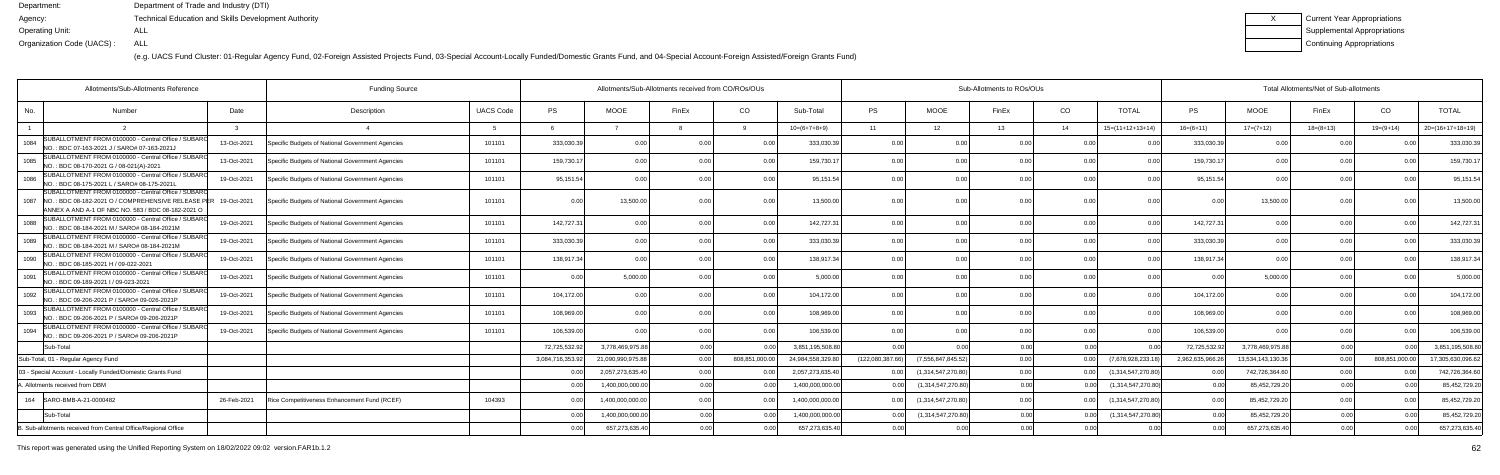(e.g. UACS Fund Cluster: 01-Regular Agency Fund, 02-Foreign Assisted Projects Fund, 03-Special Account-Locally Funded/Domestic Grants Fund, and 04-Special Account-Foreign Assisted/Foreign Grants Fund)

| Current Year Appropriations |
|-----------------------------|
| Supplemental Appropriations |
| Continuing Appropriations   |

| Allotments/Sub-Allotments Reference                                                                                                                               |             |                                                  |                  | Allotments/Sub-Allotments received from CO/ROs/OUs |                   |       |               |                  | Sub-Allotments to ROs/OUs |                    |       |                 |                    | Total Allotments/Net of Sub-allotments |                   |             |                |                    |  |
|-------------------------------------------------------------------------------------------------------------------------------------------------------------------|-------------|--------------------------------------------------|------------------|----------------------------------------------------|-------------------|-------|---------------|------------------|---------------------------|--------------------|-------|-----------------|--------------------|----------------------------------------|-------------------|-------------|----------------|--------------------|--|
| No.<br>Number                                                                                                                                                     | Date        | Description                                      | <b>UACS Code</b> | <b>PS</b>                                          | MOOE              | FinEx | CO            | Sub-Total        | <b>PS</b>                 | <b>MOOE</b>        | FinEx | CO <sub>.</sub> | <b>TOTAL</b>       | <b>PS</b>                              | <b>MOOE</b>       | FinEx       | CO             | <b>TOTAL</b>       |  |
|                                                                                                                                                                   |             | $\overline{4}$                                   |                  |                                                    |                   |       |               | $10=(6+7+8+9)$   | 11                        | 12 <sup>7</sup>    | 13    | 14              | $15=(11+12+13+14)$ | $16=(6+11)$                            | $17=(7+12)$       | $18=(8+13)$ | $19=(9+14)$    | $20=(16+17+18+19)$ |  |
| SUBALLOTMENT FROM 0100000 - Central Office / SUBARC<br>1084<br>NO.: BDC 07-163-2021 J / SARO# 07-163-2021、                                                        | 13-Oct-2021 | Specific Budgets of National Government Agencies | 101101           | 333,030.39                                         | 0.0               |       | 0.(           | 333,030.39       | 0.00                      | 0.00               |       | 0.00            |                    | 333,030.3                              |                   | 0 O         |                | 333,030.3          |  |
| SUBALLOTMENT FROM 0100000 - Central Office / SUBARO<br>1085<br>NO.: BDC 08-170-2021 G / 08-021(A)-2021                                                            | 13-Oct-2021 | Specific Budgets of National Government Agencies | 101101           | 159,730.1                                          | 0.00              |       | 0.00          | 159,730.1        | 0.00                      | 0.00               |       | 0.00            |                    | 159,730.1                              | 0.00              | 0.00        | 0.00           | 159,730.1          |  |
| SUBALLOTMENT FROM 0100000 - Central Office / SUBARO<br>1086<br>NO. : BDC 08-175-2021 L / SARO# 08-175-2021l                                                       | 19-Oct-2021 | Specific Budgets of National Government Agencies | 101101           | 95,151.54                                          | 0.00              |       | 0.00          | 95,151.54        | 0.00                      | 0.00               |       | 0 <sub>0</sub>  | 0.00               | 95,151.5                               | 0.00              | 0.00        | 0.00           | 95,151.5           |  |
| SUBALLOTMENT FROM 0100000 - Central Office / SUBAR<br>1087 NO.: BDC 08-182-2021 O / COMPREHENSIVE RELEASE F<br>ANNEX A AND A-1 OF NBC NO. 583 / BDC 08-182-2021 O | 19-Oct-2021 | Specific Budgets of National Government Agencies | 101101           | 0.00                                               | 13,500.00         |       | 0.00          | 13,500.00        | 0.00                      | 0.00               |       | 0 <sub>0</sub>  | 0.00               | 00                                     | 13,500.00         | 0.00        | 0.00           | 13,500.0           |  |
| SUBALLOTMENT FROM 0100000 - Central Office / SUBARC<br>1088<br>NO. : BDC 08-184-2021 M / SARO# 08-184-2021M                                                       | 19-Oct-2021 | Specific Budgets of National Government Agencies | 101101           | 142,727.31                                         | 0.00              |       | 0.0           | 142,727.3        | 0.00                      | 0.00               |       | 0.00            |                    | 142,727.3                              | 0.0               | 0.00        |                | 142,727.3          |  |
| SUBALLOTMENT FROM 0100000 - Central Office / SUBARC<br>1089<br>NO.: BDC 08-184-2021 M / SARO# 08-184-2021M                                                        | 19-Oct-2021 | Specific Budgets of National Government Agencies | 101101           | 333,030.39                                         | 0.00              |       | 0 O           | 333,030.39       | 0.00                      | 0.00               |       | 0 <sub>0</sub>  | 0.00               | 333,030.3                              | 0.00              | 0.00        | 0.00           | 333,030.3          |  |
| SUBALLOTMENT FROM 0100000 - Central Office / SUBAR<br>1090<br>NO.: BDC 08-185-2021 H / 09-022-2021                                                                | 19-Oct-2021 | Specific Budgets of National Government Agencies | 101101           | 138,917.34                                         | 0.00              |       | 0.00          | 138,917.34       | 0.00                      | 0.00               |       | 0.00            | 0.00               | 138,917.3                              | 0.00              | 0.00        | 0.00           | 138,917.3          |  |
| SUBALLOTMENT FROM 0100000 - Central Office / SUBARO<br>1091<br>NO.: BDC 09-189-2021 I / 09-023-2021                                                               | 19-Oct-2021 | Specific Budgets of National Government Agencies | 101101           | 0.00                                               | 5,000.00          |       | 0.00          | 5,000.00         | 0.00                      | 0.00               | 0.00  | 0.00            | 0.00               | 0.0                                    | 5,000.00          | 0.00        | 0.00           | 5,000.00           |  |
| SUBALLOTMENT FROM 0100000 - Central Office / SUBARC<br>1092<br>NO. : BDC 09-206-2021 P / SARO# 09-026-2021P                                                       | 19-Oct-2021 | Specific Budgets of National Government Agencies | 101101           | 104,172.00                                         | 0 <sub>0</sub>    |       | 0.00          | 104,172.00       | 0.00                      | 0.00               |       | 0.00            |                    | 104,172.0                              | 0 <sub>0</sub>    | 0.00        |                | 104,172.0          |  |
| SUBALLOTMENT FROM 0100000 - Central Office / SUBARC<br>1093<br>NO.: BDC 09-206-2021 P / SARO# 09-206-2021P                                                        | 19-Oct-2021 | Specific Budgets of National Government Agencies | 101101           | 108,969.00                                         | 0 <sub>0</sub>    |       | 0.00          | 108,969.00       | 0.00                      | 0.00               |       | 0 <sub>0</sub>  | 0.00               | 108,969.0                              | 0.00              | 0.00        | 0.00           | 108,969.0          |  |
| SUBALLOTMENT FROM 0100000 - Central Office / SUBAR<br>1094<br>NO. : BDC 09-206-2021 P / SARO# 09-206-2021P                                                        | 19-Oct-2021 | Specific Budgets of National Government Agencies | 101101           | 106,539.00                                         | 0.00              |       | 0.00          | 106,539.00       | 0.00                      | 0.00               | 0.00  | 0.00            | 0.00               | 106,539.00                             | 0.00              | 0.00        | 0.00           | 106,539.0          |  |
| Sub-Total                                                                                                                                                         |             |                                                  |                  | 72,725,532.92                                      | 3,778,469,975.8   | 0.00  | 0.00          | 3,851,195,508.80 | 0.00                      | 0.00               | 0.00  | 0.00            | 0 <sub>0</sub>     | 72,725,532.9                           | 3,778,469,975.88  | 0.00        | 0.00           | 3,851,195,508.8    |  |
| Sub-Total, 01 - Regular Agency Fund                                                                                                                               |             |                                                  |                  | 3,084,716,353.92                                   | 21,090,990,975.88 | 0.00  | 808,851,000.0 | 24,984,558,329.8 | (122,080,387.66)          | (7,556,847,845.52) | 0.00  | 0.00            | (7,678,928,233.    | 2,962,635,966.2                        | 13,534,143,130.36 | 0.00        | 808,851,000.00 | 17.305.630.096.6   |  |
| 03 - Special Account - Locally Funded/Domestic Grants Fund                                                                                                        |             |                                                  |                  | 0.00                                               | 2,057,273,635.40  | 0.00  |               | 2,057,273,635.40 | 0.00                      | (1,314,547,270.80) | 0.00  | 0.00            | (1,314,547,270.80) |                                        | 742,726,364.60    | 0.00        |                | 742,726,364.6      |  |
| . Allotments received from DBM                                                                                                                                    |             |                                                  |                  | 0.00                                               | 1,400,000,000.00  | 0.00  |               | 1,400,000,000.00 | 0.00                      | (1,314,547,270.80) | 0.00  | 0.00            | (1,314,547,270.80  |                                        | 85,452,729.20     | 0.00        |                | 85,452,729.2       |  |
| 164   SARO-BMB-A-21-0000482                                                                                                                                       | 26-Feb-2021 | Rice Competitiveness Enhancement Fund (RCEF)     | 104393           | 0.00                                               | 1,400,000,000.0   |       |               | 1,400,000,000.00 | 0.00                      | (1,314,547,270.80) | 0.00  | 0 <sub>0</sub>  | (1,314,547,270.80) | 0 <sub>0</sub>                         | 85,452,729.20     | 0.00        |                | 85,452,729.2       |  |
| Sub-Total                                                                                                                                                         |             |                                                  |                  | 0.00                                               | 1,400,000,000.00  | 0.00  |               | 1,400,000,000.00 | 0.00                      | (1,314,547,270.80) | 0.00  | 0.00            | (1,314,547,270.80  |                                        | 85,452,729.20     | 0.00        |                | 85,452,729.2       |  |
| B. Sub-allotments received from Central Office/Regional Office                                                                                                    |             |                                                  |                  | 0.00                                               | 657,273,635.40    |       |               | 657,273,635.40   |                           |                    | 0.00  |                 |                    |                                        | 657,273,635.40    | 0.00        |                | 657,273,635.4      |  |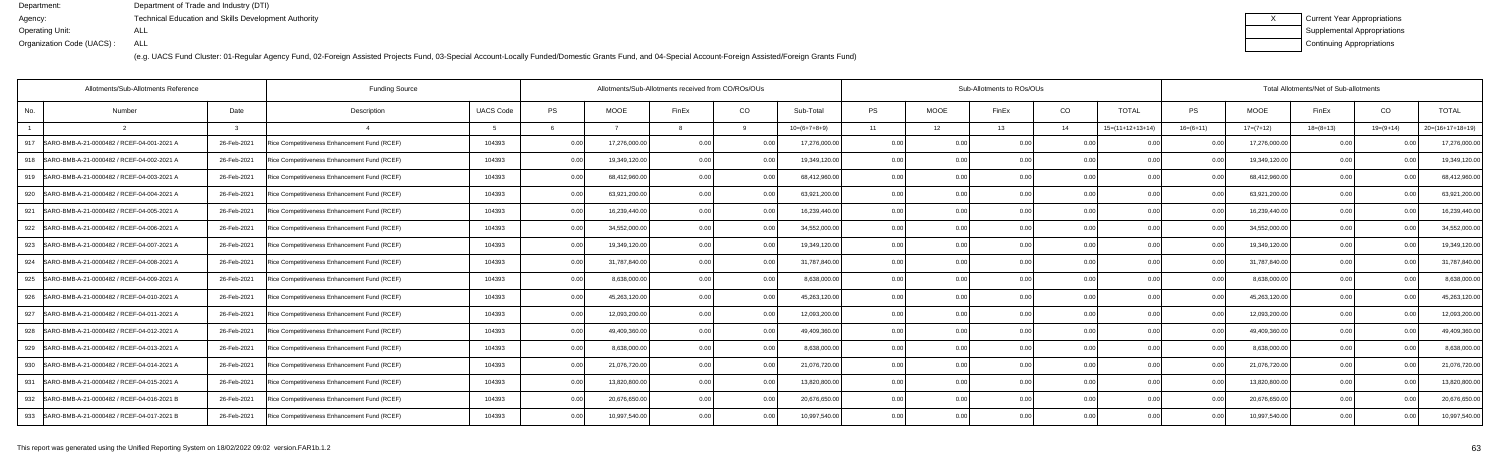| Current Year Appropriations |
|-----------------------------|
| Supplemental Appropriations |
| Continuing Appropriations   |

|     | Allotments/Sub-Allotments Reference            | <b>Funding Source</b> |                                              |                  | Allotments/Sub-Allotments received from CO/ROs/OUs |              |                |         |                |                | Sub-Allotments to ROs/OUs |       |      |                    | Total Allotments/Net of Sub-allotments |               |                |                |                    |  |
|-----|------------------------------------------------|-----------------------|----------------------------------------------|------------------|----------------------------------------------------|--------------|----------------|---------|----------------|----------------|---------------------------|-------|------|--------------------|----------------------------------------|---------------|----------------|----------------|--------------------|--|
| No. | Number                                         | Date                  | Description                                  | <b>UACS Code</b> | <b>PS</b>                                          | <b>MOOE</b>  | FinEx          | CO      | Sub-Total      | <b>PS</b>      | <b>MOOE</b>               | FinEx | CO   | <b>TOTAL</b>       | <b>PS</b>                              | MOOE          | FinEx          | CO             | <b>TOTAL</b>       |  |
|     |                                                |                       |                                              |                  |                                                    |              |                |         | $10=(6+7+8+9)$ | 11             | 12 <sup>7</sup>           | 13    | 14   | $15=(11+12+13+14)$ | $16=(6+11)$                            | $17=(7+12)$   | $18=(8+13)$    | $19=(9+14)$    | $20=(16+17+18+19)$ |  |
| 917 | SARO-BMB-A-21-0000482 / RCEF-04-001-2021 A     | 26-Feb-2021           | Rice Competitiveness Enhancement Fund (RCEF) | 104393           | 0.00                                               | 17,276,000.0 | 0.00           | 0.00    | 17,276,000.00  | 0.00           | 0.00                      |       | 0.0  |                    | 0.00                                   | 17,276,000.00 | 0.00           |                | 17,276,000.00      |  |
| 918 | SARO-BMB-A-21-0000482 / RCEF-04-002-2021 A     | 26-Feb-2021           | Rice Competitiveness Enhancement Fund (RCEF) | 104393           | 0.00                                               | 19,349,120.0 | 0.00           | 0.00    | 19,349,120.00  | 0.00           | 0.00                      |       | 0.0  | 0.00               | 0.00                                   | 19,349,120.00 | 0.00           |                | 19,349,120.00      |  |
| 919 | SARO-BMB-A-21-0000482 / RCEF-04-003-2021 A     | 26-Feb-2021           | Rice Competitiveness Enhancement Fund (RCEF) | 104393           | 0.00                                               | 68,412,960.0 | 0 <sub>0</sub> | 0.00    | 68,412,960.00  | 0.00           | 0.00                      |       | 0.0  | 0.00               |                                        | 68,412,960.00 | 0.00           |                | 68,412,960.0       |  |
| 920 | SARO-BMB-A-21-0000482 / RCEF-04-004-2021 A     | 26-Feb-2021           | Rice Competitiveness Enhancement Fund (RCEF) | 104393           | 0.00                                               | 63,921,200.0 | ი იი           | 0.00    | 63,921,200.00  | 0.00           | 0.00                      |       | 0.00 | 0.00               | 0.00                                   | 63,921,200.00 | 0.00           | 0 <sub>0</sub> | 63,921,200.00      |  |
| 921 | SARO-BMB-A-21-0000482 / RCEF-04-005-2021 A     | 26-Feb-2021           | Rice Competitiveness Enhancement Fund (RCEF) | 104393           | 0.00                                               | 16,239,440.0 | ი იი           | 0.00    | 16,239,440.00  | 0.00           | 0.00                      |       | 0.0  | 0.00               | 0 <sup>0</sup>                         | 16,239,440.00 | 0.00           |                | 16,239,440.00      |  |
| 922 | SARO-BMB-A-21-0000482 / RCEF-04-006-2021 A     | 26-Feb-2021           | Rice Competitiveness Enhancement Fund (RCEF) | 104393           | 0 <sub>0</sub>                                     | 34,552,000.0 |                | ი იი    | 34,552,000.00  | 0.00           | 0.00                      |       | 0.0  | 0.00               |                                        | 34,552,000.00 | 0.00           |                | 34,552,000.0       |  |
|     | 923 SARO-BMB-A-21-0000482 / RCEF-04-007-2021 A | 26-Feb-2021           | Rice Competitiveness Enhancement Fund (RCEF) | 104393           | በ በበ                                               | 19,349,120.0 |                | 0.001   | 19,349,120.00  | 0.00           | 0.00                      |       | 0.00 | 0.00               | 0.00                                   | 19,349,120.00 | 0.00           |                | 19,349,120.00      |  |
| 924 | SARO-BMB-A-21-0000482 / RCEF-04-008-2021 A     | 26-Feb-2021           | Rice Competitiveness Enhancement Fund (RCEF) | 104393           | 0.00                                               | 31,787,840.0 |                | 0.00    | 31,787,840.00  | 0.00           | 0.00                      |       | 0.0  |                    | . 0 OC                                 | 31,787,840.00 | 0.00           |                | 31,787,840.00      |  |
| 925 | SARO-BMB-A-21-0000482 / RCEF-04-009-2021 A     | 26-Feb-2021           | Rice Competitiveness Enhancement Fund (RCEF) | 104393           | 0.00                                               | 8,638,000.0  |                | 0. OO I | 8,638,000.00   | 0.00           | 0.00                      |       | 0.0  | 0.00               | . വ                                    | 8,638,000.00  | 0.00           |                | 8,638,000.0        |  |
| 926 | SARO-BMB-A-21-0000482 / RCEF-04-010-2021 A     | 26-Feb-2021           | Rice Competitiveness Enhancement Fund (RCEF) | 104393           | 0.00                                               | 45,263,120.0 |                | 0.00    | 45,263,120.00  | 0.00           | 0.00                      |       | 0.00 | 0.00               | 0.00                                   | 45,263,120.00 | 0.00           |                | 45,263,120.00      |  |
| 927 | SARO-BMB-A-21-0000482 / RCEF-04-011-2021 A     | 26-Feb-2021           | Rice Competitiveness Enhancement Fund (RCEF) | 104393           | 0.00                                               | 12,093,200.0 |                | 0.00    | 12,093,200.00  | 0.00           | 0.00                      |       | 0.0  | 0.00               |                                        | 12,093,200.00 | 0.00           |                | 12,093,200.0       |  |
| 928 | SARO-BMB-A-21-0000482 / RCEF-04-012-2021 A     | 26-Feb-2021           | Rice Competitiveness Enhancement Fund (RCEF) | 104393           | 0.00                                               | 49,409,360.0 |                |         | 49,409,360.00  | 0.00           | 0.00                      |       | 0.0  | 0.00               |                                        | 49,409,360.00 | 0.00           |                | 49,409,360.0       |  |
| 929 | SARO-BMB-A-21-0000482 / RCEF-04-013-2021 A     | 26-Feb-2021           | Rice Competitiveness Enhancement Fund (RCEF) | 104393           | 0 Q                                                | 8,638,000.0  |                | 0.00    | 8,638,000.00   | 0.00           | 0.00                      |       | 0.00 | 0.00               | . 0 OC                                 | 8,638,000.00  | 0 <sub>0</sub> |                | 8,638,000.00       |  |
| 930 | SARO-BMB-A-21-0000482 / RCEF-04-014-2021 A     | 26-Feb-2021           | Rice Competitiveness Enhancement Fund (RCEF) | 104393           | 0.00                                               | 21,076,720.0 |                | 0.00    | 21,076,720.00  | 0.00           | 0.00                      |       | 0.0  | 0.00               |                                        | 21,076,720.00 | 0 <sub>0</sub> |                | 21,076,720.00      |  |
| 931 | SARO-BMB-A-21-0000482 / RCEF-04-015-2021 A     | 26-Feb-2021           | Rice Competitiveness Enhancement Fund (RCEF) | 104393           | 0.00                                               | 13,820,800.0 | n nr           |         | 13,820,800.00  | 0.00           | 0.00                      |       | 0.0  | 0.00               |                                        | 13,820,800.00 | 0.00           |                | 13,820,800.0       |  |
|     | 932 SARO-BMB-A-21-0000482 / RCEF-04-016-2021 B | 26-Feb-2021           | Rice Competitiveness Enhancement Fund (RCEF) | 104393           | 0 <sub>0</sub>                                     | 20,676,650.0 |                | 0.00    | 20,676,650.00  | 0.00           | 0.00                      |       | 0.00 | 0.00               | . 0 OC                                 | 20,676,650.00 | 0.00           |                | 20,676,650.00      |  |
| 933 | SARO-BMB-A-21-0000482 / RCEF-04-017-2021 B     | 26-Feb-2021           | Rice Competitiveness Enhancement Fund (RCEF) | 104393           | በ በ(                                               | 10,997,540.0 |                | 0.001   | 10,997,540.00  | 0 <sub>0</sub> | 0.00                      |       | 0.00 | 0.00               | $\Omega$                               | 10,997,540.00 | 0 <sub>0</sub> |                | 10,997,540.00      |  |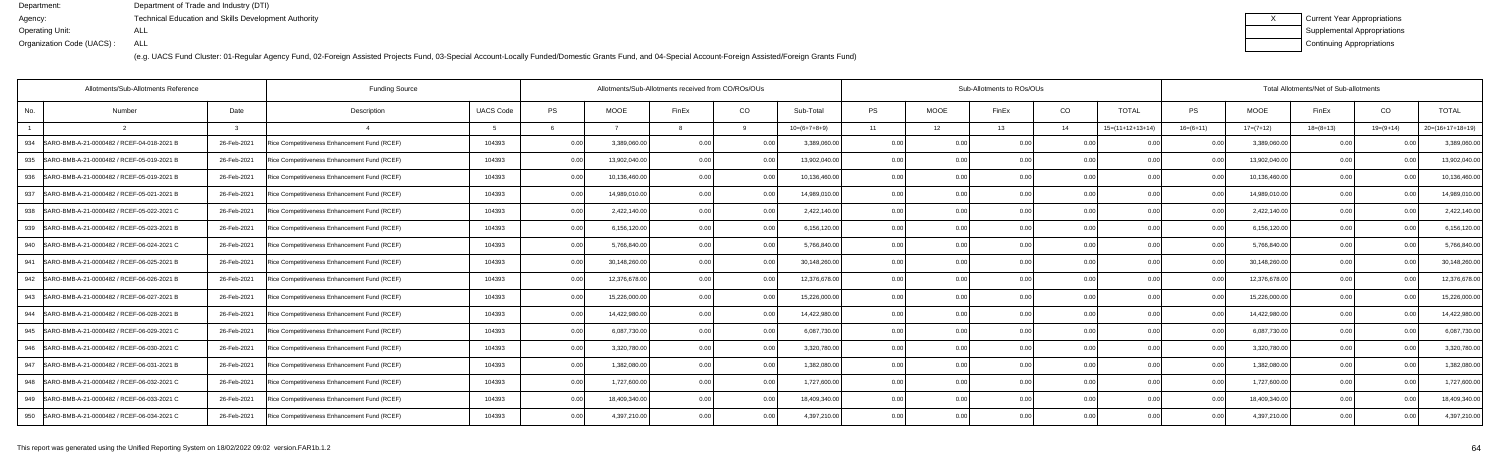| Current Year Appropriations |
|-----------------------------|
| Supplemental Appropriations |
| Continuing Appropriations   |

|                          |                                  |                                                    |                       |                                                                                                      |                                   | Total Allotments/Net of Sub-allotments |                    |  |  |  |  |  |
|--------------------------|----------------------------------|----------------------------------------------------|-----------------------|------------------------------------------------------------------------------------------------------|-----------------------------------|----------------------------------------|--------------------|--|--|--|--|--|
| <b>PS</b><br><b>MOOE</b> | CO<br>FinEx                      | <b>PS</b><br>Sub-Total                             | <b>MOOE</b><br>FinEx  | CO<br><b>TOTAL</b>                                                                                   | <b>PS</b><br><b>MOOE</b>          | CO<br>FinEx                            | <b>TOTAL</b>       |  |  |  |  |  |
|                          |                                  | $10=(6+7+8+9)$<br>11                               | 12 <sup>1</sup><br>13 | $15=(11+12+13+14)$<br>14                                                                             | $16=(6+11)$<br>$17=(7+12)$        | $18=(8+13)$<br>$19=(9+14)$             | $20=(16+17+18+19)$ |  |  |  |  |  |
| 0.00<br>3,389,060.0      | 0.00<br>0.00                     | 3,389,060.0<br>0.00                                | 0.00                  | 0.00<br>0.00                                                                                         | 3,389,060.0<br>0.0(               | 0.00<br>0.00                           | 3,389,060.0        |  |  |  |  |  |
| 0.00<br>13,902,040.00    | 0.00<br>0 <sub>0</sub>           | 0.00<br>13,902,040.00                              | 0.00                  | 0.00                                                                                                 | 13,902,040.00<br>0 <sub>0</sub>   | 0.00                                   | 13,902,040.0       |  |  |  |  |  |
| 0.00<br>10,136,460.0     | 0.00<br>0 <sub>0</sub>           | 10,136,460.00<br>0.00                              | 0.00                  | 0.00<br>0.00                                                                                         | 10,136,460.00<br>0 <sub>0</sub>   | 0.00<br>0 <sub>0</sub>                 | 10,136,460.0       |  |  |  |  |  |
| 14,989,010.0<br>0.00     | 0.00<br>0. 00                    | 14,989,010.00                                      | 0.00                  | 0.00<br>0.00                                                                                         | 14,989,010.00<br>0.0(             | 0.00<br>0.00                           | 14,989,010.0       |  |  |  |  |  |
| 0.00<br>2,422,140.00     | 0.0                              | 0.00<br>2,422,140.00                               | 0.00                  | 0.00                                                                                                 | 2,422,140.00                      | 0.00                                   | 2,422,140.0        |  |  |  |  |  |
| 0.00<br>6,156,120.00     | 0 <sub>0</sub><br>0 <sub>0</sub> | 6,156,120.00<br>0.00                               | 0.00                  | 0.00<br>0 <sub>0</sub>                                                                               | 6,156,120.00                      | 0.00<br>0 <sub>0</sub>                 | 6,156,120.0        |  |  |  |  |  |
| 0.00<br>5,766,840.0      | 0.00                             | 5,766,840.00                                       | 0.00                  | 0.00<br>0.00                                                                                         | 5,766,840.00<br>0 <sub>0</sub>    | 0.00<br>0.00                           | 5,766,840.0        |  |  |  |  |  |
| 30,148,260.0<br>0.00     | 0 <sub>0</sub>                   | 30,148,260.00<br>0.00                              | 0.00                  | 0.00                                                                                                 | 30,148,260.0                      | 0.00                                   | 30,148,260.0       |  |  |  |  |  |
| 0.00<br>12,376,678.00    | 0 <sub>0</sub><br>0 <sub>0</sub> | 12,376,678.00<br>0.00                              | 0.00<br>0 QC          | 0.00<br>0.00                                                                                         | 12,376,678.00                     | 0.00<br>$\Omega$                       | 12,376,678.0       |  |  |  |  |  |
| 0.00<br>15,226,000.00    | 0.00<br>0.00                     | 15,226,000.00                                      | 0.00                  | 0.00                                                                                                 | 15,226,000.00<br>0.0(             | 0.00<br>0.00                           | 15,226,000.0       |  |  |  |  |  |
| 14,422,980.0<br>0.00     | 0.0                              | 14,422,980.00<br>0.00                              | 0.00                  | 0.00<br>0.00                                                                                         | 14,422,980.0                      | 0.00                                   | 14,422,980.0       |  |  |  |  |  |
| 0.00<br>6,087,730.0      | 0 <sub>0</sub><br>0 <sub>0</sub> | 6,087,730.00<br>0.00                               | 0.00                  | 0.00<br>0.00                                                                                         | 6,087,730.00<br>0 <sub>0</sub>    | 0.00<br>0 <sub>0</sub>                 | 6,087,730.0        |  |  |  |  |  |
| 0.00<br>3,320,780.00     | 0.00<br>0.00                     | 3,320,780.00                                       | 0.00                  | 0.00                                                                                                 | 3,320,780.00<br>0.00              | 0.00<br>0.00                           | 3,320,780.0        |  |  |  |  |  |
| 0.00<br>1,382,080.0      | 0 <sub>0</sub><br>0 <sub>0</sub> | 1.382.080.00<br>0.00                               | 0.00                  | 0.00<br>0 <sub>0</sub>                                                                               | 1,382,080.0<br>0 <sub>0</sub>     | 0.00                                   | 1,382,080.0        |  |  |  |  |  |
| 0.00<br>1,727,600.0      | 0.00<br>0.00                     | 1,727,600.00<br>0.00                               | 0.00<br>0 QC          | 0.00<br>0.00                                                                                         | 1,727,600.00<br>0 <sub>0</sub>    | 0.00<br>0.00                           | 1,727,600.0        |  |  |  |  |  |
| 18,409,340.0<br>0.00     | 0.00<br>0.00                     | 18,409,340.00                                      | 0.00                  | 0.00                                                                                                 | 18,409,340.00<br>0.00             | 0.00<br>0.00                           | 18,409,340.0       |  |  |  |  |  |
| 4,397,210.00<br>0.00     | 0.00                             | 4,397,210.00<br>0.00                               | 0.00                  | 0 <sub>0</sub>                                                                                       | 4,397,210.00                      | 0.00                                   | 4,397,210.0        |  |  |  |  |  |
|                          |                                  | Allotments/Sub-Allotments received from CO/ROs/OUs |                       | 0.00<br>0.00<br>0.00<br>0.00<br>0.00<br>0.00<br>0.00<br>0.00<br>0.00<br>0.00<br>0.00<br>0.00<br>0.00 | Sub-Allotments to ROs/OUs<br>0.00 | 0.00<br>0.00<br>0.00                   |                    |  |  |  |  |  |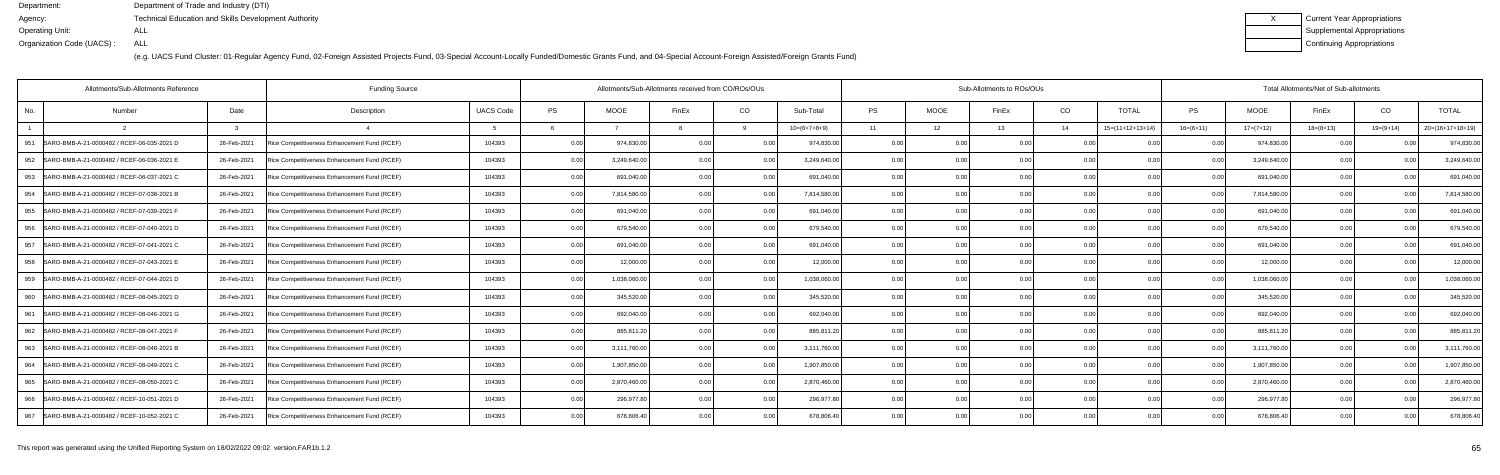| Current Year Appropriations |
|-----------------------------|
| Supplemental Appropriations |
| Continuing Appropriations   |

| Allotments/Sub-Allotments Reference               | <b>Funding Source</b> |                                              |                  | Allotments/Sub-Allotments received from CO/ROs/OUs |              |                |                |                | Sub-Allotments to ROs/OUs |                 |       | Total Allotments/Net of Sub-allotments |                    |             |              |             |                            |                    |
|---------------------------------------------------|-----------------------|----------------------------------------------|------------------|----------------------------------------------------|--------------|----------------|----------------|----------------|---------------------------|-----------------|-------|----------------------------------------|--------------------|-------------|--------------|-------------|----------------------------|--------------------|
| Number<br>No.                                     | Date                  | Description                                  | <b>UACS Code</b> | <b>PS</b>                                          | <b>MOOE</b>  | FinEx          | CO             | Sub-Total      | PS                        | <b>MOOE</b>     | FinEx | CO                                     | <b>TOTAL</b>       | PS          | <b>MOOE</b>  | FinEx       | CO                         | <b>TOTAL</b>       |
|                                                   |                       |                                              |                  |                                                    |              |                |                | $10=(6+7+8+9)$ | 11                        | 12 <sup>°</sup> | 13    | 14                                     | $15=(11+12+13+14)$ | $16=(6+11)$ | $17=(7+12)$  | $18=(8+13)$ | $19=(9+14)$                | $20=(16+17+18+19)$ |
| SARO-BMB-A-21-0000482 / RCEF-06-035-2021 D<br>951 | 26-Feb-2021           | Rice Competitiveness Enhancement Fund (RCEF) | 104393           | 0.00                                               | 974,830.0    | 0.00           | 0.00           | 974,830.00     | 0.00                      | 0.00            | 0.00  | 0.00                                   | 0.0                | 0.00        | 974,830.00   | 0.00        |                            | 974,830.00         |
| 952 SARO-BMB-A-21-0000482 / RCEF-06-036-2021 E    | 26-Feb-2021           | Rice Competitiveness Enhancement Fund (RCEF) | 104393           | 0.00                                               | 3,249,640.00 | 0.00           | 0.00           | 3,249,640.00   | 0.00                      | 0.00            | 0.00  | 0.00                                   | 0 <sub>0</sub>     | 0 Q         | 3,249,640.00 | 0.00        |                            | 3,249,640.00       |
| 953   SARO-BMB-A-21-0000482 / RCEF-06-037-2021 C  | 26-Feb-2021           | Rice Competitiveness Enhancement Fund (RCEF) | 104393           | 0.00                                               | 691,040.0    | 0.00           | 0.00           | 691,040.00     | 0.00                      | 0.00            | n nr  | 0.00                                   | 0.00               |             | 691,040.00   | 0.00        |                            | 691,040.0          |
| SARO-BMB-A-21-0000482 / RCEF-07-038-2021 B<br>954 | 26-Feb-2021           | Rice Competitiveness Enhancement Fund (RCEF) | 104393           | 0.00                                               | 7,814,580.00 | 0.00           | 0.00           | 7,814,580.00   | 0.00                      | 0.00            | 0.00  | 0.00                                   | 0.00               | 0.00        | 7,814,580.00 | 0.00        | 0 <sup>0<sup>c</sup></sup> | 7,814,580.0        |
| 955<br>SARO-BMB-A-21-0000482 / RCEF-07-039-2021 F | 26-Feb-2021           | Rice Competitiveness Enhancement Fund (RCEF) | 104393           | 0.00                                               | 691,040.00   |                | 0.0            | 691,040.00     | 0.00                      | 0.00            |       | 0.00                                   |                    |             | 691,040.00   | 0.00        |                            | 691,040.0          |
| SARO-BMB-A-21-0000482 / RCEF-07-040-2021 D<br>956 | 26-Feb-2021           | Rice Competitiveness Enhancement Fund (RCEF) | 104393           | 0.00                                               | 679,540.00   | 0 <sub>0</sub> | 0.00           | 679,540.00     | 0.00                      | 0.00            |       | 0.00                                   | 00                 |             | 679,540.00   | 0.00        |                            | 679,540.0          |
| SARO-BMB-A-21-0000482 / RCEF-07-041-2021 C<br>957 | 26-Feb-2021           | Rice Competitiveness Enhancement Fund (RCEF) | 104393           | 0.00                                               | 691,040.00   |                | 0.00           | 691,040.00     | 0.00                      | 0.00            |       | 0.00                                   | 00                 | 0.00        | 691,040.00   | 0.00        |                            | 691,040.00         |
| SARO-BMB-A-21-0000482 / RCEF-07-043-2021 E<br>958 | 26-Feb-2021           | Rice Competitiveness Enhancement Fund (RCEF) | 104393           | 0.00                                               | 12,000.00    |                | 0.00           | 12,000.00      | 0.00                      | 0.00            |       | 0.00                                   |                    |             | 12,000.00    | 0.00        |                            | 12,000.0           |
| SARO-BMB-A-21-0000482 / RCEF-07-044-2021 D<br>959 | 26-Feb-2021           | Rice Competitiveness Enhancement Fund (RCEF) | 104393           | 0.00                                               | 1,038,060.00 | 0 U            | 0.0            | 1,038,060.00   | 0.00                      | 0.00            | 0.00  | 0.00                                   | 0.00               |             | 1,038,060.00 | 0.00        |                            | 1,038,060.0        |
| SARO-BMB-A-21-0000482 / RCEF-08-045-2021 D<br>960 | 26-Feb-2021           | Rice Competitiveness Enhancement Fund (RCEF) | 104393           | 0.00                                               | 345,520.00   | 0.OC           | 0.00           | 345,520.00     | 0.00                      | 0.00            | 0.00  | 0.00                                   | 0.00               | 0.00        | 345,520.00   | 0.00        | 0 <sub>0</sub>             | 345,520.00         |
| 961<br>SARO-BMB-A-21-0000482 / RCEF-08-046-2021 G | 26-Feb-2021           | Rice Competitiveness Enhancement Fund (RCEF) | 104393           | 0.00                                               | 692,040.00   |                | 0.0            | 692,040.00     | 0.00                      | 0.00            |       | 0.00                                   | 0 <sub>0</sub>     | 0 Q         | 692,040.00   | 0.00        |                            | 692,040.0          |
| SARO-BMB-A-21-0000482 / RCEF-08-047-2021 F<br>962 | 26-Feb-2021           | Rice Competitiveness Enhancement Fund (RCEF) | 104393           | 0.00                                               | 885,811.20   | 0.00           | 0.00           | 885,811.20     | 0.00                      | 0.00            | 0.00  | 0.00                                   | 0.00               |             | 885,811.20   | 0.00        |                            | 885,811.2          |
| 963   SARO-BMB-A-21-0000482 / RCEF-08-048-2021 B  | 26-Feb-2021           | Rice Competitiveness Enhancement Fund (RCEF) | 104393           | 0.00                                               | 3,111,760.00 | 0.00           | 0.00           | 3,111,760.00   | 0.00                      | 0.00            | 0.00  | 0.00                                   | 0.00               | 0.00        | 3,111,760.00 | 0.00        | 0.00                       | 3,111,760.00       |
| SARO-BMB-A-21-0000482 / RCEF-08-049-2021 C<br>964 | 26-Feb-2021           | Rice Competitiveness Enhancement Fund (RCEF) | 104393           | 0.00                                               | 1,907,850.00 | 0 <sub>0</sub> | 0 <sub>0</sub> | 1,907,850.00   | 0.00                      | 0.00            |       | 0.00                                   |                    | 0 Q         | 1,907,850.00 | 0.00        |                            | 1,907,850.00       |
| 965   SARO-BMB-A-21-0000482 / RCEF-08-050-2021 C  | 26-Feb-2021           | Rice Competitiveness Enhancement Fund (RCEF) | 104393           | 0.00                                               | 2,870,460.0  | 0.00           | 0 <sub>0</sub> | 2,870,460.00   | 0.00                      | 0.00            | 0.00  | 0.00                                   | 0.00               |             | 2,870,460.00 | 0.00        |                            | 2,870,460.0        |
| SARO-BMB-A-21-0000482 / RCEF-10-051-2021 D<br>966 | 26-Feb-2021           | Rice Competitiveness Enhancement Fund (RCEF) | 104393           | 0.00                                               | 296,977.80   | 0.00           | 0.00           | 296,977.80     | 0.00                      | 0.00            | 0.00  | 0.00                                   | 0.00               | 0.00        | 296,977.80   | 0.00        | 0 <sub>0</sub>             | 296,977.8          |
| 967<br>SARO-BMB-A-21-0000482 / RCEF-10-052-2021 C | 26-Feb-2021           | Rice Competitiveness Enhancement Fund (RCEF) | 104393           | 0.00                                               | 678,806.40   |                | 0.00           | 678,806.40     | 0.00                      | 0.00            |       | 0.00                                   |                    | n n         | 678,806.40   | 0.00        |                            | 678,806.4          |